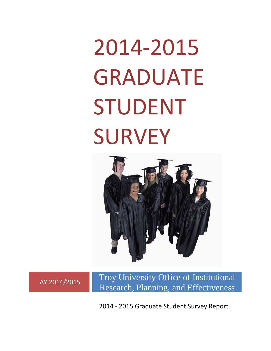# 2014‐2015 GRADUATE STUDENT SURVEY



AY 2014/2015 Troy University Office of Institutional Research, Planning, and Effectiveness

2014 ‐ 2015 Graduate Student Survey Report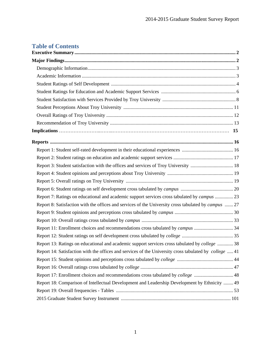# **Table of Contents**

| Report 3: Student satisfaction with the offices and services of Troy University  18                          |  |
|--------------------------------------------------------------------------------------------------------------|--|
|                                                                                                              |  |
|                                                                                                              |  |
|                                                                                                              |  |
| Report 7: Ratings on educational and academic support services cross tabulated by <i>campus</i> 23           |  |
|                                                                                                              |  |
| Report 8: Satisfaction with the offices and services of the University cross tabulated by <i>campus</i> 27   |  |
|                                                                                                              |  |
|                                                                                                              |  |
| Report 11: Enrollment choices and recommendations cross tabulated by campus 34                               |  |
|                                                                                                              |  |
| Report 13: Ratings on educational and academic support services cross tabulated by college  38               |  |
| Report 14: Satisfaction with the offices and services of the University cross tabulated by <i>college</i> 41 |  |
|                                                                                                              |  |
|                                                                                                              |  |
| Report 17: Enrollment choices and recommendations cross tabulated by <i>college</i> 48                       |  |
| Report 18: Comparison of Intellectual Development and Leadership Development by Ethnicity  49                |  |
|                                                                                                              |  |
|                                                                                                              |  |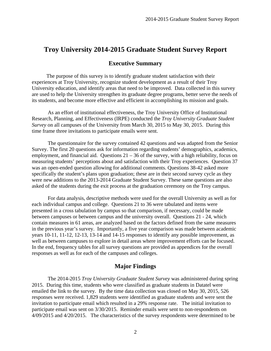## **Executive Summary**

 The purpose of this survey is to identify graduate student satisfaction with their experiences at Troy University, recognize student development as a result of their Troy University education, and identify areas that need to be improved. Data collected in this survey are used to help the University strengthen its graduate degree programs, better serve the needs of its students, and become more effective and efficient in accomplishing its mission and goals.

 As an effort of institutional effectiveness, the Troy University Office of Institutional Research, Planning, and Effectiveness (IRPE) conducted the *Troy University Graduate Student Survey* on all campuses of the University from March 30, 2015 to May 30, 2015. During this time frame three invitations to participate emails were sent.

 The questionnaire for the survey contained 42 questions and was adapted from the Senior Survey. The first 20 questions ask for information regarding students' demographics, academics, employment, and financial aid. Questions  $21 - 36$  of the survey, with a high reliability, focus on measuring students' perceptions about and satisfaction with their Troy experiences. Question 37 was an open-ended question allowing for additional comments. Questions 38-42 asked more specifically the student's plans upon graduation; these are in their second survey cycle as they were new additions to the 2013-2014 Graduate Student Survey. These same questions are also asked of the students during the exit process at the graduation ceremony on the Troy campus.

For data analysis, descriptive methods were used for the overall University as well as for each individual campus and college. Questions 21 to 36 were tabulated and items were presented in a cross tabulation by campus so that comparison, if necessary, could be made between campuses or between campus and the university overall. Questions 21 - 24, which contain measures in 61 areas, are analyzed based on the factors defined from the same measures in the previous year's survey. Importantly, a five year comparison was made between academic years 10-11, 11-12, 12-13, 13-14 and 14-15 responses to identify any possible improvement, as well as between campuses to explore in detail areas where improvement efforts can be focused. In the end, frequency tables for all survey questions are provided as appendices for the overall responses as well as for each of the campuses and colleges.

## **Major Findings**

 The 2014-2015 *Troy University Graduate Student Survey* was administered during spring 2015. During this time, students who were classified as graduate students in Datatel were emailed the link to the survey. By the time data collection was closed on May 30, 2015, 526 responses were received. 1,829 students were identified as graduate students and were sent the invitation to participate email which resulted in a 29% response rate. The initial invitation to participate email was sent on 3/30/2015. Reminder emails were sent to non-respondents on 4/09/2015 and 4/20/2015. The characteristics of the survey respondents were determined to be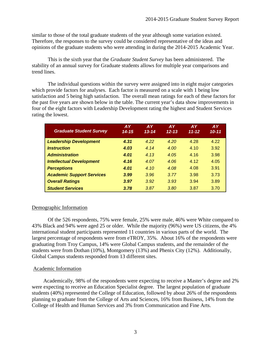similar to those of the total graduate students of the year although some variation existed. Therefore, the responses to the survey could be considered representative of the ideas and opinions of the graduate students who were attending in during the 2014-2015 Academic Year.

 This is the sixth year that the *Graduate Student Survey* has been administered. The stability of an annual survey for Graduate students allows for multiple year comparisons and trend lines.

The individual questions within the survey were assigned into in eight major categories which provide factors for analyses. Each factor is measured on a scale with 1 being low satisfaction and 5 being high satisfaction. The overall mean ratings for each of these factors for the past five years are shown below in the table. The current year's data show improvements in four of the eight factors with Leadership Development rating the highest and Student Services rating the lowest.

| <b>Graduate Student Survey</b>   | <b>AY</b><br>$14 - 15$ | <b>AY</b><br>$13 - 14$ | <b>AY</b><br>$12 - 13$ | <b>AY</b><br>$11 - 12$ | <b>AY</b><br>$10 - 11$ |
|----------------------------------|------------------------|------------------------|------------------------|------------------------|------------------------|
| <b>Leadership Development</b>    | 4.31                   | 4.22                   | 4.20                   | 4.28                   | 4.22                   |
| <b>Instruction</b>               | 4.03                   | 4.14                   | 4.00                   | 4.10                   | 3.92                   |
| <b>Administration</b>            | 4.01                   | 4.13                   | 4.05                   | 4.16                   | 3.98                   |
| <b>Intellectual Development</b>  | 4.16                   | 4.07                   | 4.06                   | 4.12                   | 4.05                   |
| <b>Perceptions</b>               | 4.01                   | 4.10                   | 4.08                   | 4.08                   | 3.91                   |
| <b>Academic Support Services</b> | 3.99                   | 3.96                   | 3.77                   | 3.98                   | 3.73                   |
| <b>Overall Ratings</b>           | 3.97                   | 3.92                   | 3.93                   | 3.94                   | 3.89                   |
| <b>Student Services</b>          | 3.78                   | 3.87                   | 3.80                   | 3.87                   | 3.70                   |

## Demographic Information

 Of the 526 respondents, 75% were female, 25% were male, 46% were White compared to 43% Black and 94% were aged 25 or older. While the majority (96%) were US citizens, the 4% international student participants represented 11 countries in various parts of the world. The largest percentage of respondents were from eTROY, 35%. About 16% of the respondents were graduating from Troy Campus, 14% were Global Campus students, and the remainder of the students were from Dothan (10%), Montgomery (13%) and Phenix City (12%). Additionally, Global Campus students responded from 13 different sites.

## Academic Information

 Academically, 98% of the respondents were expecting to receive a Master's degree and 2% were expecting to receive an Education Specialist degree. The largest population of graduate students (40%) represented the College of Education, followed by about 26% of the respondents planning to graduate from the College of Arts and Sciences, 16% from Business, 14% from the College of Health and Human Services and 3% from Communication and Fine Arts.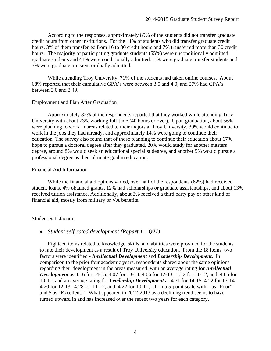According to the responses, approximately 89% of the students did not transfer graduate credit hours from other institutions. For the 11% of students who did transfer graduate credit hours, 3% of them transferred from 16 to 30 credit hours and 7% transferred more than 30 credit hours. The majority of participating graduate students (55%) were unconditionally admitted graduate students and 41% were conditionally admitted. 1% were graduate transfer students and 3% were graduate transient or dually admitted.

While attending Troy University, 71% of the students had taken online courses. About 68% reported that their cumulative GPA's were between 3.5 and 4.0, and 27% had GPA's between 3.0 and 3.49.

### Employment and Plan After Graduation

 Approximately 82% of the respondents reported that they worked while attending Troy University with about 73% working full-time (40 hours or over). Upon graduation, about 56% were planning to work in areas related to their majors at Troy University, 39% would continue to work in the jobs they had already, and approximately 14% were going to continue their education. The survey also found that of those planning to continue their education about 67% hope to pursue a doctoral degree after they graduated, 20% would study for another masters degree, around 8% would seek an educational specialist degree, and another 5% would pursue a professional degree as their ultimate goal in education.

### Financial Aid Information

 While the financial aid options varied, over half of the respondents (62%) had received student loans, 4% obtained grants, 12% had scholarships or graduate assistantships, and about 13% received tuition assistance. Additionally, about 3% received a third party pay or other kind of financial aid, mostly from military or VA benefits.

## Student Satisfaction

## *Student self-rated development (Report 1 – Q21)*

 Eighteen items related to knowledge, skills, and abilities were provided for the students to rate their development as a result of Troy University education. From the 18 items, two factors were identified - *Intellectual Development* and *Leadership Development.* In comparison to the prior four academic years, respondents shared about the same opinions regarding their development in the areas measured, with an average rating for *Intellectual Development* as 4.16 for 14-15, 4.07 for 13-14, 4.06 for 12-13, 4.12 for 11-12, and 4.05 for 10-11; and an average rating for *Leadership Development* as 4.31 for 14-15, 4.22 for 13-14, 4.20 for 12-13, 4.28 for 11-12, and 4.22 for 10-11; all in a 5-point scale with 1 as "Poor" and 5 as "Excellent." What appeared in 2012-2013 as a declining trend seems to have turned upward in and has increased over the recent two years for each category.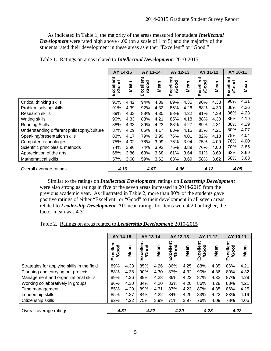As indicated in Table 1, the majority of the areas measured for student *Intellectual Development* were rated high above 4.00 (on a scale of 1 to 5) and the majority of the students rated their development in these areas as either "Excellent" or "Good."

|                                            | AY 14-15                  |      | AY 13-14                  |      | AY 12-13                  |      | AY 11-12                  |      | AY 10-11                  |      |
|--------------------------------------------|---------------------------|------|---------------------------|------|---------------------------|------|---------------------------|------|---------------------------|------|
|                                            | Excellent<br><b>/Good</b> | Mean | Excellent<br><b>/Good</b> | Mean | Excellent<br><b>/Good</b> | Mean | Excellent<br><b>/Good</b> | Mean | Excellent<br><b>/Good</b> | Mean |
| Critical thinking skills                   | 90%                       | 4.42 | 94%                       | 4.39 | 89%                       | 4.35 | 90%                       | 4.38 | 90%                       | 4.31 |
| Problem solving skills                     | 91%                       | 4.39 | 92%                       | 4.32 | 86%                       | 4.26 | 88%                       | 4.30 | 88%                       | 4.26 |
| Research skills                            | 89%                       | 4.33 | 88%                       | 4.30 | 88%                       | 4.32 | 91%                       | 4.39 | 86%                       | 4.23 |
| Writing skills                             | 90%                       | 4.33 | 88%                       | 4.21 | 85%                       | 4.18 | 88%                       | 4.30 | 85%                       | 4.19 |
| <b>Reading Skills</b>                      | 88%                       | 4.33 | 89%                       | 4.23 | 88%                       | 4.27 | 89%                       | 4.31 | 88%                       | 4.29 |
| Understanding different philosophy/culture | 87%                       | 4.29 | 85%                       | 4.17 | 83%                       | 4.15 | 83%                       | 4.21 | 80%                       | 4.07 |
| Speaking/presentation skills               | 83%                       | 4.17 | 79%                       | 3.99 | 76%                       | 4.01 | 82%                       | 4.13 | 78%                       | 4.04 |
| Computer technologies                      | 75%                       | 4.02 | 78%                       | 3.99 | 76%                       | 3.94 | 75%                       | 4.00 | 76%                       | 4.00 |
| Scientific principles & methods            | 74%                       | 3.96 | 74%                       | 3.92 | 75%                       | 3.89 | 76%                       | 4.00 | 70%                       | 3.85 |
| Appreciation of the arts                   | 68%                       | 3.86 | 63%                       | 3.68 | 61%                       | 3.64 | 61%                       | 3.69 | 62%                       | 3.69 |
| <b>Mathematical skills</b>                 | 57%                       | 3.60 | 59%                       | 3.62 | 63%                       | 3.69 | 58%                       | 3.62 | 58%                       | 3.63 |
| Overall average ratings                    | 4.16                      |      | 4.07                      |      | 4.06                      |      | 4.12                      |      | 4.05                      |      |

|  |  |  | Table 1. Ratings on areas related to <i>Intellectual Development</i> : 2010-2015 |
|--|--|--|----------------------------------------------------------------------------------|
|  |  |  |                                                                                  |

Similar to the ratings on *Intellectual Development*, ratings on *Leadership Development* were also strong as ratings in five of the seven areas increased in 2014-2015 from the previous academic year. As illustrated in Table 2, more than 80% of the students gave positive ratings of either "Excellent" or "Good" to their development in all seven areas related to *Leadership Development.* All mean ratings for items were 4.20 or higher, the factor mean was 4.31.

Table 2. Ratings on areas related to *Leadership Development*: 2010-2015

|                                             | AY 14-15                  |      | AY 13-14                  |      | AY 12-13                  |      | AY 11-12                  |      | AY 10-11                  |      |
|---------------------------------------------|---------------------------|------|---------------------------|------|---------------------------|------|---------------------------|------|---------------------------|------|
|                                             | Excellent<br><b>/Good</b> | Mean | Excellent<br><b>/Good</b> | Mean | Excellent<br><b>/Good</b> | Mean | Excellent<br><b>/Good</b> | Mean | Excellent<br><b>/Good</b> | Mean |
| Strategies for applying skills in the field | 89%                       | 4.38 | 85%                       | 4.26 | 86%                       | 4.25 | 88%                       | 4.35 | 86%                       | 4.21 |
| Planning and carrying out projects          | 88%                       | 4.38 | 90%                       | 4.30 | 87%                       | 4.32 | 90%                       | 4.36 | 89%                       | 4.32 |
| Management and organizational skills        | 89%                       | 4.36 | 89%                       | 4.28 | 86%                       | 4.22 | 87%                       | 4.32 | 87%                       | 4.29 |
| Working collaboratively in groups           | 86%                       | 4.30 | 84%                       | 4.20 | 83%                       | 4.20 | 86%                       | 4.28 | 83%                       | 4.21 |
| Time management                             | 85%                       | 4.29 | 89%                       | 4.31 | 87%                       | 4.23 | 87%                       | 4.35 | 86%                       | 4.25 |
| Leadership skills                           | 85%                       | 4.27 | 84%                       | 4.22 | 84%                       | 4.20 | 83%                       | 4.22 | 83%                       | 4.19 |
| Citizenship skills                          | 82%                       | 4.22 | 75%                       | 3.99 | 71%                       | 3.97 | 76%                       | 4.09 | 78%                       | 4.05 |
| Overall average ratings                     | 4.31                      |      | 4.22                      |      | 4.20                      |      | 4.28                      |      | 4.22                      |      |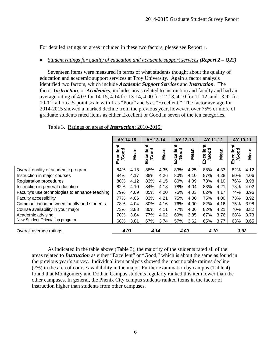For detailed ratings on areas included in these two factors, please see Report 1.

### *Student ratings for quality of education and academic support services (Report 2 – Q22)*

 Seventeen items were measured in terms of what students thought about the quality of education and academic support services at Troy University. Again a factor analysis identified two factors, which include *Academic Support Services* and *Instruction*. The factor *Instruction*, or *Academics*, includes areas related to instruction and faculty and had an average rating of 4.03 for 14-15, 4.14 for 13-14, 4.00 for 12-13, 4.10 for 11-12, and 3.92 for 10-11; all on a 5-point scale with 1 as "Poor" and 5 as "Excellent." The factor average for 2014-2015 showed a marked decline from the previous year, however, over 75% or more of graduate students rated items as either Excellent or Good in seven of the ten categories.

|                                                | AY 14-15                  |      | AY 13-14                  |      | AY 12-13                  |      | AY 11-12                  |      | AY 10-11                  |      |
|------------------------------------------------|---------------------------|------|---------------------------|------|---------------------------|------|---------------------------|------|---------------------------|------|
|                                                | Excellent<br><b>/Good</b> | Mean | Excellent<br><b>/Good</b> | Mean | Excellent<br><b>/Good</b> | Mean | Excellent<br><b>/Good</b> | Mean | Excellent<br><b>/Good</b> | Mean |
| Overall quality of academic program            | 84%                       | 4.18 | 88%                       | 4.35 | 83%                       | 4.25 | 88%                       | 4.33 | 82%                       | 4.12 |
| Instruction in major courses                   | 84%                       | 4.17 | 88%                       | 4.26 | 80%                       | 4.10 | 87%                       | 4.28 | 80%                       | 4.06 |
| <b>Registration procedures</b>                 | 80%                       | 4.12 | 83%                       | 4.15 | 80%                       | 4.09 | 78%                       | 4.10 | 76%                       | 3.98 |
| Instruction in general education               | 82%                       | 4.10 | 84%                       | 4.18 | 78%                       | 4.04 | 83%                       | 4.21 | 78%                       | 4.02 |
| Faculty's use technologies to enhance teaching | 79%                       | 4.09 | 85%                       | 4.20 | 75%                       | 4.03 | 82%                       | 4.17 | 74%                       | 3.96 |
| <b>Faculty accessibility</b>                   | 77%                       | 4.06 | 83%                       | 4.21 | 75%                       | 4.00 | 75%                       | 4.00 | 73%                       | 3.92 |
| Communication between faculty and students     | 78%                       | 4.04 | 80%                       | 4.16 | 76%                       | 4.00 | 82%                       | 4.16 | 75%                       | 3.98 |
| Course availability in your major              | 73%                       | 3.88 | 80%                       | 4.11 | 77%                       | 4.06 | 82%                       | 4.21 | 70%                       | 3.82 |
| Academic advising                              | 70%                       | 3.84 | 77%                       | 4.02 | 69%                       | 3.85 | 67%                       | 3.76 | 68%                       | 3.73 |
| New Student Orientation program                | 68%                       | 3.81 | 67%                       | 3.74 | 57%                       | 3.62 | 65%                       | 3.77 | 63%                       | 3.65 |
| Overall average ratings                        | 4.03                      |      | 4.14                      |      | 4.00                      |      | 4.10                      |      | 3.92                      |      |

Table 3. Ratings on areas of *Instruction*: 2010-2015:

As indicated in the table above (Table 3), the majority of the students rated all of the areas related to *Instruction* as either "Excellent" or "Good," which is about the same as found in the previous year's survey. Individual item analysis showed the most notable ratings decline (7%) in the area of course availability in the major. Further examination by campus (Table 4) found that Montgomery and Dothan Campus students regularly ranked this item lower than the other campuses. In general, the Phenix City campus students ranked items in the factor of instruction higher than students from other campuses.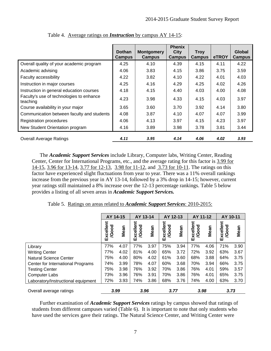|                                                      | <b>Dothan</b><br><b>Campus</b> | <b>Montgomery</b><br><b>Campus</b> | <b>Phenix</b><br><b>City</b><br><b>Campus</b> | <b>Troy</b><br><b>Campus</b> | eTROY | Global<br>Campus |
|------------------------------------------------------|--------------------------------|------------------------------------|-----------------------------------------------|------------------------------|-------|------------------|
| Overall quality of your academic program             | 4.25                           | 4.10                               | 4.39                                          | 4.15                         | 4.11  | 4.22             |
| Academic advising                                    | 4.06                           | 3.83                               | 4.15                                          | 3.86                         | 3.75  | 3.59             |
| Faculty accessibility                                | 4.22                           | 3.82                               | 4.10                                          | 4.22                         | 4.01  | 4.03             |
| Instruction in major courses                         | 4.25                           | 4.16                               | 4.29                                          | 4.25                         | 4.02  | 4.26             |
| Instruction in general education courses             | 4.18                           | 4.15                               | 4.40                                          | 4.03                         | 4.00  | 4.08             |
| Faculty's use of technologies to enhance<br>teaching | 4.23                           | 3.98                               | 4.33                                          | 4.15                         | 4.03  | 3.97             |
| Course availability in your major                    | 3.65                           | 3.60                               | 3.70                                          | 3.92                         | 4.14  | 3.80             |
| Communication between faculty and students           | 4.08                           | 3.87                               | 4.10                                          | 4.07                         | 4.07  | 3.99             |
| <b>Registration procedures</b>                       | 4.06                           | 4.13                               | 3.97                                          | 4.15                         | 4.23  | 3.97             |
| New Student Orientation program                      | 4.16                           | 3.89                               | 3.98                                          | 3.78                         | 3.81  | 3.44             |
| <b>Overall Average Ratings</b>                       | 4.11                           | 3.95                               | 4.14                                          | 4.06                         | 4.02  | 3.93             |

Table 4. Average ratings on *Instruction* by campus AY 14-15:

The *Academic Support Services* include Library, Computer labs, Writing Center, Reading Center, Center for International Programs, etc., and the average rating for this factor is 3.99 for 14-15, 3.96 for 13-14, 3.77 for 12-13, 3.98 for 11-12, and 3.73 for 10-11. The ratings on this factor have experienced slight fluctuations from year to year. There was a 11% overall rankings increase from the previous year in AY 13-14, followed by a 3% drop in 14-15; however, current year ratings still maintained a 8% increase over the 12-13 percentage rankings. Table 5 below provides a listing of all seven areas in *Academic Support Services.*

Table 5. Ratings on areas related to *Academic Support Services*: 2010-2015:

|                                    | AY 14-15                  |      | AY 13-14                  |      | AY 12-13                  |      | AY 11-12                  |      | AY 10-11                  |      |
|------------------------------------|---------------------------|------|---------------------------|------|---------------------------|------|---------------------------|------|---------------------------|------|
|                                    | Excellent<br><b>/Good</b> | Mean | Excellent<br><b>/Good</b> | Mean | Excellent<br><b>/Good</b> | Mean | Excellent<br><b>/Good</b> | Mean | Excellent<br><b>/Good</b> | Mean |
| Library                            | 77%                       | 4.07 | 77%                       | 3.97 | 75%                       | 3.94 | 77%                       | 4.06 | 71%                       | 3.90 |
| <b>Writing Center</b>              | 77%                       | 4.02 | 81%                       | 4.00 | 65%                       | 3.72 | 72%                       | 3.92 | 63%                       | 3.67 |
| <b>Natural Science Center</b>      | 75%                       | 4.00 | 80%                       | 4.02 | 61%                       | 3.60 | 68%                       | 3.88 | 64%                       | 3.75 |
| Center for International Programs  | 74%                       | 3.99 | 78%                       | 4.07 | 60%                       | 3.68 | 70%                       | 3.94 | 66%                       | 3.75 |
| <b>Testing Center</b>              | 75%                       | 3.98 | 76%                       | 3.92 | 70%                       | 3.86 | 76%                       | 4.01 | 59%                       | 3.57 |
| <b>Computer Labs</b>               | 73%                       | 3.96 | 76%                       | 3.91 | 70%                       | 3.86 | 76%                       | 4.01 | 65%                       | 3.75 |
| Laboratory/Instructional equipment | 72%                       | 3.93 | 74%                       | 3.86 | 68%                       | 3.76 | 74%                       | 4.00 | 63%                       | 3.70 |
| Overall average ratings            | 3.99                      |      | 3.96                      |      | 3.77                      |      | 3.98                      |      | 3.73                      |      |

Further examination of *Academic Support Services* ratings by campus showed that ratings of students from different campuses varied (Table 6). It is important to note that only students who have used the services gave their ratings. The Natural Science Center, and Writing Center were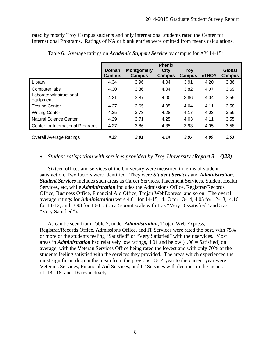rated by mostly Troy Campus students and only international students rated the Center for International Programs. Ratings of NA or blank entries were omitted from means calculations.

|                                       | <b>Dothan</b><br><b>Campus</b> | <b>Montgomery</b><br><b>Campus</b> | <b>Phenix</b><br><b>City</b><br><b>Campus</b> | <b>Troy</b><br><b>Campus</b> | eTROY | Global<br><b>Campus</b> |
|---------------------------------------|--------------------------------|------------------------------------|-----------------------------------------------|------------------------------|-------|-------------------------|
| Library                               | 4.34                           | 3.96                               | 4.04                                          | 3.91                         | 4.20  | 3.86                    |
| Computer labs                         | 4.30                           | 3.86                               | 4.04                                          | 3.82                         | 4.07  | 3.69                    |
| Laboratory/instructional<br>equipment | 4.21                           | 3.87                               | 4.00                                          | 3.86                         | 4.04  | 3.59                    |
| <b>Testing Center</b>                 | 4.37                           | 3.65                               | 4.05                                          | 4.04                         | 4.11  | 3.58                    |
| <b>Writing Center</b>                 | 4.25                           | 3.73                               | 4.28                                          | 4.17                         | 4.03  | 3.56                    |
| <b>Natural Science Center</b>         | 4.29                           | 3.71                               | 4.25                                          | 4.03                         | 4.11  | 3.55                    |
| Center for International Programs     | 4.27                           | 3.86                               | 4.35                                          | 3.93                         | 4.05  | 3.58                    |
| <b>Overall Average Ratings</b>        | 4.29                           | 3.81                               | 4.14                                          | 3.97                         | 4.09  | 3.63                    |

Table 6. Average ratings on *Academic Support Service* by campus for AY 14-15:

## *Student satisfaction with services provided by Troy University (Report 3 – Q23)*

 Sixteen offices and services of the University were measured in terms of student satisfaction. Two factors were identified. They were *Student Services* and *Administration*. *Student Services* includes such areas as Career Services, Placement Services, Student Health Services, etc, while *Administration* includes the Admissions Office, Registrar/Records Office, Business Office, Financial Aid Office, Trojan WebExpress, and so on. The overall average ratings for *Administration* were 4.01 for 14-15, 4.13 for 13-14, 4.05 for 12-13, 4.16 for 11-12, and 3.98 for 10-11, (on a 5-point scale with 1 as "Very Dissatisfied" and 5 as "Very Satisfied").

 As can be seen from Table 7, under *Administration*, Trojan Web Express, Registrar/Records Office, Admissions Office, and IT Services were rated the best, with 75% or more of the students feeling "Satisfied" or "Very Satisfied" with their services. Most areas in *Administration* had relatively low ratings, 4.01 and below (4.00 = Satisfied) on average, with the Veteran Services Office being rated the lowest and with only 70% of the students feeling satisfied with the services they provided. The areas which experienced the most significant drop in the mean from the previous 13-14 year to the current year were Veterans Services, Financial Aid Services, and IT Services with declines in the means of .18, .18, and .16 respectively.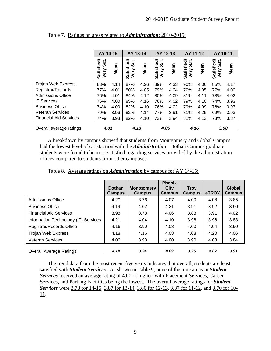|                               | AY 14-15                   |      | AY 13-14                |      | AY 12-13                   |      | AY 11-12                   |      | AY 10-11                   |      |
|-------------------------------|----------------------------|------|-------------------------|------|----------------------------|------|----------------------------|------|----------------------------|------|
|                               | Satisfied/<br>Sat.<br>Very | Mean | Satisfied/<br>Very Sat. | Mean | Sat.<br>Satisfied/<br>Very | Mean | Satisfied/<br>Sat.<br>Very | Mean | Satisfied/<br>Sāt.<br>Very | Mean |
| Trojan Web Express            | 83%                        | 4.14 | 87%                     | 4.26 | 89%                        | 4.33 | 90%                        | 4.36 | 85%                        | 4.17 |
| Registrar/Records             | 77%                        | 4.01 | 80%                     | 4.05 | 79%                        | 4.04 | 79%                        | 4.05 | 77%                        | 4.00 |
| <b>Admissions Office</b>      | 76%                        | 4.01 | 84%                     | 4.12 | 80%                        | 4.09 | 81%                        | 4.11 | 78%                        | 4.02 |
| <b>IT Services</b>            | 76%                        | 4.00 | 85%                     | 4.16 | 76%                        | 4.02 | 79%                        | 4.10 | 74%                        | 3.93 |
| <b>Business Office</b>        | 74%                        | 4.00 | 82%                     | 4.10 | 76%                        | 4.02 | 79%                        | 4.09 | 76%                        | 3.97 |
| <b>Veteran Services</b>       | 70%                        | 3.96 | 82%                     | 4.14 | 77%                        | 3.91 | 81%                        | 4.25 | 69%                        | 3.93 |
| <b>Financial Aid Services</b> | 74%                        | 3.93 | 82%                     | 4.10 | 73%                        | 3.94 | 81%                        | 4.13 | 73%                        | 3.87 |
| Overall average ratings       | 4.01                       |      | 4.13                    |      | 4.05                       |      | 4.16                       |      | 3.98                       |      |

Table 7. Ratings on areas related to *Administration*: 2010-2015:

 A breakdown by campus showed that students from Montgomery and Global Campus had the lowest level of satisfaction with the *Administration*. Dothan Campus graduate students were found to be most satisfied regarding services provided by the administration offices compared to students from other campuses.

|                                      | <b>Dothan</b><br><b>Campus</b> | <b>Montgomery</b><br>Campus | <b>Phenix</b><br><b>City</b><br><b>Campus</b> | <b>Troy</b><br><b>Campus</b> | <b>eTROY</b> | Global<br><b>Campus</b> |
|--------------------------------------|--------------------------------|-----------------------------|-----------------------------------------------|------------------------------|--------------|-------------------------|
| Admissions Office                    | 4.20                           | 3.76                        | 4.07                                          | 4.00                         | 4.08         | 3.85                    |
| <b>Business Office</b>               | 4.19                           | 4.02                        | 4.21                                          | 3.91                         | 3.92         | 3.90                    |
| <b>Financial Aid Services</b>        | 3.98                           | 3.78                        | 4.06                                          | 3.88                         | 3.91         | 4.02                    |
| Information Technology (IT) Services | 4.21                           | 4.04                        | 4.10                                          | 3.98                         | 3.96         | 3.83                    |
| Registrar/Records Office             | 4.16                           | 3.90                        | 4.08                                          | 4.00                         | 4.04         | 3.90                    |
| Trojan Web Express                   | 4.18                           | 4.16                        | 4.08                                          | 4.08                         | 4.20         | 4.06                    |
| <b>Veteran Services</b>              | 4.06                           | 3.93                        | 4.00                                          | 3.90                         | 4.03         | 3.84                    |
| <b>Overall Average Ratings</b>       | 4.14                           | 3.94                        | 4.09                                          | 3.96                         | 4.02         | 3.91                    |

Table 8. Average ratings on *Administration* by campus for AY 14-15:

The trend data from the most recent five years indicates that overall, students are least satisfied with *Student Services*. As shown in Table 9, none of the nine areas in *Student Services* received an average rating of 4.00 or higher, with Placement Services, Career Services, and Parking Facilities being the lowest. The overall average ratings for *Student Services* were 3.78 for 14-15, 3.87 for 13-14, 3.80 for 12-13, 3.87 for 11-12, and 3.70 for 10- 11.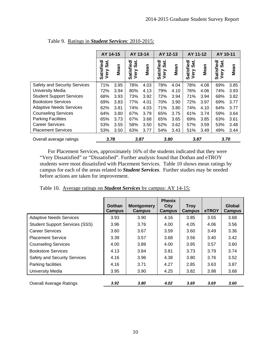|                                 | AY 14-15                          |      | AY 13-14                             |      | AY 12-13                          |      | AY 11-12                          |      | AY 10-11                          |      |
|---------------------------------|-----------------------------------|------|--------------------------------------|------|-----------------------------------|------|-----------------------------------|------|-----------------------------------|------|
|                                 | <b>Satisfied/</b><br>Sat.<br>Very | Mean | <b>Satisfied/</b><br>ີ<br>ຈີ<br>Very | Mean | <b>Satisfied/</b><br>Sat.<br>Very | Mean | <b>Satisfied/</b><br>Sat.<br>Very | Mean | <b>Satisfied/</b><br>Sat.<br>Very | Mean |
| Safety and Security Services    | 71%                               | 3.95 | 78%                                  | 4.03 | 78%                               | 4.04 | 78%                               | 4.08 | 69%                               | 3.85 |
| <b>University Media</b>         | 72%                               | 3.94 | 80%                                  | 4.13 | 79%                               | 4.10 | 76%                               | 4.06 | 74%                               | 3.93 |
| <b>Student Support Services</b> | 68%                               | 3.93 | 73%                                  | 3.92 | 72%                               | 3.94 | 71%                               | 3.94 | 68%                               | 3.82 |
| <b>Bookstore Services</b>       | 69%                               | 3.83 | 77%                                  | 4.01 | 70%                               | 3.90 | 72%                               | 3.97 | 69%                               | 3.77 |
| <b>Adaptive Needs Services</b>  | 62%                               | 3.81 | 74%                                  | 4.03 | 71%                               | 3.80 | 74%                               | 4.10 | 64%                               | 3.77 |
| <b>Counseling Services</b>      | 64%                               | 3.80 | 67%                                  | 3.79 | 65%                               | 3.75 | 61%                               | 3.74 | 59%                               | 3.64 |
| <b>Parking Facilities</b>       | 65%                               | 3.73 | 67%                                  | 3.68 | 65%                               | 3.65 | 69%                               | 3.85 | 63%                               | 3.61 |
| <b>Career Services</b>          | 53%                               | 3.55 | 58%                                  | 3.50 | 62%                               | 3.62 | 57%                               | 3.59 | 53%                               | 3.48 |
| <b>Placement Services</b>       | 53%                               | 3.50 | 63%                                  | 3.77 | 54%                               | 3.43 | 51%                               | 3.49 | 49%                               | 3.44 |
| Overall average ratings         | 3.78                              |      | 3.87                                 |      | 3.80                              |      | 3.87                              |      | 3.70                              |      |

## Table 9. Ratings in *Student Services*: 2010-2015:

 For Placement Services, approximately 16% of the students indicated that they were "Very Dissatisfied" or "Dissatisfied". Further analysis found that Dothan and eTROY students were most dissatisfied with Placement Services. Table 10 shows mean ratings by campus for each of the areas related to *Student Services*. Further studies may be needed before actions are taken for improvement.

|                                       | <b>Dothan</b><br><b>Campus</b> | <b>Montgomery</b><br>Campus | <b>Phenix</b><br><b>City</b><br><b>Campus</b> | <b>Trov</b><br><b>Campus</b> | <b>eTROY</b> | Global<br><b>Campus</b> |
|---------------------------------------|--------------------------------|-----------------------------|-----------------------------------------------|------------------------------|--------------|-------------------------|
| <b>Adaptive Needs Services</b>        | 3.93                           | 3.90                        | 4.16                                          | 3.85                         | 3.55         | 3.68                    |
| <b>Student Support Services (SSS)</b> | 3.96                           | 3.76                        | 4.00                                          | 4.05                         | 4.06         | 3.56                    |
| <b>Career Services</b>                | 3.60                           | 3.67                        | 3.59                                          | 3.60                         | 3.49         | 3.36                    |
| <b>Placement Service</b>              | 3.39                           | 3.57                        | 3.68                                          | 3.56                         | 3.40         | 3.42                    |
| <b>Counseling Services</b>            | 4.00                           | 3.89                        | 4.00                                          | 3.95                         | 3.57         | 3.60                    |
| <b>Bookstore Services</b>             | 4.13                           | 3.84                        | 3.81                                          | 3.73                         | 3.79         | 3.74                    |
| <b>Safety and Security Services</b>   | 4.16                           | 3.96                        | 4.38                                          | 3.80                         | 3.76         | 3.52                    |
| Parking facilities                    | 4.16                           | 3.71                        | 4.27                                          | 2.85                         | 3.63         | 3.87                    |
| <b>University Media</b>               | 3.95                           | 3.90                        | 4.25                                          | 3.82                         | 3.98         | 3.68                    |
| <b>Overall Average Ratings</b>        | 3.92                           | 3.80                        | 4.02                                          | 3.69                         | 3.69         | 3.60                    |

Table 10. Average ratings on *Student Services* by campus: AY 14-15: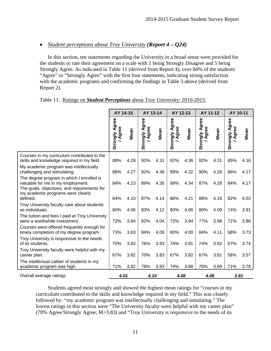## *Student perceptions about Troy University (Report 4 – Q24)*

 In this section, ten statements regarding the University in a broad sense were provided for the students to rate their agreement on a scale with 1 being Strongly Disagree and 5 being Strongly Agree. As indicated in Table 11 (derived from Report 4), over 84% of the students "Agree" or "Strongly Agree" with the first four statements, indicating strong satisfaction with the academic programs and confirming the findings in Table 3 above (derived from Report 2).

|                                                                                                                               | AY 14-15                |      | AY 13-14                       |      | AY 12-13                       |      | AY 11-12                       |      | AY 10-11                       |      |
|-------------------------------------------------------------------------------------------------------------------------------|-------------------------|------|--------------------------------|------|--------------------------------|------|--------------------------------|------|--------------------------------|------|
|                                                                                                                               | Strongly Agree<br>Agree | Mean | gree<br>Agree<br>∢<br>Strongly | Mean | gree<br>Strongly Ag<br>/ Agree | Mean | <b>Strongly Agree</b><br>Agree | Mean | <b>Strongly Agree</b><br>Agree | Mean |
| Courses in my curriculum contributed to the<br>skills and knowledge required in my field.                                     | 88%                     | 4.29 | 92%                            | 4.31 | 92%                            | 4.36 | 92%                            | 4.31 | 85%                            | 4.16 |
| My academic program was intellectually<br>challenging and stimulating.                                                        | 88%                     | 4.27 | 92%                            | 4.36 | 89%                            | 4.32 | 90%                            | 4.28 | 86%                            | 4.17 |
| The degree program in which I enrolled is<br>valuable for me in my employment.<br>The goals, objectives, and requirements for | 84%                     | 4.23 | 89%                            | 4.30 | 88%                            | 4.34 | 87%                            | 4.28 | 84%                            | 4.17 |
| my academic programs were clearly<br>defined.                                                                                 | 84%                     | 4.10 | 87%                            | 4.14 | 86%                            | 4.21 | 88%                            | 4.16 | 82%                            | 4.03 |
| Troy University faculty care about students<br>as individuals.                                                                | 80%                     | 4.06 | 83%                            | 4.12 | 80%                            | 4.06 | 80%                            | 4.09 | 74%                            | 3.91 |
| The tuition and fees I paid at Troy University<br>were a worthwhile investment.                                               | 72%                     | 3.84 | 82%                            | 4.04 | 72%                            | 3.94 | 77%                            | 3.98 | 71%                            | 3.86 |
| Courses were offered frequently enough for<br>timely completion of my degree program.                                         | 73%                     | 3.83 | 84%                            | 4.09 | 80%                            | 4.00 | 84%                            | 4.11 | 68%                            | 3.73 |
| Troy University is responsive to the needs<br>of its students.                                                                | 70%                     | 3.83 | 76%                            | 3.93 | 74%                            | 3.91 | 74%                            | 3.92 | 67%                            | 3.74 |
| Troy University faculty were helpful with my<br>career plan.                                                                  | 67%                     | 3.82 | 70%                            | 3.83 | 67%                            | 3.82 | 67%                            | 3.81 | 58%                            | 3.57 |
| The intellectual caliber of students in my<br>academic program was high.                                                      | 71%                     | 3.82 | 78%                            | 3.93 | 74%                            | 3.88 | 76%                            | 3.89 | 71%                            | 3.78 |
| Overall average ratings                                                                                                       | 4.01                    |      | 4.10                           |      | 4.08                           |      | 4.08                           |      | 3.91                           |      |

#### Table 11. Ratings on *Student Perceptions* about Troy University: 2010-2015:

 Students agreed most strongly and showed the highest mean ratings for "courses in my curriculum contributed to the skills and knowledge required in my field." This was closely followed by: "my academic program was intellectually challenging and simulating." The lowest ratings in this section were "The University faculty were helpful with my career plan" (70% Agree/Strongly Agree; M=3.83) and "Troy University is responsive to the needs of its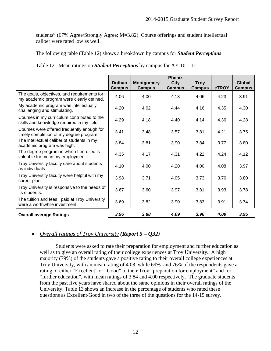students" (67% Agree/Strongly Agree; M=3.82). Course offerings and student intellectual caliber were rated low as well.

The following table (Table 12) shows a breakdown by campus for *Student Perceptions*.

|                                                                                           | <b>Dothan</b><br><b>Campus</b> | <b>Montgomery</b><br><b>Campus</b> | <b>Phenix</b><br><b>City</b><br><b>Campus</b> | <b>Troy</b><br><b>Campus</b> | eTROY | <b>Global</b><br><b>Campus</b> |
|-------------------------------------------------------------------------------------------|--------------------------------|------------------------------------|-----------------------------------------------|------------------------------|-------|--------------------------------|
| The goals, objectives, and requirements for<br>my academic program were clearly defined.  | 4.06                           | 4.00                               | 4.13                                          | 4.06                         | 4.23  | 3.91                           |
| My academic program was intellectually<br>challenging and stimulating.                    | 4.20                           | 4.02                               | 4.44                                          | 4.16                         | 4.35  | 4.30                           |
| Courses in my curriculum contributed to the<br>skills and knowledge required in my field. | 4.29                           | 4.18                               | 4.40                                          | 4.14                         | 4.36  | 4.28                           |
| Courses were offered frequently enough for<br>timely completion of my degree program.     | 3.41                           | 3.48                               | 3.57                                          | 3.81                         | 4.21  | 3.75                           |
| The intellectual caliber of students in my<br>academic program was high.                  | 3.84                           | 3.81                               | 3.90                                          | 3.84                         | 3.77  | 3.80                           |
| The degree program in which I enrolled is<br>valuable for me in my employment.            | 4.35                           | 4.17                               | 4.31                                          | 4.22                         | 4.24  | 4.12                           |
| Troy University faculty care about students<br>as individuals.                            | 4.10                           | 4.00                               | 4.20                                          | 4.00                         | 4.08  | 3.97                           |
| Troy University faculty were helpful with my<br>career plan.                              | 3.98                           | 3.71                               | 4.05                                          | 3.73                         | 3.76  | 3.80                           |
| Troy University is responsive to the needs of<br>its students.                            | 3.67                           | 3.60                               | 3.97                                          | 3.81                         | 3.93  | 3.78                           |
| The tuition and fees I paid at Troy University<br>were a worthwhile investment.           | 3.69                           | 3.82                               | 3.90                                          | 3.83                         | 3.91  | 3.74                           |
| <b>Overall average Ratings</b>                                                            | 3.96                           | 3.88                               | 4.09                                          | 3.96                         | 4.09  | 3.95                           |

|  |  |  |  | Table 12. Mean ratings on <i>Student Perceptions</i> by campus for AY $10 - 11$ : |
|--|--|--|--|-----------------------------------------------------------------------------------|
|--|--|--|--|-----------------------------------------------------------------------------------|

## *Overall ratings of Troy University (Report 5 – Q32)*

Students were asked to rate their preparation for employment and further education as well as to give an overall rating of their college experiences at Troy University. A high majority (79%) of the students gave a positive rating to their overall college experiences at Troy University, with an mean rating of 4.08, while 69% and 76% of the respondents gave a rating of either "Excellent" or "Good" to their Troy "preparation for employment" and for "further education", with mean ratings of 3.84 and 4.00 respectively. The graduate students from the past five years have shared about the same opinions in their overall ratings of the University. Table 13 shows an increase in the percentage of students who rated these questions as Excellent/Good in two of the three of the questions for the 14-15 survey.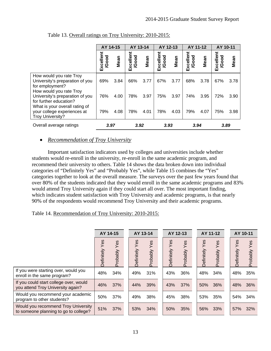|                                                                                                                        | AY 14-15           |      | AY 13-14           |      | AY 12-13           |      | AY 11-12          |      | AY 10-11           |      |
|------------------------------------------------------------------------------------------------------------------------|--------------------|------|--------------------|------|--------------------|------|-------------------|------|--------------------|------|
|                                                                                                                        | Excellent<br>/Good | Mean | Excellent<br>/Good | Mean | Excellent<br>/Good | Mean | Excellent<br>Good | Mean | Excellent<br>/Good | Mean |
| How would you rate Troy<br>University's preparation of you<br>for employment?                                          | 69%                | 3.84 | 66%                | 3.77 | 67%                | 3.77 | 68%               | 3.78 | 67%                | 3.78 |
| How would you rate Troy<br>University's preparation of you<br>for further education?<br>What is your overall rating of | 76%                | 4.00 | 78%                | 3.97 | 75%                | 3.97 | 74%               | 3.95 | 72%                | 3.90 |
| your college experiences at<br>Troy University?                                                                        | 79%                | 4.08 | 78%                | 4.01 | 78%                | 4.03 | 79%               | 4.07 | 75%                | 3.98 |
| Overall average ratings                                                                                                | 3.97               |      | 3.92               |      | 3.93               |      | 3.94              |      | 3.89               |      |

Table 13. Overall ratings on Troy University: 2010-2015:

## *Recommendation of Troy University*

Important satisfaction indicators used by colleges and universities include whether students would re-enroll in the university, re-enroll in the same academic program, and recommend their university to others. Table 14 shows the data broken down into individual categories of "Definitely Yes" and "Probably Yes", while Table 15 combines the "Yes" categories together to look at the overall measure. The surveys over the past few years found that over 80% of the students indicated that they would enroll in the same academic programs and 83% would attend Troy University again if they could start all over. The most important finding, which indicates student satisfaction with Troy University and academic programs, is that nearly 90% of the respondents would recommend Troy University and their academic programs.

## Table 14. Recommendation of Troy University: 2010-2015:

|                                                                              | AY 14-15          |                 | AY 13-14          |                 | AY 12-13          |                 |                   | AY 11-12        | AY 10-11          |                 |
|------------------------------------------------------------------------------|-------------------|-----------------|-------------------|-----------------|-------------------|-----------------|-------------------|-----------------|-------------------|-----------------|
|                                                                              | Yes<br>Definitely | Yes<br>Probably | Yes<br>Definitely | Yes<br>Probably | Yes<br>Definitely | Yes<br>Probably | Yes<br>Definitely | Yes<br>Probably | Yes<br>Definitely | Yes<br>Probably |
| If you were starting over, would you<br>enroll in the same program?          | 48%               | 34%             | 49%               | 31%             | 43%               | 36%             | 48%               | 34%             | 48%               | 35%             |
| If you could start college over, would<br>you attend Troy University again?  | 46%               | 37%             | 44%               | 39%             | 43%               | 37%             | 50%               | 36%             | 48%               | 36%             |
| Would you recommend your academic<br>program to other students?              | 50%               | 37%             | 49%               | 38%             | 45%               | 38%             | 53%               | 35%             | 54%               | 34%             |
| Would you recommend Troy University<br>to someone planning to go to college? | 51%               | 37%             | 53%               | 34%             | 50%               | 35%             | 56%               | 33%             | 57%               | 32%             |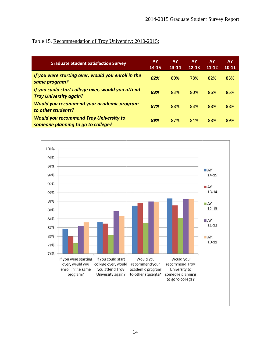## Table 15. Recommendation of Troy University: 2010-2015:

| <b>Graduate Student Satisfaction Survey</b>                                         | AY<br>$14 - 15$ | AY<br>$13 - 14$ | <b>AY</b><br>$12 - 13$ | <b>AY</b><br>$11 - 12$ | AY.<br>$10 - 11$ |
|-------------------------------------------------------------------------------------|-----------------|-----------------|------------------------|------------------------|------------------|
| If you were starting over, would you enroll in the<br>same program?                 | 82%             | 80%             | 78%                    | 82%                    | 83%              |
| If you could start college over, would you attend<br><b>Troy University again?</b>  | 83%             | 83%             | 80%                    | 86%                    | 85%              |
| Would you recommend your academic program<br>to other students?                     | 87%             | 88%             | 83%                    | 88%                    | 88%              |
| <b>Would you recommend Troy University to</b><br>someone planning to go to college? | 89%             | 87%             | 84%                    | 88%                    | 89%              |

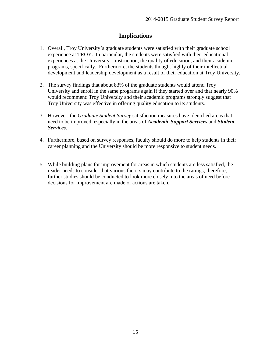## **Implications**

- 1. Overall, Troy University's graduate students were satisfied with their graduate school experience at TROY. In particular, the students were satisfied with their educational experiences at the University – instruction, the quality of education, and their academic programs, specifically. Furthermore, the students thought highly of their intellectual development and leadership development as a result of their education at Troy University.
- 2. The survey findings that about 83% of the graduate students would attend Troy University and enroll in the same programs again if they started over and that nearly 90% would recommend Troy University and their academic programs strongly suggest that Troy University was effective in offering quality education to its students.
- 3. However, the *Graduate Student Survey* satisfaction measures have identified areas that need to be improved, especially in the areas of *Academic Support Services* and *Student Services*.
- 4. Furthermore, based on survey responses, faculty should do more to help students in their career planning and the University should be more responsive to student needs.
- 5. While building plans for improvement for areas in which students are less satisfied, the reader needs to consider that various factors may contribute to the ratings; therefore, further studies should be conducted to look more closely into the areas of need before decisions for improvement are made or actions are taken.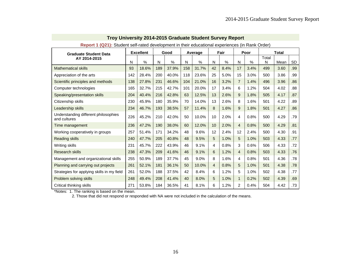| <b>TOPSTV TWELF, ORGONICON RECOVERING IN THE THEIR COLOGIONAL OXPONSIVOLD (III I WHIT ORGON</b><br><b>Graduate Student Data</b> |     | <b>Excellent</b> |     | Good  |     | Average |                | Fair |                | Poor |            | <b>Total</b> |           |
|---------------------------------------------------------------------------------------------------------------------------------|-----|------------------|-----|-------|-----|---------|----------------|------|----------------|------|------------|--------------|-----------|
| AY 2014-2015                                                                                                                    | N   | $\%$             | N   | $\%$  | N   | $\%$    | N              | $\%$ | N              | $\%$ | Total<br>N | Mean         | <b>SD</b> |
| <b>Mathematical skills</b>                                                                                                      | 93  | 18.6%            | 189 | 37.9% | 158 | 31.7%   | 42             | 8.4% | 17             | 3.4% | 499        | 3.60         | .99       |
| Appreciation of the arts                                                                                                        | 142 | 28.4%            | 200 | 40.0% | 118 | 23.6%   | 25             | 5.0% | 15             | 3.0% | 500        | 3.86         | .99       |
| Scientific principles and methods                                                                                               | 138 | 27.8%            | 231 | 46.6% | 104 | 21.0%   | 16             | 3.2% | $\overline{7}$ | 1.4% | 496        | 3.96         | .86       |
| Computer technologies                                                                                                           | 165 | 32.7%            | 215 | 42.7% | 101 | 20.0%   | 17             | 3.4% | 6              | 1.2% | 504        | 4.02         | .88       |
| Speaking/presentation skills                                                                                                    | 204 | 40.4%            | 216 | 42.8% | 63  | 12.5%   | 13             | 2.6% | 9              | 1.8% | 505        | 4.17         | .87       |
| Citizenship skills                                                                                                              | 230 | 45.9%            | 180 | 35.9% | 70  | 14.0%   | 13             | 2.6% | 8              | 1.6% | 501        | 4.22         | .89       |
| Leadership skills                                                                                                               | 234 | 46.7%            | 193 | 38.5% | 57  | 11.4%   | 8              | 1.6% | 9              | 1.8% | 501        | 4.27         | .86       |
| Understanding different philosophies<br>and cultures                                                                            | 226 | 45.2%            | 210 | 42.0% | 50  | 10.0%   | 10             | 2.0% | $\overline{4}$ | 0.8% | 500        | 4.29         | .79       |
| Time management                                                                                                                 | 236 | 47.2%            | 190 | 38.0% | 60  | 12.0%   | 10             | 2.0% | $\overline{4}$ | 0.8% | 500        | 4.29         | .81       |
| Working cooperatively in groups                                                                                                 | 257 | 51.4%            | 171 | 34.2% | 48  | 9.6%    | 12             | 2.4% | 12             | 2.4% | 500        | 4.30         | .91       |
| <b>Reading skills</b>                                                                                                           | 240 | 47.7%            | 205 | 40.8% | 48  | 9.5%    | 5              | 1.0% | 5              | 1.0% | 503        | 4.33         | .77       |
| Writing skills                                                                                                                  | 231 | 45.7%            | 222 | 43.9% | 46  | 9.1%    | 4              | 0.8% | 3              | 0.6% | 506        | 4.33         | .72       |
| <b>Research skills</b>                                                                                                          | 238 | 47.3%            | 209 | 41.6% | 46  | 9.1%    | 6              | 1.2% | $\overline{4}$ | 0.8% | 503        | 4.33         | .76       |
| Management and organizational skills                                                                                            | 255 | 50.9%            | 189 | 37.7% | 45  | 9.0%    | 8              | 1.6% | 4              | 0.8% | 501        | 4.36         | .78       |
| Planning and carrying out projects                                                                                              | 261 | 52.1%            | 181 | 36.1% | 50  | 10.0%   | $\overline{4}$ | 0.8% | 5              | 1.0% | 501        | 4.38         | .78       |
| Strategies for applying skills in my field                                                                                      | 261 | 52.0%            | 188 | 37.5% | 42  | 8.4%    | 6              | 1.2% | 5              | 1.0% | 502        | 4.38         | .77       |
| Problem solving skills                                                                                                          | 248 | 49.4%            | 208 | 41.4% | 40  | 8.0%    | 5              | 1.0% | $\mathbf{1}$   | 0.2% | 502        | 4.39         | .69       |
| Critical thinking skills                                                                                                        | 271 | 53.8%            | 184 | 36.5% | 41  | 8.1%    | 6              | 1.2% | $\overline{2}$ | 0.4% | 504        | 4.42         | .73       |

**Report 1 (Q21):** Student self-rated development in their educational experiences (in Rank Order)

\*Notes: 1. The ranking is based on the mean.

2. Those that did not respond or responded with NA were not included in the calculation of the means.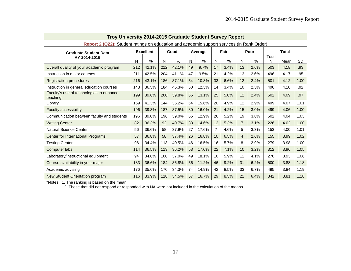| <b>Graduate Student Data</b>                         |     | <b>Excellent</b> |     | etadorit ratirigo ori caabation and abadorino capport corritoco (in ritamit craor<br>Good |    | Average |                 | Fair |                | Poor |            | <b>Total</b> |           |
|------------------------------------------------------|-----|------------------|-----|-------------------------------------------------------------------------------------------|----|---------|-----------------|------|----------------|------|------------|--------------|-----------|
| AY 2014-2015                                         | N   | %                | N   | $\%$                                                                                      | N  | $\%$    | N               | %    | N              | $\%$ | Total<br>N | Mean         | <b>SD</b> |
| Overall quality of your academic program             | 212 | 42.1%            | 212 | 42.1%                                                                                     | 49 | 9.7%    | 17              | 3.4% | 13             | 2.6% | 503        | 4.18         | .93       |
| Instruction in major courses                         | 211 | 42.5%            | 204 | 41.1%                                                                                     | 47 | 9.5%    | 21              | 4.2% | 13             | 2.6% | 496        | 4.17         | .95       |
| <b>Registration procedures</b>                       | 216 | 43.1%            | 186 | 37.1%                                                                                     | 54 | 10.8%   | 33              | 6.6% | 12             | 2.4% | 501        | 4.12         | 1.00      |
| Instruction in general education courses             | 148 | 36.5%            | 184 | 45.3%                                                                                     | 50 | 12.3%   | 14              | 3.4% | 10             | 2.5% | 406        | 4.10         | .92       |
| Faculty's use of technologies to enhance<br>teaching | 199 | 39.6%            | 200 | 39.8%                                                                                     | 66 | 13.1%   | 25              | 5.0% | 12             | 2.4% | 502        | 4.09         | .97       |
| Library                                              | 169 | 41.3%            | 144 | 35.2%                                                                                     | 64 | 15.6%   | 20              | 4.9% | 12             | 2.9% | 409        | 4.07         | 1.01      |
| Faculty accessibility                                | 196 | 39.3%            | 187 | 37.5%                                                                                     | 80 | 16.0%   | 21              | 4.2% | 15             | 3.0% | 499        | 4.06         | 1.00      |
| Communication between faculty and students           | 196 | 39.0%            | 196 | 39.0%                                                                                     | 65 | 12.9%   | 26              | 5.2% | 19             | 3.8% | 502        | 4.04         | 1.03      |
| <b>Writing Center</b>                                | 82  | 36.3%            | 92  | 40.7%                                                                                     | 33 | 14.6%   | 12              | 5.3% | $\overline{7}$ | 3.1% | 226        | 4.02         | 1.00      |
| <b>Natural Science Center</b>                        | 56  | 36.6%            | 58  | 37.9%                                                                                     | 27 | 17.6%   | 7               | 4.6% | 5              | 3.3% | 153        | 4.00         | 1.01      |
| Center for International Programs                    | 57  | 36.8%            | 58  | 37.4%                                                                                     | 26 | 16.8%   | 10 <sup>1</sup> | 6.5% | $\overline{4}$ | 2.6% | 155        | 3.99         | 1.02      |
| <b>Testing Center</b>                                | 96  | 34.4%            | 113 | 40.5%                                                                                     | 46 | 16.5%   | 16              | 5.7% | 8              | 2.9% | 279        | 3.98         | 1.00      |
| Computer labs                                        | 114 | 36.5%            | 113 | 36.2%                                                                                     | 53 | 17.0%   | 22              | 7.1% | 10             | 3.2% | 312        | 3.96         | 1.05      |
| Laboratory/instructional equipment                   | 94  | 34.8%            | 100 | 37.0%                                                                                     | 49 | 18.1%   | 16              | 5.9% | 11             | 4.1% | 270        | 3.93         | 1.06      |
| Course availability in your major                    | 183 | 36.6%            | 184 | 36.8%                                                                                     | 56 | 11.2%   | 46              | 9.2% | 31             | 6.2% | 500        | 3.88         | 1.18      |
| Academic advising                                    | 176 | 35.6%            | 170 | 34.3%                                                                                     | 74 | 14.9%   | 42              | 8.5% | 33             | 6.7% | 495        | 3.84         | 1.19      |
| New Student Orientation program                      | 116 | 33.9%            | 118 | 34.5%                                                                                     | 57 | 16.7%   | 29              | 8.5% | 22             | 6.4% | 342        | 3.81         | 1.18      |

**Report 2 (Q22):** Student ratings on education and academic support services (in Rank Order)

\*Notes: 1. The ranking is based on the mean.

2. Those that did not respond or responded with NA were not included in the calculation of the means.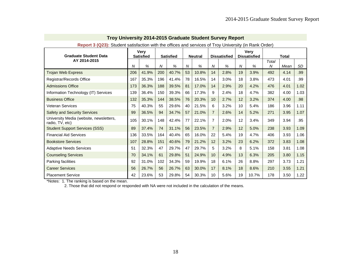| Report 3 (Q23): Student satisfaction with the offices and services of Troy University (in Rank Order) |     |                                 |                |                  |    |                |                |                     |    |                                    |            |              |           |
|-------------------------------------------------------------------------------------------------------|-----|---------------------------------|----------------|------------------|----|----------------|----------------|---------------------|----|------------------------------------|------------|--------------|-----------|
| <b>Graduate Student Data</b>                                                                          |     | <b>Very</b><br><b>Satisfied</b> |                | <b>Satisfied</b> |    | <b>Neutral</b> |                | <b>Dissatisfied</b> |    | <b>Very</b><br><b>Dissatisfied</b> |            | <b>Total</b> |           |
| AY 2014-2015                                                                                          | N   | $\%$                            | $\overline{N}$ | $\%$             | N  | $\%$           | N              | %                   | N  | %                                  | Total<br>N | Mean         | <b>SD</b> |
| <b>Trojan Web Express</b>                                                                             | 206 | 41.9%                           | 200            | 40.7%            | 53 | 10.8%          | 14             | 2.8%                | 19 | 3.9%                               | 492        | 4.14         | .99       |
| Registrar/Records Office                                                                              | 167 | 35.3%                           | 196            | 41.4%            | 78 | 16.5%          | 14             | 3.0%                | 18 | 3.8%                               | 473        | 4.01         | .99       |
| <b>Admissions Office</b>                                                                              | 173 | 36.3%                           | 188            | 39.5%            | 81 | 17.0%          | 14             | 2.9%                | 20 | 4.2%                               | 476        | 4.01         | 1.02      |
| Information Technology (IT) Services                                                                  | 139 | 36.4%                           | 150            | 39.3%            | 66 | 17.3%          | 9              | 2.4%                | 18 | 4.7%                               | 382        | 4.00         | 1.03      |
| <b>Business Office</b>                                                                                | 132 | 35.3%                           | 144            | 38.5%            | 76 | 20.3%          | 10             | 2.7%                | 12 | 3.2%                               | 374        | 4.00         | .98       |
| Veteran Services                                                                                      | 75  | 40.3%                           | 55             | 29.6%            | 40 | 21.5%          | 6              | 3.2%                | 10 | 5.4%                               | 186        | 3.96         | 1.11      |
| <b>Safety and Security Services</b>                                                                   | 99  | 36.5%                           | 94             | 34.7%            | 57 | 21.0%          | $\overline{7}$ | 2.6%                | 14 | 5.2%                               | 271        | 3.95         | 1.07      |
| University Media (website, newsletters,<br>radio, TV, etc)                                            | 105 | 30.1%                           | 148            | 42.4%            | 77 | 22.1%          | $\overline{7}$ | 2.0%                | 12 | 3.4%                               | 349        | 3.94         | .95       |
| <b>Student Support Services (SSS)</b>                                                                 | 89  | 37.4%                           | 74             | 31.1%            | 56 | 23.5%          | $\overline{7}$ | 2.9%                | 12 | 5.0%                               | 238        | 3.93         | 1.09      |
| <b>Financial Aid Services</b>                                                                         | 136 | 33.5%                           | 164            | 40.4%            | 65 | 16.0%          | 22             | 5.4%                | 19 | 4.7%                               | 406        | 3.93         | 1.06      |
| <b>Bookstore Services</b>                                                                             | 107 | 28.8%                           | 151            | 40.6%            | 79 | 21.2%          | 12             | 3.2%                | 23 | 6.2%                               | 372        | 3.83         | 1.08      |
| <b>Adaptive Needs Services</b>                                                                        | 51  | 32.3%                           | 47             | 29.7%            | 47 | 29.7%          | 5              | 3.2%                | 8  | 5.1%                               | 158        | 3.81         | 1.08      |
| <b>Counseling Services</b>                                                                            | 70  | 34.1%                           | 61             | 29.8%            | 51 | 24.9%          | 10             | 4.9%                | 13 | 6.3%                               | 205        | 3.80         | 1.15      |
| Parking facilities                                                                                    | 92  | 31.0%                           | 102            | 34.3%            | 59 | 19.9%          | 18             | 6.1%                | 26 | 8.8%                               | 297        | 3.73         | 1.21      |
| <b>Career Services</b>                                                                                | 56  | 26.7%                           | 56             | 26.7%            | 63 | 30.0%          | 17             | 8.1%                | 18 | 8.6%                               | 210        | 3.55         | 1.21      |
| <b>Placement Service</b>                                                                              | 42  | 23.6%                           | 53             | 29.8%            | 54 | 30.3%          | 10             | 5.6%                | 19 | 10.7%                              | 178        | 3.50         | 1.22      |

\*Notes: 1. The ranking is based on the mean.

2. Those that did not respond or responded with NA were not included in the calculation of the means.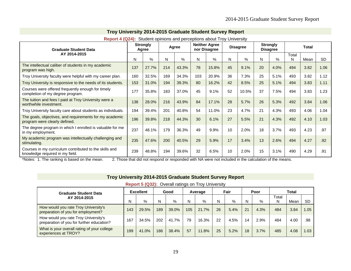| <b>Graduate Student Data</b>                                                              |     | <b>Strongly</b><br>Agree | Agree |       | <b>Neither Agree</b><br>nor Disagree |       | <b>Disagree</b> |       | <b>Strongly</b><br><b>Disagree</b> |      | Total      |      |           |
|-------------------------------------------------------------------------------------------|-----|--------------------------|-------|-------|--------------------------------------|-------|-----------------|-------|------------------------------------|------|------------|------|-----------|
| AY 2014-2015                                                                              | N   | $\%$                     | N     | %     | N                                    | %     | N               | %     | N                                  | %    | Total<br>N | Mean | <b>SD</b> |
| The intellectual caliber of students in my academic<br>program was high.                  | 137 | 27.7%                    | 214   | 43.3% | 78                                   | 15.8% | 45              | 9.1%  | 20                                 | 4.0% | 494        | 3.82 | 1.06      |
| Troy University faculty were helpful with my career plan.                                 | 160 | 32.5%                    | 169   | 34.3% | 103                                  | 20.9% | 36              | 7.3%  | 25                                 | 5.1% | 493        | 3.82 | 1.12      |
| Troy University is responsive to the needs of its students.                               | 153 | 31.0%                    | 194   | 39.3% | 80                                   | 16.2% | 42              | 8.5%  | 25                                 | 5.1% | 494        | 3.83 | 1.11      |
| Courses were offered frequently enough for timely<br>completion of my degree program.     | 177 | 35.8%                    | 183   | 37.0% | 45                                   | 9.1%  | 52              | 10.5% | 37                                 | 7.5% | 494        | 3.83 | 1.23      |
| The tuition and fees I paid at Troy University were a<br>worthwhile investment.           | 138 | 28.0%                    | 216   | 43.9% | 84                                   | 17.1% | 28              | 5.7%  | 26                                 | 5.3% | 492        | 3.84 | 1.06      |
| Troy University faculty care about students as individuals.                               | 194 | 39.4%                    | 201   | 40.8% | 54                                   | 11.0% | 23              | 4.7%  | 21                                 | 4.3% | 493        | 4.06 | 1.04      |
| The goals, objectives, and requirements for my academic<br>program were clearly defined.  | 196 | 39.8%                    | 218   | 44.3% | 30                                   | 6.1%  | 27              | 5.5%  | 21                                 | 4.3% | 492        | 4.10 | 1.03      |
| The degree program in which I enrolled is valuable for me<br>in my employment.            | 237 | 48.1%                    | 179   | 36.3% | 49                                   | 9.9%  | 10              | 2.0%  | 18                                 | 3.7% | 493        | 4.23 | .97       |
| My academic program was intellectually challenging and<br>stimulating.                    | 235 | 47.6%                    | 200   | 40.5% | 29                                   | 5.9%  | 17              | 3.4%  | 13                                 | 2.6% | 494        | 4.27 | .92       |
| Courses in my curriculum contributed to the skills and<br>knowledge required in my field. | 239 | 48.8%                    | 194   | 39.6% | 32                                   | 6.5%  | 10              | 2.0%  | 15                                 | 3.1% | 490        | 4.29 | .91       |

**Report 4 (Q24):** Student opinions and perceptions about Troy University

\*Notes: 1. The ranking is based on the mean. 2. Those that did not respond or responded with NA were not included in the calculation of the means.

| Troy University 2014-2015 Graduate Student Survey Report                          |     |                  |     |       |     |         |    |      |    |      |            |       |           |
|-----------------------------------------------------------------------------------|-----|------------------|-----|-------|-----|---------|----|------|----|------|------------|-------|-----------|
| Report 5 (Q32): Overall ratings on Troy University                                |     |                  |     |       |     |         |    |      |    |      |            |       |           |
| <b>Graduate Student Data</b>                                                      |     | <b>Excellent</b> |     | Good  |     | Average |    | Fair |    | Poor |            | Total |           |
| AY 2014-2015                                                                      | N   | $\%$             | N   | %     | N   | %       | N  | %    | N  | $\%$ | Total<br>N | Mean  | <b>SD</b> |
| How would you rate Troy University's<br>preparation of you for employment?        | 143 | 29.5%            | 189 | 39.0% | 105 | 21.7%   | 26 | 5.4% | 21 | 4.3% | 484        | 3.84  | 1.05      |
| How would you rate Troy University's<br>preparation of you for further education? | 167 | 34.5%            | 202 | 41.7% | 79  | 16.3%   | 22 | 4.5% | 14 | 2.9% | 484        | 4.00  | .98       |
| What is your overall rating of your college<br>experiences at TROY?               | 199 | 41.0%            | 186 | 38.4% | 57  | 11.8%   | 25 | 5.2% | 18 | 3.7% | 485        | 4.08  | 1.03      |

**Troy University 2014-2015 Graduate Student Survey Report**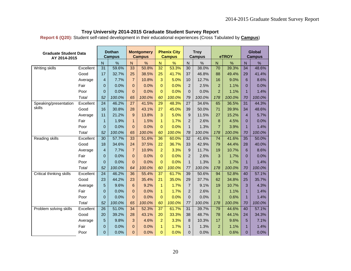**Report 6 (Q20):** Student self-rated development in their educational experiences (Cross Tabulated by **Campus**)

| <b>Graduate Student Data</b><br>AY 2014-2015 |           |                 | <b>Dothan</b><br><b>Campus</b> |                 | <b>Montgomery</b><br><b>Campus</b> |                 | <b>Phenix City</b><br><b>Campus</b> |                 | <b>Troy</b><br><b>Campus</b> |                 | eTROY  |                 | <b>Global</b><br><b>Campus</b> |
|----------------------------------------------|-----------|-----------------|--------------------------------|-----------------|------------------------------------|-----------------|-------------------------------------|-----------------|------------------------------|-----------------|--------|-----------------|--------------------------------|
|                                              |           | N               | %                              | $\mathsf{N}$    | %                                  | $\mathsf{N}$    | %                                   | $\mathsf{N}$    | $\%$                         | $\mathsf{N}$    | %      | $\mathsf{N}$    | %                              |
| <b>Writing skills</b>                        | Excellent | $\overline{31}$ | 59.6%                          | 33              | 50.8%                              | $\overline{32}$ | 53.3%                               | $\overline{30}$ | 38.0%                        | $\overline{70}$ | 39.3%  | $\overline{34}$ | 48.6%                          |
|                                              | Good      | 17              | 32.7%                          | 25              | 38.5%                              | 25              | 41.7%                               | 37              | 46.8%                        | 88              | 49.4%  | 29              | 41.4%                          |
|                                              | Average   | $\overline{4}$  | 7.7%                           | $\overline{7}$  | 10.8%                              | 3               | 5.0%                                | 10              | 12.7%                        | 16              | 9.0%   | 6               | 8.6%                           |
|                                              | Fair      | $\overline{0}$  | 0.0%                           | $\mathbf{0}$    | 0.0%                               | $\mathbf{0}$    | 0.0%                                | $\overline{2}$  | 2.5%                         | $\overline{2}$  | 1.1%   | 0               | 0.0%                           |
|                                              | Poor      | $\overline{0}$  | 0.0%                           | $\mathbf{0}$    | 0.0%                               | $\Omega$        | 0.0%                                | $\overline{0}$  | 0.0%                         | $\overline{2}$  | 1.1%   | $\mathbf{1}$    | 1.4%                           |
|                                              | Total     | 52              | 100.0%                         | 65              | 100.0%                             | 60              | 100.0%                              | 79              | 100.0%                       | 178             | 100.0% | 70              | 100.0%                         |
| Speaking/presentation                        | Excellent | $\overline{24}$ | 46.2%                          | $\overline{27}$ | 41.5%                              | 29              | 48.3%                               | $\overline{27}$ | 34.6%                        | 65              | 36.5%  | $\overline{31}$ | 44.3%                          |
| skills                                       | Good      | 16              | 30.8%                          | 28              | 43.1%                              | 27              | 45.0%                               | 39              | 50.0%                        | 71              | 39.9%  | 34              | 48.6%                          |
|                                              | Average   | 11              | 21.2%                          | $9\,$           | 13.8%                              | 3               | 5.0%                                | 9               | 11.5%                        | 27              | 15.2%  | $\overline{4}$  | 5.7%                           |
|                                              | Fair      | $\mathbf{1}$    | 1.9%                           | $\mathbf{1}$    | 1.5%                               | $\mathbf{1}$    | 1.7%                                | $\overline{2}$  | 2.6%                         | 8               | 4.5%   | 0               | 0.0%                           |
|                                              | Poor      | $\overline{0}$  | 0.0%                           | $\mathbf{0}$    | 0.0%                               | $\Omega$        | 0.0%                                | $\mathbf{1}$    | 1.3%                         | $\overline{7}$  | 3.9%   | $\mathbf{1}$    | 1.4%                           |
|                                              | Total     | 52              | 100.0%                         | 65              | 100.0%                             | 60              | 100.0%                              | 78              | 100.0%                       | 178             | 100.0% | 70              | 100.0%                         |
| Reading skills                               | Excellent | $\overline{30}$ | 57.7%                          | 33              | 51.6%                              | 36              | 60.0%                               | $\overline{32}$ | 41.6%                        | 74              | 41.6%  | $\overline{35}$ | 50.0%                          |
|                                              | Good      | 18              | 34.6%                          | 24              | 37.5%                              | 22              | 36.7%                               | 33              | 42.9%                        | 79              | 44.4%  | 28              | 40.0%                          |
|                                              | Average   | $\overline{4}$  | 7.7%                           | $\overline{7}$  | 10.9%                              | $\overline{2}$  | 3.3%                                | $9\,$           | 11.7%                        | 19              | 10.7%  | 6               | 8.6%                           |
|                                              | Fair      | $\overline{0}$  | 0.0%                           | $\mathbf 0$     | 0.0%                               | $\Omega$        | 0.0%                                | $\overline{2}$  | 2.6%                         | 3               | 1.7%   | 0               | 0.0%                           |
|                                              | Poor      | $\overline{0}$  | 0.0%                           | $\mathbf{0}$    | 0.0%                               | $\Omega$        | 0.0%                                | $\mathbf{1}$    | 1.3%                         | 3               | 1.7%   | $\mathbf{1}$    | 1.4%                           |
|                                              | Total     | 52              | 100.0%                         | 64              | 100.0%                             | 60              | 100.0%                              | 77              | 100.0%                       | 178             | 100.0% | 70              | 100.0%                         |
| Critical thinking skills                     | Excellent | 24              | 46.2%                          | 36              | 55.4%                              | 37              | 61.7%                               | 39              | 50.6%                        | 94              | 52.8%  | 40              | 57.1%                          |
|                                              | Good      | 23              | 44.2%                          | 23              | 35.4%                              | 21              | 35.0%                               | 29              | 37.7%                        | 62              | 34.8%  | 25              | 35.7%                          |
|                                              | Average   | 5               | 9.6%                           | $6\phantom{1}6$ | 9.2%                               | $\mathbf{1}$    | 1.7%                                | $\overline{7}$  | 9.1%                         | 19              | 10.7%  | 3               | 4.3%                           |
|                                              | Fair      | $\overline{0}$  | 0.0%                           | $\mathbf 0$     | 0.0%                               | $\mathbf{1}$    | 1.7%                                | $\overline{c}$  | 2.6%                         | $\overline{2}$  | 1.1%   | $\mathbf{1}$    | 1.4%                           |
|                                              | Poor      | $\overline{0}$  | 0.0%                           | $\mathbf{0}$    | 0.0%                               | $\Omega$        | 0.0%                                | $\overline{0}$  | 0.0%                         | $\mathbf{1}$    | 0.6%   | $\mathbf{1}$    | 1.4%                           |
|                                              | Total     | 52              | 100.0%                         | 65              | 100.0%                             | 60              | 100.0%                              | 77              | 100.0%                       | 178             | 100.0% | 70              | 100.0%                         |
| Problem solving skills                       | Excellent | 26              | 51.0%                          | $\overline{34}$ | 52.3%                              | 37              | 61.7%                               | 31              | 39.7%                        | 79              | 44.6%  | $\overline{40}$ | 57.1%                          |
|                                              | Good      | 20              | 39.2%                          | 28              | 43.1%                              | 20              | 33.3%                               | 38              | 48.7%                        | 78              | 44.1%  | 24              | 34.3%                          |
|                                              | Average   | 5               | 9.8%                           | 3               | 4.6%                               | $\overline{2}$  | 3.3%                                | 8               | 10.3%                        | 17              | 9.6%   | 5               | 7.1%                           |
|                                              | Fair      | $\Omega$        | 0.0%                           | 0               | 0.0%                               | $\mathbf{1}$    | 1.7%                                | $\mathbf{1}$    | 1.3%                         | $\overline{a}$  | 1.1%   | $\mathbf{1}$    | 1.4%                           |
|                                              | Poor      | $\Omega$        | 0.0%                           | $\Omega$        | 0.0%                               | $\Omega$        | 0.0%                                | $\overline{0}$  | 0.0%                         | $\mathbf{1}$    | 0.6%   | $\overline{0}$  | 0.0%                           |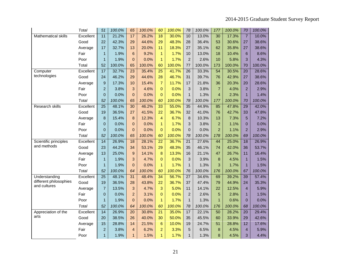|                            | Total     | 51               | 100.0% | 65              | 100.0% | 60              | 100.0% | 78              | 100.0% | 177            | 100.0% | 70              | 100.0% |
|----------------------------|-----------|------------------|--------|-----------------|--------|-----------------|--------|-----------------|--------|----------------|--------|-----------------|--------|
| <b>Mathematical skills</b> | Excellent | 11               | 21.2%  | 17              | 26.2%  | $\overline{18}$ | 30.0%  | 10              | 13.0%  | 30             | 17.3%  | $\overline{7}$  | 10.0%  |
|                            | Good      | 22               | 42.3%  | 29              | 44.6%  | 29              | 48.3%  | 28              | 36.4%  | 53             | 30.6%  | 27              | 38.6%  |
|                            | Average   | 17               | 32.7%  | 13              | 20.0%  | 11              | 18.3%  | 27              | 35.1%  | 62             | 35.8%  | 27              | 38.6%  |
|                            | Fair      | $\mathbf{1}$     | 1.9%   | 6               | 9.2%   | $\mathbf{1}$    | 1.7%   | 10              | 13.0%  | 18             | 10.4%  | 6               | 8.6%   |
|                            | Poor      | $\mathbf{1}$     | 1.9%   | $\Omega$        | 0.0%   | $\overline{1}$  | 1.7%   | $\overline{2}$  | 2.6%   | 10             | 5.8%   | 3               | 4.3%   |
|                            | Total     | 52               | 100.0% | 65              | 100.0% | 60              | 100.0% | 77              | 100.0% | 173            | 100.0% | 70              | 100.0% |
| Computer                   | Excellent | 17               | 32.7%  | 23              | 35.4%  | $\overline{25}$ | 41.7%  | 26              | 33.3%  | 54             | 30.5%  | 20              | 28.6%  |
| technologies               | Good      | 24               | 46.2%  | 29              | 44.6%  | 28              | 46.7%  | 31              | 39.7%  | 76             | 42.9%  | 27              | 38.6%  |
|                            | Average   | 9                | 17.3%  | 10              | 15.4%  | $\overline{7}$  | 11.7%  | 17              | 21.8%  | 36             | 20.3%  | 20              | 28.6%  |
|                            | Fair      | $\overline{2}$   | 3.8%   | 3               | 4.6%   | $\overline{0}$  | 0.0%   | 3               | 3.8%   | $\overline{7}$ | 4.0%   | $\overline{2}$  | 2.9%   |
|                            | Poor      | $\overline{0}$   | 0.0%   | $\overline{0}$  | 0.0%   | $\overline{0}$  | 0.0%   | $\mathbf{1}$    | 1.3%   | $\overline{4}$ | 2.3%   | $\overline{1}$  | 1.4%   |
|                            | Total     | 52               | 100.0% | 65              | 100.0% | 60              | 100.0% | 78              | 100.0% | 177            | 100.0% | 70              | 100.0% |
| Research skills            | Excellent | $\overline{25}$  | 48.1%  | $\overline{30}$ | 46.2%  | 33              | 55.0%  | 35              | 44.9%  | 85             | 47.8%  | $\overline{29}$ | 42.0%  |
|                            | Good      | 19               | 36.5%  | 27              | 41.5%  | 22              | 36.7%  | 32              | 41.0%  | 76             | 42.7%  | 33              | 47.8%  |
|                            | Average   | 8                | 15.4%  | 8               | 12.3%  | 4               | 6.7%   | 8               | 10.3%  | 13             | 7.3%   | 5               | 7.2%   |
|                            | Fair      | $\overline{0}$   | 0.0%   | $\pmb{0}$       | 0.0%   | $\mathbf{1}$    | 1.7%   | 3               | 3.8%   | $\overline{2}$ | 1.1%   | $\mathbf{0}$    | 0.0%   |
|                            | Poor      | $\overline{0}$   | 0.0%   | $\overline{0}$  | 0.0%   | $\Omega$        | 0.0%   | $\overline{0}$  | 0.0%   | $\overline{2}$ | 1.1%   | $\overline{2}$  | 2.9%   |
|                            | Total     | 52               | 100.0% | 65              | 100.0% | 60              | 100.0% | 78              | 100.0% | 178            | 100.0% | 69              | 100.0% |
| Scientific principles      | Excellent | $\overline{14}$  | 26.9%  | $\overline{18}$ | 28.1%  | $\overline{22}$ | 36.7%  | $\overline{21}$ | 27.6%  | 44             | 25.0%  | $\overline{18}$ | 26.9%  |
| and methods                | Good      | 23               | 44.2%  | 34              | 53.1%  | 29              | 48.3%  | 35              | 46.1%  | 74             | 42.0%  | 36              | 53.7%  |
|                            | Average   | 13               | 25.0%  | 9               | 14.1%  | 8               | 13.3%  | 16              | 21.1%  | 47             | 26.7%  | 11              | 16.4%  |
|                            | Fair      | $\mathbf{1}$     | 1.9%   | 3               | 4.7%   | $\Omega$        | 0.0%   | 3               | 3.9%   | 8              | 4.5%   | $\mathbf{1}$    | 1.5%   |
|                            | Poor      | $\mathbf{1}$     | 1.9%   | $\overline{0}$  | 0.0%   | $\mathbf{1}$    | 1.7%   | $\mathbf{1}$    | 1.3%   | 3              | 1.7%   | $\overline{1}$  | 1.5%   |
|                            | Total     | 52               | 100.0% | 64              | 100.0% | 60              | 100.0% | 76              | 100.0% | 176            | 100.0% | 67              | 100.0% |
| Understanding              | Excellent | $\overline{25}$  | 48.1%  | 31              | 48.4%  | 34              | 56.7%  | $\overline{27}$ | 34.6%  | 69             | 39.2%  | 39              | 57.4%  |
| different philosophies     | Good      | 19               | 36.5%  | 28              | 43.8%  | 22              | 36.7%  | 37              | 47.4%  | 79             | 44.9%  | 24              | 35.3%  |
| and cultures               | Average   | $\overline{7}$   | 13.5%  | 3               | 4.7%   | 3               | 5.0%   | 11              | 14.1%  | 22             | 12.5%  | $\overline{4}$  | 5.9%   |
|                            | Fair      | $\boldsymbol{0}$ | 0.0%   | $\overline{2}$  | 3.1%   | $\overline{0}$  | 0.0%   | $\overline{2}$  | 2.6%   | 5              | 2.8%   | 1               | 1.5%   |
|                            | Poor      | $\mathbf{1}$     | 1.9%   | $\overline{0}$  | 0.0%   | $\mathbf{1}$    | 1.7%   | $\mathbf{1}$    | 1.3%   | $\mathbf{1}$   | 0.6%   | $\mathbf{0}$    | 0.0%   |
|                            | Total     | 52               | 100.0% | 64              | 100.0% | 60              | 100.0% | 78              | 100.0% | 176            | 100.0% | 68              | 100.0% |
| Appreciation of the        | Excellent | $\overline{14}$  | 26.9%  | $\overline{20}$ | 30.8%  | $\overline{21}$ | 35.0%  | 17              | 22.1%  | 50             | 28.2%  | $\overline{20}$ | 29.4%  |
| arts                       | Good      | 20               | 38.5%  | 26              | 40.0%  | 30              | 50.0%  | 35              | 45.5%  | 60             | 33.9%  | 29              | 42.6%  |
|                            | Average   | 15               | 28.8%  | 14              | 21.5%  | 6               | 10.0%  | 19              | 24.7%  | 51             | 28.8%  | 12              | 17.6%  |
|                            | Fair      | $\overline{2}$   | 3.8%   | $\overline{4}$  | 6.2%   | $\overline{2}$  | 3.3%   | 5               | 6.5%   | 8              | 4.5%   | $\overline{4}$  | 5.9%   |
|                            | Poor      | $\mathbf{1}$     | 1.9%   | $\mathbf{1}$    | 1.5%   | $\overline{1}$  | 1.7%   | $\mathbf{1}$    | 1.3%   | 8              | 4.5%   | 3               | 4.4%   |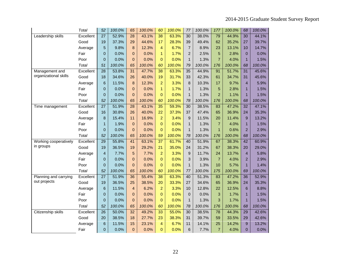|                       | Total     | 52              | 100.0% | 65                      | 100.0% | 60              | 100.0% | 77              | 100.0% | 177            | 100.0% | 68              | 100.0% |
|-----------------------|-----------|-----------------|--------|-------------------------|--------|-----------------|--------|-----------------|--------|----------------|--------|-----------------|--------|
| Leadership skills     | Excellent | 27              | 52.9%  | 28                      | 43.1%  | 38              | 63.3%  | 30              | 38.0%  | 79             | 44.9%  | 30              | 44.1%  |
|                       | Good      | 19              | 37.3%  | 29                      | 44.6%  | 17              | 28.3%  | 39              | 49.4%  | 62             | 35.2%  | 27              | 39.7%  |
|                       | Average   | 5               | 9.8%   | 8                       | 12.3%  | 4               | 6.7%   | $\overline{7}$  | 8.9%   | 23             | 13.1%  | 10              | 14.7%  |
|                       | Fair      | $\overline{0}$  | 0.0%   | $\mathbf 0$             | 0.0%   | $\mathbf{1}$    | 1.7%   | $\overline{c}$  | 2.5%   | 5              | 2.8%   | $\overline{0}$  | 0.0%   |
|                       | Poor      | $\overline{0}$  | 0.0%   | $\overline{0}$          | 0.0%   | $\Omega$        | 0.0%   | $\mathbf{1}$    | 1.3%   | $\overline{7}$ | 4.0%   | $\mathbf{1}$    | 1.5%   |
|                       | Total     | 51              | 100.0% | 65                      | 100.0% | 60              | 100.0% | 79              | 100.0% | 176            | 100.0% | 68              | 100.0% |
| Management and        | Excellent | 28              | 53.8%  | 31                      | 47.7%  | 38              | 63.3%  | 35              | 44.9%  | 91             | 51.7%  | $\overline{31}$ | 45.6%  |
| organizational skills | Good      | 18              | 34.6%  | 26                      | 40.0%  | 19              | 31.7%  | 33              | 42.3%  | 61             | 34.7%  | 31              | 45.6%  |
|                       | Average   | 6               | 11.5%  | 8                       | 12.3%  | $\overline{2}$  | 3.3%   | 8               | 10.3%  | 17             | 9.7%   | $\overline{4}$  | 5.9%   |
|                       | Fair      | $\overline{0}$  | 0.0%   | $\mathbf 0$             | 0.0%   | $\mathbf{1}$    | 1.7%   | $\mathbf{1}$    | 1.3%   | 5              | 2.8%   | 1               | 1.5%   |
|                       | Poor      | $\overline{0}$  | 0.0%   | $\overline{0}$          | 0.0%   | $\Omega$        | 0.0%   | $\mathbf{1}$    | 1.3%   | $\overline{2}$ | 1.1%   | $\mathbf{1}$    | 1.5%   |
|                       | Total     | 52              | 100.0% | 65                      | 100.0% | 60              | 100.0% | 78              | 100.0% | 176            | 100.0% | 68              | 100.0% |
| Time management       | Excellent | $\overline{27}$ | 51.9%  | 28                      | 43.1%  | 35              | 59.3%  | 30              | 38.5%  | 83             | 47.2%  | $\overline{32}$ | 47.1%  |
|                       | Good      | 16              | 30.8%  | 26                      | 40.0%  | 22              | 37.3%  | 37              | 47.4%  | 65             | 36.9%  | 24              | 35.3%  |
|                       | Average   | 8               | 15.4%  | 11                      | 16.9%  | $\overline{2}$  | 3.4%   | 9               | 11.5%  | 20             | 11.4%  | 9               | 13.2%  |
|                       | Fair      | 1               | 1.9%   | $\boldsymbol{0}$        | 0.0%   | $\Omega$        | 0.0%   | $\mathbf{1}$    | 1.3%   | $\overline{7}$ | 4.0%   | $\mathbf{1}$    | 1.5%   |
|                       | Poor      | $\overline{0}$  | 0.0%   | $\mathbf{0}$            | 0.0%   | $\Omega$        | 0.0%   | $\mathbf{1}$    | 1.3%   | $\mathbf{1}$   | 0.6%   | $\overline{2}$  | 2.9%   |
|                       | Total     | 52              | 100.0% | 65                      | 100.0% | 59              | 100.0% | 78              | 100.0% | 176            | 100.0% | 68              | 100.0% |
| Working cooperatively | Excellent | $\overline{29}$ | 55.8%  | $\overline{41}$         | 63.1%  | $\overline{37}$ | 61.7%  | 40              | 51.9%  | 67             | 38.3%  | $\overline{42}$ | 60.9%  |
| in groups             | Good      | 19              | 36.5%  | 19                      | 29.2%  | 21              | 35.0%  | 24              | 31.2%  | 67             | 38.3%  | 20              | 29.0%  |
|                       | Average   | $\overline{4}$  | 7.7%   | 5                       | 7.7%   | $\overline{2}$  | 3.3%   | 9               | 11.7%  | 24             | 13.7%  | $\overline{4}$  | 5.8%   |
|                       | Fair      | $\Omega$        | 0.0%   | $\overline{0}$          | 0.0%   | $\Omega$        | 0.0%   | 3               | 3.9%   | $\overline{7}$ | 4.0%   | $\overline{2}$  | 2.9%   |
|                       | Poor      | $\overline{0}$  | 0.0%   | $\bf 0$                 | 0.0%   | $\overline{0}$  | 0.0%   | $\mathbf{1}$    | 1.3%   | 10             | 5.7%   | $\mathbf{1}$    | 1.4%   |
|                       | Total     | 52              | 100.0% | 65                      | 100.0% | 60              | 100.0% | 77              | 100.0% | 175            | 100.0% | 69              | 100.0% |
| Planning and carrying | Excellent | $\overline{27}$ | 51.9%  | $\overline{36}$         | 55.4%  | $\overline{38}$ | 63.3%  | 40              | 51.3%  | 83             | 47.2%  | $\overline{36}$ | 52.9%  |
| out projects          | Good      | 19              | 36.5%  | 25                      | 38.5%  | 20              | 33.3%  | 27              | 34.6%  | 65             | 36.9%  | 24              | 35.3%  |
|                       | Average   | 6               | 11.5%  | $\overline{\mathbf{4}}$ | 6.2%   | $\overline{a}$  | 3.3%   | 10              | 12.8%  | 22             | 12.5%  | 6               | 8.8%   |
|                       | Fair      | $\overline{0}$  | 0.0%   | $\mathbf 0$             | 0.0%   | $\Omega$        | 0.0%   | $\overline{0}$  | 0.0%   | 3              | 1.7%   | $\mathbf{1}$    | 1.5%   |
|                       | Poor      | $\Omega$        | 0.0%   | $\overline{0}$          | 0.0%   | $\Omega$        | 0.0%   | $\mathbf{1}$    | 1.3%   | 3              | 1.7%   | $\mathbf{1}$    | 1.5%   |
|                       | Total     | 52              | 100.0% | 65                      | 100.0% | 60              | 100.0% | 78              | 100.0% | 176            | 100.0% | 68              | 100.0% |
| Citizenship skills    | Excellent | $\overline{26}$ | 50.0%  | $\overline{32}$         | 49.2%  | 33              | 55.0%  | $\overline{30}$ | 38.5%  | 78             | 44.3%  | $\overline{29}$ | 42.6%  |
|                       | Good      | 20              | 38.5%  | 18                      | 27.7%  | 23              | 38.3%  | 31              | 39.7%  | 59             | 33.5%  | 29              | 42.6%  |
|                       | Average   | $6\phantom{1}6$ | 11.5%  | 15                      | 23.1%  | 4               | 6.7%   | 11              | 14.1%  | 25             | 14.2%  | 9               | 13.2%  |
|                       | Fair      | $\overline{0}$  | 0.0%   | $\mathbf 0$             | 0.0%   | $\overline{0}$  | 0.0%   | 6               | 7.7%   | $\overline{7}$ | 4.0%   | 0               | 0.0%   |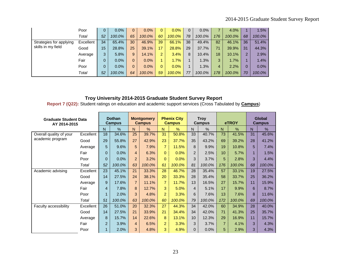|                         | Poor      | 0               | $0.0\%$ | $\mathbf{0}$ | 0.0%   | 0              | $0.0\%$ | $\Omega$ | 0.0%   |     | 4.0%   |                | 1.5%   |
|-------------------------|-----------|-----------------|---------|--------------|--------|----------------|---------|----------|--------|-----|--------|----------------|--------|
|                         | Total     | 52              | 100.0%  | 65           | 100.0% | 60             | 100.0%  | 78       | 100.0% | 176 | 100.0% | 68             | 100.0% |
| Strategies for applying | Excellent | 34              | 65.4%   | 30           | 46.9%  | 39             | 66.1%   | 38       | 49.4%  | 82  | 46.1%  | 36             | 51.4%  |
| skills in my field      | Good      | 15 <sup>°</sup> | 28.8%   | 25           | 39.1%  | 17             | 28.8%   | 29       | 37.7%  | 71  | 39.9%  | 31             | 44.3%  |
|                         | Average   | 3               | 5.8%    | 9            | 14.1%  | $\overline{2}$ | 3.4%    | 8        | 10.4%  | 18  | 10.1%  | $\overline{2}$ | 2.9%   |
|                         | Fair      | 0               | $0.0\%$ | $\mathbf{0}$ | 0.0%   |                | 1.7%    |          | 1.3%   | 3   | 1.7%   |                | 1.4%   |
|                         | Poor      | 0               | 0.0%    | $\mathbf{0}$ | 0.0%   | 0.             | 0.0%    |          | 1.3%   | 4   | 2.2%   |                | 0.0%   |
|                         | Total     | 52              | 100.0%  | 64           | 100.0% | 59             | 100.0%  | 77       | 100.0% | 178 | 100.0% | 70             | 100.0% |

**Report 7 (Q22):** Student ratings on education and academic support services (Cross Tabulated by **Campus**)

| <b>Graduate Student Data</b><br>AY 2014-2015 |           |                | <b>Dothan</b><br><b>Campus</b> |                | <b>Montgomery</b><br><b>Campus</b> |                | <b>Phenix City</b><br><b>Campus</b> |                | <b>Troy</b><br><b>Campus</b> |                | eTROY  |    | <b>Global</b><br><b>Campus</b> |
|----------------------------------------------|-----------|----------------|--------------------------------|----------------|------------------------------------|----------------|-------------------------------------|----------------|------------------------------|----------------|--------|----|--------------------------------|
|                                              |           | N              | $\%$                           | N.             | $\frac{0}{0}$                      | N.             | $\%$                                | N              | $\frac{0}{0}$                | N              | $\%$   | N  | %                              |
| Overall quality of your                      | Excellent | 18             | 34.6%                          | 25             | 39.7%                              | 31             | 50.8%                               | 33             | 40.7%                        | 73             | 41.5%  | 31 | 45.6%                          |
| academic program                             | Good      | 29             | 55.8%                          | 27             | 42.9%                              | 23             | 37.7%                               | 35             | 43.2%                        | 69             | 39.2%  | 28 | 41.2%                          |
|                                              | Average   | 5              | 9.6%                           | 5              | 7.9%                               | $\overline{7}$ | 11.5%                               | 8              | 9.9%                         | 19             | 10.8%  | 5  | 7.4%                           |
|                                              | Fair      | 0              | 0.0%                           | 4              | 6.3%                               | $\Omega$       | 0.0%                                | $\overline{2}$ | 2.5%                         | 10             | 5.7%   | 1  | 1.5%                           |
|                                              | Poor      | 0              | 0.0%                           | $\overline{2}$ | 3.2%                               | $\Omega$       | 0.0%                                | 3              | 3.7%                         | 5              | 2.8%   | 3  | 4.4%                           |
|                                              | Total     | 52             | 100.0%                         | 63             | 100.0%                             | 61             | 100.0%                              | 81             | 100.0%                       | 176            | 100.0% | 68 | 100.0%                         |
| Academic advising                            | Excellent | 23             | 45.1%                          | 21             | 33.3%                              | 28             | 46.7%                               | 28             | 35.4%                        | 57             | 33.1%  | 19 | 27.5%                          |
|                                              | Good      | 14             | 27.5%                          | 24             | 38.1%                              | 20             | 33.3%                               | 28             | 35.4%                        | 58             | 33.7%  | 25 | 36.2%                          |
|                                              | Average   | 9              | 17.6%                          | $\overline{7}$ | 11.1%                              | $\overline{7}$ | 11.7%                               | 13             | 16.5%                        | 27             | 15.7%  | 11 | 15.9%                          |
|                                              | Fair      | 4              | 7.8%                           | 8              | 12.7%                              | 3              | 5.0%                                | $\overline{4}$ | 5.1%                         | 17             | 9.9%   | 6  | 8.7%                           |
|                                              | Poor      |                | 2.0%                           | 3              | 4.8%                               | $\overline{2}$ | 3.3%                                | 6              | 7.6%                         | 13             | 7.6%   | 8  | 11.6%                          |
|                                              | Total     | 51             | 100.0%                         | 63             | 100.0%                             | 60             | 100.0%                              | 79             | 100.0%                       | 172            | 100.0% | 69 | 100.0%                         |
| <b>Faculty accessibility</b>                 | Excellent | 26             | 51.0%                          | 20             | 32.3%                              | 27             | 44.3%                               | 34             | 42.0%                        | 60             | 34.9%  | 28 | 40.0%                          |
|                                              | Good      | 14             | 27.5%                          | 21             | 33.9%                              | 21             | 34.4%                               | 34             | 42.0%                        | 71             | 41.3%  | 25 | 35.7%                          |
|                                              | Average   | 8              | 15.7%                          | 14             | 22.6%                              | 8              | 13.1%                               | 10             | 12.3%                        | 29             | 16.9%  | 11 | 15.7%                          |
|                                              | Fair      | $\overline{2}$ | 3.9%                           | 4              | 6.5%                               | $\overline{2}$ | 3.3%                                | 3              | 3.7%                         | $\overline{7}$ | 4.1%   | 3  | 4.3%                           |
|                                              | Poor      |                | 2.0%                           | 3              | 4.8%                               | 3              | 4.9%                                | 0              | 0.0%                         | 5              | 2.9%   | 3  | 4.3%                           |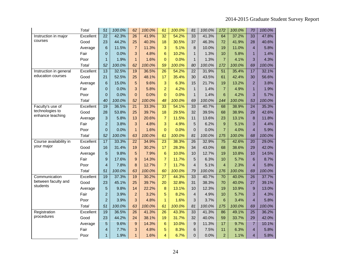|                                     | <b>Total</b> | 51              | 100.0% | 62              | 100.0% | 61              | 100.0% | 81                      | 100.0% | 172             | 100.0% | 70              | 100.0% |
|-------------------------------------|--------------|-----------------|--------|-----------------|--------|-----------------|--------|-------------------------|--------|-----------------|--------|-----------------|--------|
| Instruction in major                | Excellent    | $\overline{22}$ | 42.3%  | $\overline{26}$ | 41.9%  | $\overline{32}$ | 54.2%  | 33                      | 41.3%  | 64              | 37.2%  | 33              | 47.8%  |
| courses                             | Good         | 23              | 44.2%  | 25              | 40.3%  | 18              | 30.5%  | 37                      | 46.3%  | 72              | 41.9%  | 28              | 40.6%  |
|                                     | Average      | 6               | 11.5%  | $\overline{7}$  | 11.3%  | 3               | 5.1%   | 8                       | 10.0%  | 19              | 11.0%  | $\overline{4}$  | 5.8%   |
|                                     | Fair         | $\overline{0}$  | 0.0%   | 3               | 4.8%   | 6               | 10.2%  | $\mathbf{1}$            | 1.3%   | 10              | 5.8%   | $\mathbf{1}$    | 1.4%   |
|                                     | Poor         | $\mathbf{1}$    | 1.9%   | $\mathbf{1}$    | 1.6%   | $\overline{0}$  | 0.0%   | $\mathbf{1}$            | 1.3%   | $\overline{7}$  | 4.1%   | 3               | 4.3%   |
|                                     | Total        | 52              | 100.0% | 62              | 100.0% | 59              | 100.0% | 80                      | 100.0% | 172             | 100.0% | 69              | 100.0% |
| Instruction in general              | Excellent    | $\overline{13}$ | 32.5%  | 19              | 36.5%  | $\overline{26}$ | 54.2%  | $\overline{22}$         | 31.9%  | $\overline{51}$ | 35.4%  | 17              | 32.1%  |
| education courses                   | Good         | 21              | 52.5%  | 25              | 48.1%  | 17              | 35.4%  | 30                      | 43.5%  | 61              | 42.4%  | 30              | 56.6%  |
|                                     | Average      | 6               | 15.0%  | 5               | 9.6%   | 3               | 6.3%   | 15                      | 21.7%  | 19              | 13.2%  | $\overline{2}$  | 3.8%   |
|                                     | Fair         | 0               | 0.0%   | 3               | 5.8%   | $\overline{2}$  | 4.2%   | $\mathbf{1}$            | 1.4%   | $\overline{7}$  | 4.9%   | $\mathbf{1}$    | 1.9%   |
|                                     | Poor         | $\overline{0}$  | 0.0%   | $\overline{0}$  | 0.0%   | $\overline{0}$  | 0.0%   | $\mathbf{1}$            | 1.4%   | 6               | 4.2%   | 3               | 5.7%   |
|                                     | Total        | 40              | 100.0% | 52              | 100.0% | 48              | 100.0% | 69                      | 100.0% | 144             | 100.0% | 53              | 100.0% |
| Faculty's use of                    | Excellent    | 19              | 36.5%  | $\overline{21}$ | 33.3%  | 33              | 54.1%  | 33                      | 40.7%  | 68              | 38.9%  | $\overline{24}$ | 35.3%  |
| technologies to<br>enhance teaching | Good         | 28              | 53.8%  | 25              | 39.7%  | 18              | 29.5%  | 32                      | 39.5%  | 68              | 38.9%  | 29              | 42.6%  |
|                                     | Average      | 3               | 5.8%   | 13              | 20.6%  | $\overline{7}$  | 11.5%  | 11                      | 13.6%  | 23              | 13.1%  | 8               | 11.8%  |
|                                     | Fair         | $\overline{2}$  | 3.8%   | 3               | 4.8%   | 3               | 4.9%   | 5                       | 6.2%   | 9               | 5.1%   | 3               | 4.4%   |
|                                     | Poor         | $\overline{0}$  | 0.0%   | $\mathbf{1}$    | 1.6%   | $\overline{0}$  | 0.0%   | $\overline{0}$          | 0.0%   | $\overline{7}$  | 4.0%   | $\overline{4}$  | 5.9%   |
|                                     | Total        | 52              | 100.0% | 63              | 100.0% | 61              | 100.0% | 81                      | 100.0% | 175             | 100.0% | 68              | 100.0% |
| Course availability in              | Excellent    | 17              | 33.3%  | $\overline{22}$ | 34.9%  | $\overline{23}$ | 38.3%  | $\overline{26}$         | 32.9%  | $\overline{75}$ | 42.6%  | $\overline{20}$ | 29.0%  |
| your major                          | Good         | 16              | 31.4%  | 19              | 30.2%  | 17              | 28.3%  | 34                      | 43.0%  | 68              | 38.6%  | 29              | 42.0%  |
|                                     | Average      | 5               | 9.8%   | 5               | 7.9%   | 6               | 10.0%  | 10                      | 12.7%  | 19              | 10.8%  | 10              | 14.5%  |
|                                     | Fair         | 9               | 17.6%  | 9               | 14.3%  | $\overline{7}$  | 11.7%  | 5                       | 6.3%   | 10              | 5.7%   | 6               | 8.7%   |
|                                     | Poor         | $\overline{4}$  | 7.8%   | 8               | 12.7%  | $\overline{7}$  | 11.7%  | $\overline{4}$          | 5.1%   | $\overline{4}$  | 2.3%   | $\overline{4}$  | 5.8%   |
|                                     | Total        | 51              | 100.0% | 63              | 100.0% | 60              | 100.0% | 79                      | 100.0% | 176             | 100.0% | 69              | 100.0% |
| Communication                       | Excellent    | 19              | 37.3%  | 19              | 30.2%  | $\overline{27}$ | 44.3%  | 33                      | 40.7%  | $\overline{70}$ | 40.0%  | $\overline{26}$ | 37.7%  |
| between faculty and<br>students     | Good         | 23              | 45.1%  | 25              | 39.7%  | 20              | 32.8%  | 31                      | 38.3%  | 70              | 40.0%  | 27              | 39.1%  |
|                                     | Average      | 5               | 9.8%   | 14              | 22.2%  | 8               | 13.1%  | 10                      | 12.3%  | 19              | 10.9%  | 9               | 13.0%  |
|                                     | Fair         | $\overline{a}$  | 3.9%   | $\overline{a}$  | 3.2%   | 5               | 8.2%   | $\overline{\mathbf{4}}$ | 4.9%   | 10              | 5.7%   | 3               | 4.3%   |
|                                     | Poor         | $\overline{2}$  | 3.9%   | 3               | 4.8%   | $\mathbf{1}$    | 1.6%   | 3                       | 3.7%   | 6               | 3.4%   | $\overline{4}$  | 5.8%   |
|                                     | Total        | 51              | 100.0% | 63              | 100.0% | 61              | 100.0% | 81                      | 100.0% | 175             | 100.0% | 69              | 100.0% |
| Registration                        | Excellent    | 19              | 36.5%  | $\overline{26}$ | 41.3%  | $\overline{26}$ | 43.3%  | 33                      | 41.3%  | 86              | 49.1%  | $\overline{25}$ | 36.2%  |
| procedures                          | Good         | 23              | 44.2%  | 24              | 38.1%  | 19              | 31.7%  | 32                      | 40.0%  | 59              | 33.7%  | 29              | 42.0%  |
|                                     | Average      | 5               | 9.6%   | 9               | 14.3%  | 6               | 10.0%  | 9                       | 11.3%  | 17              | 9.7%   | $\overline{7}$  | 10.1%  |
|                                     | Fair         | 4               | 7.7%   | 3               | 4.8%   | 5               | 8.3%   | 6                       | 7.5%   | 11              | 6.3%   | $\overline{4}$  | 5.8%   |
|                                     | Poor         | $\mathbf{1}$    | 1.9%   | $\mathbf{1}$    | 1.6%   | 4               | 6.7%   | $\overline{0}$          | 0.0%   | $\overline{2}$  | 1.1%   | $\overline{4}$  | 5.8%   |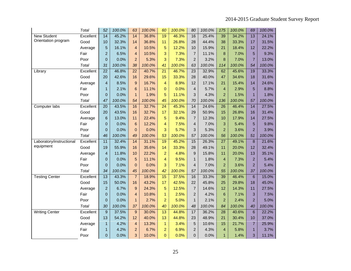|                          | Total     | 52              | 100.0% | 63                      | 100.0% | 60              | 100.0% | 80              | 100.0% | 175             | 100.0% | 69              | 100.0% |
|--------------------------|-----------|-----------------|--------|-------------------------|--------|-----------------|--------|-----------------|--------|-----------------|--------|-----------------|--------|
| <b>New Student</b>       | Excellent | $\overline{14}$ | 45.2%  | $\overline{14}$         | 36.8%  | 19              | 46.3%  | 16              | 25.4%  | 39              | 34.2%  | $\overline{13}$ | 24.1%  |
| Orientation program      | Good      | 10              | 32.3%  | 14                      | 36.8%  | 11              | 26.8%  | 28              | 44.4%  | 38              | 33.3%  | 17              | 31.5%  |
|                          | Average   | 5               | 16.1%  | $\overline{4}$          | 10.5%  | 5               | 12.2%  | 10              | 15.9%  | 21              | 18.4%  | 12              | 22.2%  |
|                          | Fair      | $\overline{2}$  | 6.5%   | $\overline{4}$          | 10.5%  | 3               | 7.3%   | $\overline{7}$  | 11.1%  | 8               | 7.0%   | 5               | 9.3%   |
|                          | Poor      | $\overline{0}$  | 0.0%   | $\overline{2}$          | 5.3%   | 3               | 7.3%   | $\overline{2}$  | 3.2%   | 8               | 7.0%   | $\overline{7}$  | 13.0%  |
|                          | Total     | 31              | 100.0% | 38                      | 100.0% | 41              | 100.0% | 63              | 100.0% | 114             | 100.0% | 54              | 100.0% |
| Library                  | Excellent | 22              | 46.8%  | $\overline{22}$         | 40.7%  | $\overline{21}$ | 46.7%  | 23              | 32.9%  | 62              | 45.6%  | 19              | 33.3%  |
|                          | Good      | 20              | 42.6%  | 16                      | 29.6%  | 15              | 33.3%  | 28              | 40.0%  | 47              | 34.6%  | 18              | 31.6%  |
|                          | Average   | $\overline{4}$  | 8.5%   | 9                       | 16.7%  | 4               | 8.9%   | 12              | 17.1%  | 21              | 15.4%  | 14              | 24.6%  |
|                          | Fair      | $\mathbf{1}$    | 2.1%   | 6                       | 11.1%  | $\Omega$        | 0.0%   | $\overline{4}$  | 5.7%   | $\overline{4}$  | 2.9%   | 5               | 8.8%   |
|                          | Poor      | 0               | 0.0%   | $\mathbf{1}$            | 1.9%   | 5               | 11.1%  | 3               | 4.3%   | $\overline{2}$  | 1.5%   | $\overline{1}$  | 1.8%   |
|                          | Total     | 47              | 100.0% | 54                      | 100.0% | 45              | 100.0% | 70              | 100.0% | 136             | 100.0% | 57              | 100.0% |
| Computer labs            | Excellent | 20              | 43.5%  | 16                      | 32.7%  | $\overline{24}$ | 45.3%  | $\overline{14}$ | 24.6%  | 26              | 46.4%  | $\overline{14}$ | 27.5%  |
|                          | Good      | 20              | 43.5%  | 16                      | 32.7%  | 17              | 32.1%  | 29              | 50.9%  | 15              | 26.8%  | 16              | 31.4%  |
|                          | Average   | 6               | 13.0%  | 11                      | 22.4%  | 5               | 9.4%   | $\overline{7}$  | 12.3%  | 10              | 17.9%  | 14              | 27.5%  |
|                          | Fair      | 0               | 0.0%   | 6                       | 12.2%  | 4               | 7.5%   | $\overline{4}$  | 7.0%   | 3               | 5.4%   | 5               | 9.8%   |
|                          | Poor      | 0               | 0.0%   | $\overline{0}$          | 0.0%   | 3               | 5.7%   | 3               | 5.3%   | $\overline{2}$  | 3.6%   | $\overline{2}$  | 3.9%   |
|                          | Total     | 46              | 100.0% | 49                      | 100.0% | 53              | 100.0% | 57              | 100.0% | 56              | 100.0% | 51              | 100.0% |
| Laboratory/instructional | Excellent | 11              | 32.4%  | $\overline{14}$         | 31.1%  | 19              | 45.2%  | 15              | 26.3%  | $\overline{27}$ | 49.1%  | $\overline{8}$  | 21.6%  |
| equipment                | Good      | 19              | 55.9%  | 16                      | 35.6%  | 14              | 33.3%  | 28              | 49.1%  | 11              | 20.0%  | 12              | 32.4%  |
|                          | Average   | 4               | 11.8%  | 10                      | 22.2%  | $\overline{2}$  | 4.8%   | 9               | 15.8%  | 11              | 20.0%  | 13              | 35.1%  |
|                          | Fair      | $\overline{0}$  | 0.0%   | 5                       | 11.1%  | $\overline{4}$  | 9.5%   | $\mathbf{1}$    | 1.8%   | $\overline{4}$  | 7.3%   | $\overline{2}$  | 5.4%   |
|                          | Poor      | $\overline{0}$  | 0.0%   | $\overline{0}$          | 0.0%   | 3               | 7.1%   | $\overline{4}$  | 7.0%   | $\overline{2}$  | 3.6%   | $\overline{2}$  | 5.4%   |
|                          | Total     | 34              | 100.0% | 45                      | 100.0% | 42              | 100.0% | 57              | 100.0% | 55              | 100.0% | 37              | 100.0% |
| <b>Testing Center</b>    | Excellent | $\overline{13}$ | 43.3%  | $\overline{7}$          | 18.9%  | 15              | 37.5%  | 16              | 33.3%  | 39              | 46.4%  | $\overline{6}$  | 15.0%  |
|                          | Good      | 15              | 50.0%  | 16                      | 43.2%  | 17              | 42.5%  | 22              | 45.8%  | 25              | 29.8%  | 18              | 45.0%  |
|                          | Average   | $\overline{2}$  | 6.7%   | $\overline{9}$          | 24.3%  | 5               | 12.5%  | $\overline{7}$  | 14.6%  | 12              | 14.3%  | 11              | 27.5%  |
|                          | Fair      | $\overline{0}$  | 0.0%   | $\overline{\mathbf{4}}$ | 10.8%  | $\mathbf{1}$    | 2.5%   | $\overline{2}$  | 4.2%   | 6               | 7.1%   | 3               | 7.5%   |
|                          | Poor      | $\overline{0}$  | 0.0%   | $\mathbf{1}$            | 2.7%   | $\overline{2}$  | 5.0%   | $\mathbf{1}$    | 2.1%   | $\overline{2}$  | 2.4%   | $\overline{2}$  | 5.0%   |
|                          | Total     | 30              | 100.0% | 37                      | 100.0% | 40              | 100.0% | 48              | 100.0% | 84              | 100.0% | 40              | 100.0% |
| <b>Writing Center</b>    | Excellent | 9               | 37.5%  | 9                       | 30.0%  | 13              | 44.8%  | 17              | 36.2%  | 28              | 40.6%  | 6               | 22.2%  |
|                          | Good      | 13              | 54.2%  | 12                      | 40.0%  | 13              | 44.8%  | 23              | 48.9%  | 21              | 30.4%  | 10              | 37.0%  |
|                          | Average   | $\mathbf{1}$    | 4.2%   | $\overline{\mathbf{4}}$ | 13.3%  | $\mathbf{1}$    | 3.4%   | 5               | 10.6%  | 15              | 21.7%  | $\overline{7}$  | 25.9%  |
|                          | Fair      | $\mathbf{1}$    | 4.2%   | $\overline{a}$          | 6.7%   | $\overline{2}$  | 6.9%   | $\overline{c}$  | 4.3%   | $\overline{4}$  | 5.8%   | $\mathbf{1}$    | 3.7%   |
|                          | Poor      | 0               | 0.0%   | 3                       | 10.0%  | $\overline{0}$  | 0.0%   | $\mathbf 0$     | 0.0%   | $\mathbf{1}$    | 1.4%   | 3               | 11.1%  |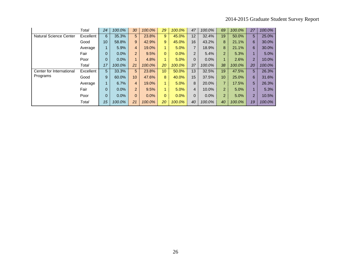|                               | Total     | 24 | 100.0% | 30             | 100.0% | 29              | 100.0% | 47             | 100.0% | 69             | 100.0% | 27             | 100.0% |
|-------------------------------|-----------|----|--------|----------------|--------|-----------------|--------|----------------|--------|----------------|--------|----------------|--------|
| <b>Natural Science Center</b> | Excellent | 6  | 35.3%  | 5              | 23.8%  | 9               | 45.0%  | 12             | 32.4%  | 19             | 50.0%  | 5              | 25.0%  |
|                               | Good      | 10 | 58.8%  | 9              | 42.9%  | 9               | 45.0%  | 16             | 43.2%  | 8              | 21.1%  | 6              | 30.0%  |
|                               | Average   |    | 5.9%   | $\overline{4}$ | 19.0%  | 1               | 5.0%   | $\overline{7}$ | 18.9%  | 8              | 21.1%  | 6              | 30.0%  |
|                               | Fair      | 0  | 0.0%   | $\overline{2}$ | 9.5%   | $\overline{0}$  | 0.0%   | $\overline{2}$ | 5.4%   | $\overline{2}$ | 5.3%   | $\blacksquare$ | 5.0%   |
|                               | Poor      | 0  | 0.0%   | $\mathbf{1}$   | 4.8%   | 1.              | 5.0%   | 0              | 0.0%   | $\mathbf 1$    | 2.6%   | $\overline{2}$ | 10.0%  |
|                               | Total     | 17 | 100.0% | 21             | 100.0% | 20              | 100.0% | 37             | 100.0% | 38             | 100.0% | 20             | 100.0% |
| Center for International      | Excellent | 5  | 33.3%  | 5              | 23.8%  | 10 <sup>°</sup> | 50.0%  | 13             | 32.5%  | 19             | 47.5%  | 5 <sub>5</sub> | 26.3%  |
| Programs                      | Good      | 9  | 60.0%  | 10             | 47.6%  | 8               | 40.0%  | 15             | 37.5%  | 10             | 25.0%  | 6              | 31.6%  |
|                               | Average   | 1  | 6.7%   | $\overline{4}$ | 19.0%  | $\mathbf{1}$    | 5.0%   | 8              | 20.0%  | $\overline{7}$ | 17.5%  | 5              | 26.3%  |
|                               | Fair      | 0  | 0.0%   | $\overline{2}$ | 9.5%   | $\mathbf{1}$    | 5.0%   | 4              | 10.0%  | $\overline{2}$ | 5.0%   | $\mathbf{1}$   | 5.3%   |
|                               | Poor      | 0  | 0.0%   | $\overline{0}$ | 0.0%   | $\overline{0}$  | 0.0%   | 0              | 0.0%   | $\overline{2}$ | 5.0%   | $\overline{2}$ | 10.5%  |
|                               | Total     | 15 | 100.0% | 21             | 100.0% | 20              | 100.0% | 40             | 100.0% | 40             | 100.0% | 19             | 100.0% |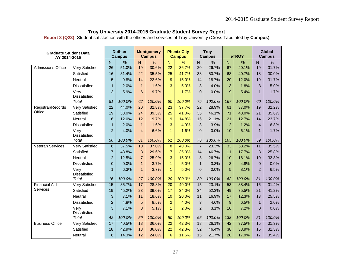**Report 8 (Q23):** Student satisfaction with the offices and services of Troy University (Cross Tabulated by **Campus**)

| <b>Graduate Student Data</b><br>AY 2014-2015 |                             |                 | <b>Dothan</b><br><b>Campus</b> |                | <b>Montgomery</b><br><b>Campus</b> |                 | <b>Phenix City</b><br><b>Campus</b> |                | <b>Troy</b><br><b>Campus</b> |                 | eTROY  |                | Global<br><b>Campus</b> |
|----------------------------------------------|-----------------------------|-----------------|--------------------------------|----------------|------------------------------------|-----------------|-------------------------------------|----------------|------------------------------|-----------------|--------|----------------|-------------------------|
|                                              |                             | N               | $\frac{1}{2}$                  | $\overline{N}$ | $\frac{1}{2}$                      | $\mathsf{N}$    | $\frac{9}{6}$                       | $\overline{N}$ | $\frac{9}{6}$                | $\mathsf{N}$    | %      | N              | $\%$                    |
| <b>Admissions Office</b>                     | <b>Very Satisfied</b>       | 26              | 51.0%                          | 19             | 30.6%                              | 22              | 36.7%                               | 20             | 26.7%                        | 67              | 40.1%  | 19             | 31.7%                   |
|                                              | Satisfied                   | 16              | 31.4%                          | 22             | 35.5%                              | 25              | 41.7%                               | 38             | 50.7%                        | 68              | 40.7%  | 18             | 30.0%                   |
|                                              | Neutral                     | 5               | 9.8%                           | 14             | 22.6%                              | $\overline{9}$  | 15.0%                               | 14             | 18.7%                        | 20              | 12.0%  | 19             | 31.7%                   |
|                                              | <b>Dissatisfied</b>         | $\mathbf{1}$    | 2.0%                           | $\mathbf{1}$   | 1.6%                               | 3               | 5.0%                                | 3              | 4.0%                         | 3               | 1.8%   | 3              | 5.0%                    |
|                                              | Very<br><b>Dissatisfied</b> | 3               | 5.9%                           | 6              | 9.7%                               | $\mathbf{1}$    | 1.7%                                | $\Omega$       | 0.0%                         | 9               | 5.4%   | $\mathbf{1}$   | 1.7%                    |
|                                              | Total                       | 51              | 100.0%                         | 62             | 100.0%                             | 60              | 100.0%                              | 75             | 100.0%                       | 167             | 100.0% | 60             | 100.0%                  |
| Registrar/Records                            | <b>Very Satisfied</b>       | $\overline{22}$ | 44.0%                          | 20             | 32.8%                              | $\overline{23}$ | 37.7%                               | 22             | 28.9%                        | 61              | 37.0%  | 19             | 32.2%                   |
| Office                                       | Satisfied                   | 19              | 38.0%                          | 24             | 39.3%                              | 25              | 41.0%                               | 35             | 46.1%                        | 71              | 43.0%  | 21             | 35.6%                   |
|                                              | Neutral                     | 6               | 12.0%                          | 12             | 19.7%                              | 9               | 14.8%                               | 16             | 21.1%                        | 21              | 12.7%  | 14             | 23.7%                   |
|                                              | <b>Dissatisfied</b>         | $\mathbf{1}$    | 2.0%                           | $\mathbf{1}$   | 1.6%                               | 3               | 4.9%                                | 3              | 3.9%                         | $\overline{2}$  | 1.2%   | $\overline{4}$ | 6.8%                    |
|                                              | Very<br><b>Dissatisfied</b> | $\overline{2}$  | 4.0%                           | 4              | 6.6%                               | $\mathbf{1}$    | 1.6%                                | $\overline{0}$ | 0.0%                         | 10              | 6.1%   | $\mathbf{1}$   | 1.7%                    |
|                                              | Total                       | 50              | 100.0%                         | 61             | 100.0%                             | 61              | 100.0%                              | 76             | 100.0%                       | 165             | 100.0% | 59             | 100.0%                  |
| Veteran Services                             | <b>Very Satisfied</b>       | $6\phantom{1}$  | 37.5%                          | 10             | 37.0%                              | $\bf 8$         | 40.0%                               | $\overline{7}$ | 23.3%                        | 33              | 53.2%  | 11             | 35.5%                   |
|                                              | Satisfied                   | $\overline{7}$  | 43.8%                          | 8              | 29.6%                              | $\overline{7}$  | 35.0%                               | 14             | 46.7%                        | 11              | 17.7%  | 8              | 25.8%                   |
|                                              | <b>Neutral</b>              | $\overline{2}$  | 12.5%                          | $\overline{7}$ | 25.9%                              | 3               | 15.0%                               | 8              | 26.7%                        | 10              | 16.1%  | 10             | 32.3%                   |
|                                              | <b>Dissatisfied</b>         | $\overline{0}$  | 0.0%                           | $\mathbf{1}$   | 3.7%                               | $\mathbf{1}$    | 5.0%                                | $\mathbf{1}$   | 3.3%                         | 3               | 4.8%   | $\mathbf{0}$   | 0.0%                    |
|                                              | Very<br>Dissatisfied        | $\mathbf{1}$    | 6.3%                           | $\mathbf{1}$   | 3.7%                               | $\mathbf{1}$    | 5.0%                                | $\overline{0}$ | 0.0%                         | 5               | 8.1%   | $\overline{2}$ | 6.5%                    |
|                                              | Total                       | 16              | 100.0%                         | 27             | 100.0%                             | 20              | 100.0%                              | 30             | 100.0%                       | 62              | 100.0% | 31             | 100.0%                  |
| <b>Financial Aid</b>                         | <b>Very Satisfied</b>       | 15              | 35.7%                          | 17             | 28.8%                              | 20              | 40.0%                               | 15             | 23.1%                        | $\overline{53}$ | 38.4%  | 16             | 31.4%                   |
| Services                                     | Satisfied                   | 19              | 45.2%                          | 23             | 39.0%                              | 17              | 34.0%                               | 34             | 52.3%                        | 49              | 35.5%  | 21             | 41.2%                   |
|                                              | Neutral                     | 3               | 7.1%                           | 11             | 18.6%                              | 10              | 20.0%                               | 11             | 16.9%                        | 17              | 12.3%  | 13             | 25.5%                   |
|                                              | <b>Dissatisfied</b>         | $\overline{2}$  | 4.8%                           | 5              | 8.5%                               | $\overline{2}$  | 4.0%                                | 3              | 4.6%                         | 9               | 6.5%   | $\mathbf{1}$   | 2.0%                    |
|                                              | Very<br>Dissatisfied        | 3               | 7.1%                           | 3              | 5.1%                               | $\mathbf{1}$    | 2.0%                                | $\overline{2}$ | 3.1%                         | 10              | 7.2%   | $\overline{0}$ | 0.0%                    |
|                                              | Total                       | 42              | 100.0%                         | 59             | 100.0%                             | 50              | 100.0%                              | 65             | 100.0%                       | 138             | 100.0% | 51             | 100.0%                  |
| <b>Business Office</b>                       | <b>Very Satisfied</b>       | 17              | 40.5%                          | 18             | 36.0%                              | $\overline{22}$ | 42.3%                               | 18             | 26.1%                        | 42              | 37.5%  | 15             | 31.3%                   |
|                                              | Satisfied                   | 18              | 42.9%                          | 18             | 36.0%                              | 22              | 42.3%                               | 32             | 46.4%                        | 38              | 33.9%  | 15             | 31.3%                   |
|                                              | Neutral                     | 6               | 14.3%                          | 12             | 24.0%                              | 6               | 11.5%                               | 15             | 21.7%                        | 20              | 17.9%  | 17             | 35.4%                   |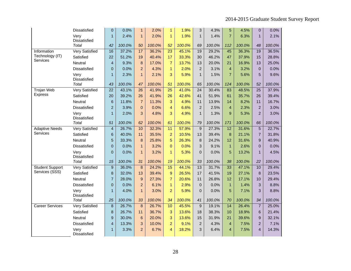|                                    | Dissatisfied                 | $\pmb{0}$       | 0.0%   | 1               | 2.0%   | $\mathbf{1}$    | 1.9%   | 3               | 4.3%   | 5               | 4.5%   | 0                       | 0.0%   |
|------------------------------------|------------------------------|-----------------|--------|-----------------|--------|-----------------|--------|-----------------|--------|-----------------|--------|-------------------------|--------|
|                                    | Very                         | $\mathbf{1}$    | 2.4%   | $\mathbf{1}$    | 2.0%   | $\mathbf{1}$    | 1.9%   | $\mathbf{1}$    | 1.4%   | $\overline{7}$  | 6.3%   | $\mathbf{1}$            | 2.1%   |
|                                    | Dissatisfied                 |                 |        |                 |        |                 |        |                 |        |                 |        |                         |        |
|                                    | Total                        | 42              | 100.0% | 50              | 100.0% | 52              | 100.0% | 69              | 100.0% | 112             | 100.0% | 48                      | 100.0% |
| Information                        | Very Satisfied               | 16              | 37.2%  | 17              | 36.2%  | $\overline{23}$ | 45.1%  | 19              | 29.2%  | $\overline{45}$ | 36.3%  | 19                      | 36.5%  |
| Technology (IT)<br><b>Services</b> | Satisfied                    | 22              | 51.2%  | 19              | 40.4%  | 17              | 33.3%  | 30              | 46.2%  | 47              | 37.9%  | 15                      | 28.8%  |
|                                    | Neutral                      | $\overline{4}$  | 9.3%   | 8               | 17.0%  | $\overline{7}$  | 13.7%  | 13              | 20.0%  | 21              | 16.9%  | 13                      | 25.0%  |
|                                    | Dissatisfied                 | $\overline{0}$  | 0.0%   | $\overline{2}$  | 4.3%   | $\mathbf{1}$    | 2.0%   | $\overline{2}$  | 3.1%   | $\overline{4}$  | 3.2%   | $\pmb{0}$               | 0.0%   |
|                                    | Very<br>Dissatisfied         | $\mathbf{1}$    | 2.3%   | $\mathbf{1}$    | 2.1%   | 3               | 5.9%   | $\mathbf 1$     | 1.5%   | $\overline{7}$  | 5.6%   | 5                       | 9.6%   |
|                                    | Total                        | 43              | 100.0% | 47              | 100.0% | 51              | 100.0% | 65              | 100.0% | 124             | 100.0% | 52                      | 100.0% |
| <b>Trojan Web</b>                  | <b>Very Satisfied</b>        | $\overline{22}$ | 43.1%  | $\overline{26}$ | 41.9%  | $\overline{25}$ | 41.0%  | $\overline{24}$ | 30.4%  | 83              | 48.5%  | $\overline{25}$         | 37.9%  |
| <b>Express</b>                     | Satisfied                    | 20              | 39.2%  | 26              | 41.9%  | 26              | 42.6%  | 41              | 51.9%  | 61              | 35.7%  | 26                      | 39.4%  |
|                                    | Neutral                      | 6               | 11.8%  | $\overline{7}$  | 11.3%  | 3               | 4.9%   | 11              | 13.9%  | 14              | 8.2%   | 11                      | 16.7%  |
|                                    | Dissatisfied                 | $\overline{a}$  | 3.9%   | $\overline{0}$  | 0.0%   | $\overline{4}$  | 6.6%   | $\overline{2}$  | 2.5%   | $\overline{4}$  | 2.3%   | $\overline{2}$          | 3.0%   |
|                                    | Very                         | $\overline{1}$  | 2.0%   | 3               | 4.8%   | 3               | 4.9%   | $\mathbf 1$     | 1.3%   | 9               | 5.3%   | $\overline{2}$          | 3.0%   |
|                                    | Dissatisfied<br><b>Total</b> | 51              | 100.0% | 62              | 100.0% | 61              | 100.0% | 79              | 100.0% | 171             | 100.0% | 66                      | 100.0% |
| <b>Adaptive Needs</b>              | <b>Very Satisfied</b>        | $\overline{4}$  | 26.7%  | 10              | 32.3%  | $\overline{11}$ | 57.9%  | 9               | 27.3%  | $\overline{12}$ | 31.6%  | $\overline{5}$          | 22.7%  |
| Services                           | Satisfied                    | 6               | 40.0%  | 11              | 35.5%  | $\overline{a}$  | 10.5%  | 13              | 39.4%  | 8               | 21.1%  | $\overline{7}$          | 31.8%  |
|                                    | Neutral                      | 5               | 33.3%  | 8               | 25.8%  | 5               | 26.3%  | $\bf 8$         | 24.2%  | 12              | 31.6%  | 9                       | 40.9%  |
|                                    | Dissatisfied                 | $\mathbf 0$     | 0.0%   | $\mathbf{1}$    | 3.2%   | $\mathbf{0}$    | 0.0%   | 3               | 9.1%   | $\mathbf{1}$    | 2.6%   | $\overline{0}$          | 0.0%   |
|                                    | Very<br>Dissatisfied         | $\overline{0}$  | 0.0%   | $\mathbf{1}$    | 3.2%   | $\mathbf{1}$    | 5.3%   | $\overline{0}$  | 0.0%   | 5               | 13.2%  | $\mathbf{1}$            | 4.5%   |
|                                    | <b>Total</b>                 | 15              | 100.0% | 31              | 100.0% | 19              | 100.0% | 33              | 100.0% | 38              | 100.0% | 22                      | 100.0% |
| <b>Student Support</b>             | <b>Very Satisfied</b>        | $\mathsf g$     | 36.0%  | 8               | 24.2%  | $\overline{15}$ | 44.1%  | 13              | 31.7%  | 33              | 47.1%  | 10                      | 29.4%  |
| Services (SSS)                     | Satisfied                    | 8               | 32.0%  | 13              | 39.4%  | 9               | 26.5%  | 17              | 41.5%  | 19              | 27.1%  | 8                       | 23.5%  |
|                                    | Neutral                      | $\overline{7}$  | 28.0%  | 9               | 27.3%  | $\overline{7}$  | 20.6%  | 11              | 26.8%  | 12              | 17.1%  | 10                      | 29.4%  |
|                                    | <b>Dissatisfied</b>          | $\mathbf 0$     | 0.0%   | $\overline{2}$  | 6.1%   | $\mathbf{1}$    | 2.9%   | $\pmb{0}$       | 0.0%   | $\mathbf{1}$    | 1.4%   | 3                       | 8.8%   |
|                                    | Very<br><b>Dissatisfied</b>  | $\mathbf{1}$    | 4.0%   | $\mathbf{1}$    | 3.0%   | $\overline{2}$  | 5.9%   | $\overline{0}$  | 0.0%   | 5               | 7.1%   | 3                       | 8.8%   |
|                                    | Total                        | 25              | 100.0% | 33              | 100.0% | 34              | 100.0% | 41              | 100.0% | 70              | 100.0% | 34                      | 100.0% |
| <b>Career Services</b>             | <b>Very Satisfied</b>        | 8               | 26.7%  | 8               | 26.7%  | 10              | 45.5%  | $9\,$           | 19.1%  | 14              | 26.4%  | $\overline{7}$          | 25.0%  |
|                                    | Satisfied                    | 8               | 26.7%  | 11              | 36.7%  | 3               | 13.6%  | 18              | 38.3%  | 10              | 18.9%  | 6                       | 21.4%  |
|                                    | Neutral                      | 9               | 30.0%  | $6\phantom{1}6$ | 20.0%  | 3               | 13.6%  | 15              | 31.9%  | 21              | 39.6%  | 9                       | 32.1%  |
|                                    | <b>Dissatisfied</b>          | $\overline{4}$  | 13.3%  | 3               | 10.0%  | $\overline{2}$  | 9.1%   | $\overline{2}$  | 4.3%   | $\overline{4}$  | 7.5%   | $\overline{2}$          | 7.1%   |
|                                    | Very<br>Dissatisfied         | $\mathbf{1}$    | 3.3%   | $\overline{2}$  | 6.7%   | 4               | 18.2%  | 3               | 6.4%   | 4               | 7.5%   | $\overline{\mathbf{4}}$ | 14.3%  |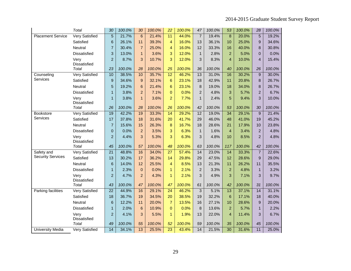|                          | Total                       | 30              | 100.0% | 30              | 100.0% | 22               | 100.0% | 47              | 100.0% | 53              | 100.0% | 28             | 100.0% |
|--------------------------|-----------------------------|-----------------|--------|-----------------|--------|------------------|--------|-----------------|--------|-----------------|--------|----------------|--------|
| <b>Placement Service</b> | <b>Very Satisfied</b>       | 5               | 21.7%  | $6\phantom{a}$  | 21.4%  | 11               | 44.0%  | $\overline{7}$  | 19.4%  | 8               | 20.0%  | $\overline{5}$ | 19.2%  |
|                          | Satisfied                   | 6               | 26.1%  | 11              | 39.3%  | $\overline{4}$   | 16.0%  | 13              | 36.1%  | 10              | 25.0%  | 9              | 34.6%  |
|                          | Neutral                     | $\overline{7}$  | 30.4%  | $\overline{7}$  | 25.0%  | $\overline{4}$   | 16.0%  | 12              | 33.3%  | 16              | 40.0%  | 8              | 30.8%  |
|                          | Dissatisfied                | 3               | 13.0%  | $\overline{1}$  | 3.6%   | 3                | 12.0%  | $\mathbf{1}$    | 2.8%   | $\overline{2}$  | 5.0%   | 0              | 0.0%   |
|                          | Very<br>Dissatisfied        | $\overline{2}$  | 8.7%   | 3               | 10.7%  | 3                | 12.0%  | 3               | 8.3%   | $\overline{4}$  | 10.0%  | $\overline{4}$ | 15.4%  |
|                          | Total                       | 23              | 100.0% | 28              | 100.0% | 25               | 100.0% | 36              | 100.0% | 40              | 100.0% | 26             | 100.0% |
| Counseling               | <b>Very Satisfied</b>       | 10              | 38.5%  | 10              | 35.7%  | $\overline{12}$  | 46.2%  | 13              | 31.0%  | 16              | 30.2%  | 9              | 30.0%  |
| Services                 | Satisfied                   | 9               | 34.6%  | $\mathbf{9}$    | 32.1%  | $\boldsymbol{6}$ | 23.1%  | 18              | 42.9%  | 11              | 20.8%  | 8              | 26.7%  |
|                          | Neutral                     | 5               | 19.2%  | $6\phantom{1}6$ | 21.4%  | $6\phantom{1}6$  | 23.1%  | 8               | 19.0%  | 18              | 34.0%  | 8              | 26.7%  |
|                          | Dissatisfied                | $\mathbf{1}$    | 3.8%   | $\overline{2}$  | 7.1%   | $\overline{0}$   | 0.0%   | $\overline{2}$  | 4.8%   | 3               | 5.7%   | $\overline{2}$ | 6.7%   |
|                          | Very<br><b>Dissatisfied</b> | $\mathbf{1}$    | 3.8%   | $\overline{1}$  | 3.6%   | $\overline{2}$   | 7.7%   | $\mathbf{1}$    | 2.4%   | 5               | 9.4%   | 3              | 10.0%  |
|                          | Total                       | 26              | 100.0% | 28              | 100.0% | 26               | 100.0% | 42              | 100.0% | 53              | 100.0% | 30             | 100.0% |
| Bookstore                | <b>Very Satisfied</b>       | 19              | 42.2%  | 19              | 33.3%  | 14               | 29.2%  | 12              | 19.0%  | $\overline{34}$ | 29.1%  | 9              | 21.4%  |
| Services                 | Satisfied                   | 17              | 37.8%  | 18              | 31.6%  | 20               | 41.7%  | 29              | 46.0%  | 48              | 41.0%  | 19             | 45.2%  |
|                          | Neutral                     | $\overline{7}$  | 15.6%  | 15              | 26.3%  | 8                | 16.7%  | 18              | 28.6%  | 21              | 17.9%  | 10             | 23.8%  |
|                          | Dissatisfied                | $\mathbf 0$     | 0.0%   | $\overline{2}$  | 3.5%   | 3                | 6.3%   | $\mathbf{1}$    | 1.6%   | $\overline{4}$  | 3.4%   | $\overline{2}$ | 4.8%   |
|                          | Very<br>Dissatisfied        | $\overline{a}$  | 4.4%   | 3               | 5.3%   | 3                | 6.3%   | 3               | 4.8%   | 10              | 8.5%   | $\overline{2}$ | 4.8%   |
|                          | Total                       | 45              | 100.0% | 57              | 100.0% | 48               | 100.0% | 63              | 100.0% | 117             | 100.0% | 42             | 100.0% |
| Safety and               | <b>Very Satisfied</b>       | $\overline{21}$ | 48.8%  | 16              | 34.0%  | $\overline{27}$  | 57.4%  | $\overline{14}$ | 23.0%  | 14              | 33.3%  | $\overline{7}$ | 22.6%  |
| <b>Security Services</b> | Satisfied                   | 13              | 30.2%  | 17              | 36.2%  | 14               | 29.8%  | 29              | 47.5%  | 12              | 28.6%  | 9              | 29.0%  |
|                          | Neutral                     | $6\phantom{1}6$ | 14.0%  | 12              | 25.5%  | 4                | 8.5%   | 13              | 21.3%  | 11              | 26.2%  | 11             | 35.5%  |
|                          | Dissatisfied                | $\mathbf{1}$    | 2.3%   | $\mathbf 0$     | 0.0%   | $\mathbf{1}$     | 2.1%   | $\overline{2}$  | 3.3%   | $\overline{2}$  | 4.8%   | $\mathbf{1}$   | 3.2%   |
|                          | Very<br>Dissatisfied        | $\overline{2}$  | 4.7%   | $\overline{2}$  | 4.3%   | $\mathbf{1}$     | 2.1%   | 3               | 4.9%   | 3               | 7.1%   | 3              | 9.7%   |
|                          | Total                       | 43              | 100.0% | 47              | 100.0% | 47               | 100.0% | 61              | 100.0% | 42              | 100.0% | 31             | 100.0% |
| Parking facilities       | <b>Very Satisfied</b>       | $\overline{22}$ | 44.9%  | 16              | 29.1%  | $\overline{24}$  | 46.2%  | $\overline{3}$  | 5.1%   | $\overline{13}$ | 37.1%  | 14             | 31.1%  |
|                          | Satisfied                   | 18              | 36.7%  | 19              | 34.5%  | 20               | 38.5%  | 19              | 32.2%  | 6               | 17.1%  | 18             | 40.0%  |
|                          | Neutral                     | 6               | 12.2%  | 11              | 20.0%  | $\overline{7}$   | 13.5%  | 16              | 27.1%  | 10              | 28.6%  | $\overline{9}$ | 20.0%  |
|                          | <b>Dissatisfied</b>         | $\mathbf{1}$    | 2.0%   | 6               | 10.9%  | $\mathbf{0}$     | 0.0%   | 8               | 13.6%  | $\overline{2}$  | 5.7%   | $\mathbf{1}$   | 2.2%   |
|                          | Very<br><b>Dissatisfied</b> | $\overline{2}$  | 4.1%   | 3               | 5.5%   | $\mathbf{1}$     | 1.9%   | 13              | 22.0%  | $\overline{4}$  | 11.4%  | 3              | 6.7%   |
|                          | <b>Total</b>                | 49              | 100.0% | 55              | 100.0% | 52               | 100.0% | 59              | 100.0% | 35              | 100.0% | 45             | 100.0% |
| <b>University Media</b>  | Very Satisfied              | $\overline{14}$ | 34.1%  | 13              | 25.5%  | $\overline{23}$  | 43.4%  | 14              | 21.5%  | 30              | 31.6%  | 11             | 25.0%  |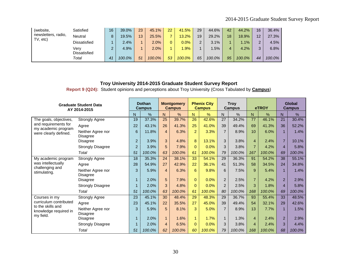| (website,           | Satisfied    | 16 | 39.0%  | 23 | 45.1%  | 22 | 41.5%   | 29 | 44.6%  | 42 | 44.2%   | 16            | 36.4%  |
|---------------------|--------------|----|--------|----|--------|----|---------|----|--------|----|---------|---------------|--------|
| newsletters, radio, | Neutral      | 8  | 19.5%  | 13 | 25.5%  |    | 13.2%   | 19 | 29.2%  | 18 | 18.9%   | 12            | 27.3%  |
| TV, etc)            | Dissatisfied |    | 2.4%   |    | 2.0%   |    | $0.0\%$ | 2  | 3.1%   |    | $1.1\%$ | っ<br><u>.</u> | 4.5%   |
|                     | Verv         | ົ  | 4.9%   |    | 2.0%   |    | .9%     |    | $.5\%$ | 4  | 4.2%    | 2.<br>J       | 6.8%   |
|                     | Dissatisfied |    |        |    |        |    |         |    |        |    |         |               |        |
|                     | Total        | 41 | 100.0% | 51 | 100.0% | 53 | 100.0%  | 65 | 100.0% | 95 | 100.0%  | 44            | 100.0% |

**Report 9 (Q24):** Student opinions and perceptions about Troy University (Cross Tabulated by **Campus**)

| <b>Graduate Student Data</b><br>AY 2014-2015            |                                      | <b>Dothan</b><br><b>Campus</b> |        | <b>Montgomery</b><br><b>Campus</b> |        | <b>Phenix City</b><br><b>Campus</b> |        | <b>Troy</b><br><b>Campus</b> |        | eTROY          |        | Global<br><b>Campus</b> |               |
|---------------------------------------------------------|--------------------------------------|--------------------------------|--------|------------------------------------|--------|-------------------------------------|--------|------------------------------|--------|----------------|--------|-------------------------|---------------|
|                                                         |                                      | N                              | %      | N                                  | %      | N                                   | %      | N                            | %      | N              | %      | N                       | $\frac{0}{6}$ |
| The goals, objectives,                                  | <b>Strongly Agree</b>                | 19                             | 37.3%  | 25                                 | 39.7%  | 26                                  | 42.6%  | 27                           | 34.2%  | 77             | 46.1%  | 21                      | 30.4%         |
| and requirements for                                    | Agree                                | 22                             | 43.1%  | 26                                 | 41.3%  | 25                                  | 41.0%  | 39                           | 49.4%  | 69             | 41.3%  | 36                      | 52.2%         |
| my academic program<br>were clearly defined.            | Neither Agree nor<br><b>Disagree</b> | $6\phantom{1}6$                | 11.8%  | $\overline{4}$                     | 6.3%   | $\overline{2}$                      | 3.3%   | $\overline{7}$               | 8.9%   | 10             | 6.0%   | $\mathbf{1}$            | 1.4%          |
|                                                         | Disagree                             | $\overline{2}$                 | 3.9%   | 3                                  | 4.8%   | 8                                   | 13.1%  | 3                            | 3.8%   | $\overline{4}$ | 2.4%   | $\overline{7}$          | 10.1%         |
|                                                         | <b>Strongly Disagree</b>             | $\overline{c}$                 | 3.9%   | 5                                  | 7.9%   | $\Omega$                            | 0.0%   | 3                            | 3.8%   | $\overline{7}$ | 4.2%   | $\overline{4}$          | 5.8%          |
|                                                         | Total                                | 51                             | 100.0% | 63                                 | 100.0% | 61                                  | 100.0% | 79                           | 100.0% | 167            | 100.0% | 69                      | 100.0%        |
| My academic program                                     | <b>Strongly Agree</b>                | 18                             | 35.3%  | 24                                 | 38.1%  | 33                                  | 54.1%  | 29                           | 36.3%  | 91             | 54.2%  | 38                      | 55.1%         |
| was intellectually                                      | Agree                                | 28                             | 54.9%  | 27                                 | 42.9%  | 22                                  | 36.1%  | 41                           | 51.3%  | 58             | 34.5%  | 24                      | 34.8%         |
| challenging and<br>stimulating.                         | Neither Agree nor<br><b>Disagree</b> | 3                              | 5.9%   | $\overline{4}$                     | 6.3%   | 6                                   | 9.8%   | 6                            | 7.5%   | 9              | 5.4%   | $\mathbf{1}$            | 1.4%          |
|                                                         | Disagree                             | $\mathbf{1}$                   | 2.0%   | 5                                  | 7.9%   | $\Omega$                            | 0.0%   | $\overline{2}$               | 2.5%   | $\overline{7}$ | 4.2%   | $\overline{2}$          | 2.9%          |
|                                                         | <b>Strongly Disagree</b>             | $\mathbf{1}$                   | 2.0%   | 3                                  | 4.8%   | $\Omega$                            | 0.0%   | 2                            | 2.5%   | 3              | 1.8%   | $\overline{4}$          | 5.8%          |
|                                                         | Total                                | 51                             | 100.0% | 63                                 | 100.0% | 61                                  | 100.0% | 80                           | 100.0% | 168            | 100.0% | 69                      | 100.0%        |
| Courses in my                                           | <b>Strongly Agree</b>                | 23                             | 45.1%  | 30                                 | 48.4%  | 29                                  | 48.3%  | 29                           | 36.7%  | 93             | 55.4%  | 33                      | 48.5%         |
| curriculum contributed                                  | Agree                                | 23                             | 45.1%  | 22                                 | 35.5%  | 27                                  | 45.0%  | 39                           | 49.4%  | 54             | 32.1%  | 29                      | 42.6%         |
| to the skills and<br>knowledge required in<br>my field. | Neither Agree nor<br><b>Disagree</b> | 3                              | 5.9%   | 5                                  | 8.1%   | 3                                   | 5.0%   | $\overline{7}$               | 8.9%   | 13             | 7.7%   | $\mathbf{1}$            | 1.5%          |
|                                                         | <b>Disagree</b>                      | $\mathbf{1}$                   | 2.0%   | $\mathbf{1}$                       | 1.6%   | $\mathbf{1}$                        | 1.7%   | $\mathbf{1}$                 | 1.3%   | $\overline{4}$ | 2.4%   | $\overline{2}$          | 2.9%          |
|                                                         | <b>Strongly Disagree</b>             | $\mathbf{1}$                   | 2.0%   | $\overline{4}$                     | 6.5%   | $\mathbf{0}$                        | 0.0%   | 3                            | 3.8%   | $\overline{4}$ | 2.4%   | 3                       | 4.4%          |
|                                                         | Total                                | 51                             | 100.0% | 62                                 | 100.0% | 60                                  | 100.0% | 79                           | 100.0% | 168            | 100.0% | 68                      | 100.0%        |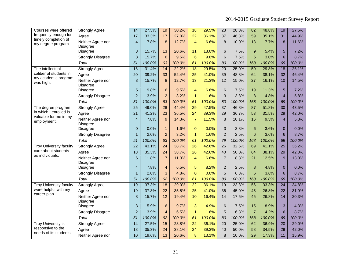| Courses were offered                            | <b>Strongly Agree</b>                | 14              | 27.5%  | 19              | 30.2%  | 18               | 29.5%  | 23              | 28.8%  | 82              | 48.8%  | 19              | 27.5%  |
|-------------------------------------------------|--------------------------------------|-----------------|--------|-----------------|--------|------------------|--------|-----------------|--------|-----------------|--------|-----------------|--------|
| frequently enough for                           | Agree                                | 17              | 33.3%  | 17              | 27.0%  | 22               | 36.1%  | 37              | 46.3%  | 59              | 35.1%  | 31              | 44.9%  |
| timely completion of<br>my degree program.      | Neither Agree nor<br><b>Disagree</b> | $\overline{4}$  | 7.8%   | 8               | 12.7%  | $\overline{4}$   | 6.6%   | 8               | 10.0%  | 13              | 7.7%   | 8               | 11.6%  |
|                                                 | Disagree                             | $\bf 8$         | 15.7%  | 13              | 20.6%  | 11               | 18.0%  | 6               | 7.5%   | 9               | 5.4%   | 5               | 7.2%   |
|                                                 | <b>Strongly Disagree</b>             | 8               | 15.7%  | $6\phantom{1}$  | 9.5%   | $\boldsymbol{6}$ | 9.8%   | 6               | 7.5%   | 5               | 3.0%   | 6               | 8.7%   |
|                                                 | Total                                | 51              | 100.0% | 63              | 100.0% | 61               | 100.0% | 80              | 100.0% | 168             | 100.0% | 69              | 100.0% |
| The intellectual                                | <b>Strongly Agree</b>                | 16              | 31.4%  | 14              | 22.2%  | 18               | 29.5%  | 20              | 25.0%  | 50              | 29.8%  | 18              | 26.1%  |
| caliber of students in                          | Agree                                | 20              | 39.2%  | 33              | 52.4%  | 25               | 41.0%  | 39              | 48.8%  | 64              | 38.1%  | 32              | 46.4%  |
| my academic program<br>was high.                | Neither Agree nor<br><b>Disagree</b> | 8               | 15.7%  | 8               | 12.7%  | 13               | 21.3%  | 12              | 15.0%  | 27              | 16.1%  | 10              | 14.5%  |
|                                                 | <b>Disagree</b>                      | 5               | 9.8%   | $6\phantom{1}6$ | 9.5%   | $\overline{4}$   | 6.6%   | 6               | 7.5%   | 19              | 11.3%  | 5               | 7.2%   |
|                                                 | <b>Strongly Disagree</b>             | $\overline{a}$  | 3.9%   | $\overline{2}$  | 3.2%   | $\mathbf{1}$     | 1.6%   | 3               | 3.8%   | 8               | 4.8%   | $\overline{4}$  | 5.8%   |
|                                                 | Total                                | 51              | 100.0% | 63              | 100.0% | 61               | 100.0% | 80              | 100.0% | 168             | 100.0% | 69              | 100.0% |
| The degree program                              | Strongly Agree                       | $\overline{25}$ | 49.0%  | $\overline{28}$ | 44.4%  | 29               | 47.5%  | $\overline{37}$ | 46.8%  | 87              | 51.8%  | $\overline{30}$ | 43.5%  |
| in which I enrolled is<br>valuable for me in my | Agree                                | 21              | 41.2%  | 23              | 36.5%  | 24               | 39.3%  | 29              | 36.7%  | 53              | 31.5%  | 29              | 42.0%  |
| employment.                                     | Neither Agree nor<br><b>Disagree</b> | $\overline{4}$  | 7.8%   | 9               | 14.3%  | $\overline{7}$   | 11.5%  | 8               | 10.1%  | 16              | 9.5%   | $\overline{4}$  | 5.8%   |
|                                                 | <b>Disagree</b>                      | $\pmb{0}$       | 0.0%   | $\mathbf{1}$    | 1.6%   | $\mathbf 0$      | 0.0%   | 3               | 3.8%   | $6\phantom{1}6$ | 3.6%   | $\mathbf{0}$    | 0.0%   |
|                                                 | <b>Strongly Disagree</b>             | $\mathbf{1}$    | 2.0%   | $\overline{a}$  | 3.2%   | $\mathbf{1}$     | 1.6%   | $\overline{c}$  | 2.5%   | 6               | 3.6%   | 6               | 8.7%   |
|                                                 | Total                                | 51              | 100.0% | 63              | 100.0% | 61               | 100.0% | 79              | 100.0% | 168             | 100.0% | 69              | 100.0% |
| <b>Troy University faculty</b>                  | <b>Strongly Agree</b>                | $\overline{22}$ | 43.1%  | 24              | 38.7%  | $\overline{26}$  | 42.6%  | 26              | 32.5%  | 69              | 41.1%  | 25              | 36.2%  |
| care about students<br>as individuals.          | Agree                                | 18              | 35.3%  | 24              | 38.7%  | 26               | 42.6%  | 40              | 50.0%  | 64              | 38.1%  | 29              | 42.0%  |
|                                                 | Neither Agree nor<br>Disagree        | 6               | 11.8%  | $\overline{7}$  | 11.3%  | $\overline{4}$   | 6.6%   | $\overline{7}$  | 8.8%   | 21              | 12.5%  | 9               | 13.0%  |
|                                                 | <b>Disagree</b>                      | $\overline{4}$  | 7.8%   | $\overline{4}$  | 6.5%   | 5                | 8.2%   | $\overline{c}$  | 2.5%   | 8               | 4.8%   | $\overline{0}$  | 0.0%   |
|                                                 | <b>Strongly Disagree</b>             | $\overline{1}$  | 2.0%   | 3               | 4.8%   | $\mathbf{0}$     | 0.0%   | 5               | 6.3%   | 6               | 3.6%   | 6               | 8.7%   |
|                                                 | Total                                | 51              | 100.0% | 62              | 100.0% | 61               | 100.0% | 80              | 100.0% | 168             | 100.0% | 69              | 100.0% |
| <b>Troy University faculty</b>                  | Strongly Agree                       | 19              | 37.3%  | 18              | 29.0%  | 22               | 36.1%  | 19              | 23.8%  | 56              | 33.3%  | 24              | 34.8%  |
| were helpful with my                            | Agree                                | 19              | 37.3%  | 22              | 35.5%  | 25               | 41.0%  | 36              | 45.0%  | 45              | 26.8%  | 22              | 31.9%  |
| career plan.                                    | Neither Agree nor<br>Disagree        | 8               | 15.7%  | 12              | 19.4%  | 10               | 16.4%  | 14              | 17.5%  | 45              | 26.8%  | 14              | 20.3%  |
|                                                 | <b>Disagree</b>                      | 3               | 5.9%   | 6               | 9.7%   | 3                | 4.9%   | 6               | 7.5%   | 15              | 8.9%   | 3               | 4.3%   |
|                                                 | <b>Strongly Disagree</b>             | $\overline{a}$  | 3.9%   | $\overline{4}$  | 6.5%   | $\mathbf{1}$     | 1.6%   | 5               | 6.3%   | $\overline{7}$  | 4.2%   | 6               | 8.7%   |
|                                                 | Total                                | 51              | 100.0% | 62              | 100.0% | 61               | 100.0% | 80              | 100.0% | 168             | 100.0% | 69              | 100.0% |
| <b>Troy University is</b>                       | <b>Strongly Agree</b>                | 14              | 27.5%  | 15              | 23.8%  | $\overline{22}$  | 36.1%  | 20              | 25.0%  | 62              | 36.9%  | $\overline{20}$ | 29.0%  |
| responsive to the                               | Agree                                | 18              | 35.3%  | 24              | 38.1%  | 24               | 39.3%  | 40              | 50.0%  | 58              | 34.5%  | 29              | 42.0%  |
| needs of its students.                          | Neither Agree nor                    | 10              | 19.6%  | 13              | 20.6%  | 8                | 13.1%  | 8               | 10.0%  | 29              | 17.3%  | 11              | 15.9%  |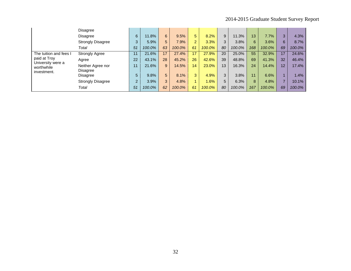|                                                | <b>Disagree</b>               |                |        |    |        |                |        |    |        |     |        |    |        |
|------------------------------------------------|-------------------------------|----------------|--------|----|--------|----------------|--------|----|--------|-----|--------|----|--------|
|                                                | <b>Disagree</b>               | 6              | 11.8%  | 6  | 9.5%   | 5              | 8.2%   | 9  | 11.3%  | 13  | 7.7%   | 3  | 4.3%   |
|                                                | <b>Strongly Disagree</b>      | 3              | 5.9%   | 5  | 7.9%   | $\overline{2}$ | 3.3%   | 3  | 3.8%   | 6   | 3.6%   | 6  | 8.7%   |
|                                                | Total                         | 51             | 100.0% | 63 | 100.0% | 61             | 100.0% | 80 | 100.0% | 168 | 100.0% | 69 | 100.0% |
| The tuition and fees I                         | <b>Strongly Agree</b>         | 11             | 21.6%  | 17 | 27.4%  | 17             | 27.9%  | 20 | 25.0%  | 55  | 32.9%  | 17 | 24.6%  |
| paid at Troy                                   | Agree                         | 22             | 43.1%  | 28 | 45.2%  | 26             | 42.6%  | 39 | 48.8%  | 69  | 41.3%  | 32 | 46.4%  |
| University were a<br>worthwhile<br>investment. | Neither Agree nor<br>Disagree | 11             | 21.6%  | 9  | 14.5%  | 14             | 23.0%  | 13 | 16.3%  | 24  | 14.4%  | 12 | 17.4%  |
|                                                | Disagree                      | 5              | 9.8%   | 5  | 8.1%   | 3              | 4.9%   | 3  | 3.8%   | 11  | 6.6%   |    | 1.4%   |
|                                                | <b>Strongly Disagree</b>      | $\overline{2}$ | 3.9%   | 3  | 4.8%   |                | .6%    | 5  | 6.3%   | 8   | 4.8%   |    | 10.1%  |
|                                                | Total                         | 51             | 100.0% | 62 | 100.0% | 61             | 100.0% | 80 | 100.0% | 167 | 100.0% | 69 | 100.0% |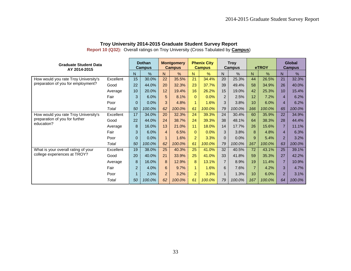| <b>Graduate Student Data</b><br>AY 2014-2015 |           | <b>Dothan</b><br><b>Campus</b> |        | <b>Montgomery</b><br><b>Campus</b> |               | <b>Phenix City</b><br><b>Campus</b> |        | <b>Troy</b><br><b>Campus</b> |        | eTROY          |        | <b>Global</b><br><b>Campus</b> |        |
|----------------------------------------------|-----------|--------------------------------|--------|------------------------------------|---------------|-------------------------------------|--------|------------------------------|--------|----------------|--------|--------------------------------|--------|
|                                              |           | N                              | $\%$   | N                                  | $\frac{9}{6}$ | N.                                  | %      | N.                           | %      | N              | $\%$   | N                              | $\%$   |
| How would you rate Troy University's         | Excellent | 15                             | 30.0%  | 22                                 | 35.5%         | 21                                  | 34.4%  | 20                           | 25.3%  | 44             | 26.5%  | 21                             | 32.3%  |
| preparation of you for employment?           | Good      | 22                             | 44.0%  | 20                                 | 32.3%         | 23                                  | 37.7%  | 39                           | 49.4%  | 58             | 34.9%  | 26                             | 40.0%  |
|                                              | Average   | 10                             | 20.0%  | 12                                 | 19.4%         | 16                                  | 26.2%  | 15                           | 19.0%  | 42             | 25.3%  | 10                             | 15.4%  |
|                                              | Fair      | 3                              | 6.0%   | 5                                  | 8.1%          | $\Omega$                            | 0.0%   | 2                            | 2.5%   | 12             | 7.2%   | $\overline{4}$                 | 6.2%   |
|                                              | Poor      | $\Omega$                       | 0.0%   | 3                                  | 4.8%          | $\overline{1}$                      | 1.6%   | 3                            | 3.8%   | 10             | 6.0%   | $\overline{4}$                 | 6.2%   |
|                                              | Total     | 50                             | 100.0% | 62                                 | 100.0%        | 61                                  | 100.0% | 79                           | 100.0% | 166            | 100.0% | 65                             | 100.0% |
| How would you rate Troy University's         | Excellent | 17                             | 34.0%  | 20                                 | 32.3%         | 24                                  | 39.3%  | 24                           | 30.4%  | 60             | 35.9%  | 22                             | 34.9%  |
| preparation of you for further               | Good      | 22                             | 44.0%  | 24                                 | 38.7%         | 24                                  | 39.3%  | 38                           | 48.1%  | 64             | 38.3%  | 28                             | 44.4%  |
| education?                                   | Average   | 8                              | 16.0%  | 13                                 | 21.0%         | 11                                  | 18.0%  | 14                           | 17.7%  | 26             | 15.6%  | $\overline{7}$                 | 11.1%  |
|                                              | Fair      | 3                              | 6.0%   | $\overline{4}$                     | 6.5%          | $\Omega$                            | 0.0%   | 3                            | 3.8%   | 8              | 4.8%   | $\overline{4}$                 | 6.3%   |
|                                              | Poor      | $\mathbf 0$                    | 0.0%   | $\mathbf{1}$                       | 1.6%          | $\overline{2}$                      | 3.3%   | $\mathbf{0}$                 | 0.0%   | 9              | 5.4%   | $\overline{2}$                 | 3.2%   |
|                                              | Total     | 50                             | 100.0% | 62                                 | 100.0%        | 61                                  | 100.0% | 79                           | 100.0% | 167            | 100.0% | 63                             | 100.0% |
| What is your overall rating of your          | Excellent | 19                             | 38.0%  | 25                                 | 40.3%         | 25                                  | 41.0%  | 32                           | 40.5%  | 72             | 43.1%  | 25                             | 39.1%  |
| college experiences at TROY?                 | Good      | 20                             | 40.0%  | 21                                 | 33.9%         | 25                                  | 41.0%  | 33                           | 41.8%  | 59             | 35.3%  | 27                             | 42.2%  |
|                                              | Average   | 8                              | 16.0%  | 8                                  | 12.9%         | 8                                   | 13.1%  | $\overline{7}$               | 8.9%   | 19             | 11.4%  | $\overline{7}$                 | 10.9%  |
|                                              | Fair      | $\overline{2}$                 | 4.0%   | 6                                  | 9.7%          | $\blacktriangleleft$                | 1.6%   | 6                            | 7.6%   | $\overline{7}$ | 4.2%   | 3                              | 4.7%   |
|                                              | Poor      | $\overline{1}$                 | 2.0%   | $\overline{2}$                     | 3.2%          | $\overline{2}$                      | 3.3%   | $\mathbf{1}$                 | 1.3%   | 10             | 6.0%   | 2 <sup>1</sup>                 | 3.1%   |
|                                              | Total     | 50                             | 100.0% | 62                                 | 100.0%        | 61                                  | 100.0% | 79                           | 100.0% | 167            | 100.0% | 64                             | 100.0% |

**Report 10 (Q32):** Overall ratings on Troy University (Cross Tabulated by **Campus**)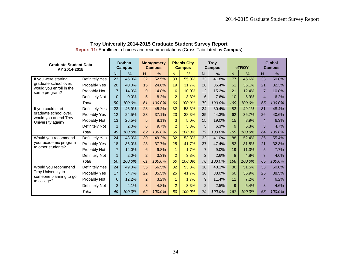| <b>Graduate Student Data</b><br>AY 2014-2015 |                | <b>Dothan</b><br><b>Campus</b> |        | <b>Montgomery</b><br><b>Campus</b> |               |                | <b>Phenix City</b><br><b>Campus</b> |                | <b>Troy</b><br>Campus |     | eTROY  | Global<br><b>Campus</b> |        |  |
|----------------------------------------------|----------------|--------------------------------|--------|------------------------------------|---------------|----------------|-------------------------------------|----------------|-----------------------|-----|--------|-------------------------|--------|--|
|                                              |                | N                              | $\%$   | N                                  | $\frac{0}{0}$ | N              | $\frac{9}{6}$                       | N.             | $\frac{0}{0}$         | N   | $\%$   | N                       | $\%$   |  |
| If you were starting                         | Definitely Yes | 23                             | 46.0%  | 32                                 | 52.5%         | 33             | 55.0%                               | 33             | 41.8%                 | 77  | 45.6%  | 33                      | 50.8%  |  |
| graduate school over,                        | Probably Yes   | 20                             | 40.0%  | 15                                 | 24.6%         | 19             | 31.7%                               | 28             | 35.4%                 | 61  | 36.1%  | 21                      | 32.3%  |  |
| would you enroll in the<br>same program?     | Probably Not   | $\overline{7}$                 | 14.0%  | 9                                  | 14.8%         | 6              | 10.0%                               | 12             | 15.2%                 | 21  | 12.4%  | $\overline{7}$          | 10.8%  |  |
|                                              | Definitely Not | $\Omega$                       | 0.0%   | 5                                  | 8.2%          | $\overline{2}$ | 3.3%                                | 6              | 7.6%                  | 10  | 5.9%   | 4                       | 6.2%   |  |
|                                              | Total          | 50                             | 100.0% | 61                                 | 100.0%        | 60             | 100.0%                              | 79             | 100.0%                | 169 | 100.0% | 65                      | 100.0% |  |
| If you could start                           | Definitely Yes | 23                             | 46.9%  | 28                                 | 45.2%         | 32             | 53.3%                               | 24             | 30.4%                 | 83  | 49.1%  | 31                      | 48.4%  |  |
| graduate school over,                        | Probably Yes   | 12                             | 24.5%  | 23                                 | 37.1%         | 23             | 38.3%                               | 35             | 44.3%                 | 62  | 36.7%  | 26                      | 40.6%  |  |
| would you attend Troy<br>University again?   | Probably Not   | 13                             | 26.5%  | 5                                  | 8.1%          | 3              | 5.0%                                | 15             | 19.0%                 | 15  | 8.9%   | $\overline{4}$          | 6.3%   |  |
|                                              | Definitely Not | $\blacksquare$                 | 2.0%   | 6                                  | 9.7%          | $\overline{2}$ | 3.3%                                | 5              | 6.3%                  | 9   | 5.3%   | 3                       | 4.7%   |  |
|                                              | Total          | 49                             | 100.0% | 62                                 | 100.0%        | 60             | 100.0%                              | 79             | 100.0%                | 169 | 100.0% | 64                      | 100.0% |  |
| Would you recommend                          | Definitely Yes | 24                             | 48.0%  | 30                                 | 49.2%         | 32             | 53.3%                               | 32             | 41.0%                 | 88  | 52.4%  | 36                      | 55.4%  |  |
| your academic program                        | Probably Yes   | 18                             | 36.0%  | 23                                 | 37.7%         | 25             | 41.7%                               | 37             | 47.4%                 | 53  | 31.5%  | 21                      | 32.3%  |  |
| to other students?                           | Probably Not   | $\overline{7}$                 | 14.0%  | 6                                  | 9.8%          | $\mathbf{1}$   | 1.7%                                | $\overline{7}$ | 9.0%                  | 19  | 11.3%  | 5                       | 7.7%   |  |
|                                              | Definitely Not | 1                              | 2.0%   | $\overline{2}$                     | 3.3%          | $\overline{a}$ | 3.3%                                | $\mathcal{P}$  | 2.6%                  | 8   | 4.8%   | 3                       | 4.6%   |  |
|                                              | Total          | 50                             | 100.0% | 61                                 | 100.0%        | 60             | 100.0%                              | 78             | 100.0%                | 168 | 100.0% | 65                      | 100.0% |  |
| Would you recommend                          | Definitely Yes | 24                             | 49.0%  | 35                                 | 56.5%         | 32             | 53.3%                               | 38             | 48.1%                 | 86  | 51.5%  | 33                      | 50.8%  |  |
| Troy University to                           | Probably Yes   | 17                             | 34.7%  | 22                                 | 35.5%         | 25             | 41.7%                               | 30             | 38.0%                 | 60  | 35.9%  | 25                      | 38.5%  |  |
| someone planning to go<br>to college?        | Probably Not   | 6                              | 12.2%  | $\overline{2}$                     | 3.2%          | $\mathbf{1}$   | 1.7%                                | 9              | 11.4%                 | 12  | 7.2%   | 4                       | 6.2%   |  |
|                                              | Definitely Not | $\overline{2}$                 | 4.1%   | 3                                  | 4.8%          | $\overline{2}$ | 3.3%                                | 2              | 2.5%                  | 9   | 5.4%   | 3                       | 4.6%   |  |
|                                              | Total          | 49                             | 100.0% | 62                                 | 100.0%        | 60             | 100.0%                              | 79             | 100.0%                | 167 | 100.0% | 65                      | 100.0% |  |

**Report 11:** Enrollment choices and recommendations (Cross Tabulated by **Campus**)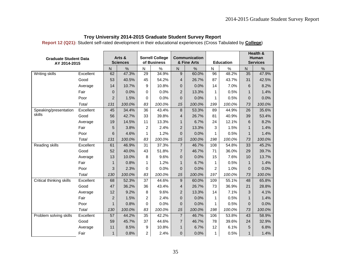|  | Troy University 2014-2015 Graduate Student Survey Report |  |
|--|----------------------------------------------------------|--|
|--|----------------------------------------------------------|--|

**Report 12 (Q21):** Student self-rated development in their educational experiences (Cross Tabulated by **College**)

| <b>Graduate Student Data</b> |           | Arts &                  |                 |                 | <b>Sorrell College</b> |                         | Communication |                         |                  | Health &<br>Human |                 |  |
|------------------------------|-----------|-------------------------|-----------------|-----------------|------------------------|-------------------------|---------------|-------------------------|------------------|-------------------|-----------------|--|
| AY 2014-2015                 |           |                         | <b>Sciences</b> |                 | of Business            |                         | & Fine Arts   |                         | <b>Education</b> |                   | <b>Services</b> |  |
|                              |           | $\overline{\mathsf{N}}$ | $\%$            | $\mathsf{N}$    | %                      | $\overline{\mathsf{N}}$ | $\frac{0}{0}$ | $\overline{\mathsf{N}}$ | $\%$             | ${\sf N}$         | $\%$            |  |
| Writing skills               | Excellent | 62                      | 47.3%           | 29              | 34.9%                  | 9                       | 60.0%         | 96                      | 48.2%            | 35                | 47.9%           |  |
|                              | Good      | 53                      | 40.5%           | 45              | 54.2%                  | 4                       | 26.7%         | 87                      | 43.7%            | 31                | 42.5%           |  |
|                              | Average   | 14                      | 10.7%           | 9               | 10.8%                  | 0                       | 0.0%          | 14                      | 7.0%             | 6                 | 8.2%            |  |
|                              | Fair      | $\mathbf 0$             | 0.0%            | $\mathbf 0$     | 0.0%                   | $\overline{c}$          | 13.3%         | 1                       | 0.5%             | $\mathbf{1}$      | 1.4%            |  |
|                              | Poor      | $\overline{2}$          | 1.5%            | $\Omega$        | 0.0%                   | 0                       | 0.0%          | 1                       | 0.5%             | $\Omega$          | 0.0%            |  |
|                              | Total     | 131                     | 100.0%          | 83              | 100.0%                 | 15                      | 100.0%        | 199                     | 100.0%           | 73                | 100.0%          |  |
| Speaking/presentation        | Excellent | 45                      | 34.4%           | $\overline{36}$ | 43.4%                  | 8                       | 53.3%         | 89                      | 44.9%            | 26                | 35.6%           |  |
| skills                       | Good      | 56                      | 42.7%           | 33              | 39.8%                  | 4                       | 26.7%         | 81                      | 40.9%            | 39                | 53.4%           |  |
|                              | Average   | 19                      | 14.5%           | 11              | 13.3%                  | 1                       | 6.7%          | 24                      | 12.1%            | 6                 | 8.2%            |  |
|                              | Fair      | 5                       | 3.8%            | $\overline{2}$  | 2.4%                   | 2                       | 13.3%         | 3                       | 1.5%             | 1                 | 1.4%            |  |
|                              | Poor      | 6                       | 4.6%            | $\mathbf{1}$    | 1.2%                   | 0                       | 0.0%          | 1                       | 0.5%             | $\mathbf{1}$      | 1.4%            |  |
|                              | Total     | 131                     | 100.0%          | 83              | 100.0%                 | 15                      | 100.0%        | 198                     | 100.0%           | 73                | 100.0%          |  |
| Reading skills               | Excellent | 61                      | 46.9%           | 31              | 37.3%                  | $\overline{7}$          | 46.7%         | 108                     | 54.8%            | 33                | 45.2%           |  |
|                              | Good      | 52                      | 40.0%           | 43              | 51.8%                  | $\overline{7}$          | 46.7%         | 71                      | 36.0%            | 29                | 39.7%           |  |
|                              | Average   | 13                      | 10.0%           | 8               | 9.6%                   | 0                       | 0.0%          | 15                      | 7.6%             | 10                | 13.7%           |  |
|                              | Fair      | 1                       | 0.8%            | $\mathbf{1}$    | 1.2%                   | $\mathbf{1}$            | 6.7%          | 1                       | 0.5%             | $\mathbf{1}$      | 1.4%            |  |
|                              | Poor      | 3                       | 2.3%            | $\Omega$        | 0.0%                   | $\overline{0}$          | 0.0%          | $\overline{c}$          | 1.0%             | $\Omega$          | 0.0%            |  |
|                              | Total     | 130                     | 100.0%          | 83              | 100.0%                 | 15                      | 100.0%        | 197                     | 100.0%           | 73                | 100.0%          |  |
| Critical thinking skills     | Excellent | 68                      | 52.3%           | 37              | 44.6%                  | 9                       | 60.0%         | 109                     | 55.1%            | 48                | 65.8%           |  |
|                              | Good      | 47                      | 36.2%           | 36              | 43.4%                  | 4                       | 26.7%         | 73                      | 36.9%            | 21                | 28.8%           |  |
|                              | Average   | 12                      | 9.2%            | 8               | 9.6%                   | 2                       | 13.3%         | 14                      | 7.1%             | 3                 | 4.1%            |  |
|                              | Fair      | $\overline{c}$          | 1.5%            | $\overline{c}$  | 2.4%                   | 0                       | 0.0%          | 1                       | 0.5%             | 1                 | 1.4%            |  |
|                              | Poor      | $\mathbf{1}$            | 0.8%            | $\Omega$        | 0.0%                   | 0                       | 0.0%          | 1                       | 0.5%             | $\Omega$          | 0.0%            |  |
|                              | Total     | 130                     | 100.0%          | 83              | 100.0%                 | 15                      | 100.0%        | 198                     | 100.0%           | 73                | 100.0%          |  |
| Problem solving skills       | Excellent | 57                      | 44.2%           | $\overline{35}$ | 42.2%                  | $\overline{7}$          | 46.7%         | 106                     | 53.8%            | 43                | 58.9%           |  |
|                              | Good      | 59                      | 45.7%           | 37              | 44.6%                  | $\overline{7}$          | 46.7%         | 78                      | 39.6%            | 24                | 32.9%           |  |
|                              | Average   | 11                      | 8.5%            | 9               | 10.8%                  | $\mathbf{1}$            | 6.7%          | 12                      | 6.1%             | 5                 | 6.8%            |  |
|                              | Fair      | $\mathbf{1}$            | 0.8%            | $\overline{c}$  | 2.4%                   | $\overline{0}$          | 0.0%          | 1                       | 0.5%             | $\mathbf{1}$      | 1.4%            |  |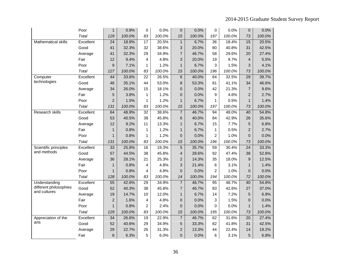|                        | Poor      | $\mathbf{1}$   | 0.8%   | 0               | 0.0%   | $\mathbf 0$             | 0.0%   | 0               | 0.0%   | 0               | 0.0%   |
|------------------------|-----------|----------------|--------|-----------------|--------|-------------------------|--------|-----------------|--------|-----------------|--------|
|                        | Total     | 129            | 100.0% | 83              | 100.0% | 15                      | 100.0% | 197             | 100.0% | 73              | 100.0% |
| Mathematical skills    | Excellent | 24             | 18.9%  | 17              | 20.5%  | $\mathbf{1}$            | 6.7%   | 36              | 18.4%  | 15              | 20.5%  |
|                        | Good      | 41             | 32.3%  | 32              | 38.6%  | 3                       | 20.0%  | 80              | 40.8%  | 31              | 42.5%  |
|                        | Average   | 41             | 32.3%  | 29              | 34.9%  | $\overline{7}$          | 46.7%  | 58              | 29.6%  | 20              | 27.4%  |
|                        | Fair      | 12             | 9.4%   | 4               | 4.8%   | 3                       | 20.0%  | 19              | 9.7%   | 4               | 5.5%   |
|                        | Poor      | 9              | 7.1%   | 1               | 1.2%   | 1                       | 6.7%   | 3               | 1.5%   | 3               | 4.1%   |
|                        | Total     | 127            | 100.0% | 83              | 100.0% | 15                      | 100.0% | 196             | 100.0% | 73              | 100.0% |
| Computer               | Excellent | 44             | 33.6%  | $\overline{22}$ | 26.5%  | 6                       | 40.0%  | 64              | 32.5%  | 29              | 39.7%  |
| technologies           | Good      | 46             | 35.1%  | 44              | 53.0%  | 8                       | 53.3%  | 81              | 41.1%  | 34              | 46.6%  |
|                        | Average   | 34             | 26.0%  | 15              | 18.1%  | 0                       | 0.0%   | 42              | 21.3%  | $\overline{7}$  | 9.6%   |
|                        | Fair      | 5              | 3.8%   | 1               | 1.2%   | 0                       | 0.0%   | 9               | 4.6%   | $\overline{2}$  | 2.7%   |
|                        | Poor      | $\overline{2}$ | 1.5%   | $\mathbf{1}$    | 1.2%   | $\mathbf{1}$            | 6.7%   | 1               | 0.5%   | $\mathbf{1}$    | 1.4%   |
|                        | Total     | 131            | 100.0% | 83              | 100.0% | 15                      | 100.0% | 197             | 100.0% | 73              | 100.0% |
| <b>Research skills</b> | Excellent | 64             | 48.9%  | $\overline{32}$ | 38.6%  | $\overline{\mathbf{7}}$ | 46.7%  | 94              | 48.0%  | 40              | 54.8%  |
|                        | Good      | 53             | 40.5%  | 38              | 45.8%  | 6                       | 40.0%  | 84              | 42.9%  | 26              | 35.6%  |
|                        | Average   | 12             | 9.2%   | 11              | 13.3%  | $\mathbf{1}$            | 6.7%   | 15              | 7.7%   | 5               | 6.8%   |
|                        | Fair      | $\mathbf{1}$   | 0.8%   | 1               | 1.2%   | $\mathbf{1}$            | 6.7%   | 1               | 0.5%   | $\overline{2}$  | 2.7%   |
|                        | Poor      | $\mathbf{1}$   | 0.8%   | 1               | 1.2%   | 0                       | 0.0%   | $\overline{2}$  | 1.0%   | 0               | 0.0%   |
|                        | Total     | 131            | 100.0% | 83              | 100.0% | 15                      | 100.0% | 196             | 100.0% | 73              | 100.0% |
| Scientific principles  | Excellent | 33             | 25.8%  | 16              | 19.3%  | 5                       | 35.7%  | $\overline{59}$ | 30.4%  | $\overline{24}$ | 33.3%  |
| and methods            | Good      | 57             | 44.5%  | 38              | 45.8%  | 4                       | 28.6%  | 92              | 47.4%  | 38              | 52.8%  |
|                        | Average   | 36             | 28.1%  | 21              | 25.3%  | $\overline{2}$          | 14.3%  | 35              | 18.0%  | 9               | 12.5%  |
|                        | Fair      | $\mathbf{1}$   | 0.8%   | 4               | 4.8%   | 3                       | 21.4%  | 6               | 3.1%   | $\mathbf{1}$    | 1.4%   |
|                        | Poor      | $\mathbf{1}$   | 0.8%   | 4               | 4.8%   | $\mathbf 0$             | 0.0%   | $\overline{c}$  | 1.0%   | 0               | 0.0%   |
|                        | Total     | 128            | 100.0% | 83              | 100.0% | 14                      | 100.0% | 194             | 100.0% | 72              | 100.0% |
| Understanding          | Excellent | 55             | 42.6%  | 29              | 34.9%  | $\overline{7}$          | 46.7%  | $\overline{95}$ | 48.7%  | 40              | 54.8%  |
| different philosophies | Good      | 52             | 40.3%  | 38              | 45.8%  | $\overline{7}$          | 46.7%  | 83              | 42.6%  | 27              | 37.0%  |
| and cultures           | Average   | 19             | 14.7%  | 10              | 12.0%  | $\mathbf{1}$            | 6.7%   | 14              | 7.2%   | 5               | 6.8%   |
|                        | Fair      | $\overline{c}$ | 1.6%   | 4               | 4.8%   | 0                       | 0.0%   | 3               | 1.5%   | 0               | 0.0%   |
|                        | Poor      | $\mathbf{1}$   | 0.8%   | $\overline{2}$  | 2.4%   | 0                       | 0.0%   | 0               | 0.0%   | $\mathbf{1}$    | 1.4%   |
|                        | Total     | 129            | 100.0% | 83              | 100.0% | 15                      | 100.0% | 195             | 100.0% | 73              | 100.0% |
| Appreciation of the    | Excellent | 34             | 26.6%  | $\overline{19}$ | 22.9%  | $\overline{7}$          | 46.7%  | 62              | 31.6%  | $\overline{20}$ | 27.4%  |
| arts                   | Good      | 52             | 40.6%  | 29              | 34.9%  | 5                       | 33.3%  | 82              | 41.8%  | 31              | 42.5%  |
|                        | Average   | 29             | 22.7%  | 26              | 31.3%  | $\overline{\mathbf{c}}$ | 13.3%  | 44              | 22.4%  | 14              | 19.2%  |
|                        | Fair      | 8              | 6.3%   | 5               | 6.0%   | 0                       | 0.0%   | 6               | 3.1%   | 5               | 6.8%   |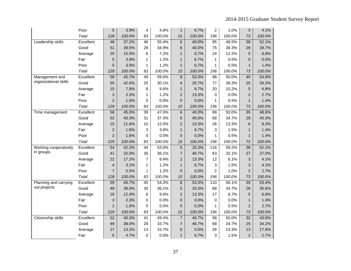|                       | Poor         | 5               | 3.9%   | 4               | 4.8%   | $\mathbf{1}$   | 6.7%   | $\overline{c}$ | 1.0%   | 3               | 4.1%   |
|-----------------------|--------------|-----------------|--------|-----------------|--------|----------------|--------|----------------|--------|-----------------|--------|
|                       | <b>Total</b> | 128             | 100.0% | 83              | 100.0% | 15             | 100.0% | 196            | 100.0% | 73              | 100.0% |
| Leadership skills     | Excellent    | 48              | 37.2%  | 46              | 55.4%  | 6              | 40.0%  | 95             | 48.5%  | 38              | 52.1%  |
|                       | Good         | 51              | 39.5%  | 29              | 34.9%  | 6              | 40.0%  | 75             | 38.3%  | 29              | 39.7%  |
|                       | Average      | 20              | 15.5%  | 6               | 7.2%   | $\mathbf{1}$   | 6.7%   | 24             | 12.2%  | 5               | 6.8%   |
|                       | Fair         | 5               | 3.9%   | 1               | 1.2%   | 1              | 6.7%   | 1              | 0.5%   | 0               | 0.0%   |
|                       | Poor         | 5               | 3.9%   | 1               | 1.2%   | 1              | 6.7%   | 1              | 0.5%   | $\mathbf{1}$    | 1.4%   |
|                       | Total        | 129             | 100.0% | 83              | 100.0% | 15             | 100.0% | 196            | 100.0% | 73              | 100.0% |
| Management and        | Excellent    | 59              | 45.7%  | 49              | 59.0%  | 8              | 53.3%  | 98             | 50.0%  | 40              | 54.8%  |
| organizational skills | Good         | 55              | 42.6%  | 25              | 30.1%  | 4              | 26.7%  | 77             | 39.3%  | 25              | 34.2%  |
|                       | Average      | 10              | 7.8%   | 8               | 9.6%   | $\mathbf{1}$   | 6.7%   | 20             | 10.2%  | 5               | 6.8%   |
|                       | Fair         | 3               | 2.3%   | 1               | 1.2%   | $\overline{c}$ | 13.3%  | 0              | 0.0%   | $\overline{2}$  | 2.7%   |
|                       | Poor         | $\overline{c}$  | 1.6%   | 0               | 0.0%   | 0              | 0.0%   | 1              | 0.5%   | $\mathbf{1}$    | 1.4%   |
|                       | Total        | 129             | 100.0% | 83              | 100.0% | 15             | 100.0% | 196            | 100.0% | 73              | 100.0% |
| Time management       | Excellent    | 58              | 45.0%  | 39              | 47.0%  | $\,6$          | 40.0%  | 98             | 50.0%  | 35              | 48.6%  |
|                       | Good         | 52              | 40.3%  | 31              | 37.3%  | 6              | 40.0%  | 68             | 34.7%  | 29              | 40.3%  |
|                       | Average      | 15              | 11.6%  | 10              | 12.0%  | $\overline{c}$ | 13.3%  | 26             | 13.3%  | 6               | 8.3%   |
|                       | Fair         | $\overline{2}$  | 1.6%   | 3               | 3.6%   | 1              | 6.7%   | 3              | 1.5%   | $\mathbf{1}$    | 1.4%   |
|                       | Poor         | $\overline{2}$  | 1.6%   | 0               | 0.0%   | 0              | 0.0%   | 1              | 0.5%   | $\mathbf{1}$    | 1.4%   |
|                       | Total        | 129             | 100.0% | 83              | 100.0% | 15             | 100.0% | 196            | 100.0% | 72              | 100.0% |
| Working cooperatively | Excellent    | $\overline{54}$ | 42.2%  | 44              | 53.0%  | $\sqrt{5}$     | 33.3%  | 116            | 59.2%  | $\overline{38}$ | 52.1%  |
| in groups             | Good         | 41              | 32.0%  | 30              | 36.1%  | 7              | 46.7%  | 63             | 32.1%  | 27              | 37.0%  |
|                       | Average      | 22              | 17.2%  | $\overline{7}$  | 8.4%   | $\overline{c}$ | 13.3%  | 12             | 6.1%   | 3               | 4.1%   |
|                       | Fair         | 4               | 3.1%   | 1               | 1.2%   | $\mathbf{1}$   | 6.7%   | 3              | 1.5%   | 3               | 4.1%   |
|                       | Poor         | $\overline{7}$  | 5.5%   | 1               | 1.2%   | 0              | 0.0%   | $\overline{c}$ | 1.0%   | $\overline{c}$  | 2.7%   |
|                       | Total        | 128             | 100.0% | 83              | 100.0% | 15             | 100.0% | 196            | 100.0% | 73              | 100.0% |
| Planning and carrying | Excellent    | 59              | 45.7%  | $\overline{45}$ | 54.2%  | $\bf 8$        | 53.3%  | 110            | 56.1%  | 39              | 53.4%  |
| out projects          | Good         | 49              | 38.0%  | 30              | 36.1%  | 5              | 33.3%  | 68             | 34.7%  | 26              | 35.6%  |
|                       | Average      | 16              | 12.4%  | 8               | 9.6%   | $\overline{c}$ | 13.3%  | 17             | 8.7%   | 5               | 6.8%   |
|                       | Fair         | 3               | 2.3%   | 0               | 0.0%   | 0              | 0.0%   | 0              | 0.0%   | $\mathbf{1}$    | 1.4%   |
|                       | Poor         | $\overline{c}$  | 1.6%   | 0               | 0.0%   | 0              | 0.0%   | 1              | 0.5%   | $\overline{2}$  | 2.7%   |
|                       | Total        | 129             | 100.0% | 83              | 100.0% | 15             | 100.0% | 196            | 100.0% | 73              | 100.0% |
| Citizenship skills    | Excellent    | 52              | 40.3%  | $\overline{41}$ | 49.4%  | $\overline{7}$ | 46.7%  | 98             | 50.0%  | 32              | 43.8%  |
|                       | Good         | 49              | 38.0%  | 28              | 33.7%  | $\overline{7}$ | 46.7%  | 68             | 34.7%  | 25              | 34.2%  |
|                       | Average      | 17              | 13.2%  | 13              | 15.7%  | 0              | 0.0%   | 26             | 13.3%  | 13              | 17.8%  |
|                       | Fair         | 6               | 4.7%   | 0               | 0.0%   | 1              | 6.7%   | 3              | 1.5%   | $\overline{c}$  | 2.7%   |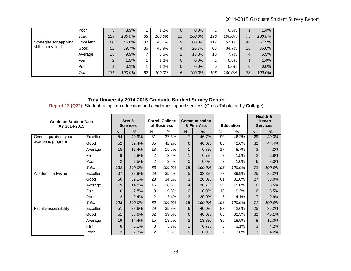|                         | Poor      | 5   | 3.9%   |    | 1.2%   | 0              | 0.0%   |     | 0.5%    |                | 1.4%   |
|-------------------------|-----------|-----|--------|----|--------|----------------|--------|-----|---------|----------------|--------|
|                         | Total     | 129 | 100.0% | 83 | 100.0% | 15             | 100.0% | 196 | 100.0%  | 73             | 100.0% |
| Strategies for applying | Excellent | 60  | 45.8%  | 37 | 45.1%  | 9              | 60.0%  | 112 | 57.1%   | 42             | 57.5%  |
| skills in my field      | Good      | 52  | 39.7%  | 36 | 43.9%  | 4              | 26.7%  | 68  | 34.7%   | 26             | 35.6%  |
|                         | Average   | 13  | 9.9%   |    | 8.5%   | $\overline{2}$ | 13.3%  | 15  | 7.7%    | $\overline{4}$ | 5.5%   |
|                         | Fair      | 2   | 1.5%   |    | 1.2%   | $\mathbf{0}$   | 0.0%   |     | 0.5%    |                | 1.4%   |
|                         | Poor      | 4   | 3.1%   |    | 1.2%   | $\mathbf{0}$   | 0.0%   | 0   | $0.0\%$ | $\mathbf{0}$   | 0.0%   |
|                         | Total     | 131 | 100.0% | 82 | 100.0% | 15             | 100.0% | 196 | 100.0%  | 73             | 100.0% |

**Report 13 (Q22):** Student ratings on education and academic support services (Cross Tabulated by **College**)

| <b>Graduate Student Data</b><br>AY 2014-2015 |           |     | Arts &<br><b>Sciences</b> |                | <b>Sorrell College</b><br>of Business |                | <b>Communication</b><br>& Fine Arts |     | <b>Education</b> |                | Health &<br><b>Human</b><br><b>Services</b> |
|----------------------------------------------|-----------|-----|---------------------------|----------------|---------------------------------------|----------------|-------------------------------------|-----|------------------|----------------|---------------------------------------------|
|                                              |           | N   | $\frac{0}{0}$             | N              | $\%$                                  | N              | $\frac{0}{0}$                       | N   | %                | $\mathsf{N}$   | $\frac{0}{0}$                               |
| Overall quality of your                      | Excellent | 54  | 40.9%                     | 31             | 37.3%                                 | $\overline{7}$ | 46.7%                               | 90  | 46.2%            | 29             | 40.3%                                       |
| academic program                             | Good      | 52  | 39.4%                     | 35             | 42.2%                                 | 6              | 40.0%                               | 83  | 42.6%            | 32             | 44.4%                                       |
|                                              | Average   | 15  | 11.4%                     | 13             | 15.7%                                 | $\mathbf 1$    | 6.7%                                | 17  | 8.7%             | 3              | 4.2%                                        |
|                                              | Fair      | 9   | 6.8%                      | $\overline{2}$ | 2.4%                                  | $\mathbf{1}$   | 6.7%                                | 3   | 1.5%             | 2              | 2.8%                                        |
|                                              | Poor      | 2   | 1.5%                      | 2              | 2.4%                                  | $\Omega$       | 0.0%                                | 2   | 1.0%             | 6              | 8.3%                                        |
|                                              | Total     | 132 | 100.0%                    | 83             | 100.0%                                | 15             | 100.0%                              | 195 | 100.0%           | 72             | 100.0%                                      |
| Academic advising                            | Excellent | 37  | 28.9%                     | 29             | 35.4%                                 | 5              | 33.3%                               | 77  | 39.9%            | 25             | 35.2%                                       |
|                                              | Good      | 50  | 39.1%                     | 28             | 34.1%                                 | 3              | 20.0%                               | 61  | 31.6%            | 27             | 38.0%                                       |
|                                              | Average   | 19  | 14.8%                     | 15             | 18.3%                                 | 4              | 26.7%                               | 29  | 15.0%            | 6              | 8.5%                                        |
|                                              | Fair      | 10  | 7.8%                      | 8              | 9.8%                                  | $\Omega$       | 0.0%                                | 18  | 9.3%             | 6              | 8.5%                                        |
|                                              | Poor      | 12  | 9.4%                      | $\overline{2}$ | 2.4%                                  | 3              | 20.0%                               | 8   | 4.1%             | $\overline{7}$ | 9.9%                                        |
|                                              | Total     | 128 | 100.0%                    | 82             | 100.0%                                | 15             | 100.0%                              | 193 | 100.0%           | 71             | 100.0%                                      |
| Faculty accessibility                        | Excellent | 51  | 38.6%                     | 29             | 35.8%                                 | 6              | 40.0%                               | 83  | 42.6%            | 25             | 35.2%                                       |
|                                              | Good      | 51  | 38.6%                     | 32             | 39.5%                                 | 6              | 40.0%                               | 63  | 32.3%            | 32             | 45.1%                                       |
|                                              | Average   | 19  | 14.4%                     | 15             | 18.5%                                 | $\overline{2}$ | 13.3%                               | 36  | 18.5%            | 8              | 11.3%                                       |
|                                              | Fair      | 8   | 6.1%                      | 3              | 3.7%                                  | $\mathbf{1}$   | 6.7%                                | 6   | 3.1%             | 3              | 4.2%                                        |
|                                              | Poor      | 3   | 2.3%                      | $\overline{2}$ | 2.5%                                  | $\mathbf{0}$   | 0.0%                                | 7   | 3.6%             | 3              | 4.2%                                        |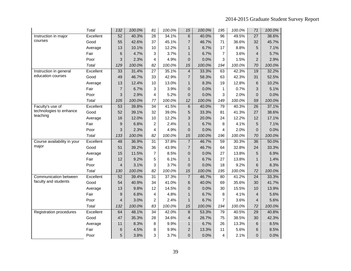|                                | <b>Total</b> | 132             | 100.0% | 81              | 100.0% | 15             | 100.0% | 195             | 100.0% | 71              | 100.0% |
|--------------------------------|--------------|-----------------|--------|-----------------|--------|----------------|--------|-----------------|--------|-----------------|--------|
| Instruction in major           | Excellent    | 52              | 40.3%  | $\overline{28}$ | 34.1%  | $\overline{6}$ | 40.0%  | $\overline{96}$ | 49.5%  | $\overline{27}$ | 38.6%  |
| courses                        | Good         | 55              | 42.6%  | 37              | 45.1%  | $\overline{7}$ | 46.7%  | 71              | 36.6%  | 32              | 45.7%  |
|                                | Average      | 13              | 10.1%  | 10              | 12.2%  | $\mathbf{1}$   | 6.7%   | 17              | 8.8%   | 5               | 7.1%   |
|                                | Fair         | 6               | 4.7%   | 3               | 3.7%   | $\mathbf{1}$   | 6.7%   | $\overline{7}$  | 3.6%   | $\overline{4}$  | 5.7%   |
|                                | Poor         | 3               | 2.3%   | 4               | 4.9%   | 0              | 0.0%   | 3               | 1.5%   | $\overline{2}$  | 2.9%   |
|                                | Total        | 129             | 100.0% | 82              | 100.0% | 15             | 100.0% | 194             | 100.0% | 70              | 100.0% |
| Instruction in general         | Excellent    | 33              | 31.4%  | 27              | 35.1%  | 4              | 33.3%  | 63              | 42.3%  | 19              | 32.2%  |
| education courses              | Good         | 49              | 46.7%  | 33              | 42.9%  | $\overline{7}$ | 58.3%  | 63              | 42.3%  | 31              | 52.5%  |
|                                | Average      | 13              | 12.4%  | 10              | 13.0%  | $\mathbf{1}$   | 8.3%   | 19              | 12.8%  | 6               | 10.2%  |
|                                | Fair         | $\overline{7}$  | 6.7%   | 3               | 3.9%   | 0              | 0.0%   | 1               | 0.7%   | 3               | 5.1%   |
|                                | Poor         | 3               | 2.9%   | 4               | 5.2%   | 0              | 0.0%   | 3               | 2.0%   | $\overline{0}$  | 0.0%   |
|                                | Total        | 105             | 100.0% | 77              | 100.0% | 12             | 100.0% | 149             | 100.0% | 59              | 100.0% |
| Faculty's use of               | Excellent    | 53              | 39.8%  | $\overline{34}$ | 41.5%  | 6              | 40.0%  | 79              | 40.3%  | $\overline{26}$ | 37.1%  |
| technologies to enhance        | Good         | 52              | 39.1%  | 32              | 39.0%  | 5              | 33.3%  | 81              | 41.3%  | 27              | 38.6%  |
| teaching                       | Average      | 16              | 12.0%  | 10              | 12.2%  | 3              | 20.0%  | 24              | 12.2%  | 12              | 17.1%  |
|                                | Fair         | 9               | 6.8%   | $\overline{c}$  | 2.4%   | $\mathbf{1}$   | 6.7%   | 8               | 4.1%   | 5               | 7.1%   |
|                                | Poor         | 3               | 2.3%   | 4               | 4.9%   | 0              | 0.0%   | 4               | 2.0%   | $\overline{0}$  | 0.0%   |
|                                | Total        | 133             | 100.0% | 82              | 100.0% | 15             | 100.0% | 196             | 100.0% | 70              | 100.0% |
| Course availability in your    | Excellent    | 48              | 36.9%  | $\overline{31}$ | 37.8%  | $\overline{7}$ | 46.7%  | $\overline{59}$ | 30.3%  | 36              | 50.0%  |
| major                          | Good         | 51              | 39.2%  | 36              | 43.9%  | $\overline{7}$ | 46.7%  | 64              | 32.8%  | 24              | 33.3%  |
|                                | Average      | 15              | 11.5%  | $\overline{7}$  | 8.5%   | 0              | 0.0%   | 27              | 13.8%  | 5               | 6.9%   |
|                                | Fair         | 12              | 9.2%   | 5               | 6.1%   | $\mathbf{1}$   | 6.7%   | 27              | 13.8%  | $\mathbf{1}$    | 1.4%   |
|                                | Poor         | $\overline{4}$  | 3.1%   | 3               | 3.7%   | 0              | 0.0%   | 18              | 9.2%   | 6               | 8.3%   |
|                                | Total        | 130             | 100.0% | 82              | 100.0% | 15             | 100.0% | 195             | 100.0% | 72              | 100.0% |
| Communication between          | Excellent    | 52              | 39.4%  | $\overline{31}$ | 37.3%  | $\overline{7}$ | 46.7%  | $\overline{80}$ | 41.2%  | $\overline{24}$ | 33.3%  |
| faculty and students           | Good         | 54              | 40.9%  | 34              | 41.0%  | 6              | 40.0%  | 69              | 35.6%  | 30              | 41.7%  |
|                                | Average      | 13              | 9.8%   | 12              | 14.5%  | 0              | 0.0%   | 30              | 15.5%  | 10              | 13.9%  |
|                                | Fair         | 9               | 6.8%   | 4               | 4.8%   | $\mathbf{1}$   | 6.7%   | 8               | 4.1%   | $\overline{4}$  | 5.6%   |
|                                | Poor         | 4               | 3.0%   | $\overline{c}$  | 2.4%   | $\mathbf{1}$   | 6.7%   | $\overline{7}$  | 3.6%   | $\overline{4}$  | 5.6%   |
|                                | <b>Total</b> | 132             | 100.0% | 83              | 100.0% | 15             | 100.0% | 194             | 100.0% | 72              | 100.0% |
| <b>Registration procedures</b> | Excellent    | 64              | 48.1%  | 34              | 42.0%  | 8              | 53.3%  | 79              | 40.5%  | 29              | 40.8%  |
|                                | Good         | 47              | 35.3%  | 28              | 34.6%  | $\overline{4}$ | 26.7%  | 75              | 38.5%  | 30              | 42.3%  |
|                                | Average      | 11              | 8.3%   | 8               | 9.9%   | $\mathbf{1}$   | 6.7%   | 26              | 13.3%  | 6               | 8.5%   |
|                                | Fair         | $6\phantom{1}6$ | 4.5%   | 8               | 9.9%   | $\overline{c}$ | 13.3%  | 11              | 5.6%   | 6               | 8.5%   |
|                                | Poor         | 5               | 3.8%   | 3               | 3.7%   | 0              | 0.0%   | 4               | 2.1%   | $\mathbf{0}$    | 0.0%   |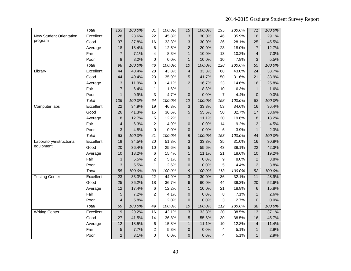|                                | Total        | 133                       | 100.0% | 81              | 100.0% | 15             | 100.0% | 195              | 100.0% | 71              | 100.0% |
|--------------------------------|--------------|---------------------------|--------|-----------------|--------|----------------|--------|------------------|--------|-----------------|--------|
| <b>New Student Orientation</b> | Excellent    | $\overline{28}$           | 28.6%  | $\overline{22}$ | 45.8%  | $\overline{3}$ | 30.0%  | 46               | 35.9%  | 16              | 29.1%  |
| program                        | Good         | 37                        | 37.8%  | 16              | 33.3%  | 3              | 30.0%  | 36               | 28.1%  | 25              | 45.5%  |
|                                | Average      | 18                        | 18.4%  | 6               | 12.5%  | $\overline{2}$ | 20.0%  | 23               | 18.0%  | $\overline{7}$  | 12.7%  |
|                                | Fair         | $\overline{7}$            | 7.1%   | 4               | 8.3%   | $\mathbf{1}$   | 10.0%  | 13               | 10.2%  | 4               | 7.3%   |
|                                | Poor         | 8                         | 8.2%   | 0               | 0.0%   | $\mathbf{1}$   | 10.0%  | 10               | 7.8%   | 3               | 5.5%   |
|                                | <b>Total</b> | 98                        | 100.0% | 48              | 100.0% | 10             | 100.0% | 128              | 100.0% | 55              | 100.0% |
| Library                        | Excellent    | 44                        | 40.4%  | 28              | 43.8%  | $\overline{4}$ | 33.3%  | 68               | 43.0%  | $\overline{24}$ | 38.7%  |
|                                | Good         | 44                        | 40.4%  | 23              | 35.9%  | 5              | 41.7%  | 50               | 31.6%  | 21              | 33.9%  |
|                                | Average      | 13                        | 11.9%  | 9               | 14.1%  | $\overline{c}$ | 16.7%  | 23               | 14.6%  | 16              | 25.8%  |
|                                | Fair         | $\overline{7}$            | 6.4%   | 1               | 1.6%   | $\mathbf{1}$   | 8.3%   | 10               | 6.3%   | 1               | 1.6%   |
|                                | Poor         | $\mathbf{1}$              | 0.9%   | 3               | 4.7%   | 0              | 0.0%   | $\overline{7}$   | 4.4%   | $\mathbf 0$     | 0.0%   |
|                                | Total        | 109                       | 100.0% | 64              | 100.0% | 12             | 100.0% | 158              | 100.0% | 62              | 100.0% |
| Computer labs                  | Excellent    | 22                        | 34.9%  | 19              | 46.3%  | $\overline{3}$ | 33.3%  | $\overline{53}$  | 34.6%  | 16              | 36.4%  |
|                                | Good         | 26                        | 41.3%  | 15              | 36.6%  | 5              | 55.6%  | 50               | 32.7%  | 17              | 38.6%  |
|                                | Average      | 8                         | 12.7%  | 5               | 12.2%  | $\mathbf{1}$   | 11.1%  | 30               | 19.6%  | 8               | 18.2%  |
|                                | Fair         | $\overline{4}$            | 6.3%   | $\overline{c}$  | 4.9%   | $\overline{0}$ | 0.0%   | 14               | 9.2%   | 2               | 4.5%   |
|                                | Poor         | 3                         | 4.8%   | 0               | 0.0%   | $\overline{0}$ | 0.0%   | 6                | 3.9%   | $\mathbf{1}$    | 2.3%   |
|                                | <b>Total</b> | 63                        | 100.0% | 41              | 100.0% | 9              | 100.0% | 153              | 100.0% | 44              | 100.0% |
| Laboratory/instructional       | Excellent    | 19                        | 34.5%  | 20              | 51.3%  | 3              | 33.3%  | 35               | 31.0%  | 16              | 30.8%  |
| equipment                      | Good         | 20                        | 36.4%  | 10              | 25.6%  | 5              | 55.6%  | 43               | 38.1%  | 22              | 42.3%  |
|                                | Average      | 10                        | 18.2%  | 6               | 15.4%  | $\mathbf{1}$   | 11.1%  | 21               | 18.6%  | 10              | 19.2%  |
|                                | Fair         | $\ensuremath{\mathsf{3}}$ | 5.5%   | 2               | 5.1%   | 0              | 0.0%   | $\boldsymbol{9}$ | 8.0%   | $\overline{2}$  | 3.8%   |
|                                | Poor         | 3                         | 5.5%   | 1               | 2.6%   | $\overline{0}$ | 0.0%   | 5                | 4.4%   | $\overline{2}$  | 3.8%   |
|                                | Total        | 55                        | 100.0% | 39              | 100.0% | 9              | 100.0% | 113              | 100.0% | 52              | 100.0% |
| <b>Testing Center</b>          | Excellent    | $\overline{23}$           | 33.3%  | 22              | 44.9%  | $\overline{3}$ | 30.0%  | $\overline{36}$  | 32.1%  | 11              | 28.9%  |
|                                | Good         | 25                        | 36.2%  | 18              | 36.7%  | 6              | 60.0%  | 44               | 39.3%  | 20              | 52.6%  |
|                                | Average      | 12                        | 17.4%  | 6               | 12.2%  | $\mathbf{1}$   | 10.0%  | 21               | 18.8%  | $6\phantom{1}$  | 15.8%  |
|                                | Fair         | 5                         | 7.2%   | 2               | 4.1%   | 0              | 0.0%   | 8                | 7.1%   | $\mathbf{1}$    | 2.6%   |
|                                | Poor         | 4                         | 5.8%   | $\mathbf{1}$    | 2.0%   | $\overline{0}$ | 0.0%   | 3                | 2.7%   | $\mathbf 0$     | 0.0%   |
|                                | <b>Total</b> | 69                        | 100.0% | 49              | 100.0% | 10             | 100.0% | 112              | 100.0% | 38              | 100.0% |
| Writing Center                 | Excellent    | 19                        | 29.2%  | 16              | 42.1%  | 3              | 33.3%  | 30               | 38.5%  | 13              | 37.1%  |
|                                | Good         | 27                        | 41.5%  | 14              | 36.8%  | 5              | 55.6%  | 30               | 38.5%  | 16              | 45.7%  |
|                                | Average      | 12                        | 18.5%  | 6               | 15.8%  | $\mathbf{1}$   | 11.1%  | 10               | 12.8%  | $\overline{4}$  | 11.4%  |
|                                | Fair         | 5                         | 7.7%   | 2               | 5.3%   | $\overline{0}$ | 0.0%   | 4                | 5.1%   | $\mathbf{1}$    | 2.9%   |
|                                | Poor         | $\overline{c}$            | 3.1%   | 0               | 0.0%   | 0              | 0.0%   | 4                | 5.1%   | $\mathbf{1}$    | 2.9%   |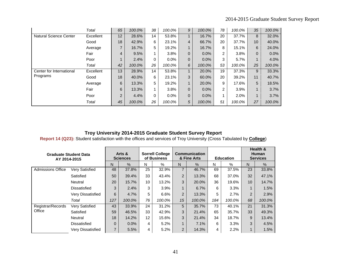|                               | Total     | 65 | 100.0% | 38 | 100.0%  | 9              | 100.0%  | 78 | 100.0% | 35                      | 100.0%  |
|-------------------------------|-----------|----|--------|----|---------|----------------|---------|----|--------|-------------------------|---------|
| <b>Natural Science Center</b> | Excellent | 12 | 28.6%  | 14 | 53.8%   |                | 16.7%   | 20 | 37.7%  | 8                       | 32.0%   |
|                               | Good      | 18 | 42.9%  | 6  | 23.1%   | 4              | 66.7%   | 20 | 37.7%  | 10                      | 40.0%   |
|                               | Average   | 7  | 16.7%  | 5  | 19.2%   | 1              | 16.7%   | 8  | 15.1%  | 6                       | 24.0%   |
|                               | Fair      | 4  | 9.5%   |    | 3.8%    | $\overline{0}$ | $0.0\%$ | 2  | 3.8%   | 0                       | $0.0\%$ |
|                               | Poor      |    | 2.4%   | 0  | $0.0\%$ | $\overline{0}$ | $0.0\%$ | 3  | 5.7%   | $\overline{A}$          | 4.0%    |
|                               | Total     | 42 | 100.0% | 26 | 100.0%  | 6              | 100.0%  | 53 | 100.0% | 25                      | 100.0%  |
| Center for International      | Excellent | 13 | 28.9%  | 14 | 53.8%   | $\mathbf{1}$   | 20.0%   | 19 | 37.3%  | 9                       | 33.3%   |
| Programs                      | Good      | 18 | 40.0%  | 6  | 23.1%   | 3              | 60.0%   | 20 | 39.2%  | 11                      | 40.7%   |
|                               | Average   | 6  | 13.3%  | 5  | 19.2%   | $\mathbf{1}$   | 20.0%   | 9  | 17.6%  | 5                       | 18.5%   |
|                               | Fair      | 6  | 13.3%  |    | 3.8%    | $\mathbf{0}$   | $0.0\%$ | 2  | 3.9%   | 1                       | 3.7%    |
|                               | Poor      | 2  | 4.4%   | 0  | $0.0\%$ | $\overline{0}$ | $0.0\%$ |    | 2.0%   | $\overline{\mathbf{A}}$ | 3.7%    |
|                               | Total     | 45 | 100.0% | 26 | 100.0%  | 5              | 100.0%  | 51 | 100.0% | 27                      | 100.0%  |

**Report 14 (Q23):** Student satisfaction with the offices and services of Troy University (Cross Tabulated by **College**)

| <b>Graduate Student Data</b><br>AY 2014-2015 |                       | Arts &<br><b>Sciences</b> |         | <b>Sorrell College</b><br>of Business |        | <b>Communication</b><br>& Fine Arts |        |     | <b>Education</b> |                | Health &<br><b>Human</b><br><b>Services</b> |
|----------------------------------------------|-----------------------|---------------------------|---------|---------------------------------------|--------|-------------------------------------|--------|-----|------------------|----------------|---------------------------------------------|
|                                              |                       | N                         | %       | N                                     | %      | N                                   | $\%$   | N   | %                | N              | $\%$                                        |
| <b>Admissions Office</b>                     | <b>Very Satisfied</b> | 48                        | 37.8%   | 25                                    | 32.9%  | 7                                   | 46.7%  | 69  | 37.5%            | 23             | 33.8%                                       |
|                                              | Satisfied             | 50                        | 39.4%   | 33                                    | 43.4%  | 2                                   | 13.3%  | 68  | 37.0%            | 32             | 47.1%                                       |
|                                              | Neutral               | 20                        | 15.7%   | 10                                    | 13.2%  | 3                                   | 20.0%  | 36  | 19.6%            | 10             | 14.7%                                       |
|                                              | Dissatisfied          | 3                         | 2.4%    | 3                                     | 3.9%   | 1                                   | 6.7%   | 6   | 3.3%             |                | 1.5%                                        |
|                                              | Very Dissatisfied     | 6                         | 4.7%    | 5                                     | 6.6%   | $\overline{2}$                      | 13.3%  | 5   | 2.7%             | $\overline{2}$ | 2.9%                                        |
|                                              | Total                 | 127                       | 100.0%  | 76                                    | 100.0% | 15                                  | 100.0% | 184 | 100.0%           | 68             | 100.0%                                      |
| Registrar/Records                            | <b>Very Satisfied</b> | 43                        | 33.9%   | 24                                    | 31.2%  | 5                                   | 35.7%  | 73  | 40.1%            | 21             | 31.3%                                       |
| Office                                       | Satisfied             | 59                        | 46.5%   | 33                                    | 42.9%  | 3                                   | 21.4%  | 65  | 35.7%            | 33             | 49.3%                                       |
|                                              | Neutral               | 18                        | 14.2%   | $12 \overline{ }$                     | 15.6%  | 3                                   | 21.4%  | 34  | 18.7%            | 9              | 13.4%                                       |
|                                              | Dissatisfied          | $\Omega$                  | $0.0\%$ | 4                                     | 5.2%   | 1                                   | 7.1%   | 6   | 3.3%             | 3              | 4.5%                                        |
|                                              | Very Dissatisfied     | 7                         | 5.5%    | 4                                     | 5.2%   | $\overline{2}$                      | 14.3%  | 4   | 2.2%             |                | 1.5%                                        |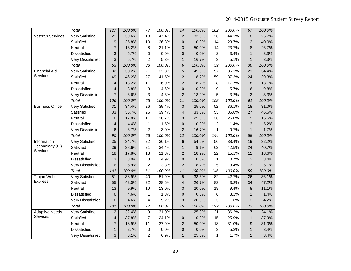|                         | Total                 | 127             | 100.0% | 77              | 100.0% | 14             | 100.0% | 182            | 100.0% | 67              | 100.0% |
|-------------------------|-----------------------|-----------------|--------|-----------------|--------|----------------|--------|----------------|--------|-----------------|--------|
| <b>Veteran Services</b> | <b>Very Satisfied</b> | 21              | 39.6%  | 18              | 47.4%  | $\overline{2}$ | 33.3%  | 26             | 44.1%  | 8               | 26.7%  |
|                         | Satisfied             | 19              | 35.8%  | 10              | 26.3%  | $\mathbf 0$    | 0.0%   | 14             | 23.7%  | 12              | 40.0%  |
|                         | Neutral               | $\overline{7}$  | 13.2%  | 8               | 21.1%  | 3              | 50.0%  | 14             | 23.7%  | 8               | 26.7%  |
|                         | <b>Dissatisfied</b>   | 3               | 5.7%   | 0               | 0.0%   | $\overline{0}$ | 0.0%   | $\overline{2}$ | 3.4%   | $\mathbf{1}$    | 3.3%   |
|                         | Very Dissatisfied     | 3               | 5.7%   | $\overline{2}$  | 5.3%   | $\mathbf{1}$   | 16.7%  | 3              | 5.1%   | $\mathbf{1}$    | 3.3%   |
|                         | Total                 | 53              | 100.0% | 38              | 100.0% | 6              | 100.0% | 59             | 100.0% | 30              | 100.0% |
| <b>Financial Aid</b>    | <b>Very Satisfied</b> | $\overline{32}$ | 30.2%  | $\overline{21}$ | 32.3%  | $\overline{5}$ | 45.5%  | 57             | 36.1%  | $\overline{21}$ | 34.4%  |
| Services                | Satisfied             | 49              | 46.2%  | 27              | 41.5%  | $\overline{2}$ | 18.2%  | 59             | 37.3%  | 24              | 39.3%  |
|                         | Neutral               | 14              | 13.2%  | 11              | 16.9%  | $\overline{2}$ | 18.2%  | 28             | 17.7%  | 8               | 13.1%  |
|                         | Dissatisfied          | $\overline{4}$  | 3.8%   | 3               | 4.6%   | $\mathbf 0$    | 0.0%   | 9              | 5.7%   | 6               | 9.8%   |
|                         | Very Dissatisfied     | $\overline{7}$  | 6.6%   | 3               | 4.6%   | $\overline{2}$ | 18.2%  | 5              | 3.2%   | $\overline{2}$  | 3.3%   |
|                         | Total                 | 106             | 100.0% | 65              | 100.0% | 11             | 100.0% | 158            | 100.0% | 61              | 100.0% |
| <b>Business Office</b>  | Very Satisfied        | 31              | 34.4%  | 26              | 39.4%  | 3              | 25.0%  | 52             | 36.1%  | 18              | 31.0%  |
|                         | Satisfied             | 33              | 36.7%  | 26              | 39.4%  | $\overline{4}$ | 33.3%  | 53             | 36.8%  | 27              | 46.6%  |
|                         | Neutral               | 16              | 17.8%  | 11              | 16.7%  | 3              | 25.0%  | 36             | 25.0%  | 9               | 15.5%  |
|                         | <b>Dissatisfied</b>   | 4               | 4.4%   | 1               | 1.5%   | $\overline{0}$ | 0.0%   | $\overline{2}$ | 1.4%   | 3               | 5.2%   |
|                         | Very Dissatisfied     | 6               | 6.7%   | $\mathbf 2$     | 3.0%   | $\overline{2}$ | 16.7%  | 1              | 0.7%   | $\mathbf{1}$    | 1.7%   |
|                         | Total                 | 90              | 100.0% | 66              | 100.0% | 12             | 100.0% | 144            | 100.0% | 58              | 100.0% |
| Information             | Very Satisfied        | 35              | 34.7%  | $\overline{22}$ | 36.1%  | $6\phantom{1}$ | 54.5%  | 56             | 38.4%  | 19              | 32.2%  |
| Technology (IT)         | Satisfied             | 39              | 38.6%  | 21              | 34.4%  | $\mathbf{1}$   | 9.1%   | 62             | 42.5%  | 24              | 40.7%  |
| Services                | Neutral               | 18              | 17.8%  | 13              | 21.3%  | $\overline{2}$ | 18.2%  | 22             | 15.1%  | 11              | 18.6%  |
|                         | <b>Dissatisfied</b>   | 3               | 3.0%   | 3               | 4.9%   | $\overline{0}$ | 0.0%   | $\mathbf{1}$   | 0.7%   | $\overline{2}$  | 3.4%   |
|                         | Very Dissatisfied     | 6               | 5.9%   | $\overline{c}$  | 3.3%   | $\overline{2}$ | 18.2%  | 5              | 3.4%   | 3               | 5.1%   |
|                         | Total                 | 101             | 100.0% | 61              | 100.0% | 11             | 100.0% | 146            | 100.0% | 59              | 100.0% |
| Trojan Web              | Very Satisfied        | 51              | 38.9%  | 40              | 51.9%  | 5              | 33.3%  | 82             | 42.7%  | 26              | 36.1%  |
| <b>Express</b>          | Satisfied             | 55              | 42.0%  | 22              | 28.6%  | $\overline{4}$ | 26.7%  | 83             | 43.2%  | 34              | 47.2%  |
|                         | Neutral               | 13              | 9.9%   | 10              | 13.0%  | 3              | 20.0%  | 18             | 9.4%   | 8               | 11.1%  |
|                         | Dissatisfied          | 6               | 4.6%   | 1               | 1.3%   | $\mathbf 0$    | 0.0%   | 6              | 3.1%   | $\mathbf{1}$    | 1.4%   |
|                         | Very Dissatisfied     | 6               | 4.6%   | 4               | 5.2%   | 3              | 20.0%  | 3              | 1.6%   | 3               | 4.2%   |
|                         | Total                 | 131             | 100.0% | 77              | 100.0% | 15             | 100.0% | 192            | 100.0% | 72              | 100.0% |
| <b>Adaptive Needs</b>   | <b>Very Satisfied</b> | 12              | 32.4%  | 9               | 31.0%  | $\mathbf{1}$   | 25.0%  | 21             | 36.2%  | $\overline{7}$  | 24.1%  |
| Services                | Satisfied             | 14              | 37.8%  | 7               | 24.1%  | $\mathbf 0$    | 0.0%   | 15             | 25.9%  | 11              | 37.9%  |
|                         | Neutral               | $\overline{7}$  | 18.9%  | 11              | 37.9%  | $\overline{2}$ | 50.0%  | 18             | 31.0%  | 9               | 31.0%  |
|                         | Dissatisfied          | $\mathbf{1}$    | 2.7%   | 0               | 0.0%   | $\pmb{0}$      | 0.0%   | 3              | 5.2%   | $\mathbf{1}$    | 3.4%   |
|                         | Very Dissatisfied     | 3               | 8.1%   | $\overline{2}$  | 6.9%   | $\mathbf{1}$   | 25.0%  | 1              | 1.7%   | $\mathbf{1}$    | 3.4%   |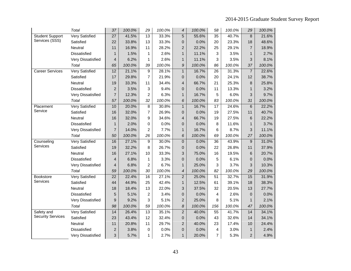|                          | Total                 | 37              | 100.0% | 29              | 100.0% | $\boldsymbol{4}$ | 100.0% | 58              | 100.0% | 29             | 100.0% |
|--------------------------|-----------------------|-----------------|--------|-----------------|--------|------------------|--------|-----------------|--------|----------------|--------|
| <b>Student Support</b>   | <b>Very Satisfied</b> | $\overline{27}$ | 41.5%  | $\overline{13}$ | 33.3%  | $\overline{5}$   | 55.6%  | $\overline{35}$ | 40.7%  | 8              | 21.6%  |
| Services (SSS)           | Satisfied             | 22              | 33.8%  | 13              | 33.3%  | $\mathbf 0$      | 0.0%   | 20              | 23.3%  | 18             | 48.6%  |
|                          | Neutral               | 11              | 16.9%  | 11              | 28.2%  | $\overline{2}$   | 22.2%  | 25              | 29.1%  | $\overline{7}$ | 18.9%  |
|                          | <b>Dissatisfied</b>   | $\mathbf{1}$    | 1.5%   | 1               | 2.6%   | $\mathbf{1}$     | 11.1%  | 3               | 3.5%   | $\mathbf{1}$   | 2.7%   |
|                          | Very Dissatisfied     | $\overline{4}$  | 6.2%   | 1               | 2.6%   | $\mathbf{1}$     | 11.1%  | 3               | 3.5%   | 3              | 8.1%   |
|                          | Total                 | 65              | 100.0% | 39              | 100.0% | 9                | 100.0% | 86              | 100.0% | 37             | 100.0% |
| <b>Career Services</b>   | <b>Very Satisfied</b> | 12              | 21.1%  | 9               | 28.1%  | $\mathbf{1}$     | 16.7%  | 26              | 31.3%  | $\overline{7}$ | 22.6%  |
|                          | Satisfied             | 17              | 29.8%  | 7               | 21.9%  | $\overline{0}$   | 0.0%   | 20              | 24.1%  | 12             | 38.7%  |
|                          | Neutral               | 19              | 33.3%  | 11              | 34.4%  | $\overline{4}$   | 66.7%  | 21              | 25.3%  | 8              | 25.8%  |
|                          | Dissatisfied          | $\overline{c}$  | 3.5%   | 3               | 9.4%   | $\mathbf 0$      | 0.0%   | 11              | 13.3%  | $\mathbf{1}$   | 3.2%   |
|                          | Very Dissatisfied     | $\overline{7}$  | 12.3%  | $\overline{2}$  | 6.3%   | $\mathbf{1}$     | 16.7%  | 5               | 6.0%   | 3              | 9.7%   |
|                          | Total                 | 57              | 100.0% | 32              | 100.0% | 6                | 100.0% | 83              | 100.0% | 31             | 100.0% |
| Placement                | <b>Very Satisfied</b> | 10              | 20.0%  | 8               | 30.8%  | $\mathbf{1}$     | 16.7%  | 17              | 24.6%  | $6\phantom{1}$ | 22.2%  |
| Service                  | Satisfied             | 16              | 32.0%  | 7               | 26.9%  | $\overline{0}$   | 0.0%   | 19              | 27.5%  | 11             | 40.7%  |
|                          | Neutral               | 16              | 32.0%  | 9               | 34.6%  | $\overline{4}$   | 66.7%  | 19              | 27.5%  | 6              | 22.2%  |
|                          | Dissatisfied          | $\mathbf{1}$    | 2.0%   | 0               | 0.0%   | $\mathbf 0$      | 0.0%   | 8               | 11.6%  | $\mathbf{1}$   | 3.7%   |
|                          | Very Dissatisfied     | $\overline{7}$  | 14.0%  | 2               | 7.7%   | $\mathbf{1}$     | 16.7%  | 6               | 8.7%   | 3              | 11.1%  |
|                          | Total                 | 50              | 100.0% | 26              | 100.0% | $\boldsymbol{6}$ | 100.0% | 69              | 100.0% | 27             | 100.0% |
| Counseling               | <b>Very Satisfied</b> | 16              | 27.1%  | $\overline{9}$  | 30.0%  | $\pmb{0}$        | 0.0%   | $\overline{36}$ | 43.9%  | 9              | 31.0%  |
| Services                 | Satisfied             | 19              | 32.2%  | 8               | 26.7%  | $\mathbf 0$      | 0.0%   | 22              | 26.8%  | 11             | 37.9%  |
|                          | Neutral               | 16              | 27.1%  | 10              | 33.3%  | 3                | 75.0%  | 16              | 19.5%  | 6              | 20.7%  |
|                          | <b>Dissatisfied</b>   | $\overline{4}$  | 6.8%   | 1               | 3.3%   | $\overline{0}$   | 0.0%   | 5               | 6.1%   | $\mathbf 0$    | 0.0%   |
|                          | Very Dissatisfied     | $\overline{4}$  | 6.8%   | 2               | 6.7%   | $\mathbf{1}$     | 25.0%  | 3               | 3.7%   | 3              | 10.3%  |
|                          | Total                 | 59              | 100.0% | 30              | 100.0% | 4                | 100.0% | 82              | 100.0% | 29             | 100.0% |
| <b>Bookstore</b>         | <b>Very Satisfied</b> | $\overline{22}$ | 22.4%  | 16              | 27.1%  | $\overline{2}$   | 25.0%  | $\overline{51}$ | 32.7%  | 15             | 31.9%  |
| Services                 | Satisfied             | 44              | 44.9%  | 25              | 42.4%  | $\mathbf{1}$     | 12.5%  | 61              | 39.1%  | 18             | 38.3%  |
|                          | Neutral               | 18              | 18.4%  | 13              | 22.0%  | 3                | 37.5%  | 32              | 20.5%  | 13             | 27.7%  |
|                          | <b>Dissatisfied</b>   | 5               | 5.1%   | $\overline{2}$  | 3.4%   | $\overline{0}$   | 0.0%   | $\overline{4}$  | 2.6%   | $\Omega$       | 0.0%   |
|                          | Very Dissatisfied     | 9               | 9.2%   | 3               | 5.1%   | $\overline{c}$   | 25.0%  | 8               | 5.1%   | $\mathbf{1}$   | 2.1%   |
|                          | Total                 | 98              | 100.0% | 59              | 100.0% | 8                | 100.0% | 156             | 100.0% | 47             | 100.0% |
| Safety and               | <b>Very Satisfied</b> | 14              | 26.4%  | $\overline{13}$ | 35.1%  | $\overline{c}$   | 40.0%  | 55              | 41.7%  | 14             | 34.1%  |
| <b>Security Services</b> | Satisfied             | 23              | 43.4%  | 12              | 32.4%  | $\mathbf 0$      | 0.0%   | 43              | 32.6%  | 14             | 34.1%  |
|                          | Neutral               | 11              | 20.8%  | 11              | 29.7%  | $\overline{2}$   | 40.0%  | 23              | 17.4%  | 10             | 24.4%  |
|                          | Dissatisfied          | $\overline{2}$  | 3.8%   | 0               | 0.0%   | $\pmb{0}$        | 0.0%   | 4               | 3.0%   | $\mathbf{1}$   | 2.4%   |
|                          | Very Dissatisfied     | 3               | 5.7%   | 1               | 2.7%   | $\mathbf{1}$     | 20.0%  | $\overline{7}$  | 5.3%   | $\overline{c}$ | 4.9%   |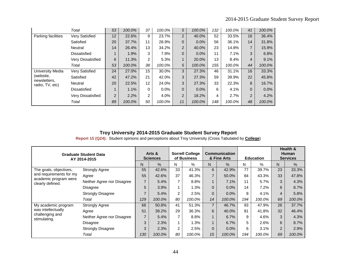|                                 | Total                 | 53               | 100.0% | 37 | 100.0%  | 5              | 100.0%  | 132 | 100.0% | 41           | 100.0% |
|---------------------------------|-----------------------|------------------|--------|----|---------|----------------|---------|-----|--------|--------------|--------|
| Parking facilities              | <b>Very Satisfied</b> | 12               | 22.6%  | 9  | 23.7%   | $\overline{2}$ | 40.0%   | 52  | 33.5%  | 16           | 36.4%  |
|                                 | Satisfied             | 20               | 37.7%  | 11 | 28.9%   | 0              | $0.0\%$ | 56  | 36.1%  | 14           | 31.8%  |
|                                 | Neutral               | 14               | 26.4%  | 13 | 34.2%   | $\overline{2}$ | 40.0%   | 23  | 14.8%  | 7            | 15.9%  |
|                                 | <b>Dissatisfied</b>   |                  | 1.9%   | 3  | 7.9%    | 0              | $0.0\%$ | 11  | 7.1%   | 3            | 6.8%   |
|                                 | Very Dissatisfied     | 6                | 11.3%  | 2  | 5.3%    | 1              | 20.0%   | 13  | 8.4%   | 4            | 9.1%   |
|                                 | Total                 | 53               | 100.0% | 38 | 100.0%  | 5              | 100.0%  | 155 | 100.0% | 44           | 100.0% |
| <b>University Media</b>         | <b>Very Satisfied</b> | 24               | 27.0%  | 15 | 30.0%   | 3              | 27.3%   | 46  | 31.1%  | 16           | 33.3%  |
| (website,                       | Satisfied             | 42               | 47.2%  | 21 | 42.0%   | 3              | 27.3%   | 59  | 39.9%  | 22           | 45.8%  |
| newsletters,<br>radio, TV, etc) | Neutral               | 20               | 22.5%  | 12 | 24.0%   | 3              | 27.3%   | 33  | 22.3%  | 8            | 16.7%  |
|                                 | Dissatisfied          | $\boldsymbol{A}$ | 1.1%   | 0  | $0.0\%$ | 0              | $0.0\%$ | 6   | 4.1%   | $\mathbf{0}$ | 0.0%   |
|                                 | Very Dissatisfied     | $\overline{2}$   | 2.2%   | 2  | 4.0%    | $\overline{2}$ | 18.2%   | 4   | 2.7%   | 2            | 4.2%   |
|                                 | Total                 | 89               | 100.0% | 50 | 100.0%  | 11             | 100.0%  | 148 | 100.0% | 48           | 100.0% |

**Report 15 (Q24):** Student opinions and perceptions about Troy University (Cross Tabulated by **College**)

|                                           | <b>Graduate Student Data</b><br>AY 2014-2015 |                | Arts &<br><b>Sciences</b> |                | <b>Sorrell College</b><br>of Business |                | <b>Communication</b><br>& Fine Arts |     | <b>Education</b> |                | Health &<br><b>Human</b><br><b>Services</b> |
|-------------------------------------------|----------------------------------------------|----------------|---------------------------|----------------|---------------------------------------|----------------|-------------------------------------|-----|------------------|----------------|---------------------------------------------|
|                                           |                                              | N              | $\frac{0}{0}$             | N              | $\%$                                  | N              | $\%$                                | N   | %                | N              | %                                           |
| The goals, objectives,                    | <b>Strongly Agree</b>                        | 55             | 42.6%                     | 33             | 41.3%                                 | 6              | 42.9%                               | 77  | 39.7%            | 23             | 33.3%                                       |
| and requirements for my                   | Agree                                        | 55             | 42.6%                     | 37             | 46.3%                                 | $\overline{7}$ | 50.0%                               | 84  | 43.3%            | 33             | 47.8%                                       |
| academic program were<br>clearly defined. | Neither Agree nor Disagree                   | $\overline{7}$ | 5.4%                      | 7              | 8.8%                                  | $\overline{1}$ | 7.1%                                | 11  | 5.7%             | 3              | 4.3%                                        |
|                                           | <b>Disagree</b>                              | 5              | 3.9%                      | 1              | 1.3%                                  | $\mathbf 0$    | 0.0%                                | 14  | 7.2%             | 6              | 8.7%                                        |
|                                           | <b>Strongly Disagree</b>                     | 7              | 5.4%                      | $\overline{c}$ | 2.5%                                  | $\Omega$       | $0.0\%$                             | 8   | 4.1%             | $\overline{4}$ | 5.8%                                        |
|                                           | Total                                        | 129            | 100.0%                    | 80             | 100.0%                                | 14             | 100.0%                              | 194 | 100.0%           | 69             | 100.0%                                      |
| My academic program                       | <b>Strongly Agree</b>                        | 66             | 50.8%                     | 41             | 51.3%                                 | $\overline{7}$ | 46.7%                               | 93  | 47.9%            | 26             | 37.7%                                       |
| was intellectually                        | Agree                                        | 51             | 39.2%                     | 29             | 36.3%                                 | 6              | 40.0%                               | 81  | 41.8%            | 32             | 46.4%                                       |
| challenging and                           | Neither Agree nor Disagree                   | $\overline{7}$ | 5.4%                      | 7              | 8.8%                                  |                | 6.7%                                | 9   | 4.6%             | 3              | 4.3%                                        |
| stimulating.                              | Disagree                                     | 3              | 2.3%                      | 1              | 1.3%                                  |                | 6.7%                                | 5   | 2.6%             | 6              | 8.7%                                        |
|                                           | <b>Strongly Disagree</b>                     | 3              | 2.3%                      | $\overline{2}$ | 2.5%                                  | $\Omega$       | $0.0\%$                             | 6   | 3.1%             | 2              | 2.9%                                        |
|                                           | Total                                        | 130            | 100.0%                    | 80             | 100.0%                                | 15             | 100.0%                              | 194 | 100.0%           | 69             | 100.0%                                      |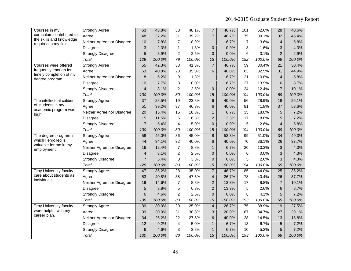| Courses in my                                     | <b>Strongly Agree</b>      | 63              | 48.8%  | 38              | 48.1%  | $\overline{7}$          | 46.7%  | 101            | 52.6%  | 28              | 40.6%  |
|---------------------------------------------------|----------------------------|-----------------|--------|-----------------|--------|-------------------------|--------|----------------|--------|-----------------|--------|
| curriculum contributed to                         | Agree                      | 48              | 37.2%  | 31              | 39.2%  | $\overline{7}$          | 46.7%  | 75             | 39.1%  | 32              | 46.4%  |
| the skills and knowledge<br>required in my field. | Neither Agree nor Disagree | 10              | 7.8%   | $\overline{7}$  | 8.9%   | $\mathbf{1}$            | 6.7%   | $\overline{7}$ | 3.6%   | 4               | 5.8%   |
|                                                   | Disagree                   | 3               | 2.3%   | 1               | 1.3%   | $\overline{0}$          | 0.0%   | 3              | 1.6%   | 3               | 4.3%   |
|                                                   | <b>Strongly Disagree</b>   | 5               | 3.9%   | $\overline{2}$  | 2.5%   | $\overline{0}$          | 0.0%   | 6              | 3.1%   | $\overline{2}$  | 2.9%   |
|                                                   | Total                      | 129             | 100.0% | 79              | 100.0% | 15                      | 100.0% | 192            | 100.0% | 69              | 100.0% |
| Courses were offered                              | <b>Strongly Agree</b>      | $\overline{55}$ | 42.3%  | $\overline{33}$ | 41.3%  | $\overline{7}$          | 46.7%  | 59             | 30.4%  | $\overline{21}$ | 30.4%  |
| frequently enough for                             | Agree                      | 53              | 40.8%  | 28              | 35.0%  | 6                       | 40.0%  | 63             | 32.5%  | 31              | 44.9%  |
| timely completion of my<br>degree program.        | Neither Agree nor Disagree | 8               | 6.2%   | 9               | 11.3%  | $\mathbf{1}$            | 6.7%   | 21             | 10.8%  | $\overline{4}$  | 5.8%   |
|                                                   | Disagree                   | 10              | 7.7%   | 8               | 10.0%  | $\mathbf{1}$            | 6.7%   | 27             | 13.9%  | 6               | 8.7%   |
|                                                   | <b>Strongly Disagree</b>   | $\overline{4}$  | 3.1%   | $\overline{c}$  | 2.5%   | $\overline{0}$          | 0.0%   | 24             | 12.4%  | $\overline{7}$  | 10.1%  |
|                                                   | Total                      | 130             | 100.0% | 80              | 100.0% | 15                      | 100.0% | 194            | 100.0% | 69              | 100.0% |
| The intellectual caliber                          | <b>Strongly Agree</b>      | 37              | 28.5%  | 19              | 23.8%  | 6                       | 40.0%  | 56             | 28.9%  | 18              | 26.1%  |
| of students in my                                 | Agree                      | 51              | 39.2%  | 37              | 46.3%  | 6                       | 40.0%  | 81             | 41.8%  | 37              | 53.6%  |
| academic program was<br>high.                     | Neither Agree nor Disagree | 20              | 15.4%  | 15              | 18.8%  | $\mathbf{1}$            | 6.7%   | 35             | 18.0%  | 5               | 7.2%   |
|                                                   | <b>Disagree</b>            | 15              | 11.5%  | 5               | 6.3%   | $\overline{2}$          | 13.3%  | 17             | 8.8%   | 5               | 7.2%   |
|                                                   | <b>Strongly Disagree</b>   | $\overline{7}$  | 5.4%   | 4               | 5.0%   | $\Omega$                | 0.0%   | 5              | 2.6%   | $\overline{4}$  | 5.8%   |
|                                                   | Total                      | 130             | 100.0% | 80              | 100.0% | 15                      | 100.0% | 194            | 100.0% | 69              | 100.0% |
| The degree program in                             | <b>Strongly Agree</b>      | $\overline{58}$ | 45.0%  | 36              | 45.0%  | $\bf 8$                 | 53.3%  | 99             | 51.0%  | $\overline{34}$ | 49.3%  |
| which I enrolled is                               | Agree                      | 44              | 34.1%  | 32              | 40.0%  | 6                       | 40.0%  | 70             | 36.1%  | 26              | 37.7%  |
| valuable for me in my<br>employment.              | Neither Agree nor Disagree | 16              | 12.4%  | $\overline{7}$  | 8.8%   | $\mathbf{1}$            | 6.7%   | 20             | 10.3%  | 3               | 4.3%   |
|                                                   | <b>Disagree</b>            | $\overline{4}$  | 3.1%   | $\overline{c}$  | 2.5%   | $\overline{0}$          | 0.0%   | 0              | 0.0%   | 3               | 4.3%   |
|                                                   | <b>Strongly Disagree</b>   | $\overline{7}$  | 5.4%   | 3               | 3.8%   | $\Omega$                | 0.0%   | 5              | 2.6%   | 3               | 4.3%   |
|                                                   | Total                      | 129             | 100.0% | 80              | 100.0% | 15                      | 100.0% | 194            | 100.0% | 69              | 100.0% |
| <b>Troy University faculty</b>                    | <b>Strongly Agree</b>      | 47              | 36.2%  | $\overline{28}$ | 35.0%  | $\overline{7}$          | 46.7%  | 85             | 44.0%  | $\overline{25}$ | 36.2%  |
| care about students as<br>individuals.            | Agree                      | 53              | 40.8%  | 38              | 47.5%  | $\overline{\mathbf{4}}$ | 26.7%  | 78             | 40.4%  | 26              | 37.7%  |
|                                                   | Neither Agree nor Disagree | 19              | 14.6%  | $\overline{7}$  | 8.8%   | $\overline{2}$          | 13.3%  | 17             | 8.8%   | $\overline{7}$  | 10.1%  |
|                                                   | <b>Disagree</b>            | 5               | 3.8%   | 5               | 6.3%   | $\overline{2}$          | 13.3%  | 5              | 2.6%   | 6               | 8.7%   |
|                                                   | <b>Strongly Disagree</b>   | 6               | 4.6%   | $\overline{2}$  | 2.5%   | $\overline{0}$          | 0.0%   | 8              | 4.1%   | 5               | 7.2%   |
|                                                   | Total                      | 130             | 100.0% | 80              | 100.0% | 15                      | 100.0% | 193            | 100.0% | 69              | 100.0% |
| <b>Troy University faculty</b>                    | <b>Strongly Agree</b>      | 39              | 30.0%  | $\overline{20}$ | 25.0%  | $\overline{4}$          | 26.7%  | 75             | 38.9%  | 19              | 27.5%  |
| were helpful with my                              | Agree                      | 39              | 30.0%  | 31              | 38.8%  | 3                       | 20.0%  | 67             | 34.7%  | 27              | 39.1%  |
| career plan.                                      | Neither Agree nor Disagree | 34              | 26.2%  | 22              | 27.5%  | 6                       | 40.0%  | 28             | 14.5%  | 13              | 18.8%  |
|                                                   | Disagree                   | 12              | 9.2%   | 4               | 5.0%   | $\mathbf{1}$            | 6.7%   | 13             | 6.7%   | 5               | 7.2%   |
|                                                   | <b>Strongly Disagree</b>   | 6               | 4.6%   | 3               | 3.8%   | $\mathbf{1}$            | 6.7%   | 10             | 5.2%   | 5               | 7.2%   |
|                                                   | Total                      | 130             | 100.0% | 80              | 100.0% | 15                      | 100.0% | 193            | 100.0% | 69              | 100.0% |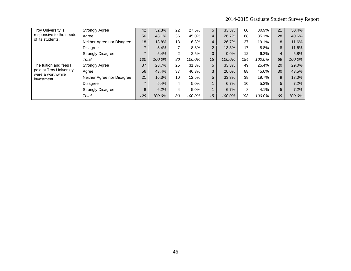| <b>Troy University is</b>                    | <b>Strongly Agree</b>      | 42  | 32.3%  | 22 | 27.5%  | 5              | 33.3%  | 60  | 30.9%  | 21             | 30.4%  |
|----------------------------------------------|----------------------------|-----|--------|----|--------|----------------|--------|-----|--------|----------------|--------|
| responsive to the needs<br>of its students.  | Agree                      | 56  | 43.1%  | 36 | 45.0%  | $\overline{4}$ | 26.7%  | 68  | 35.1%  | 28             | 40.6%  |
|                                              | Neither Agree nor Disagree | 18  | 13.8%  | 13 | 16.3%  | $\overline{4}$ | 26.7%  | 37  | 19.1%  | 8              | 11.6%  |
|                                              | <b>Disagree</b>            |     | 5.4%   | 7  | 8.8%   | $\overline{2}$ | 13.3%  | 17  | 8.8%   | 8              | 11.6%  |
|                                              | <b>Strongly Disagree</b>   |     | 5.4%   | 2  | 2.5%   | $\Omega$       | 0.0%   | 12  | 6.2%   | $\overline{4}$ | 5.8%   |
|                                              | Total                      | 130 | 100.0% | 80 | 100.0% | 15             | 100.0% | 194 | 100.0% | 69             | 100.0% |
| The tuition and fees I                       | <b>Strongly Agree</b>      | 37  | 28.7%  | 25 | 31.3%  | 5              | 33.3%  | 49  | 25.4%  | 20             | 29.0%  |
| paid at Troy University<br>were a worthwhile | Agree                      | 56  | 43.4%  | 37 | 46.3%  | 3              | 20.0%  | 88  | 45.6%  | 30             | 43.5%  |
| investment.                                  | Neither Agree nor Disagree | 21  | 16.3%  | 10 | 12.5%  | 5              | 33.3%  | 38  | 19.7%  | 9              | 13.0%  |
|                                              | <b>Disagree</b>            |     | 5.4%   | 4  | 5.0%   |                | 6.7%   | 10  | 5.2%   | 5              | 7.2%   |
|                                              | <b>Strongly Disagree</b>   | 8   | 6.2%   | 4  | 5.0%   |                | 6.7%   | 8   | 4.1%   | 5              | 7.2%   |
|                                              | Total                      | 129 | 100.0% | 80 | 100.0% | 15             | 100.0% | 193 | 100.0% | 69             | 100.0% |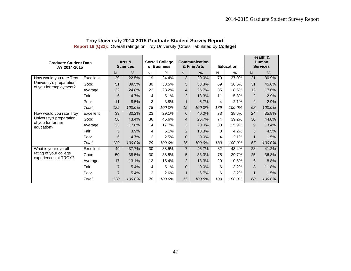| <b>Graduate Student Data</b><br>AY 2014-2015   |           |                | Arts &<br><b>Sciences</b> |    | <b>Sorrell College</b><br>of Business |                | <b>Communication</b><br>& Fine Arts |     | <b>Education</b> |                | Health &<br><b>Human</b><br><b>Services</b> |
|------------------------------------------------|-----------|----------------|---------------------------|----|---------------------------------------|----------------|-------------------------------------|-----|------------------|----------------|---------------------------------------------|
|                                                |           | $\mathsf{N}$   | %                         | N  | $\%$                                  | N              | $\frac{0}{0}$                       | N   | $\%$             | N              | $\frac{0}{0}$                               |
| How would you rate Troy                        | Excellent | 29             | 22.5%                     | 19 | 24.4%                                 | 3              | 20.0%                               | 70  | 37.0%            | 21             | 30.9%                                       |
| University's preparation                       | Good      | 51             | 39.5%                     | 30 | 38.5%                                 | 5              | 33.3%                               | 69  | 36.5%            | 31             | 45.6%                                       |
| of you for employment?                         | Average   | 32             | 24.8%                     | 22 | 28.2%                                 | 4              | 26.7%                               | 35  | 18.5%            | 12             | 17.6%                                       |
|                                                | Fair      | 6              | 4.7%                      | 4  | 5.1%                                  | $\overline{2}$ | 13.3%                               | 11  | 5.8%             | 2              | 2.9%                                        |
|                                                | Poor      | 11             | 8.5%                      | 3  | 3.8%                                  |                | 6.7%                                | 4   | 2.1%             | $\overline{2}$ | 2.9%                                        |
|                                                | Total     | 129            | 100.0%                    | 78 | 100.0%                                | 15             | 100.0%                              | 189 | 100.0%           | 68             | 100.0%                                      |
| How would you rate Troy                        | Excellent | 39             | 30.2%                     | 23 | 29.1%                                 | 6              | 40.0%                               | 73  | 38.6%            | 24             | 35.8%                                       |
| University's preparation<br>of you for further | Good      | 56             | 43.4%                     | 36 | 45.6%                                 | $\overline{4}$ | 26.7%                               | 74  | 39.2%            | 30             | 44.8%                                       |
| education?                                     | Average   | 23             | 17.8%                     | 14 | 17.7%                                 | 3              | 20.0%                               | 30  | 15.9%            | 9              | 13.4%                                       |
|                                                | Fair      | 5              | 3.9%                      | 4  | 5.1%                                  | 2              | 13.3%                               | 8   | 4.2%             | 3              | 4.5%                                        |
|                                                | Poor      | 6              | 4.7%                      | 2  | 2.5%                                  | $\Omega$       | 0.0%                                | 4   | 2.1%             |                | 1.5%                                        |
|                                                | Total     | 129            | 100.0%                    | 79 | 100.0%                                | 15             | 100.0%                              | 189 | 100.0%           | 67             | 100.0%                                      |
| What is your overall                           | Excellent | 49             | 37.7%                     | 30 | 38.5%                                 | $\overline{7}$ | 46.7%                               | 82  | 43.4%            | 28             | 41.2%                                       |
| rating of your college                         | Good      | 50             | 38.5%                     | 30 | 38.5%                                 | 5              | 33.3%                               | 75  | 39.7%            | 25             | 36.8%                                       |
| experiences at TROY?                           | Average   | 17             | 13.1%                     | 12 | 15.4%                                 | $\overline{2}$ | 13.3%                               | 20  | 10.6%            | 6              | 8.8%                                        |
|                                                | Fair      | $\overline{7}$ | 5.4%                      | 4  | 5.1%                                  | $\Omega$       | 0.0%                                | 6   | 3.2%             | 8              | 11.8%                                       |
|                                                | Poor      | $\overline{7}$ | 5.4%                      | 2  | 2.6%                                  | 1              | 6.7%                                | 6   | 3.2%             |                | 1.5%                                        |
|                                                | Total     | 130            | 100.0%                    | 78 | 100.0%                                | 15             | 100.0%                              | 189 | 100.0%           | 68             | 100.0%                                      |

**Report 16 (Q32):** Overall ratings on Troy University (Cross Tabulated by **College**)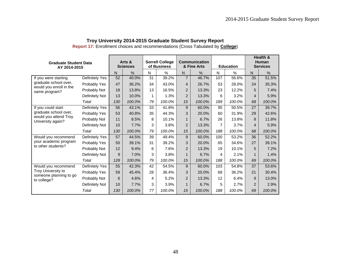| <b>Graduate Student Data</b><br>AY 2014-2015     |                |     | Arts &<br><b>Sciences</b> |    | <b>Sorrell College</b><br>of Business |                | Communication<br>& Fine Arts |                | <b>Education</b> |                | Health &<br>Human<br><b>Services</b> |
|--------------------------------------------------|----------------|-----|---------------------------|----|---------------------------------------|----------------|------------------------------|----------------|------------------|----------------|--------------------------------------|
|                                                  |                | N   | $\frac{0}{0}$             | N  | %                                     | $\mathsf{N}$   | %                            | N              | %                | N              | $\frac{0}{0}$                        |
| If you were starting                             | Definitely Yes | 52  | 40.0%                     | 31 | 39.2%                                 | $\overline{7}$ | 46.7%                        | 107            | 56.6%            | 35             | 51.5%                                |
| graduate school over,<br>would you enroll in the | Probably Yes   | 47  | 36.2%                     | 34 | 43.0%                                 | 4              | 26.7%                        | 53             | 28.0%            | 24             | 35.3%                                |
| same program?                                    | Probably Not   | 18  | 13.8%                     | 13 | 16.5%                                 | 2              | 13.3%                        | 23             | 12.2%            | 5              | 7.4%                                 |
|                                                  | Definitely Not | 13  | 10.0%                     | 1  | 1.3%                                  | $\overline{2}$ | 13.3%                        | 6              | 3.2%             | $\overline{4}$ | 5.9%                                 |
|                                                  | Total          | 130 | 100.0%                    | 79 | 100.0%                                | 15             | 100.0%                       | 189            | 100.0%           | 68             | 100.0%                               |
| If you could start                               | Definitely Yes | 56  | 43.1%                     | 33 | 41.8%                                 | 9              | 60.0%                        | 95             | 50.5%            | 27             | 39.7%                                |
| graduate school over,                            | Probably Yes   | 53  | 40.8%                     | 35 | 44.3%                                 | 3              | 20.0%                        | 60             | 31.9%            | 29             | 42.6%                                |
| would you attend Troy<br>University again?       | Probably Not   | 11  | 8.5%                      | 8  | 10.1%                                 | 1              | 6.7%                         | 26             | 13.8%            | 8              | 11.8%                                |
|                                                  | Definitely Not | 10  | 7.7%                      | 3  | 3.8%                                  | $\overline{2}$ | 13.3%                        | $\overline{7}$ | 3.7%             | 4              | 5.9%                                 |
|                                                  | Total          | 130 | 100.0%                    | 79 | 100.0%                                | 15             | 100.0%                       | 188            | 100.0%           | 68             | 100.0%                               |
| Would you recommend                              | Definitely Yes | 57  | 44.5%                     | 39 | 49.4%                                 | 9              | 60.0%                        | 100            | 53.2%            | 36             | 52.2%                                |
| your academic program                            | Probably Yes   | 50  | 39.1%                     | 31 | 39.2%                                 | 3              | 20.0%                        | 65             | 34.6%            | 27             | 39.1%                                |
| to other students?                               | Probably Not   | 12  | 9.4%                      | 6  | 7.6%                                  | 2              | 13.3%                        | 19             | 10.1%            | 5              | 7.2%                                 |
|                                                  | Definitely Not | 9   | 7.0%                      | 3  | 3.8%                                  | 1              | 6.7%                         | 4              | 2.1%             |                | 1.4%                                 |
|                                                  | Total          | 128 | 100.0%                    | 79 | 100.0%                                | 15             | 100.0%                       | 188            | 100.0%           | 69             | 100.0%                               |
| Would you recommend                              | Definitely Yes | 55  | 42.3%                     | 42 | 54.5%                                 | 9              | 60.0%                        | 103            | 54.8%            | 37             | 53.6%                                |
| Troy University to                               | Probably Yes   | 59  | 45.4%                     | 28 | 36.4%                                 | 3              | 20.0%                        | 68             | 36.2%            | 21             | 30.4%                                |
| someone planning to go<br>to college?            | Probably Not   | 6   | 4.6%                      | 4  | 5.2%                                  | 2              | 13.3%                        | 12             | 6.4%             | 9              | 13.0%                                |
|                                                  | Definitely Not | 10  | 7.7%                      | 3  | 3.9%                                  | 1              | 6.7%                         | 5              | 2.7%             | $\overline{2}$ | 2.9%                                 |
|                                                  | Total          | 130 | 100.0%                    | 77 | 100.0%                                | 15             | 100.0%                       | 188            | 100.0%           | 69             | 100.0%                               |

**Report 17:** Enrollment choices and recommendations (Cross Tabulated by **College**)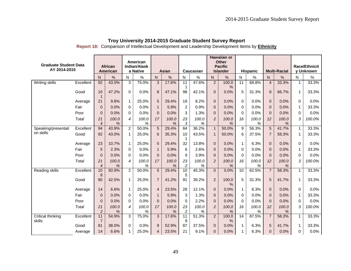| <b>Graduate Student Data</b> |           |                      |                            |                          | American                        |                |               |                      |            |                | <b>Hawaiian or</b><br><b>Other</b> |                 |                 |                |                     |             |                                   |
|------------------------------|-----------|----------------------|----------------------------|--------------------------|---------------------------------|----------------|---------------|----------------------|------------|----------------|------------------------------------|-----------------|-----------------|----------------|---------------------|-------------|-----------------------------------|
| AY 2014-2015                 |           |                      | African<br><b>American</b> |                          | <b>Indian/Alask</b><br>a Native |                | <b>Asian</b>  |                      | Caucasian  |                | <b>Pacific</b><br><b>Islander</b>  |                 | <b>Hispanic</b> |                | <b>Multi-Racial</b> |             | <b>Race/Ethnicit</b><br>y Unknown |
|                              |           | N                    | $\%$                       | N                        | $\frac{0}{0}$                   | $\mathsf{N}$   | $\frac{0}{0}$ | N                    | $\%$       | N              | $\%$                               | $\mathsf{N}$    | %               | N.             | $\frac{0}{0}$       | N           | $\%$                              |
| Writing skills               | Excellent | 92                   | 43.0%                      | 3                        | 75.0%                           | $\mathbf{3}$   | 17.6%         | 11                   | 47.6%      | $\overline{2}$ | 100.0                              | $\overline{11}$ | 68.8%           | $\overline{4}$ | 33.3%               | 1           | 33.3%                             |
|                              | Good      | 10<br>$\mathbf{1}$   | 47.2%                      | $\Omega$                 | 0.0%                            | 8              | 47.1%         | $\mathbf{1}$<br>98   | 42.1%      | $\Omega$       | %<br>0.0%                          | 5               | 31.3%           | 8              | 66.7%               | 1           | 33.3%                             |
|                              | Average   | 21                   | 9.8%                       | $\mathbf{1}$             | 25.0%                           | 5              | 29.4%         | 19                   | 8.2%       | $\Omega$       | 0.0%                               | $\mathbf 0$     | 0.0%            | $\mathbf{0}$   | 0.0%                | 0           | 0.0%                              |
|                              | Fair      | $\Omega$             | 0.0%                       | $\Omega$                 | 0.0%                            | $\mathbf{1}$   | 5.9%          | $\overline{2}$       | 0.9%       | $\Omega$       | 0.0%                               | $\Omega$        | 0.0%            | $\Omega$       | 0.0%                | 1           | 33.3%                             |
|                              | Poor      | $\mathbf{0}$         | 0.0%                       | $\Omega$                 | 0.0%                            | $\overline{0}$ | 0.0%          | 3                    | 1.3%       | $\mathbf{0}$   | 0.0%                               | 0               | 0.0%            | $\overline{0}$ | 0.0%                | $\Omega$    | 0.0%                              |
|                              | Total     | 21<br>$\overline{4}$ | 100.0<br>%                 | $\overline{\mathcal{A}}$ | 100.0<br>%                      | 17             | 100.0<br>%    | 23<br>$\sqrt{3}$     | 100.0<br>% | 2              | 100.0<br>%                         | 16              | 100.0<br>%      | 12             | 100.0<br>%          | 3           | 100.0%                            |
| Speaking/presentati          | Excellent | 94                   | 43.9%                      | $\overline{2}$           | 50.0%                           | 5              | 29.4%         | 84                   | 36.2%      | $\mathbf{1}$   | 50.0%                              | 9               | 56.3%           | 5              | 41.7%               | $\mathbf 1$ | 33.3%                             |
| on skills                    | Good      | 92                   | 43.0%                      | $\mathbf{1}$             | 25.0%                           | 6              | 35.3%         | 10<br>$\mathbf{1}$   | 43.5%      | $\mathbf{1}$   | 50.0%                              | 6               | 37.5%           | $\overline{7}$ | 58.3%               | 1           | 33.3%                             |
|                              | Average   | 23                   | 10.7%                      | $\mathbf{1}$             | 25.0%                           | 5              | 29.4%         | 32                   | 13.8%      | $\Omega$       | 0.0%                               | $\mathbf{1}$    | 6.3%            | $\mathbf{0}$   | 0.0%                | 0           | 0.0%                              |
|                              | Fair      | 5                    | 2.3%                       | $\Omega$                 | 0.0%                            | $\mathbf{1}$   | 5.9%          | 6                    | 2.6%       | $\Omega$       | 0.0%                               | $\Omega$        | 0.0%            | $\Omega$       | 0.0%                | 1           | 33.3%                             |
|                              | Poor      | $\mathbf{0}$         | 0.0%                       | 0                        | 0.0%                            | $\overline{0}$ | 0.0%          | 9                    | 3.9%       | $\mathbf{0}$   | 0.0%                               | $\Omega$        | 0.0%            | $\mathbf{0}$   | 0.0%                | 0           | 0.0%                              |
|                              | Total     | 21<br>$\overline{4}$ | 100.0<br>%                 | 4                        | 100.0<br>%                      | 17             | 100.0<br>%    | 23<br>$\sqrt{2}$     | 100.0<br>% | $\overline{c}$ | 100.0<br>%                         | 16              | 100.0<br>%      | 12             | 100.0<br>%          | 3           | 100.0%                            |
| Reading skills               | Excellent | 10                   | 50.9%                      | $\overline{2}$           | 50.0%                           | 5              | 29.4%         | 10                   | 45.3%      | $\mathbf{0}$   | 0.0%                               | 10              | 62.5%           | $\overline{7}$ | 58.3%               | $\mathbf 1$ | 33.3%                             |
|                              | Good      | 8<br>90              | 42.5%                      | $\mathbf{1}$             | 25.0%                           | $\overline{7}$ | 41.2%         | 5<br>91              | 39.2%      | $\overline{2}$ | 100.0<br>$\%$                      | 5               | 31.3%           | 5              | 41.7%               | 1           | 33.3%                             |
|                              | Average   | 14                   | 6.6%                       | $\mathbf{1}$             | 25.0%                           | $\overline{4}$ | 23.5%         | 28                   | 12.1%      | $\mathbf 0$    | 0.0%                               | $\mathbf{1}$    | 6.3%            | $\mathbf{0}$   | 0.0%                | 0           | 0.0%                              |
|                              | Fair      | $\Omega$             | 0.0%                       | $\Omega$                 | 0.0%                            | $\mathbf{1}$   | 5.9%          | 3                    | 1.3%       | $\Omega$       | 0.0%                               | $\Omega$        | 0.0%            | $\Omega$       | 0.0%                | 1           | 33.3%                             |
|                              | Poor      | $\Omega$             | 0.0%                       | $\Omega$                 | 0.0%                            | $\Omega$       | 0.0%          | 5                    | 2.2%       | $\Omega$       | 0.0%                               | $\Omega$        | 0.0%            | $\Omega$       | 0.0%                | $\Omega$    | 0.0%                              |
|                              | Total     | 21<br>$\overline{c}$ | 100.0<br>%                 | 4                        | 100.0<br>%                      | 17             | 100.0<br>$\%$ | 23<br>$\overline{c}$ | 100.0<br>% | $\overline{c}$ | 100.0<br>%                         | 16              | 100.0<br>%      | 12             | 100.0<br>%          | 3           | 100.0%                            |
| Critical thinking<br>skills  | Excellent | 11<br>$\overline{7}$ | 54.9%                      | 3                        | 75.0%                           | 3              | 17.6%         | 11<br>9              | 51.3%      | $\overline{2}$ | 100.0<br>$\frac{0}{0}$             | 14              | 87.5%           | $\overline{7}$ | 58.3%               | $\mathbf 1$ | 33.3%                             |
|                              | Good      | 81                   | 38.0%                      | $\Omega$                 | 0.0%                            | 9              | 52.9%         | 87                   | 37.5%      | $\mathbf 0$    | 0.0%                               | $\mathbf{1}$    | 6.3%            | 5              | 41.7%               | 1           | 33.3%                             |
|                              | Average   | 14                   | 6.6%                       | 1                        | 25.0%                           | 4              | 23.5%         | 21                   | 9.1%       | $\Omega$       | 0.0%                               | 1               | 6.3%            | 0              | 0.0%                | $\Omega$    | 0.0%                              |

**Report 18:** Comparison of Intellectual Development and Leadership Development Items by **Ethnicity**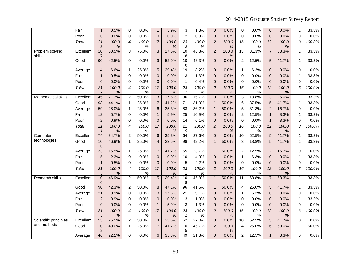|                                      | Fair      | $\mathbf{1}$         | 0.5%          | $\mathbf 0$    | 0.0%          | $\mathbf{1}$             | 5.9%       | 3                               | 1.3%       | $\pmb{0}$      | 0.0%          | $\mathbf 0$      | 0.0%          | $\overline{0}$ | 0.0%          | 1            | 33.3%  |
|--------------------------------------|-----------|----------------------|---------------|----------------|---------------|--------------------------|------------|---------------------------------|------------|----------------|---------------|------------------|---------------|----------------|---------------|--------------|--------|
|                                      | Poor      | $\mathbf 0$          | 0.0%          | $\Omega$       | 0.0%          | $\pmb{0}$                | 0.0%       | $\boldsymbol{2}$                | 0.9%       | $\mathbf 0$    | 0.0%          | $\Omega$         | 0.0%          | $\Omega$       | 0.0%          | $\Omega$     | 0.0%   |
|                                      | Total     | 21                   | 100.0         | 4              | 100.0         | 17                       | 100.0      | 23                              | 100.0      | $\overline{c}$ | 100.0         | 16               | 100.0         | 12             | 100.0         | 3            | 100.0% |
|                                      |           | 3                    | %             |                | $\%$          |                          | %          | $\overline{c}$                  | %          |                | $\%$          |                  | %             |                | %             |              |        |
| Problem solving<br>skills            | Excellent | 10<br>$\overline{7}$ | 50.5%         | 3              | 75.0%         | 3                        | 17.6%      | 10<br>8                         | 46.8%      | $\overline{2}$ | 100.0<br>%    | $\overline{13}$  | 81.3%         | $\overline{7}$ | 58.3%         | $\mathbf{1}$ | 33.3%  |
|                                      | Good      | 90                   | 42.5%         | 0              | 0.0%          | $\overline{9}$           | 52.9%      | 10                              | 43.3%      | $\pmb{0}$      | 0.0%          | $\boldsymbol{2}$ | 12.5%         | 5              | 41.7%         | $\mathbf{1}$ | 33.3%  |
|                                      |           |                      |               |                |               |                          |            | $\mathbf 0$                     |            |                |               |                  |               |                |               |              |        |
|                                      | Average   | 14                   | 6.6%          | $\mathbf{1}$   | 25.0%         | 5                        | 29.4%      | 19                              | 8.2%       | $\mathbf 0$    | 0.0%          | $\mathbf{1}$     | 6.3%          | $\mathbf 0$    | 0.0%          | $\Omega$     | 0.0%   |
|                                      | Fair      | 1                    | 0.5%          | 0              | 0.0%          | $\mathbf{0}$             | 0.0%       | 3                               | 1.3%       | $\mathbf 0$    | 0.0%          | $\Omega$         | 0.0%          | $\Omega$       | 0.0%          | 1            | 33.3%  |
|                                      | Poor      | $\Omega$             | 0.0%          | 0              | 0.0%          | $\mathbf{0}$             | 0.0%       | $\mathbf{1}$                    | 0.4%       | $\mathbf 0$    | 0.0%          | $\Omega$         | 0.0%          | $\Omega$       | 0.0%          | $\Omega$     | 0.0%   |
|                                      | Total     | 21                   | 100.0         | 4              | 100.0         | 17                       | 100.0      | 23                              | 100.0      | $\overline{c}$ | 100.0         | 16               | 100.0         | 12             | 100.0         | 3            | 100.0% |
| <b>Mathematical skills</b>           | Excellent | $\overline{c}$<br>45 | $\%$<br>21.3% | $\overline{2}$ | %<br>50.0%    | $\mathbf{3}$             | %<br>17.6% | $\mathbf{1}$<br>$\overline{36}$ | %<br>15.7% | $\mathbf{0}$   | $\%$<br>0.0%  | 3                | $\%$<br>18.8% | 3              | %<br>25.0%    | $\mathbf{1}$ | 33.3%  |
|                                      | Good      | 93                   | 44.1%         | 1              | 25.0%         | $\overline{7}$           | 41.2%      | 71                              | 31.0%      | $\mathbf{1}$   | 50.0%         | 6                | 37.5%         | 5              | 41.7%         | 1            | 33.3%  |
|                                      |           | 59                   | 28.0%         |                | 25.0%         |                          | 35.3%      | 83                              | 36.2%      |                | 50.0%         | 5                | 31.3%         | $\overline{2}$ | 16.7%         | $\Omega$     | 0.0%   |
|                                      | Average   | 12                   | 5.7%          | 1<br>$\Omega$  |               | 6                        | 5.9%       | 25                              | 10.9%      | $\mathbf{1}$   |               | $\overline{c}$   | 12.5%         |                | 8.3%          |              | 33.3%  |
|                                      | Fair      |                      |               | $\Omega$       | 0.0%          | $\mathbf{1}$             |            |                                 |            | $\mathbf 0$    | 0.0%          |                  |               | $\mathbf{1}$   |               | 1            |        |
|                                      | Poor      | $\overline{2}$       | 0.9%          |                | 0.0%          | $\pmb{0}$                | 0.0%       | 14                              | 6.1%       | $\pmb{0}$      | 0.0%          | $\mathsf 0$      | 0.0%          | $\mathbf{1}$   | 8.3%          | $\Omega$     | 0.0%   |
|                                      | Total     | 21<br>$\mathbf{1}$   | 100.0<br>$\%$ | 4              | 100.0<br>$\%$ | 17                       | 100.0<br>% | 22<br>$\boldsymbol{9}$          | 100.0<br>% | $\overline{c}$ | 100.0<br>$\%$ | 16               | 100.0<br>$\%$ | 12             | 100.0<br>%    | 3            | 100.0% |
| Computer                             | Excellent | 74                   | 34.7%         | $\overline{c}$ | 50.0%         | $\,6$                    | 35.3%      | 64                              | 27.6%      | $\overline{0}$ | 0.0%          | $\overline{10}$  | 62.5%         | 5              | 41.7%         | $\mathbf{1}$ | 33.3%  |
| technologies                         | Good      | 10                   | 46.9%         | $\mathbf{1}$   | 25.0%         | 4                        | 23.5%      | 98                              | 42.2%      | $\mathbf{1}$   | 50.0%         | 3                | 18.8%         | 5              | 41.7%         | $\mathbf{1}$ | 33.3%  |
|                                      |           | $\overline{0}$       |               |                |               |                          |            |                                 |            |                |               |                  |               |                |               |              |        |
|                                      | Average   | 33                   | 15.5%         | $\mathbf{1}$   | 25.0%         | $\overline{7}$           | 41.2%      | 55                              | 23.7%      | $\mathbf{1}$   | 50.0%         | $\overline{c}$   | 12.5%         | $\overline{2}$ | 16.7%         | 0            | 0.0%   |
|                                      | Fair      | 5                    | 2.3%          | 0              | 0.0%          | $\pmb{0}$                | 0.0%       | 10                              | 4.3%       | $\mathbf{0}$   | 0.0%          | $\mathbf{1}$     | 6.3%          | $\overline{0}$ | 0.0%          | 1            | 33.3%  |
|                                      | Poor      | 1                    | 0.5%          | $\mathbf 0$    | 0.0%          | $\pmb{0}$                | 0.0%       | 5                               | 2.2%       | $\mathbf 0$    | 0.0%          | 0                | 0.0%          | $\overline{0}$ | 0.0%          | $\Omega$     | 0.0%   |
|                                      | Total     | 21                   | 100.0         | 4              | 100.0         | 17                       | 100.0      | 23                              | 100.0      | $\overline{c}$ | 100.0         | 16               | 100.0         | 12             | 100.0         | 3            | 100.0% |
| Research skills                      | Excellent | $\mathfrak{Z}$<br>10 | %<br>46.9%    | $\overline{c}$ | $\%$<br>50.0% | $\overline{5}$           | %<br>29.4% | $\overline{c}$<br>10            | %<br>46.8% | $\mathbf{1}$   | $\%$<br>50.0% | $\overline{11}$  | %<br>68.8%    | $\overline{7}$ | $\%$<br>58.3% | $\mathbf{1}$ | 33.3%  |
|                                      |           | $\mathbf{0}$         |               |                |               |                          |            | 8                               |            |                |               |                  |               |                |               |              |        |
|                                      | Good      | 90                   | 42.3%         | $\overline{c}$ | 50.0%         | 8                        | 47.1%      | 96                              | 41.6%      | $\mathbf{1}$   | 50.0%         | 4                | 25.0%         | 5              | 41.7%         | 1            | 33.3%  |
|                                      | Average   | 21                   | 9.9%          | $\Omega$       | 0.0%          | 3                        | 17.6%      | 21                              | 9.1%       | $\mathbf{0}$   | 0.0%          | $\mathbf{1}$     | 6.3%          | $\mathbf{0}$   | 0.0%          | $\Omega$     | 0.0%   |
|                                      | Fair      | $\overline{2}$       | 0.9%          | 0              | 0.0%          | 0                        | 0.0%       | 3                               | 1.3%       | $\mathbf 0$    | 0.0%          | 0                | 0.0%          | $\overline{0}$ | 0.0%          | 1            | 33.3%  |
|                                      | Poor      | $\mathbf 0$          | 0.0%          | $\mathbf 0$    | 0.0%          | $\mathbf{1}$             | 5.9%       | 3                               | 1.3%       | $\mathbf 0$    | 0.0%          | $\mathbf 0$      | 0.0%          | $\pmb{0}$      | 0.0%          | $\mathbf 0$  | 0.0%   |
|                                      | Total     | 21                   | 100.0         | 4              | 100.0         | 17                       | 100.0      | 23                              | 100.0      | $\overline{c}$ | 100.0         | 16               | 100.0         | 12             | 100.0         | 3            | 100.0% |
|                                      |           | 3                    | $\%$          |                | %             |                          | %          | $\mathbf{1}$                    | %          |                | $\%$          |                  | %             |                | %             |              |        |
| Scientific principles<br>and methods | Excellent | 53                   | 25.5%         | $\overline{2}$ | 50.0%         | $\overline{\mathcal{L}}$ | 23.5%      | 62                              | 27.0%      | $\mathbf 0$    | 0.0%          | 10               | 62.5%         | 5              | 41.7%         | $\Omega$     | 0.0%   |
|                                      |           |                      |               |                |               |                          |            |                                 |            |                |               |                  |               |                |               |              |        |
|                                      | Good      | 10<br>$\overline{2}$ | 49.0%         | 1              | 25.0%         | $\overline{7}$           | 41.2%      | 10<br>5                         | 45.7%      | $\overline{2}$ | 100.0<br>%    | 4                | 25.0%         | 6              | 50.0%         | $\mathbf 1$  | 50.0%  |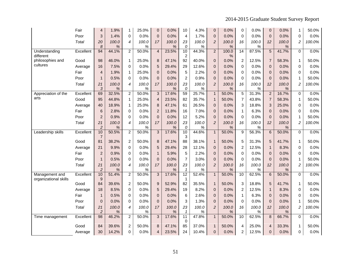|                             | Fair      | 4                    | 1.9%       | $\mathbf{1}$   | 25.0%         | $\mathbf 0$              | 0.0%       | 10                              | 4.3%       | $\pmb{0}$      | 0.0%          | 0              | 0.0%          | $\mathbf 0$    | 0.0%       | 1              | 50.0%  |
|-----------------------------|-----------|----------------------|------------|----------------|---------------|--------------------------|------------|---------------------------------|------------|----------------|---------------|----------------|---------------|----------------|------------|----------------|--------|
|                             | Poor      | 3                    | 1.4%       | $\Omega$       | 0.0%          | $\Omega$                 | 0.0%       | $\overline{4}$                  | 1.7%       | $\mathbf 0$    | 0.0%          | $\Omega$       | 0.0%          | $\Omega$       | 0.0%       | 0              | 0.0%   |
|                             | Total     | 20                   | 100.0      | 4              | 100.0         | 17                       | 100.0      | 23                              | 100.0      | $\overline{c}$ | 100.0         | 16             | 100.0         | 12             | 100.0      | $\overline{c}$ | 100.0% |
|                             |           | 8                    | $\%$       |                | $\%$          |                          | %          | 0                               | %          |                | $\%$          |                | %             |                | %          |                |        |
| Understanding<br>different  | Excellent | 94                   | 44.1%      | $\overline{2}$ | 50.0%         | $\overline{4}$           | 23.5%      | 10<br>$\overline{2}$            | 44.3%      | $\overline{2}$ | 100.0<br>%    | 14             | 87.5%         | 5              | 41.7%      | $\Omega$       | 0.0%   |
| philosophies and            | Good      | 98                   | 46.0%      | $\mathbf{1}$   | 25.0%         | 8                        | 47.1%      | 92                              | 40.0%      | $\mathbf{0}$   | 0.0%          | $\overline{c}$ | 12.5%         | $\overline{7}$ | 58.3%      | $\mathbf{1}$   | 50.0%  |
| cultures                    | Average   | 16                   | 7.5%       | $\Omega$       | 0.0%          | 5                        | 29.4%      | 29                              | 12.6%      | $\overline{0}$ | 0.0%          | 0              | 0.0%          | $\overline{0}$ | 0.0%       | 0              | 0.0%   |
|                             | Fair      | 4                    | 1.9%       | 1              | 25.0%         | $\mathbf 0$              | 0.0%       | 5                               | 2.2%       | $\mathbf 0$    | 0.0%          | 0              | 0.0%          | $\mathbf 0$    | 0.0%       | 0              | 0.0%   |
|                             | Poor      | $\mathbf{1}$         | 0.5%       | 0              | 0.0%          | $\overline{0}$           | 0.0%       | $\overline{c}$                  | 0.9%       | $\overline{0}$ | 0.0%          | 0              | 0.0%          | $\overline{0}$ | 0.0%       | 1              | 50.0%  |
|                             | Total     | 21                   | 100.0      | 4              | 100.0         | 17                       | 100.0      | 23                              | 100.0      | $\overline{2}$ | 100.0         | 16             | 100.0         | 12             | 100.0      | $\overline{c}$ | 100.0% |
|                             |           | 3                    | %          |                | $\%$          |                          | %          | 0                               | %          |                | $\%$          |                | $\%$          |                | %          |                |        |
| Appreciation of the<br>arts | Excellent | 69                   | 32.5%      | $\overline{2}$ | 50.0%         | $\mathbf{3}$             | 17.6%      | 59                              | 25.7%      | $\mathbf{1}$   | 50.0%         | $\overline{5}$ | 31.3%         | $\overline{c}$ | 16.7%      | $\Omega$       | 0.0%   |
|                             | Good      | 95                   | 44.8%      | $\mathbf{1}$   | 25.0%         | $\overline{4}$           | 23.5%      | 82                              | 35.7%      | $\mathbf{1}$   | 50.0%         | $\overline{7}$ | 43.8%         | $\overline{7}$ | 58.3%      | $\mathbf 1$    | 50.0%  |
|                             | Average   | 40                   | 18.9%      | $\mathbf{1}$   | 25.0%         | 8                        | 47.1%      | 61                              | 26.5%      | $\mathbf 0$    | 0.0%          | 3              | 18.8%         | 3              | 25.0%      | 0              | 0.0%   |
|                             | Fair      | 6                    | 2.8%       | 0              | 0.0%          | $\overline{c}$           | 11.8%      | 16                              | 7.0%       | $\mathbf 0$    | 0.0%          | $\mathbf{1}$   | 6.3%          | $\mathbf 0$    | 0.0%       | 0              | 0.0%   |
|                             | Poor      | $\overline{2}$       | 0.9%       | 0              | 0.0%          | $\pmb{0}$                | 0.0%       | 12                              | 5.2%       | $\Omega$       | 0.0%          | 0              | 0.0%          | $\Omega$       | 0.0%       | 1              | 50.0%  |
|                             | Total     | 21<br>$\overline{c}$ | 100.0<br>% | 4              | 100.0<br>$\%$ | 17                       | 100.0<br>% | 23<br>0                         | 100.0<br>% | $\overline{2}$ | 100.0<br>$\%$ | 16             | 100.0<br>$\%$ | 12             | 100.0<br>% | $\overline{c}$ | 100.0% |
| Leadership skills           | Excellent | 10                   | 50.5%      | $\overline{2}$ | 50.0%         | $\overline{3}$           | 17.6%      | 10                              | 44.6%      | $\mathbf{1}$   | 50.0%         | $\overline{9}$ | 56.3%         | $6\phantom{1}$ | 50.0%      | 0              | 0.0%   |
|                             |           | $\overline{7}$       |            |                |               |                          |            | 3                               |            |                |               |                |               |                |            |                |        |
|                             | Good      | 81                   | 38.2%      | $\overline{c}$ | 50.0%         | 8                        | 47.1%      | 88                              | 38.1%      | $\mathbf{1}$   | 50.0%         | 5              | 31.3%         | 5              | 41.7%      | $\mathbf{1}$   | 50.0%  |
|                             | Average   | 21                   | 9.9%       | $\Omega$       | 0.0%          | 5                        | 29.4%      | 28                              | 12.1%      | $\Omega$       | 0.0%          | $\overline{2}$ | 12.5%         | 1              | 8.3%       | 0              | 0.0%   |
|                             | Fair      | $\overline{2}$       | 0.9%       | $\Omega$       | 0.0%          | $\mathbf{1}$             | 5.9%       | 5                               | 2.2%       | $\Omega$       | 0.0%          | 0              | 0.0%          | $\mathbf{0}$   | 0.0%       | 0              | 0.0%   |
|                             | Poor      | $\mathbf{1}$         | 0.5%       | $\Omega$       | 0.0%          | $\mathbf{0}$             | 0.0%       | $\overline{7}$                  | 3.0%       | $\Omega$       | 0.0%          | 0              | 0.0%          | $\Omega$       | 0.0%       | 1              | 50.0%  |
|                             | Total     | 21                   | 100.0      | 4              | 100.0         | 17                       | 100.0      | 23                              | 100.0      | $\overline{c}$ | 100.0         | 16             | 100.0         | 12             | 100.0      | $\overline{c}$ | 100.0% |
| Management and              | Excellent | $\overline{c}$<br>10 | %<br>51.4% | $\overline{2}$ | %<br>50.0%    | $\mathbf{3}$             | %<br>17.6% | $\mathcal I$<br>$\overline{12}$ | %<br>52.4% | $\mathbf{1}$   | $\%$<br>50.0% | 10             | %<br>62.5%    | 6              | %<br>50.0% | $\Omega$       | 0.0%   |
| organizational skills       |           | 9                    |            |                |               |                          |            | $\mathbf 1$                     |            |                |               |                |               |                |            |                |        |
|                             | Good      | 84                   | 39.6%      | $\overline{c}$ | 50.0%         | 9                        | 52.9%      | 82                              | 35.5%      | $\mathbf 1$    | 50.0%         | 3              | 18.8%         | 5              | 41.7%      | 1              | 50.0%  |
|                             | Average   | 18                   | 8.5%       | $\Omega$       | 0.0%          | 5                        | 29.4%      | 19                              | 8.2%       | $\mathbf{0}$   | 0.0%          | $\overline{2}$ | 12.5%         | $\mathbf{1}$   | 8.3%       | 0              | 0.0%   |
|                             | Fair      | $\mathbf{1}$         | 0.5%       | 0              | 0.0%          | $\pmb{0}$                | 0.0%       | 6                               | 2.6%       | $\mathbf 0$    | 0.0%          | $\mathbf{1}$   | 6.3%          | $\mathbf 0$    | 0.0%       | 0              | 0.0%   |
|                             | Poor      | $\overline{0}$       | 0.0%       | $\Omega$       | 0.0%          | $\mathbf{0}$             | 0.0%       | 3                               | 1.3%       | $\Omega$       | 0.0%          | 0              | 0.0%          | $\overline{0}$ | 0.0%       | $\mathbf 1$    | 50.0%  |
|                             | Total     | 21                   | 100.0      | 4              | 100.0         | 17                       | 100.0      | 23                              | 100.0      | $\overline{c}$ | 100.0         | 16             | 100.0         | 12             | 100.0      | $\overline{c}$ | 100.0% |
|                             |           | $\overline{c}$       | %          |                | %             |                          | %          | $\mathbf{1}$                    | %          |                | %             |                | $\%$          |                | %          |                |        |
| Time management             | Excellent | 98                   | 46.2%      | $\overline{2}$ | 50.0%         | 3                        | 17.6%      | $\overline{11}$<br>$\mathbf 0$  | 47.8%      | $\mathbf{1}$   | 50.0%         | 10             | 62.5%         | 8              | 66.7%      | 0              | 0.0%   |
|                             | Good      | 84                   | 39.6%      | $\overline{2}$ | 50.0%         | 8                        | 47.1%      | 85                              | 37.0%      | $\mathbf{1}$   | 50.0%         | 4              | 25.0%         | 4              | 33.3%      | $\mathbf 1$    | 50.0%  |
|                             | Average   | 30                   | 14.2%      | $\Omega$       | 0.0%          | $\overline{\mathcal{L}}$ | 23.5%      | 24                              | 10.4%      | $\overline{0}$ | 0.0%          | $\overline{2}$ | 12.5%         | $\Omega$       | 0.0%       | $\Omega$       | 0.0%   |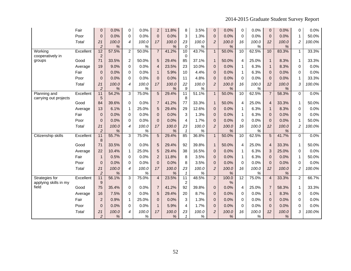|                                         | Fair      | 0                    | 0.0%       | 0              | 0.0%       | $\overline{2}$ | 11.8%      | 8                                   | 3.5%       | $\mathbf{0}$   | 0.0%          | $\mathbf 0$     | 0.0%          | 0              | 0.0%       | 0              | 0.0%   |
|-----------------------------------------|-----------|----------------------|------------|----------------|------------|----------------|------------|-------------------------------------|------------|----------------|---------------|-----------------|---------------|----------------|------------|----------------|--------|
|                                         | Poor      | $\overline{0}$       | 0.0%       | 0              | 0.0%       | $\overline{0}$ | 0.0%       | 3                                   | 1.3%       | $\mathbf{0}$   | 0.0%          | $\mathbf 0$     | 0.0%          | $\mathbf{0}$   | 0.0%       | 1              | 50.0%  |
|                                         | Total     | 21                   | 100.0      | 4              | 100.0      | 17             | 100.0      | 23                                  | 100.0      | $\overline{c}$ | 100.0         | 16              | 100.0         | 12             | 100.0      | $\overline{c}$ | 100.0% |
|                                         |           | $\overline{2}$       | $\%$       |                | %          |                | %          | 0                                   | %          |                | %             |                 | %             |                | %          |                |        |
| Working<br>cooperatively in             | Excellent | 12<br>$\overline{2}$ | 57.5%      | $\overline{2}$ | 50.0%      | $\overline{7}$ | 41.2%      | 10<br>$\mathbf 0$                   | 43.7%      | $\mathbf{1}$   | 50.0%         | 10              | 62.5%         | 10             | 83.3%      | $\mathbf{1}$   | 33.3%  |
| groups                                  | Good      | 71                   | 33.5%      | 2              | 50.0%      | 5              | 29.4%      | 85                                  | 37.1%      | $\mathbf{1}$   | 50.0%         | $\overline{4}$  | 25.0%         | $\mathbf{1}$   | 8.3%       | 1              | 33.3%  |
|                                         | Average   | 19                   | 9.0%       | $\Omega$       | 0.0%       | $\overline{4}$ | 23.5%      | 23                                  | 10.0%      | $\mathbf{0}$   | 0.0%          | 1               | 6.3%          | $\mathbf{1}$   | 8.3%       | 0              | 0.0%   |
|                                         | Fair      | $\Omega$             | 0.0%       | $\Omega$       | 0.0%       | $\mathbf{1}$   | 5.9%       | 10                                  | 4.4%       | $\Omega$       | 0.0%          | $\mathbf{1}$    | 6.3%          | $\Omega$       | 0.0%       | 0              | 0.0%   |
|                                         | Poor      | $\Omega$             | 0.0%       | $\Omega$       | 0.0%       | $\mathbf{0}$   | 0.0%       | 11                                  | 4.8%       | $\mathbf{0}$   | 0.0%          | $\Omega$        | 0.0%          | $\Omega$       | 0.0%       | 1              | 33.3%  |
|                                         | Total     | 21                   | 100.0      | 4              | 100.0      | 17             | 100.0      | 22                                  | 100.0      | $\overline{c}$ | 100.0         | 16              | 100.0         | 12             | 100.0      | 3              | 100.0% |
|                                         |           | $\overline{c}$       | $\%$       |                | %          |                | %          | 9                                   | %          |                | $\%$          |                 | $\%$          |                | $\%$       |                |        |
| Planning and<br>carrying out projects   | Excellent | 11<br>5              | 54.2%      | 3              | 75.0%      | 5              | 29.4%      | $\overline{11}$<br>8                | 51.1%      | $\mathbf{1}$   | 50.0%         | 10              | 62.5%         | $\overline{7}$ | 58.3%      | 0              | 0.0%   |
|                                         | Good      | 84                   | 39.6%      | $\Omega$       | 0.0%       | $\overline{7}$ | 41.2%      | 77                                  | 33.3%      | $\mathbf{1}$   | 50.0%         | $\overline{4}$  | 25.0%         | $\overline{4}$ | 33.3%      | $\mathbf{1}$   | 50.0%  |
|                                         | Average   | 13                   | 6.1%       | $\mathbf{1}$   | 25.0%      | 5              | 29.4%      | 29                                  | 12.6%      | $\mathbf{0}$   | 0.0%          | 1               | 6.3%          | $\mathbf{1}$   | 8.3%       | 0              | 0.0%   |
|                                         | Fair      | $\overline{0}$       | 0.0%       | $\Omega$       | 0.0%       | $\pmb{0}$      | 0.0%       | 3                                   | 1.3%       | $\mathbf{0}$   | 0.0%          | $\mathbf{1}$    | 6.3%          | $\overline{0}$ | 0.0%       | 0              | 0.0%   |
|                                         | Poor      | $\Omega$             | 0.0%       | $\Omega$       | 0.0%       | $\mathbf{0}$   | 0.0%       | 4                                   | 1.7%       | $\mathbf{0}$   | 0.0%          | $\Omega$        | 0.0%          | $\mathbf 0$    | 0.0%       | 1              | 50.0%  |
|                                         | Total     | 21                   | 100.0      | 4              | 100.0      | 17             | 100.0      | 23                                  | 100.0      | $\overline{2}$ | 100.0         | 16              | 100.0         | 12             | 100.0      | $\overline{c}$ | 100.0% |
|                                         |           | $\overline{c}$       | $\%$       |                | %          |                | %          | $\mathbf{1}$                        | %          |                | $\%$          |                 | $\%$          |                | %          |                |        |
| Citizenship skills                      | Excellent | 11<br>8              | 55.7%      | $\overline{3}$ | 75.0%      | 5              | 29.4%      | 85                                  | 36.8%      | $\mathbf{1}$   | 50.0%         | $\overline{10}$ | 62.5%         | 5              | 41.7%      | 0              | 0.0%   |
|                                         | Good      | 71                   | 33.5%      | $\Omega$       | 0.0%       | 5              | 29.4%      | 92                                  | 39.8%      | $\mathbf{1}$   | 50.0%         | $\overline{4}$  | 25.0%         | $\overline{4}$ | 33.3%      | 1              | 50.0%  |
|                                         | Average   | 22                   | 10.4%      | $\mathbf{1}$   | 25.0%      | 5              | 29.4%      | 38                                  | 16.5%      | $\mathbf{0}$   | 0.0%          | $\mathbf{1}$    | 6.3%          | 3              | 25.0%      | 0              | 0.0%   |
|                                         | Fair      | $\mathbf{1}$         | 0.5%       | $\Omega$       | 0.0%       | $\overline{2}$ | 11.8%      | 8                                   | 3.5%       | $\mathbf{0}$   | 0.0%          | $\mathbf{1}$    | 6.3%          | $\pmb{0}$      | 0.0%       | 1              | 50.0%  |
|                                         | Poor      | $\Omega$             | 0.0%       | $\Omega$       | 0.0%       | $\mathbf{0}$   | 0.0%       | 8                                   | 3.5%       | $\Omega$       | 0.0%          | $\Omega$        | 0.0%          | $\Omega$       | 0.0%       | 0              | 0.0%   |
|                                         | Total     | 21                   | 100.0      | 4              | 100.0      | 17             | 100.0      | 23                                  | 100.0      | $\overline{2}$ | 100.0         | 16              | 100.0         | 12             | 100.0      | 2              | 100.0% |
|                                         |           | $\overline{c}$       | $\%$       |                | %          |                | %          | $\mathbf{1}$                        | %          |                | $\%$          |                 | %             |                | %          |                |        |
| Strategies for<br>applying skills in my | Excellent | 11<br>9              | 56.1%      | $\overline{3}$ | 75.0%      | $\overline{4}$ | 23.5%      | $\overline{11}$<br>$\boldsymbol{2}$ | 48.5%      | $\overline{2}$ | 100.0<br>$\%$ | $\overline{12}$ | 75.0%         | $\overline{4}$ | 33.3%      | $\overline{2}$ | 66.7%  |
| field                                   | Good      | 75                   | 35.4%      | $\Omega$       | 0.0%       | $\overline{7}$ | 41.2%      | 92                                  | 39.8%      | $\mathbf{0}$   | 0.0%          | 4               | 25.0%         | $\overline{7}$ | 58.3%      | 1              | 33.3%  |
|                                         | Average   | 16                   | 7.5%       | $\Omega$       | 0.0%       | 5              | 29.4%      | 20                                  | 8.7%       | $\Omega$       | 0.0%          | $\Omega$        | 0.0%          | $\mathbf 1$    | 8.3%       | 0              | 0.0%   |
|                                         | Fair      | $\overline{a}$       | 0.9%       | $\mathbf{1}$   | 25.0%      | $\mathbf{0}$   | 0.0%       | 3                                   | 1.3%       | $\mathbf{0}$   | 0.0%          | $\mathbf 0$     | 0.0%          | $\mathbf 0$    | 0.0%       | 0              | 0.0%   |
|                                         | Poor      | $\Omega$             | 0.0%       | $\Omega$       | 0.0%       | $\mathbf{1}$   | 5.9%       | 4                                   | 1.7%       | $\mathbf{0}$   | 0.0%          | 0               | 0.0%          | $\mathbf 0$    | 0.0%       | 0              | 0.0%   |
|                                         | Total     | 21<br>$\overline{c}$ | 100.0<br>% | 4              | 100.0<br>% | 17             | 100.0<br>% | 23<br>$\mathbf{1}$                  | 100.0<br>% | $\overline{c}$ | 100.0<br>%    | 16              | 100.0<br>$\%$ | 12             | 100.0<br>% | 3              | 100.0% |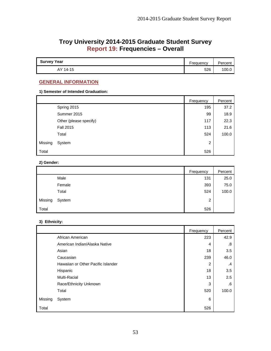# **Troy University 2014-2015 Graduate Student Survey Report 19: Frequencies – Overall**

| <b>Survey Year</b> | Frequency | Percent |
|--------------------|-----------|---------|
| AY 14-15           | 526       | 100.1   |

## **GENERAL INFORMATION**

## **1) Semester of Intended Graduation:**

|         |                        | Frequency | Percent |
|---------|------------------------|-----------|---------|
|         | Spring 2015            | 195       | 37.2    |
|         | Summer 2015            | 99        | 18.9    |
|         | Other (please specify) | 117       | 22.3    |
|         | <b>Fall 2015</b>       | 113       | 21.6    |
|         | Total                  | 524       | 100.0   |
| Missing | System                 | 2         |         |
| Total   |                        | 526       |         |

## **2) Gender:**

|         |        | Frequency | Percent |
|---------|--------|-----------|---------|
|         | Male   | 131       | 25.0    |
|         | Female | 393       | 75.0    |
|         | Total  | 524       | 100.0   |
| Missing | System | 2         |         |
| Total   |        | 526       |         |

## **3) Ethnicity:**

|         |                                    | Frequency      | Percent |
|---------|------------------------------------|----------------|---------|
|         | African American                   | 223            | 42.9    |
|         | American Indian/Alaska Native      | 4              | .8      |
|         | Asian                              | 18             | 3.5     |
|         | Caucasian                          | 239            | 46.0    |
|         | Hawaiian or Other Pacific Islander | $\overline{2}$ | .4      |
|         | Hispanic                           | 18             | 3.5     |
|         | Multi-Racial                       | 13             | 2.5     |
|         | Race/Ethnicity Unknown             | 3              | .6      |
|         | Total                              | 520            | 100.0   |
| Missing | System                             | 6              |         |
| Total   |                                    | 526            |         |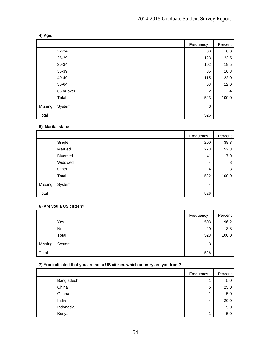|         |            | Frequency      | Percent       |
|---------|------------|----------------|---------------|
|         | $22 - 24$  | 33             | 6.3           |
|         | 25-29      | 123            | 23.5          |
|         | 30-34      | 102            | 19.5          |
|         | 35-39      | 85             | 16.3          |
|         | 40-49      | 115            | 22.0          |
|         | 50-64      | 63             | 12.0          |
|         | 65 or over | $\overline{c}$ | $\mathcal{A}$ |
|         | Total      | 523            | 100.0         |
| Missing | System     | 3              |               |
| Total   |            | 526            |               |

## **5) Marital status:**

|         |          | Frequency | Percent |
|---------|----------|-----------|---------|
|         | Single   | 200       | 38.3    |
|         | Married  | 273       | 52.3    |
|         | Divorced | 41        | 7.9     |
|         | Widowed  | 4         | .8      |
|         | Other    | 4         | .8      |
|         | Total    | 522       | 100.0   |
| Missing | System   | 4         |         |
| Total   |          | 526       |         |

## **6) Are you a US citizen?**

|         |        | Frequency | Percent |
|---------|--------|-----------|---------|
|         | Yes    | 503       | 96.2    |
|         | No     | 20        | 3.8     |
|         | Total  | 523       | 100.0   |
| Missing | System | 3         |         |
| Total   |        | 526       |         |

## **7) You indicated that you are not a US citizen, which country are you from?**

|            | Frequency | Percent |
|------------|-----------|---------|
| Bangladesh | и         | 5.0     |
| China      | 5         | 25.0    |
| Ghana      | 4         | 5.0     |
| India      | 4         | 20.0    |
| Indonesia  | 4         | 5.0     |
| Kenya      | и         | 5.0     |

## **4) Age:**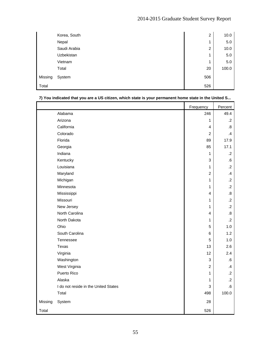|         | Korea, South | 2   | 10.0  |
|---------|--------------|-----|-------|
|         | Nepal        | 1   | 5.0   |
|         | Saudi Arabia | 2   | 10.0  |
|         | Uzbekistan   | 1   | 5.0   |
|         | Vietnam      | 1   | 5.0   |
|         | Total        | 20  | 100.0 |
| Missing | System       | 506 |       |
| Total   |              | 526 |       |

|         | The manuated that you are a oo chizen, which state is your permanent home state in the onlied only | Frequency               | Percent           |
|---------|----------------------------------------------------------------------------------------------------|-------------------------|-------------------|
|         | Alabama                                                                                            | 246                     | 49.4              |
|         | Arizona                                                                                            | 1                       | $\cdot$           |
|         | California                                                                                         | 4                       | $\boldsymbol{.8}$ |
|         | Colorado                                                                                           | $\overline{c}$          | $\mathcal{A}$     |
|         | Florida                                                                                            | 89                      | 17.9              |
|         | Georgia                                                                                            | 85                      | 17.1              |
|         | Indiana                                                                                            | $\mathbf{1}$            | $\cdot$ .2        |
|         | Kentucky                                                                                           | 3                       | 6.6               |
|         | Louisiana                                                                                          | $\mathbf{1}$            | $\cdot$ .2        |
|         | Maryland                                                                                           | $\overline{c}$          | $\mathcal{A}$     |
|         | Michigan                                                                                           | $\mathbf{1}$            | $\cdot$ .2        |
|         | Minnesota                                                                                          | 1                       | $\cdot$ .2        |
|         | Mississippi                                                                                        | $\overline{\mathbf{4}}$ | $\boldsymbol{.8}$ |
|         | Missouri                                                                                           | $\mathbf{1}$            | $\cdot$ .2        |
|         | New Jersey                                                                                         | $\mathbf{1}$            | $\cdot$ .2        |
|         | North Carolina                                                                                     | 4                       | 8.5               |
|         | North Dakota                                                                                       | 1                       | $\cdot$ .2        |
|         | Ohio                                                                                               | 5                       | 1.0               |
|         | South Carolina                                                                                     | 6                       | 1.2               |
|         | Tennessee                                                                                          | 5                       | 1.0               |
|         | Texas                                                                                              | 13                      | 2.6               |
|         | Virginia                                                                                           | 12                      | 2.4               |
|         | Washington                                                                                         | 3                       | ${\bf .6}$        |
|         | West Virginia                                                                                      | $\boldsymbol{2}$        | $\cdot$           |
|         | Puerto Rico                                                                                        | 1                       | $\cdot$ .2        |
|         | Alaska                                                                                             | 1                       | $\cdot$           |
|         | I do not reside in the United States                                                               | 3                       | 6.6               |
|         | Total                                                                                              | 498                     | 100.0             |
| Missing | System                                                                                             | 28                      |                   |
| Total   |                                                                                                    | 526                     |                   |

## **7) You indicated that you are a US citizen, which state is your permanent home state in the United S...**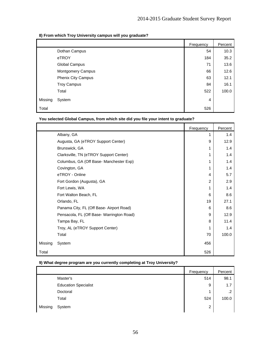## **8) From which Troy University campus will you graduate?**

|         |                          | Frequency | Percent |
|---------|--------------------------|-----------|---------|
|         | Dothan Campus            | 54        | 10.3    |
|         | eTROY                    | 184       | 35.2    |
|         | Global Campus            | 71        | 13.6    |
|         | <b>Montgomery Campus</b> | 66        | 12.6    |
|         | Phenix City Campus       | 63        | 12.1    |
|         | <b>Troy Campus</b>       | 84        | 16.1    |
|         | Total                    | 522       | 100.0   |
| Missing | System                   | 4         |         |
| Total   |                          | 526       |         |

**You selected Global Campus, from which site did you file your intent to graduate?** 

|         |                                           | Frequency | Percent |
|---------|-------------------------------------------|-----------|---------|
|         | Albany, GA                                | 1         | 1.4     |
|         | Augusta, GA (eTROY Support Center)        | 9         | 12.9    |
|         | Brunswick, GA                             | 1         | 1.4     |
|         | Clarksville, TN (eTROY Support Center)    |           | 1.4     |
|         | Columbus, GA (Off Base- Manchester Exp)   |           | 1.4     |
|         | Covington, GA                             |           | 1.4     |
|         | eTROY - Online                            | 4         | 5.7     |
|         | Fort Gordon (Augusta), GA                 | 2         | 2.9     |
|         | Fort Lewis, WA                            | 1         | 1.4     |
|         | Fort Walton Beach, FL                     | 6         | 8.6     |
|         | Orlando, FL                               | 19        | 27.1    |
|         | Panama City, FL (Off Base- Airport Road)  | 6         | 8.6     |
|         | Pensacola, FL (Off Base- Warrington Road) | 9         | 12.9    |
|         | Tampa Bay, FL                             | 8         | 11.4    |
|         | Troy, AL (eTROY Support Center)           | 1         | 1.4     |
|         | Total                                     | 70        | 100.0   |
| Missing | System                                    | 456       |         |
| Total   |                                           | 526       |         |

## **9) What degree program are you currently completing at Troy University?**

|         |                             | Frequency | Percent |
|---------|-----------------------------|-----------|---------|
|         | Master's                    | 514       | 98.1    |
|         | <b>Education Specialist</b> | 9         | 1.7     |
|         | Doctoral                    | и         | $\cdot$ |
|         | Total                       | 524       | 100.0   |
| Missing | System                      | 2         |         |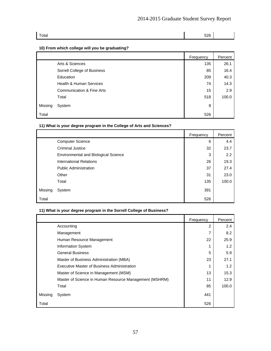| Total | 526 |  |
|-------|-----|--|
|       |     |  |

## **10) From which college will you be graduating?**

|         |                                      | Frequency | Percent |
|---------|--------------------------------------|-----------|---------|
|         | Arts & Sciences                      | 135       | 26.1    |
|         | Sorrell College of Business          | 85        | 16.4    |
|         | Education                            | 209       | 40.3    |
|         | Health & Human Services              | 74        | 14.3    |
|         | <b>Communication &amp; Fine Arts</b> | 15        | 2.9     |
|         | Total                                | 518       | 100.0   |
| Missing | System                               | 8         |         |
| Total   |                                      | 526       |         |

## **11) What is your degree program in the College of Arts and Sciences?**

|         |                                             | Frequency | Percent |
|---------|---------------------------------------------|-----------|---------|
|         | <b>Computer Science</b>                     | 6         | 4.4     |
|         | <b>Criminal Justice</b>                     | 32        | 23.7    |
|         | <b>Environmental and Biological Science</b> | 3         | 2.2     |
|         | <b>International Relations</b>              | 26        | 19.3    |
|         | <b>Public Administration</b>                | 37        | 27.4    |
|         | Other                                       | 31        | 23.0    |
|         | Total                                       | 135       | 100.0   |
| Missing | System                                      | 391       |         |
| Total   |                                             | 526       |         |

## **11) What is your degree program in the Sorrell College of Business?**

|         |                                                        | Frequency     | Percent |
|---------|--------------------------------------------------------|---------------|---------|
|         | Accounting                                             | $\mathcal{P}$ | 2.4     |
|         | Management                                             | 7             | 8.2     |
|         | Human Resource Management                              | 22            | 25.9    |
|         | <b>Information System</b>                              |               | 1.2     |
|         | <b>General Business</b>                                | 5             | 5.9     |
|         | Master of Business Administration (MBA)                | 23            | 27.1    |
|         | Executive Master of Business Administration            |               | 1.2     |
|         | Master of Science in Management (MSM)                  | 13            | 15.3    |
|         | Master of Science in Human Resource Management (MSHRM) | 11            | 12.9    |
|         | Total                                                  | 85            | 100.0   |
| Missing | System                                                 | 441           |         |
| Total   |                                                        | 526           |         |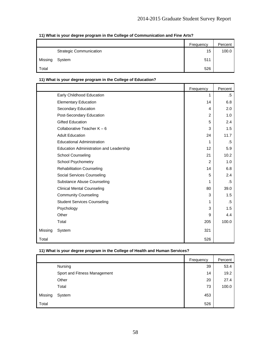|         |                                | Frequency | Percent |
|---------|--------------------------------|-----------|---------|
|         | <b>Strategic Communication</b> | 15        | 100.0   |
| Missing | System                         | 511       |         |
| Total   |                                | 526       |         |

## **11) What is your degree program in the College of Communication and Fine Arts?**

## **11) What is your degree program in the College of Education?**

|         |                                         | Frequency      | Percent |
|---------|-----------------------------------------|----------------|---------|
|         | Early Childhood Education               | 1              | .5      |
|         | <b>Elementary Education</b>             | 14             | 6.8     |
|         | Secondary Education                     | 4              | 2.0     |
|         | Post-Secondary Education                | $\overline{2}$ | 1.0     |
|         | <b>Gifted Education</b>                 | 5              | 2.4     |
|         | Collaborative Teacher $K - 6$           | 3              | 1.5     |
|         | <b>Adult Education</b>                  | 24             | 11.7    |
|         | <b>Educational Administration</b>       | 1              | .5      |
|         | Education Administration and Leadership | 12             | 5.9     |
|         | <b>School Counseling</b>                | 21             | 10.2    |
|         | School Psychometry                      | 2              | 1.0     |
|         | <b>Rehabilitation Counseling</b>        | 14             | 6.8     |
|         | Social Services Counseling              | 5              | 2.4     |
|         | Substance Abuse Counseling              | 1              | .5      |
|         | <b>Clinical Mental Counseling</b>       | 80             | 39.0    |
|         | <b>Community Counseling</b>             | 3              | 1.5     |
|         | <b>Student Services Counseling</b>      | 1              | .5      |
|         | Psychology                              | 3              | 1.5     |
|         | Other                                   | 9              | 4.4     |
|         | Total                                   | 205            | 100.0   |
| Missing | System                                  | 321            |         |
| Total   |                                         | 526            |         |

## **11) What is your degree program in the College of Health and Human Services?**

|         |                              | Frequency | Percent |
|---------|------------------------------|-----------|---------|
|         | Nursing                      | 39        | 53.4    |
|         | Sport and Fitness Management | 14        | 19.2    |
|         | Other                        | 20        | 27.4    |
|         | Total                        | 73        | 100.0   |
| Missing | System                       | 453       |         |
| Total   |                              | 526       |         |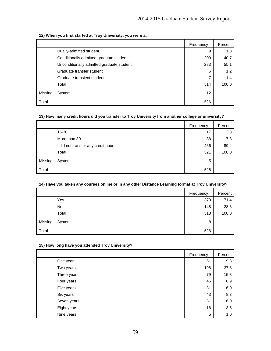## **12) When you first started at Troy University, you were a:**

|         |                                           | Frequency | Percent |
|---------|-------------------------------------------|-----------|---------|
|         | Dually-admitted student                   | 9         | 1.8     |
|         | Conditionally admitted graduate student   | 209       | 40.7    |
|         | Unconditionally admitted graduate student | 283       | 55.1    |
|         | Graduate transfer student                 | 6         | 1.2     |
|         | Graduate transient student                | 7         | 1.4     |
|         | Total                                     | 514       | 100.0   |
| Missing | System                                    | 12        |         |
| Total   |                                           | 526       |         |

## **13) How many credit hours did you transfer to Troy University from another college or university?**

|         |                                      | Frequency | Percent |
|---------|--------------------------------------|-----------|---------|
|         | 16-30                                | 17        | 3.3     |
|         | More than 30                         | 38        | 7.3     |
|         | I did not transfer any credit hours. | 466       | 89.4    |
|         | Total                                | 521       | 100.0   |
| Missing | System                               | 5         |         |
| Total   |                                      | 526       |         |

## **14) Have you taken any courses online or in any other Distance Learning format at Troy University?**

|         |        | Frequency | Percent |
|---------|--------|-----------|---------|
|         | Yes    | 370       | 71.4    |
|         | No     | 148       | 28.6    |
|         | Total  | 518       | 100.0   |
| Missing | System | 8         |         |
| Total   |        | 526       |         |

## **15) How long have you attended Troy University?**

|             | Frequency | Percent |
|-------------|-----------|---------|
| One year    | 51        | 9.8     |
| Two years   | 196       | 37.8    |
| Three years | 79        | 15.3    |
| Four years  | 46        | 8.9     |
| Five years  | 31        | 6.0     |
| Six years   | 43        | 8.3     |
| Seven years | 31        | 6.0     |
| Eight years | 18        | 3.5     |
| Nine years  | 5         | 1.0     |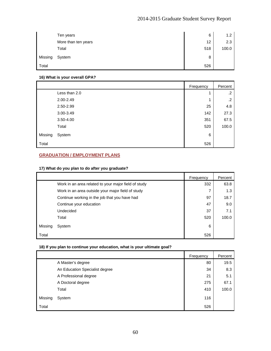|         | Ten years           | 6   | 1.2   |
|---------|---------------------|-----|-------|
|         | More than ten years | 12  | 2.3   |
|         | Total               | 518 | 100.0 |
| Missing | System              | 8   |       |
| Total   |                     | 526 |       |

### **16) What is your overall GPA?**

|         |               | Frequency | Percent    |
|---------|---------------|-----------|------------|
|         | Less than 2.0 |           | $\cdot$ .2 |
|         | 2.00-2.49     | и         | $\cdot$    |
|         | 2.50-2.99     | 25        | 4.8        |
|         | 3.00-3.49     | 142       | 27.3       |
|         | 3.50-4.00     | 351       | 67.5       |
|         | Total         | 520       | 100.0      |
| Missing | System        | 6         |            |
| Total   |               | 526       |            |

## **GRADUATION / EMPLOYMENT PLANS**

## **17) What do you plan to do after you graduate?**

|         |                                                      | Frequency | Percent |
|---------|------------------------------------------------------|-----------|---------|
|         | Work in an area related to your major field of study | 332       | 63.8    |
|         | Work in an area outside your major field of study    |           | 1.3     |
|         | Continue working in the job that you have had        | 97        | 18.7    |
|         | Continue your education                              | 47        | 9.0     |
|         | Undecided                                            | 37        | 7.1     |
|         | Total                                                | 520       | 100.0   |
| Missing | System                                               | 6         |         |
| Total   |                                                      | 526       |         |

## **18) If you plan to continue your education, what is your ultimate goal?**

|         |                                | Frequency | Percent |
|---------|--------------------------------|-----------|---------|
|         | A Master's degree              | 80        | 19.5    |
|         | An Education Specialist degree | 34        | 8.3     |
|         | A Professional degree          | 21        | 5.1     |
|         | A Doctoral degree              | 275       | 67.1    |
|         | Total                          | 410       | 100.0   |
| Missing | System                         | 116       |         |
| Total   |                                | 526       |         |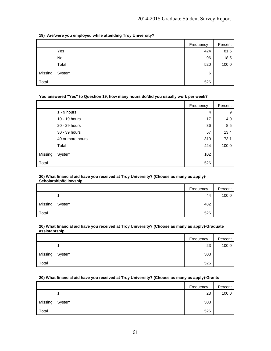## **19) Are/were you employed while attending Troy University?**

|         |        | Frequency | Percent |
|---------|--------|-----------|---------|
|         | Yes    | 424       | 81.5    |
|         | No     | 96        | 18.5    |
|         | Total  | 520       | 100.0   |
| Missing | System | 6         |         |
| Total   |        | 526       |         |

## **You answered "Yes" to Question 19, how many hours do/did you usually work per week?**

|         |                  | Frequency | Percent |
|---------|------------------|-----------|---------|
|         | $1 - 9$ hours    | 4         | .9      |
|         | 10 - 19 hours    | 17        | 4.0     |
|         | 20 - 29 hours    | 36        | 8.5     |
|         | 30 - 39 hours    | 57        | 13.4    |
|         | 40 or more hours | 310       | 73.1    |
|         | Total            | 424       | 100.0   |
| Missing | System           | 102       |         |
| Total   |                  | 526       |         |

#### **20) What financial aid have you received at Troy University? (Choose as many as apply)- Scholarship/fellowship**

|         |        | Frequency | Percent |
|---------|--------|-----------|---------|
|         |        | 44        | 100.0   |
| Missing | System | 482       |         |
| Total   |        | 526       |         |

#### **20) What financial aid have you received at Troy University? (Choose as many as apply)-Graduate assistantship**

|         |        | Frequency | Percent |
|---------|--------|-----------|---------|
|         |        | 23        | 100.0   |
| Missing | System | 503       |         |
| Total   |        | 526       |         |

## **20) What financial aid have you received at Troy University? (Choose as many as apply)-Grants**

|         |        | Frequency | Percent |
|---------|--------|-----------|---------|
|         |        | 23        | 100.0   |
| Missing | System | 503       |         |
| Total   |        | 526       |         |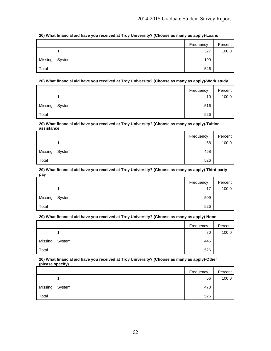**20) What financial aid have you received at Troy University? (Choose as many as apply)-Loans** 

|         |        | Frequency | Percent |
|---------|--------|-----------|---------|
|         |        | 327       | 100.0   |
| Missing | System | 199       |         |
| Total   |        | 526       |         |

## **20) What financial aid have you received at Troy University? (Choose as many as apply)-Work study**

|         |        | Frequency | Percent |
|---------|--------|-----------|---------|
|         |        | 10        | 100.0   |
| Missing | System | 516       |         |
| Total   |        | 526       |         |

#### **20) What financial aid have you received at Troy University? (Choose as many as apply)-Tuition assistance**

|         |        | Frequency | Percent |
|---------|--------|-----------|---------|
|         |        | 68        | 100.0   |
| Missing | System | 458       |         |
| Total   |        | 526       |         |

#### **20) What financial aid have you received at Troy University? (Choose as many as apply)-Third party pay**

|         |        | Frequency | Percent |
|---------|--------|-----------|---------|
|         |        | 17        | 100.0   |
| Missing | System | 509       |         |
| Total   |        | 526       |         |

## **20) What financial aid have you received at Troy University? (Choose as many as apply)-None**

|         |        | Frequency | Percent |
|---------|--------|-----------|---------|
|         |        | 80        | 100.0   |
| Missing | System | 446       |         |
| Total   |        | 526       |         |

#### **20) What financial aid have you received at Troy University? (Choose as many as apply)-Other (please specify)**

|         |        | Frequency | Percent |
|---------|--------|-----------|---------|
|         |        | 56        | 100.0   |
| Missing | System | 470       |         |
| Total   |        | 526       |         |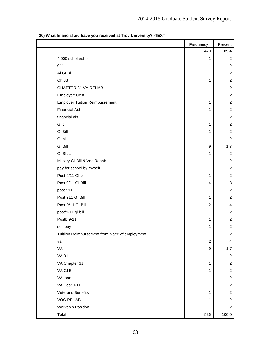|                                                 | Frequency      | Percent           |
|-------------------------------------------------|----------------|-------------------|
|                                                 | 470            | 89.4              |
| 4.000 scholarshp                                | 1              | $\cdot$ .2        |
| 911                                             | 1              | $\cdot$ .2        |
| AI GI Bill                                      | 1              | $\cdot$ .2        |
| Ch 33                                           | 1              | $\cdot$           |
| CHAPTER 31 VA REHAB                             | 1              | $\cdot$ .2        |
| <b>Employee Cost</b>                            | 1              | $\cdot$ .2        |
| <b>Employer Tuition Reimbursement</b>           | 1              | $\cdot$ .2        |
| <b>Financial Aid</b>                            | 1              | $\cdot$ .2        |
| financial ais                                   | 1              | $\cdot$ .2        |
| Gi bill                                         | $\mathbf{1}$   | $\cdot$ .2        |
| Gi Bill                                         | 1              | $\cdot$ .2        |
| GI bill                                         | 1              | $\cdot$           |
| <b>GI Bill</b>                                  | 9              | 1.7               |
| <b>GI BILL</b>                                  | 1              | $\cdot$ .2        |
| Military GI Bill & Voc Rehab                    | 1              | $\cdot$ .2        |
| pay for school by myself                        | 1              | $\cdot$ .2        |
| Post 9/11 GI bill                               | 1              | $\cdot$ .2        |
| Post 9/11 GI Bill                               | $\overline{4}$ | $\boldsymbol{.8}$ |
| post 911                                        | 1              | $\cdot$ .2        |
| Post 911 GI Bill                                | 1              | $\cdot$           |
| Post-9/11 GI Bill                               | $\overline{c}$ | $\mathbf{.4}$     |
| post/9-11 gi bill                               | 1              | $\cdot$ .2        |
| Postb 9-11                                      | 1              | $\cdot$ .2        |
| self pay                                        | 1              | $\cdot$ .2        |
| Tuitiion Reimbursement from place of employment | 1              | $\cdot$ .2        |
| va                                              | $\overline{c}$ | $\mathbf{.4}$     |
| VA                                              | 9              | 1.7               |
| <b>VA 31</b>                                    | 1              | $\cdot$ .2        |
| VA Chapter 31                                   | 1              | $\cdot$ .2        |
| VA GI Bill                                      | $\mathbf{1}$   | $\cdot$ .2        |
| VA loan                                         | 1              | $\cdot$ .2        |
| VA Post 9-11                                    | 1              | $\cdot$ .2        |
| <b>Veterans Benefits</b>                        | 1              | $\cdot$ .2        |
| <b>VOC REHAB</b>                                | 1              | $\cdot$ .2        |
| <b>Workship Position</b>                        | 1              | $\cdot$ .2        |
| Total                                           | 526            | 100.0             |

## **20) What financial aid have you received at Troy University? -TEXT**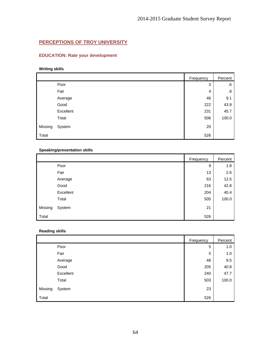## **PERCEPTIONS OF TROY UNIVERSITY**

## **EDUCATION: Rate your development**

## **Writing skills**

|         |           | Frequency | Percent |
|---------|-----------|-----------|---------|
|         | Poor      | 3         | .6      |
|         | Fair      | 4         | .8      |
|         | Average   | 46        | 9.1     |
|         | Good      | 222       | 43.9    |
|         | Excellent | 231       | 45.7    |
|         | Total     | 506       | 100.0   |
| Missing | System    | 20        |         |
| Total   |           | 526       |         |

## **Speaking/presentation skills**

|         |           | Frequency | Percent |
|---------|-----------|-----------|---------|
|         | Poor      | 9         | 1.8     |
|         | Fair      | 13        | 2.6     |
|         | Average   | 63        | 12.5    |
|         | Good      | 216       | 42.8    |
|         | Excellent | 204       | 40.4    |
|         | Total     | 505       | 100.0   |
| Missing | System    | 21        |         |
| Total   |           | 526       |         |

## **Reading skills**

|         |           | <b>Frequency</b> | Percent |
|---------|-----------|------------------|---------|
|         | Poor      | 5                | 1.0     |
|         | Fair      | 5                | 1.0     |
|         | Average   | 48               | 9.5     |
|         | Good      | 205              | 40.8    |
|         | Excellent | 240              | 47.7    |
|         | Total     | 503              | 100.0   |
| Missing | System    | 23               |         |
| Total   |           | 526              |         |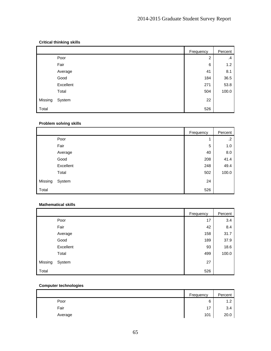## **Critical thinking skills**

|         |           | Frequency | Percent |
|---------|-----------|-----------|---------|
|         | Poor      | 2         | $\cdot$ |
|         | Fair      | 6         | 1.2     |
|         | Average   | 41        | 8.1     |
|         | Good      | 184       | 36.5    |
|         | Excellent | 271       | 53.8    |
|         | Total     | 504       | 100.0   |
| Missing | System    | 22        |         |
| Total   |           | 526       |         |

## **Problem solving skills**

|         |           | Frequency | Percent |
|---------|-----------|-----------|---------|
|         | Poor      | 4         | .2      |
|         | Fair      | 5         | 1.0     |
|         | Average   | 40        | 8.0     |
|         | Good      | 208       | 41.4    |
|         | Excellent | 248       | 49.4    |
|         | Total     | 502       | 100.0   |
| Missing | System    | 24        |         |
| Total   |           | 526       |         |

### **Mathematical skills**

|         |           | Frequency | Percent |
|---------|-----------|-----------|---------|
|         | Poor      | 17        | 3.4     |
|         | Fair      | 42        | 8.4     |
|         | Average   | 158       | 31.7    |
|         | Good      | 189       | 37.9    |
|         | Excellent | 93        | 18.6    |
|         | Total     | 499       | 100.0   |
| Missing | System    | 27        |         |
| Total   |           | 526       |         |

## **Computer technologies**

|         | Frequency | Percent |
|---------|-----------|---------|
| Poor    | 6         | 1.2     |
| Fair    | 17        | 3.4     |
| Average | 101       | 20.0    |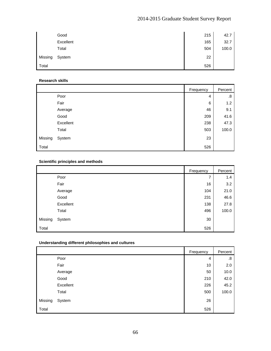|         | Good      | 215 | 42.7  |
|---------|-----------|-----|-------|
|         | Excellent | 165 | 32.7  |
|         | Total     | 504 | 100.0 |
| Missing | System    | 22  |       |
| Total   |           | 526 |       |

## **Research skills**

|         |           | Frequency | Percent |
|---------|-----------|-----------|---------|
|         | Poor      | 4         | .8      |
|         | Fair      | 6         | 1.2     |
|         | Average   | 46        | 9.1     |
|         | Good      | 209       | 41.6    |
|         | Excellent | 238       | 47.3    |
|         | Total     | 503       | 100.0   |
| Missing | System    | 23        |         |
| Total   |           | 526       |         |

## **Scientific principles and methods**

|         |           | Frequency | Percent |
|---------|-----------|-----------|---------|
|         | Poor      | 7         | 1.4     |
|         | Fair      | 16        | 3.2     |
|         | Average   | 104       | 21.0    |
|         | Good      | 231       | 46.6    |
|         | Excellent | 138       | 27.8    |
|         | Total     | 496       | 100.0   |
| Missing | System    | 30        |         |
| Total   |           | 526       |         |

## **Understanding different philosophies and cultures**

|         |           | Frequency | Percent |
|---------|-----------|-----------|---------|
|         | Poor      | 4         | .8      |
|         | Fair      | 10        | 2.0     |
|         | Average   | 50        | 10.0    |
|         | Good      | 210       | 42.0    |
|         | Excellent | 226       | 45.2    |
|         | Total     | 500       | 100.0   |
| Missing | System    | 26        |         |
| Total   |           | 526       |         |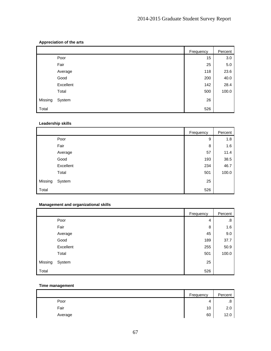## **Appreciation of the arts**

|         |           | Frequency | Percent |
|---------|-----------|-----------|---------|
|         | Poor      | 15        | 3.0     |
|         | Fair      | 25        | 5.0     |
|         | Average   | 118       | 23.6    |
|         | Good      | 200       | 40.0    |
|         | Excellent | 142       | 28.4    |
|         | Total     | 500       | 100.0   |
| Missing | System    | 26        |         |
| Total   |           | 526       |         |

## **Leadership skills**

|         |           | Frequency | Percent |
|---------|-----------|-----------|---------|
|         | Poor      | 9         | 1.8     |
|         | Fair      | 8         | 1.6     |
|         | Average   | 57        | 11.4    |
|         | Good      | 193       | 38.5    |
|         | Excellent | 234       | 46.7    |
|         | Total     | 501       | 100.0   |
| Missing | System    | 25        |         |
| Total   |           | 526       |         |

## **Management and organizational skills**

|         |           | Frequency | Percent |
|---------|-----------|-----------|---------|
|         | Poor      | 4         | .8      |
|         | Fair      | 8         | 1.6     |
|         | Average   | 45        | 9.0     |
|         | Good      | 189       | 37.7    |
|         | Excellent | 255       | 50.9    |
|         | Total     | 501       | 100.0   |
| Missing | System    | 25        |         |
| Total   |           | 526       |         |

## **Time management**

|         | Frequency | Percent        |
|---------|-----------|----------------|
| Poor    | 4         | $\circ$<br>۰O. |
| Fair    | 10        | 2.0            |
| Average | 60        | 12.0           |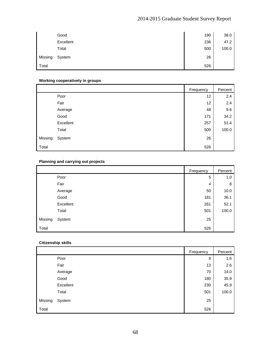|         | Good      | 190 | 38.0  |
|---------|-----------|-----|-------|
|         | Excellent | 236 | 47.2  |
|         | Total     | 500 | 100.0 |
| Missing | System    | 26  |       |
| Total   |           | 526 |       |

## **Working cooperatively in groups**

|         |           | Frequency | Percent |
|---------|-----------|-----------|---------|
|         | Poor      | 12        | 2.4     |
|         | Fair      | 12        | 2.4     |
|         | Average   | 48        | 9.6     |
|         | Good      | 171       | 34.2    |
|         | Excellent | 257       | 51.4    |
|         | Total     | 500       | 100.0   |
| Missing | System    | 26        |         |
| Total   |           | 526       |         |

## **Planning and carrying out projects**

|         |           | Frequency | Percent |
|---------|-----------|-----------|---------|
|         | Poor      | 5         | 1.0     |
|         | Fair      | 4         | .8      |
|         | Average   | 50        | 10.0    |
|         | Good      | 181       | 36.1    |
|         | Excellent | 261       | 52.1    |
|         | Total     | 501       | 100.0   |
| Missing | System    | 25        |         |
| Total   |           | 526       |         |

## **Citizenship skills**

|         |           | Frequency | Percent |
|---------|-----------|-----------|---------|
|         | Poor      | 8         | 1.6     |
|         | Fair      | 13        | 2.6     |
|         | Average   | 70        | 14.0    |
|         | Good      | 180       | 35.9    |
|         | Excellent | 230       | 45.9    |
|         | Total     | 501       | 100.0   |
| Missing | System    | 25        |         |
| Total   |           | 526       |         |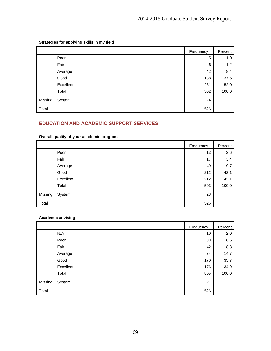**Strategies for applying skills in my field** 

|         |           | Frequency | Percent |
|---------|-----------|-----------|---------|
|         | Poor      | 5         | 1.0     |
|         | Fair      | 6         | 1.2     |
|         | Average   | 42        | 8.4     |
|         | Good      | 188       | 37.5    |
|         | Excellent | 261       | 52.0    |
|         | Total     | 502       | 100.0   |
| Missing | System    | 24        |         |
| Total   |           | 526       |         |

## **EDUCATION AND ACADEMIC SUPPORT SERVICES**

**Overall quality of your academic program** 

|         |           | Frequency | Percent |
|---------|-----------|-----------|---------|
|         | Poor      | 13        | 2.6     |
|         | Fair      | 17        | 3.4     |
|         | Average   | 49        | 9.7     |
|         | Good      | 212       | 42.1    |
|         | Excellent | 212       | 42.1    |
|         | Total     | 503       | 100.0   |
| Missing | System    | 23        |         |
| Total   |           | 526       |         |

## **Academic advising**

|         |           | Frequency | Percent |
|---------|-----------|-----------|---------|
|         | N/A       | 10        | 2.0     |
|         | Poor      | 33        | 6.5     |
|         | Fair      | 42        | 8.3     |
|         | Average   | 74        | 14.7    |
|         | Good      | 170       | 33.7    |
|         | Excellent | 176       | 34.9    |
|         | Total     | 505       | 100.0   |
| Missing | System    | 21        |         |
| Total   |           | 526       |         |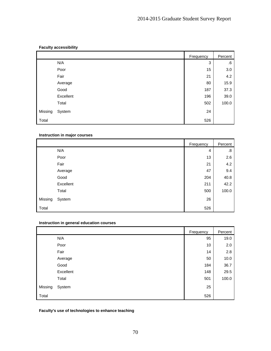## **Faculty accessibility**

|         |           | Frequency | Percent |
|---------|-----------|-----------|---------|
|         | N/A       | 3         | .6      |
|         | Poor      | 15        | 3.0     |
|         | Fair      | 21        | 4.2     |
|         | Average   | 80        | 15.9    |
|         | Good      | 187       | 37.3    |
|         | Excellent | 196       | 39.0    |
|         | Total     | 502       | 100.0   |
| Missing | System    | 24        |         |
| Total   |           | 526       |         |

## **Instruction in major courses**

|         |           | Frequency | Percent |
|---------|-----------|-----------|---------|
|         | N/A       | 4         | .8      |
|         | Poor      | 13        | 2.6     |
|         | Fair      | 21        | 4.2     |
|         | Average   | 47        | 9.4     |
|         | Good      | 204       | 40.8    |
|         | Excellent | 211       | 42.2    |
|         | Total     | 500       | 100.0   |
| Missing | System    | 26        |         |
| Total   |           | 526       |         |

## **Instruction in general education courses**

|         |           | Frequency | Percent |
|---------|-----------|-----------|---------|
|         | N/A       | 95        | 19.0    |
|         | Poor      | 10        | 2.0     |
|         | Fair      | 14        | 2.8     |
|         | Average   | 50        | 10.0    |
|         | Good      | 184       | 36.7    |
|         | Excellent | 148       | 29.5    |
|         | Total     | 501       | 100.0   |
| Missing | System    | 25        |         |
| Total   |           | 526       |         |

## **Faculty's use of technologies to enhance teaching**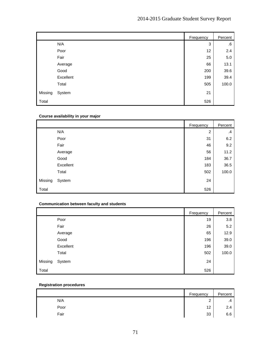|         |           | Frequency | Percent |
|---------|-----------|-----------|---------|
|         | N/A       | 3         | .6      |
|         | Poor      | 12        | 2.4     |
|         | Fair      | 25        | $5.0\,$ |
|         | Average   | 66        | 13.1    |
|         | Good      | 200       | 39.6    |
|         | Excellent | 199       | 39.4    |
|         | Total     | 505       | 100.0   |
| Missing | System    | 21        |         |
| Total   |           | 526       |         |

## **Course availability in your major**

|         |           | Frequency | Percent |
|---------|-----------|-----------|---------|
|         | N/A       | 2         | $\cdot$ |
|         | Poor      | 31        | 6.2     |
|         | Fair      | 46        | 9.2     |
|         | Average   | 56        | 11.2    |
|         | Good      | 184       | 36.7    |
|         | Excellent | 183       | 36.5    |
|         | Total     | 502       | 100.0   |
| Missing | System    | 24        |         |
| Total   |           | 526       |         |

## **Communication between faculty and students**

|         |           | Frequency | Percent |
|---------|-----------|-----------|---------|
|         | Poor      | 19        | 3.8     |
|         | Fair      | 26        | 5.2     |
|         | Average   | 65        | 12.9    |
|         | Good      | 196       | 39.0    |
|         | Excellent | 196       | 39.0    |
|         | Total     | 502       | 100.0   |
| Missing | System    | 24        |         |
| Total   |           | 526       |         |

## **Registration procedures**

|      | Frequency   | Percent |
|------|-------------|---------|
| N/A  | $\sim$<br>_ | .4      |
| Poor | 12          | 2.4     |
| Fair | 33          | 6.6     |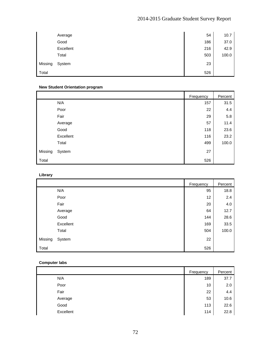# 2014-2015 Graduate Student Survey Report

|         | Average   | 54  | 10.7  |
|---------|-----------|-----|-------|
|         | Good      | 186 | 37.0  |
|         | Excellent | 216 | 42.9  |
|         | Total     | 503 | 100.0 |
| Missing | System    | 23  |       |
| Total   |           | 526 |       |

# **New Student Orientation program**

|         |           | Frequency | Percent |
|---------|-----------|-----------|---------|
|         | N/A       | 157       | 31.5    |
|         | Poor      | 22        | 4.4     |
|         | Fair      | 29        | 5.8     |
|         | Average   | 57        | 11.4    |
|         | Good      | 118       | 23.6    |
|         | Excellent | 116       | 23.2    |
|         | Total     | 499       | 100.0   |
| Missing | System    | 27        |         |
| Total   |           | 526       |         |

# **Library**

|         |           | Frequency | Percent |
|---------|-----------|-----------|---------|
|         | N/A       | 95        | 18.8    |
|         | Poor      | 12        | 2.4     |
|         | Fair      | 20        | 4.0     |
|         | Average   | 64        | 12.7    |
|         | Good      | 144       | 28.6    |
|         | Excellent | 169       | 33.5    |
|         | Total     | 504       | 100.0   |
| Missing | System    | 22        |         |
| Total   |           | 526       |         |

#### **Computer labs**

|           | Frequency | Percent |
|-----------|-----------|---------|
| N/A       | 189       | 37.7    |
| Poor      | 10        | 2.0     |
| Fair      | 22        | 4.4     |
| Average   | 53        | 10.6    |
| Good      | 113       | 22.6    |
| Excellent | 114       | 22.8    |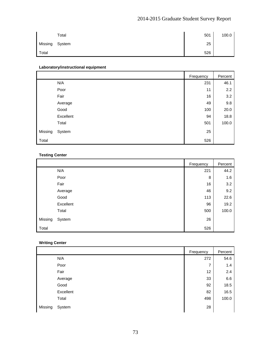# 2014-2015 Graduate Student Survey Report

|         | Total  | 501 | 100.0 |
|---------|--------|-----|-------|
| Missing | System | 25  |       |
| Total   |        | 526 |       |

# **Laboratory/instructional equipment**

|         |           | Frequency | Percent |
|---------|-----------|-----------|---------|
|         | N/A       | 231       | 46.1    |
|         | Poor      | 11        | 2.2     |
|         | Fair      | 16        | 3.2     |
|         | Average   | 49        | 9.8     |
|         | Good      | 100       | 20.0    |
|         | Excellent | 94        | 18.8    |
|         | Total     | 501       | 100.0   |
| Missing | System    | 25        |         |
| Total   |           | 526       |         |

# **Testing Center**

|         |           | Frequency | Percent |
|---------|-----------|-----------|---------|
|         | N/A       | 221       | 44.2    |
|         | Poor      | 8         | 1.6     |
|         | Fair      | 16        | 3.2     |
|         | Average   | 46        | 9.2     |
|         | Good      | 113       | 22.6    |
|         | Excellent | 96        | 19.2    |
|         | Total     | 500       | 100.0   |
| Missing | System    | 26        |         |
| Total   |           | 526       |         |

# **Writing Center**

|         |           | Frequency | Percent |
|---------|-----------|-----------|---------|
|         | N/A       | 272       | 54.6    |
|         | Poor      | ⇁         | 1.4     |
|         | Fair      | 12        | 2.4     |
|         | Average   | 33        | 6.6     |
|         | Good      | 92        | 18.5    |
|         | Excellent | 82        | 16.5    |
|         | Total     | 498       | 100.0   |
| Missing | System    | 28        |         |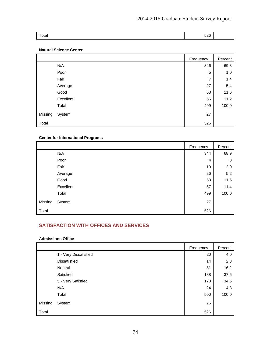| Total | 526 |
|-------|-----|

### **Natural Science Center**

|         |           | Frequency | Percent |
|---------|-----------|-----------|---------|
|         | N/A       | 346       | 69.3    |
|         | Poor      | 5         | 1.0     |
|         | Fair      | 7         | 1.4     |
|         | Average   | 27        | 5.4     |
|         | Good      | 58        | 11.6    |
|         | Excellent | 56        | 11.2    |
|         | Total     | 499       | 100.0   |
| Missing | System    | 27        |         |
| Total   |           | 526       |         |

#### **Center for International Programs**

|         |           | Frequency | Percent |
|---------|-----------|-----------|---------|
|         | N/A       | 344       | 68.9    |
|         | Poor      | 4         | .8      |
|         | Fair      | 10        | 2.0     |
|         | Average   | 26        | 5.2     |
|         | Good      | 58        | 11.6    |
|         | Excellent | 57        | 11.4    |
|         | Total     | 499       | 100.0   |
| Missing | System    | 27        |         |
| Total   |           | 526       |         |

# **SATISFACTION WITH OFFICES AND SERVICES**

#### **Admissions Office**

|         |                       | Frequency | Percent |
|---------|-----------------------|-----------|---------|
|         | 1 - Very Dissatisfied | 20        | 4.0     |
|         | <b>Dissatisfied</b>   | 14        | 2.8     |
|         | Neutral               | 81        | 16.2    |
|         | Satisfied             | 188       | 37.6    |
|         | 5 - Very Satisfied    | 173       | 34.6    |
|         | N/A                   | 24        | 4.8     |
|         | Total                 | 500       | 100.0   |
| Missing | System                | 26        |         |
| Total   |                       | 526       |         |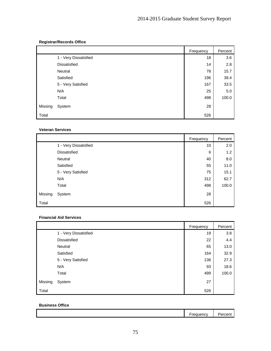# **Registrar/Records Office**

|         |                       | Frequency | Percent |
|---------|-----------------------|-----------|---------|
|         | 1 - Very Dissatisfied | 18        | 3.6     |
|         | <b>Dissatisfied</b>   | 14        | 2.8     |
|         | Neutral               | 78        | 15.7    |
|         | Satisfied             | 196       | 39.4    |
|         | 5 - Very Satisfied    | 167       | 33.5    |
|         | N/A                   | 25        | 5.0     |
|         | Total                 | 498       | 100.0   |
| Missing | System                | 28        |         |
| Total   |                       | 526       |         |

#### **Veteran Services**

|         |                       | Frequency | Percent |
|---------|-----------------------|-----------|---------|
|         | 1 - Very Dissatisfied | 10        | 2.0     |
|         | <b>Dissatisfied</b>   | 6         | 1.2     |
|         | Neutral               | 40        | 8.0     |
|         | Satisfied             | 55        | 11.0    |
|         | 5 - Very Satisfied    | 75        | 15.1    |
|         | N/A                   | 312       | 62.7    |
|         | Total                 | 498       | 100.0   |
| Missing | System                | 28        |         |
| Total   |                       | 526       |         |

### **Financial Aid Services**

|         |                       | Frequency | Percent |
|---------|-----------------------|-----------|---------|
|         | 1 - Very Dissatisfied | 19        | 3.8     |
|         | <b>Dissatisfied</b>   | 22        | 4.4     |
|         | Neutral               | 65        | 13.0    |
|         | Satisfied             | 164       | 32.9    |
|         | 5 - Very Satisfied    | 136       | 27.3    |
|         | N/A                   | 93        | 18.6    |
|         | Total                 | 499       | 100.0   |
| Missing | System                | 27        |         |
| Total   |                       | 526       |         |

#### **Business Office**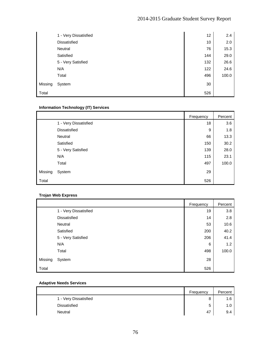|         | 1 - Very Dissatisfied | 12  | 2.4   |
|---------|-----------------------|-----|-------|
|         | Dissatisfied          | 10  | 2.0   |
|         | Neutral               | 76  | 15.3  |
|         | Satisfied             | 144 | 29.0  |
|         | 5 - Very Satisfied    | 132 | 26.6  |
|         | N/A                   | 122 | 24.6  |
|         | Total                 | 496 | 100.0 |
| Missing | System                | 30  |       |
| Total   |                       | 526 |       |

# **Information Technology (IT) Services**

|         |                       | Frequency | Percent |
|---------|-----------------------|-----------|---------|
|         | 1 - Very Dissatisfied | 18        | 3.6     |
|         | <b>Dissatisfied</b>   | 9         | 1.8     |
|         | Neutral               | 66        | 13.3    |
|         | Satisfied             | 150       | 30.2    |
|         | 5 - Very Satisfied    | 139       | 28.0    |
|         | N/A                   | 115       | 23.1    |
|         | Total                 | 497       | 100.0   |
| Missing | System                | 29        |         |
| Total   |                       | 526       |         |

# **Trojan Web Express**

|         |                       | Frequency | Percent |
|---------|-----------------------|-----------|---------|
|         | 1 - Very Dissatisfied | 19        | 3.8     |
|         | Dissatisfied          | 14        | 2.8     |
|         | Neutral               | 53        | 10.6    |
|         | Satisfied             | 200       | 40.2    |
|         | 5 - Very Satisfied    | 206       | 41.4    |
|         | N/A                   | 6         | 1.2     |
|         | Total                 | 498       | 100.0   |
| Missing | System                | 28        |         |
| Total   |                       | 526       |         |

### **Adaptive Needs Services**

|                       | Frequency | Percent |
|-----------------------|-----------|---------|
| 1 - Very Dissatisfied | 8         | 1.6     |
| <b>Dissatisfied</b>   | 5         | 1.C     |
| Neutral               | 47        | 9.4     |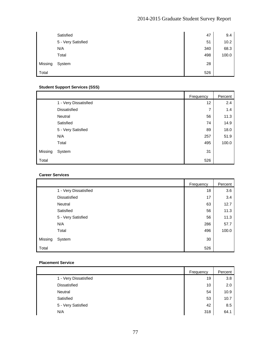# 2014-2015 Graduate Student Survey Report

|         | Satisfied          | 47  | 9.4   |
|---------|--------------------|-----|-------|
|         | 5 - Very Satisfied | 51  | 10.2  |
|         | N/A                | 340 | 68.3  |
|         | Total              | 498 | 100.0 |
| Missing | System             | 28  |       |
| Total   |                    | 526 |       |

# **Student Support Services (SSS)**

|         |                       | Frequency | Percent |
|---------|-----------------------|-----------|---------|
|         | 1 - Very Dissatisfied | 12        | 2.4     |
|         | <b>Dissatisfied</b>   | 7         | 1.4     |
|         | Neutral               | 56        | 11.3    |
|         | Satisfied             | 74        | 14.9    |
|         | 5 - Very Satisfied    | 89        | 18.0    |
|         | N/A                   | 257       | 51.9    |
|         | Total                 | 495       | 100.0   |
| Missing | System                | 31        |         |
| Total   |                       | 526       |         |

#### **Career Services**

|         |                       | Frequency | Percent |
|---------|-----------------------|-----------|---------|
|         | 1 - Very Dissatisfied | 18        | 3.6     |
|         | <b>Dissatisfied</b>   | 17        | 3.4     |
|         | Neutral               | 63        | 12.7    |
|         | Satisfied             | 56        | 11.3    |
|         | 5 - Very Satisfied    | 56        | 11.3    |
|         | N/A                   | 286       | 57.7    |
|         | Total                 | 496       | 100.0   |
| Missing | System                | 30        |         |
| Total   |                       | 526       |         |

#### **Placement Service**

|                       | Frequency | Percent |
|-----------------------|-----------|---------|
| 1 - Very Dissatisfied | 19        | 3.8     |
| <b>Dissatisfied</b>   | 10        | 2.0     |
| Neutral               | 54        | 10.9    |
| Satisfied             | 53        | 10.7    |
| 5 - Very Satisfied    | 42        | 8.5     |
| N/A                   | 318       | 64.1    |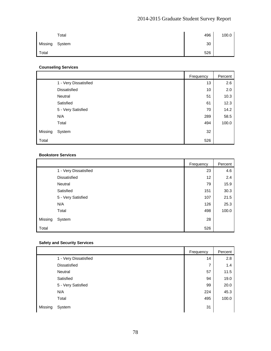# 2014-2015 Graduate Student Survey Report

|         | Total  | 496 | 100.0 |
|---------|--------|-----|-------|
| Missing | System | 30  |       |
| Total   |        | 526 |       |

#### **Counseling Services**

|         |                       | Frequency | Percent |
|---------|-----------------------|-----------|---------|
|         | 1 - Very Dissatisfied | 13        | 2.6     |
|         | <b>Dissatisfied</b>   | 10        | 2.0     |
|         | Neutral               | 51        | 10.3    |
|         | Satisfied             | 61        | 12.3    |
|         | 5 - Very Satisfied    | 70        | 14.2    |
|         | N/A                   | 289       | 58.5    |
|         | Total                 | 494       | 100.0   |
| Missing | System                | 32        |         |
| Total   |                       | 526       |         |

#### **Bookstore Services**

|         |                       | Frequency | Percent |
|---------|-----------------------|-----------|---------|
|         | 1 - Very Dissatisfied | 23        | 4.6     |
|         | <b>Dissatisfied</b>   | 12        | 2.4     |
|         | Neutral               | 79        | 15.9    |
|         | Satisfied             | 151       | 30.3    |
|         | 5 - Very Satisfied    | 107       | 21.5    |
|         | N/A                   | 126       | 25.3    |
|         | Total                 | 498       | 100.0   |
| Missing | System                | 28        |         |
| Total   |                       | 526       |         |

#### **Safety and Security Services**

|         |                       | Frequency | Percent |
|---------|-----------------------|-----------|---------|
|         | 1 - Very Dissatisfied | 14        | 2.8     |
|         | Dissatisfied          | 7         | 1.4     |
|         | Neutral               | 57        | 11.5    |
|         | Satisfied             | 94        | 19.0    |
|         | 5 - Very Satisfied    | 99        | 20.0    |
|         | N/A                   | 224       | 45.3    |
|         | Total                 | 495       | 100.0   |
| Missing | System                | 31        |         |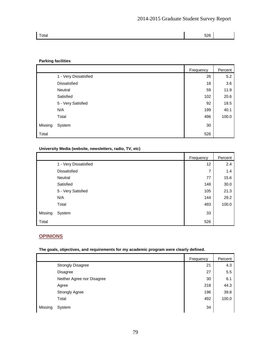|  | Total | 526 |  |
|--|-------|-----|--|
|--|-------|-----|--|

#### **Parking facilities**

|         |                       | Frequency | Percent |
|---------|-----------------------|-----------|---------|
|         | 1 - Very Dissatisfied | 26        | 5.2     |
|         | Dissatisfied          | 18        | 3.6     |
|         | Neutral               | 59        | 11.9    |
|         | Satisfied             | 102       | 20.6    |
|         | 5 - Very Satisfied    | 92        | 18.5    |
|         | N/A                   | 199       | 40.1    |
|         | Total                 | 496       | 100.0   |
| Missing | System                | 30        |         |
| Total   |                       | 526       |         |

#### **University Media (website, newsletters, radio, TV, etc)**

|         |                       | Frequency | Percent |
|---------|-----------------------|-----------|---------|
|         | 1 - Very Dissatisfied | 12        | 2.4     |
|         | Dissatisfied          | 7         | 1.4     |
|         | Neutral               | 77        | 15.6    |
|         | Satisfied             | 148       | 30.0    |
|         | 5 - Very Satisfied    | 105       | 21.3    |
|         | N/A                   | 144       | 29.2    |
|         | Total                 | 493       | 100.0   |
| Missing | System                | 33        |         |
| Total   |                       | 526       |         |

# **OPINIONS**

**The goals, objectives, and requirements for my academic program were clearly defined.** 

|                            | Frequency | Percent |
|----------------------------|-----------|---------|
| <b>Strongly Disagree</b>   | 21        | 4.3     |
| <b>Disagree</b>            | 27        | 5.5     |
| Neither Agree nor Disagree | 30        | 6.1     |
| Agree                      | 218       | 44.3    |
| <b>Strongly Agree</b>      | 196       | 39.8    |
| Total                      | 492       | 100.0   |
| Missing<br>System          | 34        |         |

79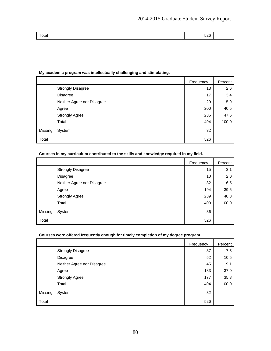# **My academic program was intellectually challenging and stimulating. Frequency Percent** Strongly Disagree 2.6 Disagree 17 3.4 Second 17 Second 17 Second 17 Second 17 Second 17 Second 17 Second 17 Second 17 Second 17 Second 17 Second 17 Second 17 Second 17 Second 17 Second 17 Second 17 Second 17 Second 17 Second 17 Second 17 Second Neither Agree nor Disagree 29 and 29 and 29 and 29 and 29 and 29 and 29 and 29 and 29 and 29 and 29 and 29 and 29 and 29 and 29 and 29 and 29 and 29 and 29 and 29 and 20 and 20 and 20 and 20 and 20 and 20 and 20 and 20 and Agree 200 | 40.5 Strongly Agree 235 47.6 Total 494 100.0 Missing System 32 Total 526

#### **Courses in my curriculum contributed to the skills and knowledge required in my field.**

|         |                            | Frequency | Percent |
|---------|----------------------------|-----------|---------|
|         | <b>Strongly Disagree</b>   | 15        | 3.1     |
|         | Disagree                   | 10        | 2.0     |
|         | Neither Agree nor Disagree | 32        | 6.5     |
|         | Agree                      | 194       | 39.6    |
|         | <b>Strongly Agree</b>      | 239       | 48.8    |
|         | Total                      | 490       | 100.0   |
| Missing | System                     | 36        |         |
| Total   |                            | 526       |         |

#### **Courses were offered frequently enough for timely completion of my degree program.**

|         |                            | Frequency | Percent |
|---------|----------------------------|-----------|---------|
|         | <b>Strongly Disagree</b>   | 37        | 7.5     |
|         | Disagree                   | 52        | 10.5    |
|         | Neither Agree nor Disagree | 45        | 9.1     |
|         | Agree                      | 183       | 37.0    |
|         | <b>Strongly Agree</b>      | 177       | 35.8    |
|         | Total                      | 494       | 100.0   |
| Missing | System                     | 32        |         |
| Total   |                            | 526       |         |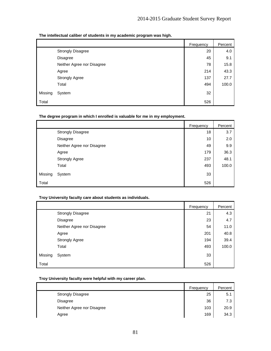**The intellectual caliber of students in my academic program was high.** 

|         |                            | Frequency | Percent |
|---------|----------------------------|-----------|---------|
|         | <b>Strongly Disagree</b>   | 20        | 4.0     |
|         | <b>Disagree</b>            | 45        | 9.1     |
|         | Neither Agree nor Disagree | 78        | 15.8    |
|         | Agree                      | 214       | 43.3    |
|         | <b>Strongly Agree</b>      | 137       | 27.7    |
|         | Total                      | 494       | 100.0   |
| Missing | System                     | 32        |         |
| Total   |                            | 526       |         |

|         |                            | Frequency | Percent |
|---------|----------------------------|-----------|---------|
|         | <b>Strongly Disagree</b>   | 18        | 3.7     |
|         | Disagree                   | 10        | 2.0     |
|         | Neither Agree nor Disagree | 49        | 9.9     |
|         | Agree                      | 179       | 36.3    |
|         | <b>Strongly Agree</b>      | 237       | 48.1    |
|         | Total                      | 493       | 100.0   |
| Missing | System                     | 33        |         |
| Total   |                            | 526       |         |

#### **The degree program in which I enrolled is valuable for me in my employment.**

#### **Troy University faculty care about students as individuals.**

|         |                            | Frequency | Percent |
|---------|----------------------------|-----------|---------|
|         | <b>Strongly Disagree</b>   | 21        | 4.3     |
|         | <b>Disagree</b>            | 23        | 4.7     |
|         | Neither Agree nor Disagree | 54        | 11.0    |
|         | Agree                      | 201       | 40.8    |
|         | <b>Strongly Agree</b>      | 194       | 39.4    |
|         | Total                      | 493       | 100.0   |
| Missing | System                     | 33        |         |
| Total   |                            | 526       |         |

#### **Troy University faculty were helpful with my career plan.**

|                            | Frequency | Percent |
|----------------------------|-----------|---------|
| <b>Strongly Disagree</b>   | 25        | 5.1     |
| <b>Disagree</b>            | 36        | 7.3     |
| Neither Agree nor Disagree | 103       | 20.9    |
| Agree                      | 169       | 34.3    |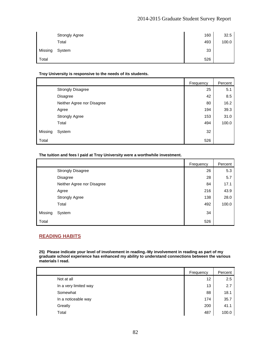# 2014-2015 Graduate Student Survey Report

|         | <b>Strongly Agree</b> | 160 | 32.5  |
|---------|-----------------------|-----|-------|
|         | Total                 | 493 | 100.0 |
| Missing | System                | 33  |       |
| Total   |                       | 526 |       |

#### **Troy University is responsive to the needs of its students.**

|         |                            | Frequency | Percent |
|---------|----------------------------|-----------|---------|
|         | <b>Strongly Disagree</b>   | 25        | 5.1     |
|         | Disagree                   | 42        | 8.5     |
|         | Neither Agree nor Disagree | 80        | 16.2    |
|         | Agree                      | 194       | 39.3    |
|         | <b>Strongly Agree</b>      | 153       | 31.0    |
|         | Total                      | 494       | 100.0   |
| Missing | System                     | 32        |         |
| Total   |                            | 526       |         |

#### **The tuition and fees I paid at Troy University were a worthwhile investment.**

|         |                            | Frequency | Percent |
|---------|----------------------------|-----------|---------|
|         | <b>Strongly Disagree</b>   | 26        | 5.3     |
|         | <b>Disagree</b>            | 28        | 5.7     |
|         | Neither Agree nor Disagree | 84        | 17.1    |
|         | Agree                      | 216       | 43.9    |
|         | <b>Strongly Agree</b>      | 138       | 28.0    |
|         | Total                      | 492       | 100.0   |
| Missing | System                     | 34        |         |
| Total   |                            | 526       |         |

# **READING HABITS**

**25) Please indicate your level of involvement in reading.-My involvement in reading as part of my graduate school experience has enhanced my ability to understand connections between the various materials I read.** 

|                       | Frequency | Percent |
|-----------------------|-----------|---------|
| Not at all            | 12        | 2.5     |
| In a very limited way | 13        | 2.7     |
| Somewhat              | 88        | 18.1    |
| In a noticeable way   | 174       | 35.7    |
| Greatly               | 200       | 41.1    |
| Total                 | 487       | 100.0   |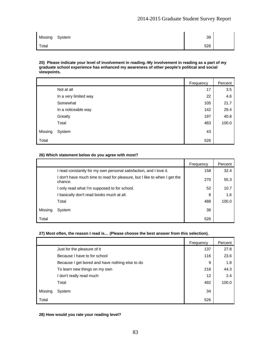| Missing | System | 39  |  |
|---------|--------|-----|--|
| Total   |        | 526 |  |

#### **25) Please indicate your level of involvement in reading.-My involvement in reading as a part of my graduate school experience has enhanced my awareness of other people's political and social viewpoints.**

|         |                       | Frequency | Percent |
|---------|-----------------------|-----------|---------|
|         | Not at all            | 17        | 3.5     |
|         | In a very limited way | 22        | 4.6     |
|         | Somewhat              | 105       | 21.7    |
|         | In a noticeable way   | 142       | 29.4    |
|         | Greatly               | 197       | 40.8    |
|         | Total                 | 483       | 100.0   |
| Missing | System                | 43        |         |
| Total   |                       | 526       |         |

#### **26) Which statement below do you agree with most?**

|         |                                                                                    | Frequency | Percent |
|---------|------------------------------------------------------------------------------------|-----------|---------|
|         | read constantly for my own personal satisfaction, and I love it.                   | 158       | 32.4    |
|         | don't have much time to read for pleasure, but I like to when I get the<br>chance. | 270       | 55.3    |
|         | I only read what I'm supposed to for school.                                       | 52        | 10.7    |
|         | basically don't read books much at all.                                            | 8         | 1.6     |
|         | Total                                                                              | 488       | 100.0   |
| Missing | System                                                                             | 38        |         |
| Total   |                                                                                    | 526       |         |

#### **27) Most often, the reason I read is… (Please choose the best answer from this selection).**

|         |                                                 | Frequency | Percent |
|---------|-------------------------------------------------|-----------|---------|
|         | Just for the pleasure of it                     | 137       | 27.8    |
|         | Because I have to for school                    | 116       | 23.6    |
|         | Because I get bored and have nothing else to do | 9         | 1.8     |
|         | To learn new things on my own                   | 218       | 44.3    |
|         | I don't really read much                        | 12        | 2.4     |
|         | Total                                           | 492       | 100.0   |
| Missing | System                                          | 34        |         |
| Total   |                                                 | 526       |         |

#### **28) How would you rate your reading level?**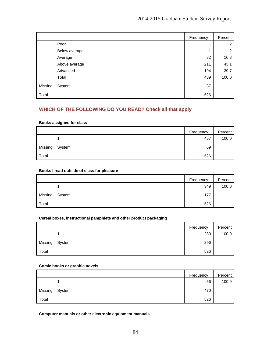|         |               | Frequency | Percent |
|---------|---------------|-----------|---------|
|         | Poor          |           | $\cdot$ |
|         | Below average |           | .2      |
|         | Average       | 82        | 16.8    |
|         | Above average | 211       | 43.1    |
|         | Advanced      | 194       | 39.7    |
|         | Total         | 489       | 100.0   |
| Missing | System        | 37        |         |
| Total   |               | 526       |         |

# **WHICH OF THE FOLLOWING DO YOU READ? Check all that apply**

#### **Books assigned for class**

|         |        | Frequency | Percent |
|---------|--------|-----------|---------|
|         |        | 457       | 100.0   |
| Missing | System | 69        |         |
| Total   |        | 526       |         |

#### **Books I read outside of class for pleasure**

|         |        | Frequency | Percent |
|---------|--------|-----------|---------|
|         |        | 349       | 100.0   |
| Missing | System | 177       |         |
| Total   |        | 526       |         |

#### **Cereal boxes, instructional pamphlets and other product packaging**

|         |        | Frequency | Percent |
|---------|--------|-----------|---------|
|         |        | 230       | 100.0   |
| Missing | System | 296       |         |
| Total   |        | 526       |         |

#### **Comic books or graphic novels**

|         |        | Frequency | Percent |
|---------|--------|-----------|---------|
|         |        | 56        | 100.0   |
| Missing | System | 470       |         |
| Total   |        | 526       |         |

**Computer manuals or other electronic equipment manuals**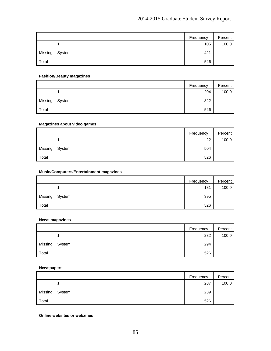|         |        | Frequency | Percent |
|---------|--------|-----------|---------|
|         |        | 105       | 100.0   |
| Missing | System | 421       |         |
| Total   |        | 526       |         |

#### **Fashion/Beauty magazines**

|         |        | Frequency | Percent |
|---------|--------|-----------|---------|
|         |        | 204       | 100.0   |
| Missing | System | 322       |         |
| Total   |        | 526       |         |

#### **Magazines about video games**

|         |        | Frequency | Percent |
|---------|--------|-----------|---------|
|         |        | 22        | 100.0   |
| Missing | System | 504       |         |
| Total   |        | 526       |         |

#### **Music/Computers/Entertainment magazines**

|         |        | Frequency | Percent |
|---------|--------|-----------|---------|
|         |        | 131       | 100.0   |
| Missing | System | 395       |         |
| Total   |        | 526       |         |

#### **News magazines**

|         |        | Frequency | Percent |
|---------|--------|-----------|---------|
|         |        | 232       | 100.0   |
| Missing | System | 294       |         |
| Total   |        | 526       |         |

#### **Newspapers**

|         |        | Frequency | Percent |
|---------|--------|-----------|---------|
|         |        | 287       | 100.0   |
| Missing | System | 239       |         |
| Total   |        | 526       |         |

**Online websites or webzines**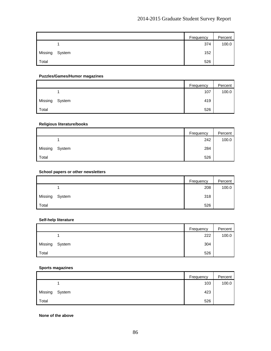|         |        | Frequency | Percent |
|---------|--------|-----------|---------|
|         |        | 374       | 100.0   |
| Missing | System | 152       |         |
| Total   |        | 526       |         |

#### **Puzzles/Games/Humor magazines**

|         |        | Frequency | Percent |
|---------|--------|-----------|---------|
|         |        | 107       | 100.0   |
| Missing | System | 419       |         |
| Total   |        | 526       |         |

#### **Religious literature/books**

|         |        | Frequency | Percent |
|---------|--------|-----------|---------|
|         |        | 242       | 100.0   |
| Missing | System | 284       |         |
| Total   |        | 526       |         |

#### **School papers or other newsletters**

|         |        | Frequency | Percent |
|---------|--------|-----------|---------|
|         |        | 208       | 100.0   |
| Missing | System | 318       |         |
| Total   |        | 526       |         |

#### **Self-help literature**

|         |        | Frequency | Percent |
|---------|--------|-----------|---------|
|         |        | 222       | 100.0   |
| Missing | System | 304       |         |
| Total   |        | 526       |         |

#### **Sports magazines**

|         |        | Frequency | Percent |
|---------|--------|-----------|---------|
|         |        | 103       | 100.0   |
| Missing | System | 423       |         |
| Total   |        | 526       |         |

**None of the above**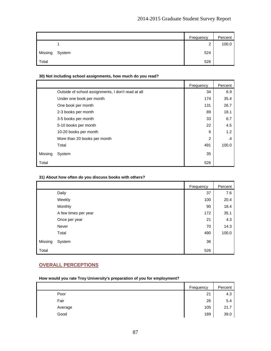|         |        | Frequency   | Percent |
|---------|--------|-------------|---------|
|         |        | $\sim$<br>_ | 100.0   |
| Missing | System | 524         |         |
| Total   |        | 526         |         |

#### **30) Not including school assignments, how much do you read?**

|         |                                                    | Frequency | Percent |
|---------|----------------------------------------------------|-----------|---------|
|         | Outside of school assignments, I don't read at all | 34        | 6.9     |
|         | Under one book per month                           | 174       | 35.4    |
|         | One book per month                                 | 131       | 26.7    |
|         | 2-3 books per month                                | 89        | 18.1    |
|         | 3-5 books per month                                | 33        | 6.7     |
|         | 5-10 books per month                               | 22        | 4.5     |
|         | 10-20 books per month                              | 6         | 1.2     |
|         | More than 20 books per month                       | 2         | .4      |
|         | Total                                              | 491       | 100.0   |
| Missing | System                                             | 35        |         |
| Total   |                                                    | 526       |         |

#### **31) About how often do you discuss books with others?**

|         |                      | Frequency | Percent |
|---------|----------------------|-----------|---------|
|         | Daily                | 37        | 7.6     |
|         | Weekly               | 100       | 20.4    |
|         | Monthly              | 90        | 18.4    |
|         | A few times per year | 172       | 35.1    |
|         | Once per year        | 21        | 4.3     |
|         | Never                | 70        | 14.3    |
|         | Total                | 490       | 100.0   |
| Missing | System               | 36        |         |
| Total   |                      | 526       |         |

# **OVERALL PERCEPTIONS**

#### **How would you rate Troy University's preparation of you for employment?**

|         | Frequency | Percent |
|---------|-----------|---------|
| Poor    | 21        | 4.3     |
| Fair    | 26        | 5.4     |
| Average | 105       | 21.7    |
| Good    | 189       | 39.0    |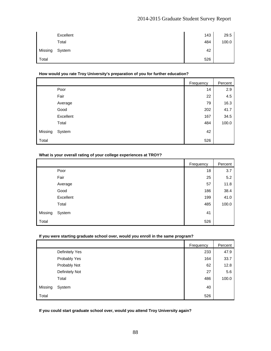# 2014-2015 Graduate Student Survey Report

|         | Excellent | 143 | 29.5  |
|---------|-----------|-----|-------|
|         | Total     | 484 | 100.0 |
| Missing | System    | 42  |       |
| Total   |           | 526 |       |

#### **How would you rate Troy University's preparation of you for further education?**

|         |           | Frequency | Percent |
|---------|-----------|-----------|---------|
|         | Poor      | 14        | 2.9     |
|         | Fair      | 22        | 4.5     |
|         | Average   | 79        | 16.3    |
|         | Good      | 202       | 41.7    |
|         | Excellent | 167       | 34.5    |
|         | Total     | 484       | 100.0   |
| Missing | System    | 42        |         |
| Total   |           | 526       |         |

#### **What is your overall rating of your college experiences at TROY?**

|         |           | Frequency | Percent |
|---------|-----------|-----------|---------|
|         | Poor      | 18        | 3.7     |
|         | Fair      | 25        | 5.2     |
|         | Average   | 57        | 11.8    |
|         | Good      | 186       | 38.4    |
|         | Excellent | 199       | 41.0    |
|         | Total     | 485       | 100.0   |
| Missing | System    | 41        |         |
| Total   |           | 526       |         |

#### **If you were starting graduate school over, would you enroll in the same program?**

|         |                       | Frequency | Percent |
|---------|-----------------------|-----------|---------|
|         | <b>Definitely Yes</b> | 233       | 47.9    |
|         | Probably Yes          | 164       | 33.7    |
|         | Probably Not          | 62        | 12.8    |
|         | Definitely Not        | 27        | 5.6     |
|         | Total                 | 486       | 100.0   |
| Missing | System                | 40        |         |
| Total   |                       | 526       |         |

**If you could start graduate school over, would you attend Troy University again?**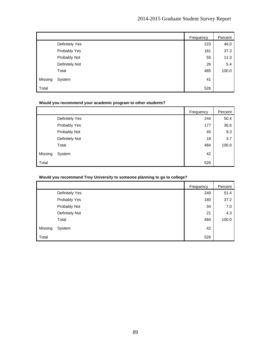|         |                       | Frequency | Percent |
|---------|-----------------------|-----------|---------|
|         | <b>Definitely Yes</b> | 223       | 46.0    |
|         | Probably Yes          | 181       | 37.3    |
|         | Probably Not          | 55        | 11.3    |
|         | Definitely Not        | 26        | 5.4     |
|         | Total                 | 485       | 100.0   |
| Missing | System                | 41        |         |
| Total   |                       | 526       |         |

# **Would you recommend your academic program to other students?**

|         |                       | Frequency | Percent |
|---------|-----------------------|-----------|---------|
|         | <b>Definitely Yes</b> | 244       | 50.4    |
|         | Probably Yes          | 177       | 36.6    |
|         | Probably Not          | 45        | 9.3     |
|         | Definitely Not        | 18        | 3.7     |
|         | Total                 | 484       | 100.0   |
| Missing | System                | 42        |         |
| Total   |                       | 526       |         |

#### **Would you recommend Troy University to someone planning to go to college?**

|         |                | Frequency | Percent |
|---------|----------------|-----------|---------|
|         | Definitely Yes | 249       | 51.4    |
|         | Probably Yes   | 180       | 37.2    |
|         | Probably Not   | 34        | 7.0     |
|         | Definitely Not | 21        | 4.3     |
|         | Total          | 484       | 100.0   |
| Missing | System         | 42        |         |
| Total   |                | 526       |         |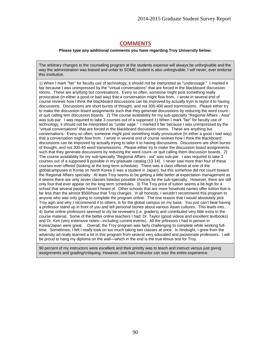# **COMMENTS**

#### **Please type any additional comments you have regarding Troy University below:**

The arbitrary changes to the counseling program at the students expense will always be unforgivable and the way the administration was biased and unfair to SOME student is also unforgivable. I will never, ever endorse this institution.

1) When I mark "fair" for faculty use of technology, it should not be interpreted as "underusage." I marked it fair because I was unimpressed by the "virtual conversations" that are forced in the blackboard discussion rooms. These are anything but convesations. Every so often, someone might post something really provocative (in either a good or bad way) that a conversation might flow from. I wrote in several end of course reviews how I think the blackboard discussions can be improved by actually tryin to taylor it to having discussions. Discussions are short bursts of thought, and not 300-400 word tranmissions. Please either try to make the discussion board assignments such that they generate discussions by reducing the word count- or quit calling tem discussion boards. 2) The course availability for my sub-specialty "Regional Affairs - Asia" was sub-par. I was required to take 3 courses out of a supposed 1) When I mark "fair" for faculty use of technology, it should not be interpreted as "under uage." I marked it fair because I was unimpressed by the "virtual conversations" that are forced in the blackboard discussion rooms. These are anything but conversations. Every so often, someone might post something really provocative (in either a good r bad way) that a conversation might flow from. I wrote in several end of course reviews how I think the blackboard discussions can be improved by actually trying to tailor it to having discussions. Discussions are short bursts of thought, and not 300-40 word transmissions. Please either try to make the discussion board assignments such that they generate discussions by reducing the word count--or quit calling them discussion boards. 2) The course availability for my sub-specialty "Regional Affairs - sia" was sub-par. I was required to take 3 courses out of a supposed 9 possible in my graduate catalog (13-14). I never saw more than four of these courses ever offered (looking at the long-term schedule). There was a class offered at one of the globalcampuses in Korea on North Korea (I was a student in Japan), but this somehow did not count toward the Regional Affairs specialty. At least Troy seems to be getting a little better at expectation management as it seems there are only seven classes listedas possible choices for the sub-specialty. However, there are still only four that ever appear on the long term schedules. 3) The Troy price of tuition seems a bit high for a school that several people haven't heard of. Other schools that are more hosehold names offer tuition that is far less than the almost \$500/hour that Troy charges. In all honesty, I wouldn't recommend this program to anyone who was only going to complete the program online. The one reason that I would absolutely pick Troy agin and why I recommend it to others, is for the global campus on my base. You just can't beat having a professor stand up in front of you and tell personal stories about various Asian cultures. This leads into… 4) Some online professors seemed to oly be reviewers (i.e. graders) and contributed very little extra to the course material. Some of the better online teachers I had: Dr. Taylor (good videos and excellent textbooks) and Dr. Kim (very extensive notes—including current events). All the prfessors I had in person in Korea/Japan were great. Overall, the Troy program was fairly challenging to complete while working fulltime. Sometimes, I felt I really took on too much taking two classes at once. In hindsight, I grew from the adversity ad really learned a lot in this program from several very educated and passionate professors. I will be proud to hang my diploma on the wall—which in the end is the true litmus test for Troy.

90 percent of my instructors were excellent and their priority was to teach and instruct versus just giving assignments and grading/critiquing. However, one bad instructor can sour the entire experience.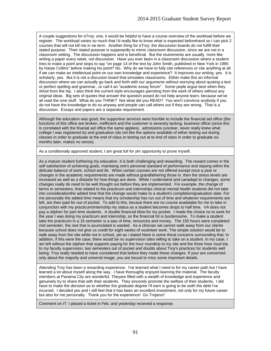A couple suggestions for eTroy: one, it would be helpful to have a course overview of the workload before we register. The workload varies so much that I'd really like to know what is expected beforehand so I can pick 2 courses that will not kill me in oe term. Another thing for eTroy: the discussion boards do not fulfill their stated purpose. Their stated purpose is supposedly to mimic classroom discussion, since we are not in a classroom setting. The discussion happens and is beneficial. But the reuirements are usually more like writing a paper every week, not discussion. Have you ever been in a classroom discussion where a student tries to make a point and stops to say "on page 14 of the text by John Smith, published in New York in 1985 by Harpe Collins" before making his point? No. Why do we have to fully cite references or cite anything at all if we can make an intellectual point on our own knowledge and experience? It improves our writing, yes. It is scholarly, yes. But it is not a discusion board that simulates classrooms. Either make this an informal discussion where we can actually go back and forth with our arguments without worrying about quoting a text or perfect spelling and grammar...or call it an "academic essay forum". Some peple argue best when they shoot from the hip. I also think the current style encourages parroting from the work of others without any original ideas. Big sets of quotes that answer the question posed do not help anyone learn, because we've all read the sme stuff. What do you THINK? Not what did you READ? You won't convince anybody if you do not have the knowledge to do so anyway and people can call others out if they are wrong. That is a discussion. Essays and papers are a separate requirement.

Although the education was good, the supportive services were horrible to include the financial aid office (the functions of this office are broken, inefficient and the customer is severely lacking, business office (since this is correlated with the finanial aid office the same applies), admissions (unclear, never really knew what college I was registered to) and graduation (do not like the options available of either testing out during classes in order to graduate at the end of class or testing out at te end of class in order to graduate six months later, makes no sense).

As a conditionally approved student, I am great full for yhr opportunity to prove myself.

As a mature student furthering my education, it is both challenging and rewarding. The reward comes in the self satisfaction of achieving goals, maintaing one's personal standard of performance and staying within the delicate balance of work, school and ife. When certain courses are not offered except once a year or changes in the academic requirements are made without grandfathering those in, then the stress levels are increased as well as a distaste for how things are done. While I undersatnd and canadapt to changes, some changes really do need to be well thought out before they are implemented. For example, the change of terms to semesters, that related to the practicum and internships clinical mental health students did not take into considerationthe added time that the change would make to a student's completion/graduation date. For me personally the added time means that my scholarship has run out of time and whatever requirements are left, are then paid for out of pocket. To add to this, becaue there are no course availalabe for me to take in conjunction with my practicum/internship my status as a student becomes drops to half time. VA does not pay a stiphen for part time students. A double financial blow for my pocket. I made the choice no to work for the year I was doing my practicum and internship, so the financial hit is burdensome. To make a student take the practicum in a 16 semseter is a was of time, resources and money. The 150 hours were completed mid semester, the rest that is acumulated is wasted. As a clinician we cannot walk away from our clients because school does not give us credit for eight weeks of voulnteer work. The simple solution would be to walk away from the site while not in school, yet as i stated htere is some thical concerns surrounding that. In addition, if this were the case, there would be no supervision sites willing to take on a student. In my case, I am left without the stiphen that supports paying for the hour roundtrip to my site and the three hour roud trip to my faculty supervision, two semesters out of pocket and doubts about Troy's practices for students well being. Troy really needed to have considered that before they made these changes. If your are concerned only about the majority and universit image, you are bound to miss some important details.

Attending Troy has been a rewarding experience. I've learned what I need to for my career path but I have learned a lot about myself along the way. I have thoroughly enjoyed learning the material. The faculty members at Panama City are wonderful. Theyare filled with a wealth of knowledge and experience and genuinely try to share that with their students. They sincerely promote the welfare of their students. I did have to make the decision as to whether the graduate degree I'll earn is going to be woth the debt I've incurred. I decided yes and I still feel that it has been an excellent investment, not only for my future career but also for me personally. Thank you for the experience! Go Trojans!!

Comment on IT: I placed a ticket in Feb. and yesterday recieved a response.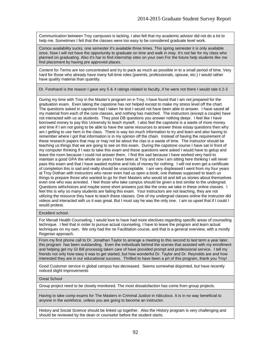Communication between Troy campuses is lacking. I also felt that my academic advisor did not do a lot to help me. Sometimes I felt that the classes were too easy to be considered graduate level work.

Comos availability sucks. one semester it's available three times. This spring semester it is only available once. Now I will not have the opportunity to graduate on time and walk in may. It's not fair for my class who planned on graduating. Also it's har to find internship sites on your own.For the future help students like me find placement by having pre approved places.

Content for Terms are too concentrated and try to pack as much as possible in to a small period of time. Very hard for those who already have many full-time roles (parents, professionals, spouse, etc.) I would rather have quality material than quantity.

Dr. Forehand is the reason I gave any 5 & 4 ratings related to faculty, if he were not there I would rate it 2-3

During my time with Troy in the Master's program on e-Troy, I have found that I am not prepared for the graduation exam. Even taking the capstone has not helped except to make my stress level off the chart. The questions asked in capstone had I taken he test I would not have been able to answer. I have saved all my material from each of the core classes, and nothing has matched. The instructors (except a couple) have not interacted with us as students. They post DB questions you answer nothing deepr. I feel like I have borrowed money to pay this University to teach myself. I also feel the capstone is a waste of more money and time if I am not going to be able to have the same resources to answer these essay questions then why am I getting to use hem in the class. There is way too much information to try and learn and also having to remember where I got that information is in my opinion off the chain. Instead of having the requirement of these research papers that may or may not be about the clas is a waste of time. The instructor should be teaching us things that we are going to see on this exam. During the capstone course I have sat in front of my computer thinking if I was to take this exam and these questions were asked I would have to getup and leave the room because I could not answer them. I find this sad because I have worked very hard to maintain a good GPA the whole six years I have been at Troy and now I am sitting here thinking I will never pass this exam and that I have wasted mytime and lots of money for nothing. I will not even get a certificate of completion this is sad and really should be unacceptable. I am very displeased I went from my four years at Troy Dothan with instructors who never even had us open a book, one thatwas supposed to teach us things to prepare those who wanted to go for their Masters who would sit and tell us stories about themselves even one who was arrested. I feel those who take campus should be given a test similar to the undergrad. Questions withchoices and maybe some short answers just like the ones we take in these online classes. I feel this is why so many students are failing this exam. Your instructors are not teaching, they are not utilizing the resource they have to teach these classes. One of my undergrad classes online the instructor did videos and interacted with us it was great. But I must say he was the only one. I am so upset that if I could I would protest.

#### Excellent school.

For Menatl Health Counseling, I would love to have had more electives regarding specific areas of counseling technique. I feel that in order to pursue actual counseling, I have to leave the program and learn actual techniques on my own. We only had the ne Facilitation course, and that is a general overview, with a mostly Rogerian approach.

From my first phone call to Dr. Jonathan Taylor to arrange a meeting to this second to last term a year later, this program has been outstanding. Even the individuals behind the scenes that assisted with my enrollment and helping get my GI Bill processig taken care of have provided prompt and professional service. I tell my friends not only how easy it was to get started, but how wonderful Dr. Taylor and Dr. Reynolds are and how interested they are in our educational success. Thrilled to have been a prt of this program, thank you Troy!

Good Customer service in global campus has decreased. Seems somewhat disjointed, but have recently noticed slight improvements

Great School

Group project need to be closely monitored. The most dissatisfaction has come from group projects.

Having to take comp exams for The Masters in Criminal Justice in ridiculous. It is in no way beneficial to anyone in the workforce, unless you are going to become an instructor.

History and Social Science should be linked up together. Also the History program is very challenging and should be reviewed by the dean or counselor before the student starts.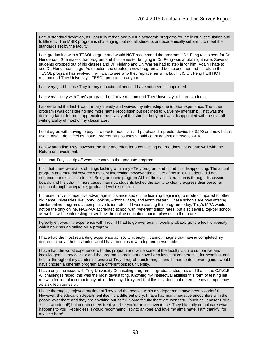I am a standard deviation, as I am fully retired and pursue academic programs for intellectual stimulation and fulfillment. The MSIR program is challenging, but not all students are academically sufficient to meet the standards set by the faculty.

I am graduating with a TESOL degree and would NOT recommend the program if Dr. Feng takes over for Dr. Henderson. She makes that program and this semester bringing in Dr. Feng was a total nightmare. Several students dropped out of his classes and Dr. Figlano and Dr. Warren had to step in for him. Again I hate to see Dr. Henderson let go. As director, she created a new program and because of her and her alone the TESOL program has evolved. I will wait to see who they replace her with, but if it IS Dr. Feng I will NOT recommend Troy University's TESOL program to anyone.

I am very glad I chose Troy for my educational needs, I have not been disappointed.

I am very satisfy with Troy's program, I definitive recommend Troy University to future students.

I appreciated the fact it was military friendly and waived my internship due to prior experience. The other program I was considering had more name recognition but declined to waive my internship. That was the deciding factor for me. I appreciated the divrsity of the student body, but was disappointed with the overall writing ability of most of my classmates.

I dont agree with having to pay for a proctor each class. I purchased a proctor device for \$200 and now I can't use it. Also, I don't feel as though prerequisits courses should count against a persons GPA.

I enjoy attending Troy, however the time and effort for a counseling degree does not equate well with the Return on Investment.

I feel that Troy is a rip off when it comes to the graduate program

I felt that there were a lot of things lacking within my eTroy program and found this disappointing. The actual program and material covered was very interesting, however the caliber of my fellow students did not enhance our discussion topics. Being an onine program ALL of the class interaction is through discussion boards and I felt that in more cases than not, students lacked the ability to clearly express their personal opinion through acceptable, graduate level discussion.

I foresee Troy's competitive advantage in distance and online learning beginning to erode compared to other big name universities like John-Hopkins, Arizona State, and Northwestern. These schools are now offering similar online programs at competitive tuiion rates. If I were starting this program today, Troy's MPA would not be the only online, NASPAA accredited school with "veteran" tuition rates; but also several top-tier school as well. It will be interesting to see how the online education market playsout in the future.

I greatly enjoyed my experience with Troy. If I had to go over again I would probably go to a local university, which now has an online MPA program.

I have had the most rewarding experience at Troy University. I cannot imagine that having completed my degrees at any other institution would have been as rewarding and personable.

I have had the worst experience with this program and while some of the faculty is quite supportive and knowledgeable, my advisor and the program coordinators have been less that cooperative, forthcoming, and helpful throughout my academic tenure at Troy. I regret transferring in and if I had to do it over again, I would have chosen a different program at a different public university.

I have only one issue with Troy University Counseling program for graduate students and that is the C.P.C.E. All challenges faced, this was the most devastating. Knowing my intellectual abilities this form of testing left me with feeling of incompetency ad inadequacy. I truly feel that this test does not determine my competency as a skilled counselor.

I have thoroughly enjoyed my time at Troy, and the people within my department have been wonderful. However, the education department itself is a different story. I have had many negative encounters with the people over there and they are anything but helful. Some faculty there are wonderful (such as Jennifer Hollis- -she's wonderful!) but certain others treat you like you're an inconvenience. They blatantly do not care what happens to you. Regardless, I would recommend Troy to anyone and love my alma mate. I am thankful for my time here!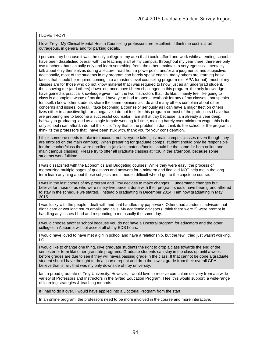#### I LOVE TROY!

I love Troy. My Clinical Mental Health Counseling professors are excellent. I think the cost is a bit outrageous, in general and for parking decals.

i pursued troy because it was the only college in my area that i could afford and work while attending school. i have been dissatisfied overall with the teaching staff at my campus. throughout my year there, there are only two teachers that i actually enjy and learn something from. the others maintain a very egotistical mentality, talk about only themselves during a lecture, read from a powerpoint, and/or are judgmental and subjective. additionally, most of the students in my program can barely speak englsh. many others are learning basic facets that should be required coming into a masters level counseling program (i.e. APA format). most of my classes are for those who do not know material that i was required to know just as an undergrad student. thus, sowing me (and others) down. not once have i been challenged in this program. the only knowledge i have gained is practical knowledge given from the two instructors that i do like. i mainly feel like going to class is a complete waste of my time. i have ye to had to open a textbook for any of my classes. that speaks for itself. i know other students share the same opinions as i do and many others complain about other concerns and issues. overall, i take becoming a counselor seriously as i can have a major ffect on others lives either in a positive light or a negative. i do not feel like this program or most of the professors i have had are preparing me to become a successful counselor. i am still at troy because i am already a year deep, halfway to graduatng. and as a single female working full time, making barely over minimum wage, this is the only school i can afford. i do not think it is Troy that is the problem. i dont think its the school or the program, i think its the professors that i have been stuk with. thank you for your consideration.

I think someone needs to take into account not everyone takes just main campus classes (even though they are enrolled on the main campus). When preparing for graduate comps, student should only be responsible for the teacher/class the were enrolled in (al class material/books should be the same for both online and main campus classes). Please try to offer all graduate classes at 4:30 in the afternoon, because some students work fulltime.

I was dissatisfied with the Economics and Budgeting courses. While they were easy, the process of memorizing multiple pages of questions and answers for a midterm and final did NOT help me in the long term learn anything about those subjects and it made i difficult when I got to the capstone course.

I was in the last corses of my program and Troy decides to make changes. I understand changes but I believe for those of us who were ninety-five percent done with their program should have been grandfathered to stay in the schedule we started. Instead o graduating in December 2014, I am now graduating in May 2015.

I was lucky with the people I dealt with and that handled my paperwork. Others had academic advisors that didn't care or wouldn't return emails and calls. My academic advisors (I think there were 3) were prompt in handling any issues I had and responding o me usually the same day.

I would choose another school because you do not have a Doctoral program for educators and the other colleges in Alabama will not accept all of my EDS hours.

I would have loved to have met a girl in school and have a relationship, but the few i tried just wasn't working. LOL.

I would like to change one thing, give graduate students the right to drop a class towards the end of the semester or term like other graduate programs. Graduate students can stay in the class up until a week before grades are due to see if they will havea passing grade in the class. If that cannot be done a graduate student should have the right to do a course repeat and drop the lowest grade from their overall GPA. I believe that is fair, that was my only downside of troy university.

Iam a proud graduate of Troy University. However, I would love to receive curriculum delivery from a a wide variety of Professors and Instructors in the Gifted Education Program. I feel this would support a wide-range of learning strategies & teaching mehods.

If I had to do it over, I would have applied into a Doctorial Program from the start.

In an online program, the professors need to be more involved in the course and more interactive.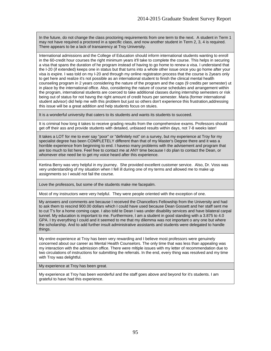In the future, do not change the class proctoring requirements from one term to the next. A student in Term 1 may not have required a proctored in a specific class, and now another student in Term 2, 3, 4 is required. There appears to be a lack of transarency at Troy University.

International admissions and the College of Education should inform international students wanting to enroll in the 60-credit hour courses the right minimum years it'll take to complete the course. This helps in securing a visa that spans the duration of he program instead of having to go home to renew a visa. I understand that the I-20 (if extended) keeps one in status but that turns into a whole other issue once you go home after your visa is expire. I was told on my I-20 and through my online registraton process that the course is 2years only to get here and realize it's not possible as an international student to finish the clinical mental health counseling program in 2 years considering the nature of the program and the caps (9 credits per semester) ut in place by the international office. Also, considering the nature of course schedules and arrangement within the program, international students are coerced to take additional classes during internship semesters or risk being out of status for not havng the right amount of credit hours per semester. Maria (former international student advisor) did help me with this problem but just so others don't experience this frustration,addressing this issue will be a great addition and help students focus on stuies.

It is a wonderful university that caters to its students and wants its students to succeed.

It is criminal how long it takes to receive grading results from the comprehensive exams. Professors should get off their ass and provide students with detailed, unbiased results within days, not 7-8 weeks later!

It takes a LOT for me to ever say "poor" or "definitely not" on a survey, but my experience at Troy for my specialist degree has been COMPLETELY different than that of my Master's Degree there and it was a horrible experience from beginning to end. I haveso many problems with the advisement and program that are too much to list here. Feel free to contact me at ANY time because I do plan to contact the Dean, or whomever else need be to get my voice heard after this experience.

Kertina Berry was very helpful in my journey. She provided excellent customer service. Also, Dr. Voss was very understanding of my situation when I fell ill during one of my terms and allowed me to make up assignments so I would not fail the course.

Love the professors, but some of the students make me facepalm.

Most of my instructors were very helpful. They were people oriented with the exception of one.

My answers and comments are because I received the Chancellors Fellowship from the University and had to ask them to rescind 900.00 dollars which I could have used because Dean Gossett and her staff sent me to cut T's for a home coming cape. I also told te Dean I was under disability services and have bilateral carpal tunnel. My education is important to me. Furthermore, I am a student in good standing with a 3.875 to 4.0 GPA. I try everything I could and it seemed to me that my dilemma was not important o any one but where the scholarship. And to add further insult administrative assistants and students were delegated to handle things.

My entire experience at Troy has been very rewarding and I believe most professors were genuinely concerned about our career as Mental Health Counselors. The only time that was less than appealing was my interaction with the admission office. There were mltiple issues with my letter of recommendation due to two circulations of instructions for submitting the referrals. In the end, every thing was resolved and my time with Trov was delightful.

My experience at Troy has been great.

My experience at Troy has been wonderful and the staff goes above and beyond for it's students. I am grateful to have had this experience.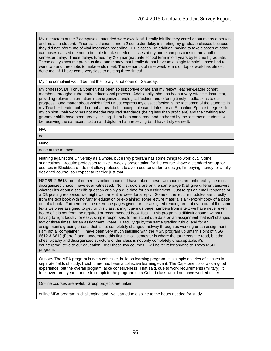My instructors at the 3 campuses I attended were excellent! I really felt like they cared about me as a person and me as a student. Financial aid caused me a 2 semester delay in starting my graduate classes because they did not inform me of vital informtion regarding TEP classes. In addition, having to take classes at other campuses caused me not to be able to take needed classes at my home campus causing me another semester delay. These delays turned my 2-3 year graduate school term into 4 years by te time I graduate. These delays cost me precious time and money that I really do not have as a single female! I have had to work two and three jobs to make ends meet. The demands of nine week terms on top of work has almost done me in! I have come veryclose to quitting three times!

My one complaint would be that the library is not open on Saturday.

My professor, Dr. Tonya Conner, has been so supportive of me and my fellow Teacher-Leader cohort members throughout the entire educational process. Additionally, she has been a very effective instructor, providing relevant information in an organized andlogical fashion and offering timely feedback as to our progress. One matter about which I feel I must express my dissatisfaction is the fact some of the students in my Teacher-Leader cohort do not appear to be acceptable candidates for an Education Specilist degree. In my opinion, their work has not met the required standards (being less than proficient) and their writing and grammar skills have been greatly lacking. I am both concerned and bothered by the fact these students will be receiving the samecertification and diploma I am receiving (and have truly earned).

N/A

na

None

none at the moment

Nothing against the University as a whole, but eTroy program has some things to work out. Some suggestions: -require professors to give 1 weekly presentation for the course -have a standard set-up for courses in Blackboard -do not allow professors to ave a course under re-design; I'm paying money for a fully designed course, so I expect to receive just that.

NSG6612-6613: out of numerous online courses I have taken, these two courses are unbearably the most disorganized chaos I have ever witnessed. No instructors are on the same page & all give different answers, whether it's about a specific question or siply a due date for an assignment. Just to get an email response or a DB posting response, we might wait an entire week for a reply. Some of the lecture modules are directly from the text book with no further education or explaining; some lecture materia is a "xerox'd" copy of a page out of a book. Furthermore, the reference pages given for our assigned reading are not even out of the same texts we were assigned to get for this class; it might give us page numbers from a text we have never even heard of it is not from the required or recommended book lists. This program is difficult enough without having to fight faculty for easy, simple responses; for an actual due date on an assignment that isn't changed two or three times; for an assignment where LL faculty go by the same grading rubric; and for an assignment's grading criteria that is not completely changed midway through us working on an assignment. I am not a "complainer." I have been very much satisfied with the MSN program up until this pint of NSG 6612 & 6613 (Farrell) and I understand this first clinical semester is where the tar meets the road, but the sheer apathy and disorganized structure of this class is not only completely unacceptable, it's counterproductive to our education. Afer these two courses, I will never refer anyone to Troy's MSN program.

Of note- The MBA program is not a cohesive, build on learning program. It is simply a series of classes in separate fields of study. I wish there had been a collective learning event. The Capstone class was a good experience, but the overall program lacke cohesiveness. That said, due to work requirements (military), it took over three years for me to complete the program- so a Cohort class would not have worked either.

On-line courses are awful. Group projects are unfair.

online MBA program is challenging and I've learned to displine to the hours needed for study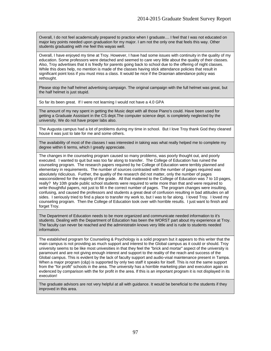Overall, I do not feel academically prepared to practice when I graduate.... I feel that I was not educated on major key points needed upon graduation for my major. I am not the only one that feels this way. Other students graduating with me feel this wayas well.

Overall, I have enjoyed my time at Troy. However, I have had some issues with continuity in the quality of my education. Some professors were detached and seemed to care very little about the quality of their classes. Also, Troy advertises that it is friedly for parents going back to school due to the offering of night classes. While this does help, no mention is made of the classes having stick attendance policies that result in significant point loss if you must miss a class. It would be nice if the Draonian attendance policy was rethought.

Please stop the half helmet advertising campaign. The original campaign with the full helmet was great, but the half helmet is just stupid.

So far its been great. If I were not learning I would not have a 4.0 GPA

The amount of my ney spent in getting the Music dept with all those Piano's could. Have been used for getting a Graduate Assistant in the CS dept.The computer science dept. is completely neglected by the university. We do not have proper labs also.

The Augusta campus had a lot of problems during my time in school. But I love Troy thank God they cleaned house it was just to late for me and some others.

The availability of most of the classes I was interested in taking was what really helped me to complete my degree within 6 terms, which I greatly appreciate.

The changes in the counseling program caused so many problems, was poorly thought out, and poorly executed. I wanted to quit but was too far along to transfer. The College of Education has ruined the counseling program. The research papers required by he College of Education were terribly planned and elementary in requirements. The number of sources contrasted with the number of pages required was absolutely ridiculous. Further, the qualtiy of the research did not matter, only the number of pages wasconsidered for the majority of the grade. All that mattered to the College of Education was 7 to 10 pages, really? My 10th grade public school students were required to write more than that and were required to write thoughtful papers, not just to fill n the correct number of pages. The program changes were insulting, confusing, and caused the professors and students a great deal of confusion resulting in bad attitudes on all sides. I seriously tried to find a place to transfer my work to, but I was to far along. I loved Troy. I loved my counseling program. Then the College of Education took over with horrible results. I just want to finish and forget Troy.

The Department of Education needs to be more organized and communicate needed information to it's students. Dealing with the Department of Education has been the WORST part about my experience at Troy. The faculty can never be reached and the administratin knows very little and is rude to students needed information.

The established program for Counseling & Psychology is a solid program but it appears to this writer that the main campus is not providing as much support and interest to the Global campus as it could or should. Troy university seems to be like most univesities in that they feel the "brick and mortar" aspect of the university is paramount and are not giving enough interest and support to the reality of the reach and success of the Global campus. This is evident by the lack of faculty support and audio-visal maintenance present in Tampa. When a major program (c&p) is supported by only two staff it speaks for itself. This is not the same support from the "for profit" schools in the area. The university has a horrible marketing plan and execution again as evdenced by comparison with the for profit in the area. If this is an important program it is not displayed in its execution!

The graduate advisors are not very helpful at all with guidance. It would be beneficial to the students if they improved in this area.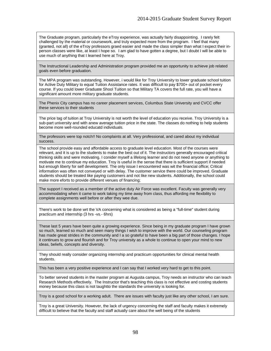The Graduate program, particularly the eTroy experience, was actually fairly disappointing. I rarely felt challenged by the material or coursework, and truly expected more from the program. I feel that many (granted, not all) of the eTroy professors graed easier and made the class simpler than what I expect their inperson classes were like, at least I hope so. I am glad to have gotten a degree, but I doubt I will be able to use much of anything that I learned here at Troy.

The Instructional Leadership and Administration program provided me an opportunity to achieve job related goals even before graduation.

The MPA program was outstanding. However, i would like for Troy University to lower graduate school tuition for Active Duty Military to equal Tuition Assistance rates. It was difficult to pay \$700+ out of pocket every course. If you could lower Graduate Shool Tuition so that Military TA covers the full rate, you will have a significant amount more military graduate students.

The Phenix City campus has no career placement services, Columbus State University and CVCC offer these services to their students

The price tag of tuition at Troy University is not worth the level of education you receive. Troy University is a sub-part university and with anew average tuition price in the state. The classes do nothing to help students become more well-rounded educatd individuals.

The professors were top notch!! No complaints at all. Very professional, and cared about my individual success.

The school provide easy and affordable access to graduate level education. Most of the courses were relevant, and it is up to the students to make the best out of it. The instructors generally encouraged critical thinking skills and were motivating. I conider myself a lifelong learner and do not need anyone or anything to motivate me to continue my education. Troy is useful in the sense that there is sufficient support if needed but enough liberty for self development. The only issue I encountered was wit the financial office; Critical information was often not conveyed or with delay. The customer service there could be improved. Graduate students should be treated like paying customers and not like new students. Additionally, the school could make more eforts to provide different venues of financing;

The support I received as a member of the active duty Air Force was excellent. Faculty was generally very accommodating when it came to work taking my time away from class, thus affording me flexibility to complete assignments well before or after they wee due.

There's work to be done wrt the VA concerning what is considered as being a "full-time" student during practicum and internship (3 hrs -vs.- 6hrs)

These last 5 years have been quite a growing experience. Since being in my graduate program I have grown so much, learned so much and seen many things I wish to improve with the world. Our counseling program has made great strides in the community and I a so grateful to have been a big part of those changes. I hope it continues to grow and flourish and for Troy university as a whole to continue to open your mind to new ideas, beliefs, concepts and diversity.

They should really consider organizing internship and practicum opportunities for clinical mental health students.

This has been a very positive experience and I can say that I worked very hard to get to this point.

To better served students in the master program at Augusta campus, Troy needs an instructor who can teach Research Methods effectively. The Instructor that's teaching this class is not effective and costing students money because this class is not taughtto the standards the university is looking for.

Troy is a good school for a working adult. There are issues with faculty just like any other school, I am sure.

Troy is a great University. However, the lack of urgency concerning the staff and faculty makes it extremely difficult to believe that the faculty and staff actually care about the well being of the students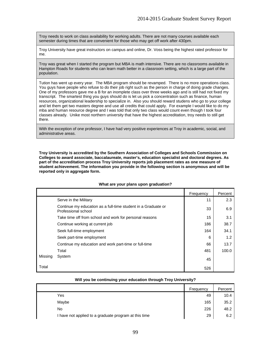Troy needs to work on class availability for working adults. There are not many courses available each semester during times that are convenient for those who may get off work after 430pm.

Troy University have great instructors on campus and online, Dr. Voss being the highest rated professor for me.

Troy was great when I started the program but MBA is math intensive. There are no classrooms available in Hampton Roads for students who can learn math better in a classroom setting, which is a large part of the population.

Tution has went up every year. The MBA program should be revamped. There is no more operations class. You guys have people who refuse to do their job right such as the person in charge of doing grade changes. One of my professors gave me a B for an inomplete class over three weeks ago and is still had not fixed my transcript. The smartest thing you guys should do is let us pick a concentration such as finance, human resources, organizational leadership to specialize in. Also you should reward studens who go to your college and let them get two masters degree and use all credits that could apply. For example I would like to do my mba and human resource degree and I was told that only two class would count even though I took four classes already. Unike most northern university that have the highest accreditation, troy needs to still get there.

With the exception of one professor, I have had very positive experiences at Troy in academic, social, and administrative areas.

**Troy University is accredited by the Southern Association of Colleges and Schools Commission on Colleges to award associate, baccalaureate, master's, education specialist and doctoral degrees. As part of the accreditation process Troy University reports job placement rates as one measure of student achievement. The information you provide in the following section is anonymous and will be reported only in aggregate form.** 

|         |                                                                                      | Frequency | Percent |
|---------|--------------------------------------------------------------------------------------|-----------|---------|
|         | Serve in the Military                                                                | 11        | 2.3     |
|         | Continue my education as a full-time student in a Graduate or<br>Professional school | 33        | 6.9     |
|         | Take time off from school and work for personal reasons                              | 15        | 3.1     |
|         | Continue working at current job                                                      | 186       | 38.7    |
|         | Seek full-time employment                                                            | 164       | 34.1    |
|         | Seek part-time employment                                                            | 6         | 1.2     |
|         | Continue my education and work part-time or full-time                                | 66        | 13.7    |
|         | Total                                                                                | 481       | 100.0   |
| Missing | System                                                                               | 45        |         |
| Total   |                                                                                      | 526       |         |

#### **What are your plans upon graduation?**

|                                                       | Frequency | Percent |
|-------------------------------------------------------|-----------|---------|
| Yes                                                   | 49        | 10.4    |
| Maybe                                                 | 165       | 35.2    |
| No                                                    | 226       | 48.2    |
| I have not applied to a graduate program at this time | 29        | 6.2     |

#### **Will you be continuing your education through Troy University?**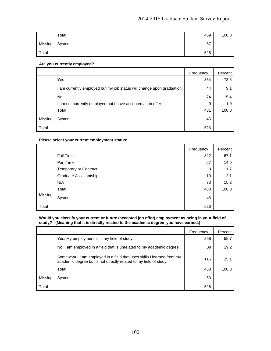# 2014-2015 Graduate Student Survey Report

|         | Total  | 469 | 100.0 |
|---------|--------|-----|-------|
| Missing | System | 57  |       |
| Total   |        | 526 |       |

### **Are you currently employed?**

|         |                                                                     | Frequency | Percent |
|---------|---------------------------------------------------------------------|-----------|---------|
|         | Yes                                                                 | 354       | 73.6    |
|         | am currently employed but my job status will change upon graduation | 44        | 9.1     |
|         | No                                                                  | 74        | 15.4    |
|         | am not currently employed but I have accepted a job offer           | 9         | 1.9     |
|         | Total                                                               | 481       | 100.0   |
| Missing | System                                                              | 45        |         |
| Total   |                                                                     | 526       |         |

#### **Please select your current employment status:**

|         |                        | Frequency | Percent |
|---------|------------------------|-----------|---------|
|         | Full Time              | 322       | 67.1    |
|         | Part Time              | 67        | 14.0    |
|         | Temporary or Contract  | 8         | 1.7     |
|         | Graduate Assistantship | 10        | 2.1     |
|         | N/A                    | 73        | 15.2    |
|         | Total                  | 480       | 100.0   |
| Missing | System                 | 46        |         |
| Total   |                        | 526       |         |

#### **Would you classify your current or future (accepted job offer) employment as being in your field of study? (Meaning that it is directly related to the academic degree you have earned.)**

|         |                                                                                                                                             | Frequency | Percent |
|---------|---------------------------------------------------------------------------------------------------------------------------------------------|-----------|---------|
|         | Yes, My employment is in my field of study.                                                                                                 | 258       | 55.7    |
|         | No, I am employed in a field that is unrelated to my academic degree.                                                                       | 89        | 19.2    |
|         | Somewhat - I am employed in a field that uses skills I learned from my<br>academic degree but is not directly related to my field of study. | 116       | 25.1    |
|         | Total                                                                                                                                       | 463       | 100.0   |
| Missing | System                                                                                                                                      | 63        |         |
| Total   |                                                                                                                                             | 526       |         |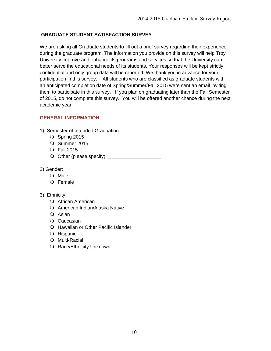# **GRADUATE STUDENT SATISFACTION SURVEY**

We are asking all Graduate students to fill out a brief survey regarding their experience during the graduate program. The information you provide on this survey will help Troy University improve and enhance its programs and services so that the University can better serve the educational needs of its students. Your responses will be kept strictly confidential and only group data will be reported. We thank you in advance for your participation in this survey. All students who are classified as graduate students with an anticipated completion date of Spring/Summer/Fall 2015 were sent an email inviting them to participate in this survey. If you plan on graduating later than the Fall Semester of 2015, do not complete this survey. You will be offered another chance during the next academic year.

# **GENERAL INFORMATION**

- 1) Semester of Intended Graduation:
	- $\bigcirc$  Spring 2015
	- O Summer 2015
	- Fall 2015
	- Other (please specify) \_\_\_\_\_\_\_\_\_\_\_\_\_\_\_\_\_\_\_\_
- 2) Gender:
	- O Male
	- Female
- 3) Ethnicity:
	- O African American
	- O American Indian/Alaska Native
	- O Asian
	- O Caucasian
	- Hawaiian or Other Pacific Islander
	- O Hispanic
	- O Multi-Racial
	- O Race/Ethnicity Unknown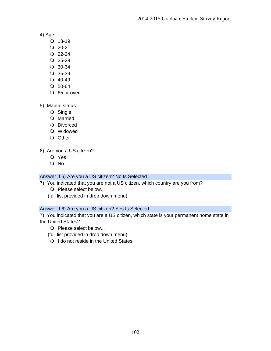4) Age:

- $Q$  18-19
- $Q$  20-21
- $Q$  22-24
- $Q$  25-29
- 30-34
- 35-39
- $Q$  40-49
- $O$  50-64
- O 65 or over

5) Marital status:

- O Single
- O Married
- O Divorced
- Widowed
- O Other

6) Are you a US citizen?

- Yes
- No

# Answer If 6) Are you a US citizen? No Is Selected

7) You indicated that you are not a US citizen, which country are you from?

- O Please select below...
- (full list provided in drop down menu)

# Answer If 6) Are you a US citizen? Yes Is Selected

7) You indicated that you are a US citizen, which state is your permanent home state in the United States?

- O Please select below...
- (full list provided in drop down menu)
- O I do not reside in the United States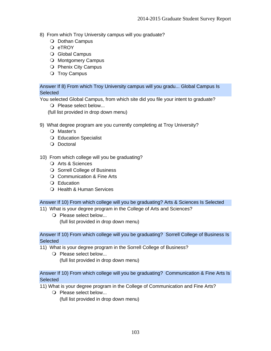- 8) From which Troy University campus will you graduate?
	- O Dothan Campus
	- O eTROY
	- O Global Campus
	- O Montgomery Campus
	- O Phenix City Campus
	- O Troy Campus

Answer If 8) From which Troy University campus will you gradu... Global Campus Is **Selected** 

You selected Global Campus, from which site did you file your intent to graduate?

- O Please select below...
- (full list provided in drop down menu)
- 9) What degree program are you currently completing at Troy University?
	- O Master's
	- Education Specialist
	- O Doctoral
- 10) From which college will you be graduating?
	- O Arts & Sciences
	- O Sorrell College of Business
	- O Communication & Fine Arts
	- Q Education
	- O Health & Human Services

### Answer If 10) From which college will you be graduating? Arts & Sciences Is Selected

- 11) What is your degree program in the College of Arts and Sciences?
	- O Please select below... (full list provided in drop down menu)

Answer If 10) From which college will you be graduating? Sorrell College of Business Is **Selected** 

- 11) What is your degree program in the Sorrell College of Business?
	- O Please select below...

(full list provided in drop down menu)

Answer If 10) From which college will you be graduating? Communication & Fine Arts Is **Selected** 

11) What is your degree program in the College of Communication and Fine Arts?

O Please select below... (full list provided in drop down menu)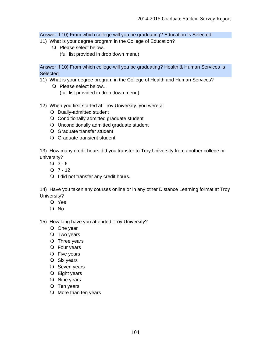Answer If 10) From which college will you be graduating? Education Is Selected

- 11) What is your degree program in the College of Education?
	- O Please select below... (full list provided in drop down menu)

Answer If 10) From which college will you be graduating? Health & Human Services Is **Selected** 

- 11) What is your degree program in the College of Health and Human Services?
	- O Please select below... (full list provided in drop down menu)
- 12) When you first started at Troy University, you were a:
	- O Dually-admitted student
	- Conditionally admitted graduate student
	- Unconditionally admitted graduate student
	- Graduate transfer student
	- Graduate transient student

13) How many credit hours did you transfer to Troy University from another college or university?

- $Q$  3 6
- $Q$  7 12
- O I did not transfer any credit hours.

14) Have you taken any courses online or in any other Distance Learning format at Troy University?

- Yes
- O No

15) How long have you attended Troy University?

- O One year
- O Two years
- $\bigcirc$  Three years
- Four years
- O Five years
- O Six years
- O Seven years
- Eight years
- O Nine years
- $\bigcirc$  Ten years
- O More than ten years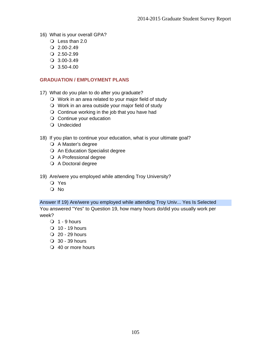- 16) What is your overall GPA?
	- $\bigcirc$  Less than 2.0
	- $Q$  2.00-2.49
	- $Q$  2.50-2.99
	- 3.00-3.49
	- 3.50-4.00

### **GRADUATION / EMPLOYMENT PLANS**

- 17) What do you plan to do after you graduate?
	- Work in an area related to your major field of study
	- Work in an area outside your major field of study
	- $\bigcirc$  Continue working in the job that you have had
	- O Continue your education
	- Undecided
- 18) If you plan to continue your education, what is your ultimate goal?
	- A Master's degree
	- O An Education Specialist degree
	- A Professional degree
	- O A Doctoral degree
- 19) Are/were you employed while attending Troy University?
	- Yes
	- No

#### Answer If 19) Are/were you employed while attending Troy Univ... Yes Is Selected

You answered "Yes" to Question 19, how many hours do/did you usually work per week?

- $\bigcirc$  1 9 hours
- $\overline{O}$  10 19 hours
- $Q$  20 29 hours
- 30 39 hours
- 40 or more hours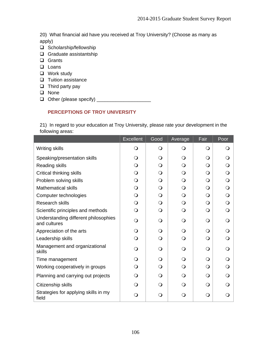20) What financial aid have you received at Troy University? (Choose as many as apply)

- □ Scholarship/fellowship
- Graduate assistantship
- **Q** Grants
- **Loans**
- □ Work study
- $\Box$  Tuition assistance
- $\Box$  Third party pay
- **Q** None
- Other (please specify) \_\_\_\_\_\_\_\_\_\_\_\_\_\_\_\_\_\_\_\_

# **PERCEPTIONS OF TROY UNIVERSITY**

21) In regard to your education at Troy University, please rate your development in the following areas:

|                                                      | <b>Excellent</b> | Good         | Average  | Fair       | Poor |
|------------------------------------------------------|------------------|--------------|----------|------------|------|
| Writing skills                                       | $\Omega$         | $\mathbf{O}$ | $\Omega$ | $\Omega$   | Q    |
| Speaking/presentation skills                         | $\Omega$         | ∩            | ∩        | Q          |      |
| <b>Reading skills</b>                                | $\Omega$         | $\Omega$     | $\Omega$ | $\bigcirc$ | ∩    |
| Critical thinking skills                             | $\Omega$         | $\Omega$     | $\Omega$ | $\Omega$   | ∩    |
| Problem solving skills                               | $\circ$          | $\Omega$     | $\Omega$ | $\Omega$   | Q    |
| <b>Mathematical skills</b>                           | $\circ$          | $\Omega$     | $\Omega$ | $\Omega$   | Q    |
| Computer technologies                                | $\Omega$         | $\Omega$     | $\Omega$ | $\Omega$   | ∩    |
| <b>Research skills</b>                               | $\Omega$         | $\Omega$     | $\Omega$ | $\Omega$   |      |
| Scientific principles and methods                    | $\Omega$         | Q            | ∩        | $\Omega$   | ∩    |
| Understanding different philosophies<br>and cultures | Q                | $\Omega$     | ∩        | $\Omega$   |      |
| Appreciation of the arts                             | Q                | $\Omega$     | ∩        | $\Omega$   |      |
| Leadership skills                                    | $\Omega$         | $\Omega$     | ∩        | $\Omega$   |      |
| Management and organizational<br>skills              | $\Omega$         | $\Omega$     | Q        | $\Omega$   | ∩    |
| Time management                                      | ∩                | $\Omega$     | ∩        | $\Omega$   |      |
| Working cooperatively in groups                      | O                | $\Omega$     | Q        | $\Omega$   | ∩    |
| Planning and carrying out projects                   | Q                | $\Omega$     | ∩        | $\Omega$   |      |
| Citizenship skills                                   | Q                | $\Omega$     | ∩        | $\Omega$   |      |
| Strategies for applying skills in my<br>field        | $\Omega$         | Q            | O        | $\Omega$   |      |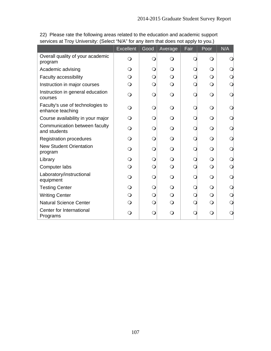|                                                      | <b>Excellent</b> | Good         | Average    | Fair | Poor         | N/A            |
|------------------------------------------------------|------------------|--------------|------------|------|--------------|----------------|
| Overall quality of your academic<br>program          | $\Omega$         | $\mathsf{O}$ | $\circ$    |      | $\bigcirc$   |                |
| Academic advising                                    | O                | $\bigcirc$   | $\Omega$   |      | $\bigcirc$   | Q              |
| Faculty accessibility                                | $\Omega$         | $\bigcirc$   | $\Omega$   |      | $\bigcirc$   | Q              |
| Instruction in major courses                         | Q                | $\bigcirc$   | $\bigcirc$ |      | $\bigcirc$   | $\overline{O}$ |
| Instruction in general education<br>courses          | $\Omega$         | $\bigcirc$   | $\bigcirc$ |      | $\bigcirc$   | Q              |
| Faculty's use of technologies to<br>enhance teaching | ∩                | $\bigcirc$   | $\Omega$   |      | $\bigcirc$   | Q              |
| Course availability in your major                    | ∩                | $\bigcirc$   | $\Omega$   |      | $\bigcirc$   | Q              |
| Communication between faculty<br>and students        | ∩                | $\bigcirc$   | $\Omega$   |      | $\bigcirc$   | Q              |
| <b>Registration procedures</b>                       |                  | $\bigcirc$   | $\bigcirc$ |      | $\bigcirc$   | Q              |
| <b>New Student Orientation</b><br>program            | $\Omega$         | $\bigcirc$   | $\Omega$   |      | $\bigcirc$   | Q              |
| Library                                              | $\Omega$         | $\bigcirc$   | $\Omega$   |      | $\bigcirc$   | $\bigcirc$     |
| Computer labs                                        | $\Omega$         | $\bigcirc$   | $\Omega$   |      | $\bigcirc$   | $\bigcirc$     |
| Laboratory/instructional<br>equipment                | Q                | $\bigcirc$   | $\Omega$   |      | $\bigcirc$   | Q              |
| <b>Testing Center</b>                                | $\Omega$         | $\bigcirc$   | $\Omega$   |      | $\mathsf{O}$ | Q              |
| <b>Writing Center</b>                                | $\mathsf{O}$     | $\bigcirc$   | $\bigcirc$ |      | $\bigcirc$   | $\bigcirc$     |
| <b>Natural Science Center</b>                        | $\Omega$         | $\bigcirc$   | $\Omega$   |      | $\bigcirc$   | $\bigcirc$     |
| Center for International<br>Programs                 | Q                | $\bigcirc$   | $\Omega$   |      | $\bigcirc$   |                |

22) Please rate the following areas related to the education and academic support services at Troy University: (Select "N/A" for any item that does not apply to you.)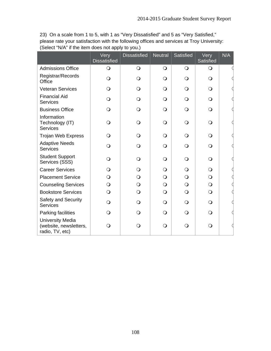23) On a scale from 1 to 5, with 1 as "Very Dissatisfied" and 5 as "Very Satisfied," please rate your satisfaction with the following offices and services at Troy University: (Select "N/A" if the item does not apply to you.)

|                                                                      | Very<br><b>Dissatisfied</b> | <b>Dissatisfied</b> | Neutral    | Satisfied  | Very<br>Satisfied | N/A |
|----------------------------------------------------------------------|-----------------------------|---------------------|------------|------------|-------------------|-----|
| <b>Admissions Office</b>                                             | $\overline{O}$              | $\overline{O}$      | $\bigcirc$ | $\bigcirc$ | $\bigcirc$        |     |
| Registrar/Records<br>Office                                          | $\mathsf{O}$                | $\Omega$            | $\bigcirc$ | $\Omega$   | $\bigcirc$        |     |
| <b>Veteran Services</b>                                              | $\Omega$                    | $\Omega$            | $\bigcirc$ | $\circ$    | $\circ$           |     |
| <b>Financial Aid</b><br><b>Services</b>                              | $\bigcirc$                  | $\Omega$            | $\bigcirc$ | $\circ$    | $\bigcirc$        |     |
| <b>Business Office</b>                                               | $\bigcirc$                  | $\Omega$            | $\bigcirc$ | $\bigcirc$ | $\bigcirc$        |     |
| Information<br>Technology (IT)<br><b>Services</b>                    | $\Omega$                    | $\bigcirc$          | $\bigcirc$ | $\bigcirc$ | $\bigcirc$        |     |
| <b>Trojan Web Express</b>                                            | ∩                           | $\Omega$            | $\bigcirc$ | $\circ$    | $\circ$           |     |
| <b>Adaptive Needs</b><br><b>Services</b>                             | $\bigcirc$                  | $\bigcirc$          | $\bigcirc$ | $\circ$    | $\bigcirc$        |     |
| <b>Student Support</b><br>Services (SSS)                             | $\Omega$                    | $\bigcirc$          | $\bigcirc$ | $\bigcirc$ | $\bigcirc$        |     |
| <b>Career Services</b>                                               | $\Omega$                    | $\Omega$            | $\bigcirc$ | $\Omega$   | $\bigcirc$        |     |
| <b>Placement Service</b>                                             | $\bigcirc$                  | $\bigcirc$          | $\bigcirc$ | $\Omega$   | $\overline{O}$    |     |
| <b>Counseling Services</b>                                           | $\bigcirc$                  | $\bigcirc$          | $\bigcirc$ | $\bigcirc$ | $\bigcirc$        |     |
| <b>Bookstore Services</b>                                            | $\Omega$                    | $\bigcirc$          | $\bigcirc$ | $\bigcirc$ | $\circ$           |     |
| Safety and Security<br>Services                                      | $\bigcirc$                  | $\Omega$            | $\bigcirc$ | $\circ$    | $\bigcirc$        |     |
| Parking facilities                                                   | $\Omega$                    | $\Omega$            | $\bigcirc$ | $\bigcirc$ | $\Omega$          |     |
| <b>University Media</b><br>(website, newsletters,<br>radio, TV, etc) | $\Omega$                    | $\bigcirc$          | $\bigcirc$ | $\bigcirc$ | $\bigcirc$        |     |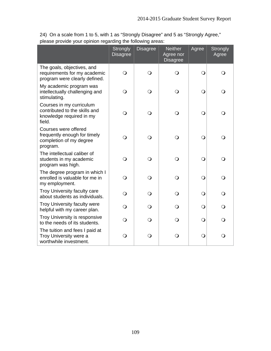24) On a scale from 1 to 5, with 1 as "Strongly Disagree" and 5 as "Strongly Agree," please provide your opinion regarding the following areas:

|                                                                                                 | <b>Strongly</b><br><b>Disagree</b> | <b>Disagree</b> | <b>Neither</b><br>Agree nor<br><b>Disagree</b> | Agree      | <b>Strongly</b><br>Agree |
|-------------------------------------------------------------------------------------------------|------------------------------------|-----------------|------------------------------------------------|------------|--------------------------|
| The goals, objectives, and<br>requirements for my academic<br>program were clearly defined.     | $\overline{O}$                     | $\bigcirc$      | $\bigcirc$                                     | $\bigcirc$ | $\Omega$                 |
| My academic program was<br>intellectually challenging and<br>stimulating.                       | $\circ$                            | $\bigcirc$      | $\bigcirc$                                     | $\bigcirc$ | Q                        |
| Courses in my curriculum<br>contributed to the skills and<br>knowledge required in my<br>field. | $\circ$                            | $\circ$         | $\bigcirc$                                     | $\bigcirc$ | Q                        |
| Courses were offered<br>frequently enough for timely<br>completion of my degree<br>program.     | $\bigcirc$                         | $\bigcirc$      | $\bigcirc$                                     | $\bigcirc$ |                          |
| The intellectual caliber of<br>students in my academic<br>program was high.                     | $\overline{O}$                     | $\bigcirc$      | $\bigcirc$                                     | $\bigcirc$ | ∩                        |
| The degree program in which I<br>enrolled is valuable for me in<br>my employment.               | $\circ$                            | $\bigcirc$      | $\bigcirc$                                     | $\bigcirc$ | ∩                        |
| Troy University faculty care<br>about students as individuals.                                  | $\circ$                            | $\circ$         | $\bigcirc$                                     | $\bigcirc$ | ∩                        |
| Troy University faculty were<br>helpful with my career plan.                                    | $\Omega$                           | $\Omega$        | O                                              | $\bigcirc$ | ∩                        |
| Troy University is responsive<br>to the needs of its students.                                  | $\Omega$                           | $\Omega$        | $\Omega$                                       | $\bigcirc$ | $\Omega$                 |
| The tuition and fees I paid at<br>Troy University were a<br>worthwhile investment.              | $\bigcirc$                         | $\mathsf{O}$    | $\mathsf{O}$                                   | $\bigcirc$ | $\Omega$                 |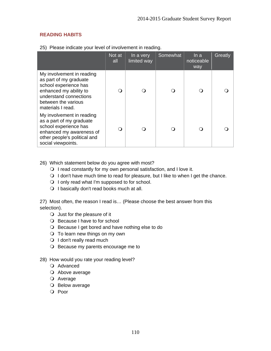## **READING HABITS**

|                                                                                                                                                                              | Not at<br>all | In a very<br>limited way | Somewhat | ln a<br>noticeable<br>way | Greatly |
|------------------------------------------------------------------------------------------------------------------------------------------------------------------------------|---------------|--------------------------|----------|---------------------------|---------|
| My involvement in reading<br>as part of my graduate<br>school experience has<br>enhanced my ability to<br>understand connections<br>between the various<br>materials I read. | 0             | ∩                        |          |                           |         |
| My involvement in reading<br>as a part of my graduate<br>school experience has<br>enhanced my awareness of<br>other people's political and<br>social viewpoints.             | ( )           | ∩                        |          |                           |         |

25) Please indicate your level of involvement in reading.

- 26) Which statement below do you agree with most?
	- $\bigcirc$  I read constantly for my own personal satisfaction, and I love it.
	- O I don't have much time to read for pleasure, but I like to when I get the chance.
	- $\bigcirc$  I only read what I'm supposed to for school.
	- O I basically don't read books much at all.

27) Most often, the reason I read is… (Please choose the best answer from this selection).

- $\bigcirc$  Just for the pleasure of it
- O Because I have to for school
- O Because I get bored and have nothing else to do
- $\bigcirc$  To learn new things on my own
- $\bigcirc$  I don't really read much
- O Because my parents encourage me to
- 28) How would you rate your reading level?
	- O Advanced
	- Above average
	- Average
	- O Below average
	- O Poor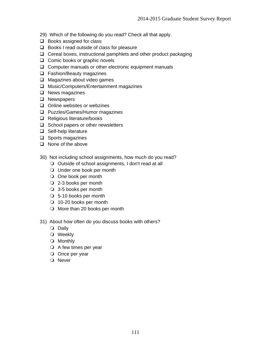- 29) Which of the following do you read? Check all that apply.
- $\Box$  Books assigned for class
- $\Box$  Books I read outside of class for pleasure
- $\Box$  Cereal boxes, instructional pamphlets and other product packaging
- $\Box$  Comic books or graphic novels
- □ Computer manuals or other electronic equipment manuals
- □ Fashion/Beauty magazines
- $\Box$  Magazines about video games
- □ Music/Computers/Entertainment magazines
- $\Box$  News magazines
- **Q** Newspapers
- $\Box$  Online websites or webzines
- **Q** Puzzles/Games/Humor magazines
- $\Box$  Religious literature/books
- $\Box$  School papers or other newsletters
- $\Box$  Self-help literature
- $\Box$  Sports magazines
- $\Box$  None of the above
- 30) Not including school assignments, how much do you read?
	- O Outside of school assignments, I don't read at all
	- Under one book per month
	- O One book per month
	- 2-3 books per month
	- 3-5 books per month
	- 5-10 books per month
	- 10-20 books per month
	- O More than 20 books per month
- 31) About how often do you discuss books with others?
	- O Daily
	- Weekly
	- O Monthly
	- $\bigcirc$  A few times per year
	- O Once per year
	- O Never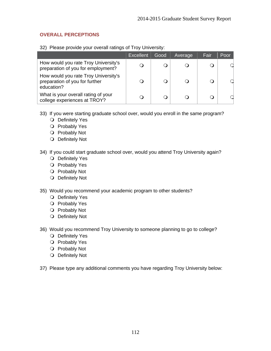## **OVERALL PERCEPTIONS**

32) Please provide your overall ratings of Troy University:

|                                                                                      | Excellent | Good | Average   | Fair | Poor |
|--------------------------------------------------------------------------------------|-----------|------|-----------|------|------|
| How would you rate Troy University's<br>preparation of you for employment?           |           |      |           | Ő    |      |
| How would you rate Troy University's<br>preparation of you for further<br>education? |           |      | $\bigcap$ | O    |      |
| What is your overall rating of your<br>college experiences at TROY?                  |           |      |           |      |      |

- 33) If you were starting graduate school over, would you enroll in the same program?
	- O Definitely Yes
	- O Probably Yes
	- O Probably Not
	- O Definitely Not
- 34) If you could start graduate school over, would you attend Troy University again?
	- O Definitely Yes
	- O Probably Yes
	- O Probably Not
	- O Definitely Not
- 35) Would you recommend your academic program to other students?
	- O Definitely Yes
	- O Probably Yes
	- O Probably Not
	- O Definitely Not
- 36) Would you recommend Troy University to someone planning to go to college?
	- O Definitely Yes
	- O Probably Yes
	- O Probably Not
	- O Definitely Not
- 37) Please type any additional comments you have regarding Troy University below: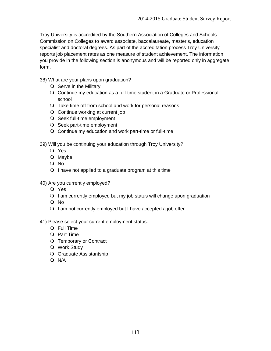Troy University is accredited by the Southern Association of Colleges and Schools Commission on Colleges to award associate, baccalaureate, master's, education specialist and doctoral degrees. As part of the accreditation process Troy University reports job placement rates as one measure of student achievement. The information you provide in the following section is anonymous and will be reported only in aggregate form.

38) What are your plans upon graduation?

- $\bigcirc$  Serve in the Military
- Continue my education as a full-time student in a Graduate or Professional school
- Take time off from school and work for personal reasons
- O Continue working at current job
- O Seek full-time employment
- O Seek part-time employment
- Continue my education and work part-time or full-time

39) Will you be continuing your education through Troy University?

- Yes
- O Maybe
- No
- $\bigcirc$  I have not applied to a graduate program at this time
- 40) Are you currently employed?
	- Yes
	- $\Omega$  I am currently employed but my job status will change upon graduation
	- No
	- $\bigcirc$  I am not currently employed but I have accepted a job offer
- 41) Please select your current employment status:
	- O Full Time
	- O Part Time
	- O Temporary or Contract
	- Work Study
	- Graduate Assistantship
	- $O$  N/A